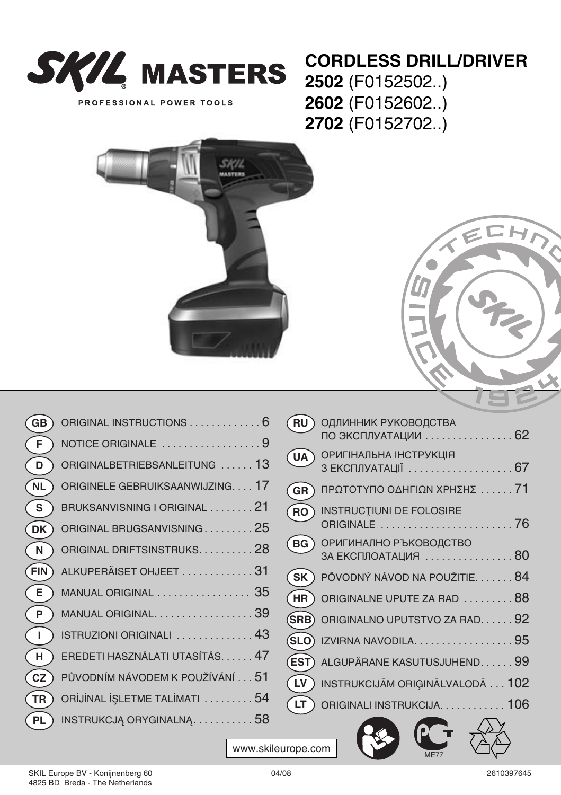

PROFESSIONAL POWER TOOLS

## **CORDLESS DRILL/DRIVER 2502** (F0152502..) **2602** (F0152602..) **2702** (F0152702..)





|                 | $GB)$ ORIGINAL INSTRUCTIONS 6       |  |
|-----------------|-------------------------------------|--|
|                 | F ) NOTICE ORIGINALE 9              |  |
|                 | D ) ORIGINALBETRIEBSANLEITUNG 13    |  |
|                 | NL ) ORIGINELE GEBRUIKSAANWIJZING17 |  |
| $\mathsf{s}$    | BRUKSANVISNING I ORIGINAL 21        |  |
|                 | $DK)$ ORIGINAL BRUGSANVISNING 25    |  |
| $\mathsf{N}$    | ORIGINAL DRIFTSINSTRUKS28           |  |
|                 | $FIN)$ ALKUPERÄISET OHJEET 31       |  |
| E.              | MANUAL ORIGINAL 35                  |  |
| P               | MANUAL ORIGINAL39                   |  |
| $\Box$          | ISTRUZIONI ORIGINALI  43            |  |
| H               | EREDETI HASZNÁLATI UTASÍTÁS47       |  |
| CZ              | PŮVODNÍM NÁVODEM K POUŽÍVÁNÍ51      |  |
| TR <sup>1</sup> | ORİJİNAL İŞLETME TALİMATI 54        |  |
| $PL$ )          | INSTRUKCJĄ ORYGINALNĄ58             |  |
|                 |                                     |  |

| ์ RU          | ОДЛИННИК РУКОВОДСТВА<br>ПО ЭКСПЛУАТАЦИИ 62                                               |  |
|---------------|------------------------------------------------------------------------------------------|--|
| (UA)          | ОРИГІНАЛЬНА ІНСТРУКЦІЯ<br>3 ЕКСПЛУАТАЦІЇ 67                                              |  |
| $\epsilon$ GR | ΠΡΩΤΟΤΥΠΟ ΟΔΗΓΙΩΝ ΧΡΗΣΗΣ 71                                                              |  |
| (RO)          | <b>INSTRUCTIUNI DE FOLOSIRE</b><br>ORIGINALE 76                                          |  |
|               | $(BG)$ ОРИГИНАЛНО РЪКОВОДСТВО<br>ЗА ЕКСПЛОАТАЦИЯ $\ldots \ldots \ldots \ldots \ldots 80$ |  |
|               | $(SK)$ PÔVODNÝ NÁVOD NA POUŽITIE84                                                       |  |
|               | $(HR)$ ORIGINALNE UPUTE ZA RAD $\ldots \ldots \ldots 88$                                 |  |
|               | (SRB) ORIGINALNO UPUTSTVO ZA RAD92                                                       |  |
|               | $(SLO)$ IZVIRNA NAVODILA. 95                                                             |  |
|               | $EST)$ ALGUPÄRANE KASUTUSJUHEND 99                                                       |  |
|               | (LV) INSTRUKCIJĀM ORIGINĀLVALODĀ 102                                                     |  |
| LT.           | ORIGINALI INSTRUKCIJA. 106                                                               |  |
|               |                                                                                          |  |

ME<sub>7</sub>

www.skileurope.com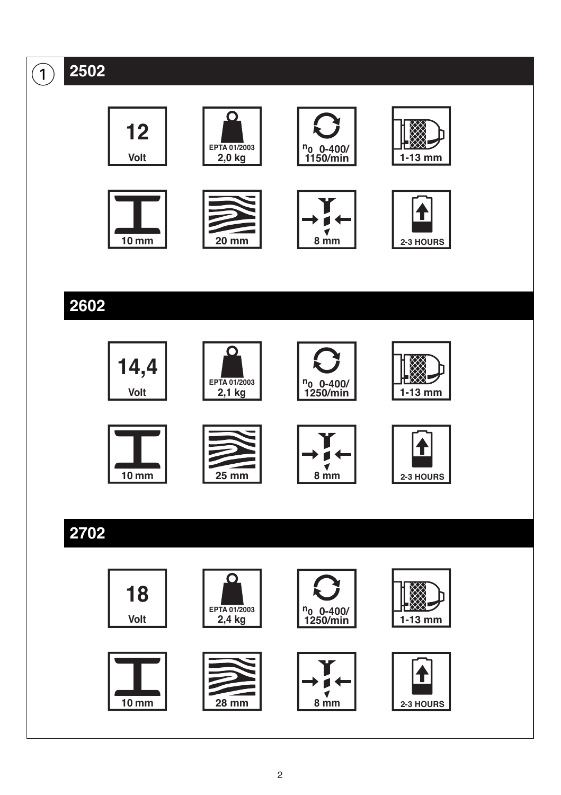# 1 **<sup>2502</sup>**  $\mathbf O$ **12 EPTA 01/2003 0-400/ Volt 1150/min 1-13 mm 2,0 kg** Y ₫ ◀ **10 mm 20 mm 8 mm 2-3 HOURS 2602** O **14,4 EPTA 01/2003 0-400/ Volt 1250/min 1-13 mm 2,1 kg** 1 ◀ **10 mm 125 mm 8 mm 2.3 HOURS 2702**  $\Omega$ **18 EPTA 01/2003 0-400/ Volt 1250/min 1-13 mm 2,4 kg** ◀ **10 mm 1 28 mm 8 mm 2-3 HOURS**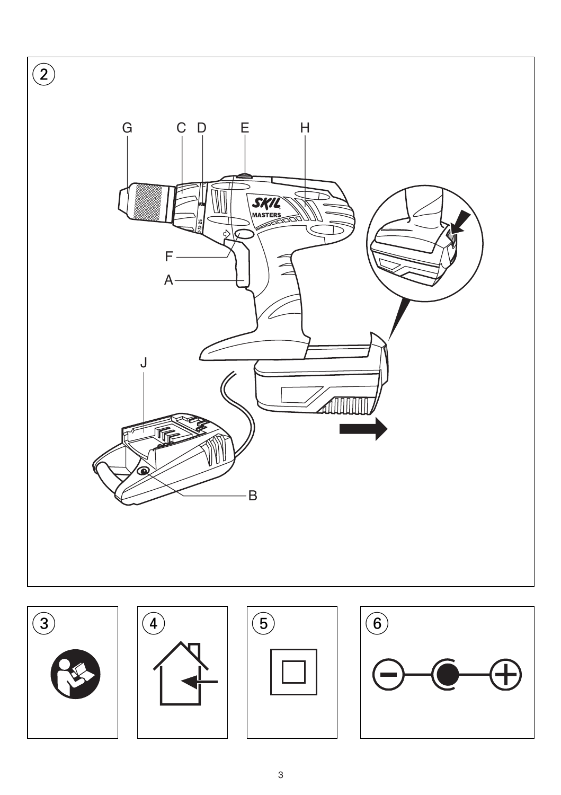

3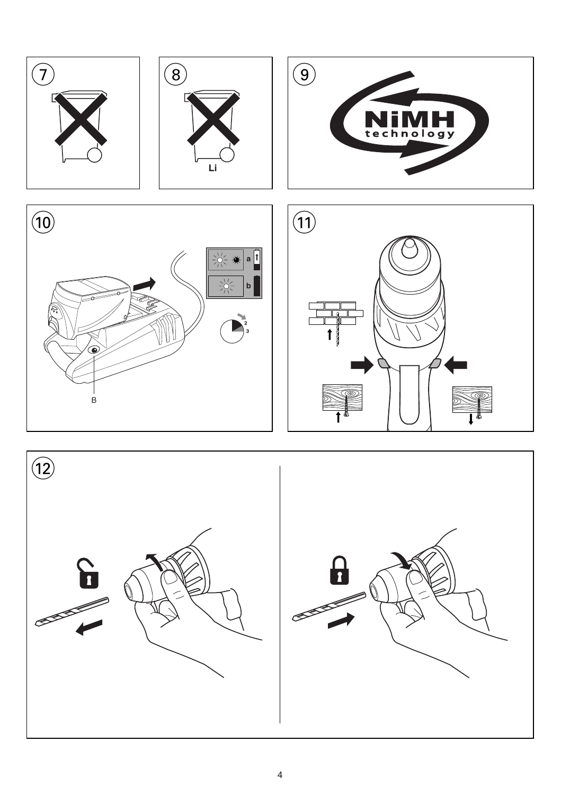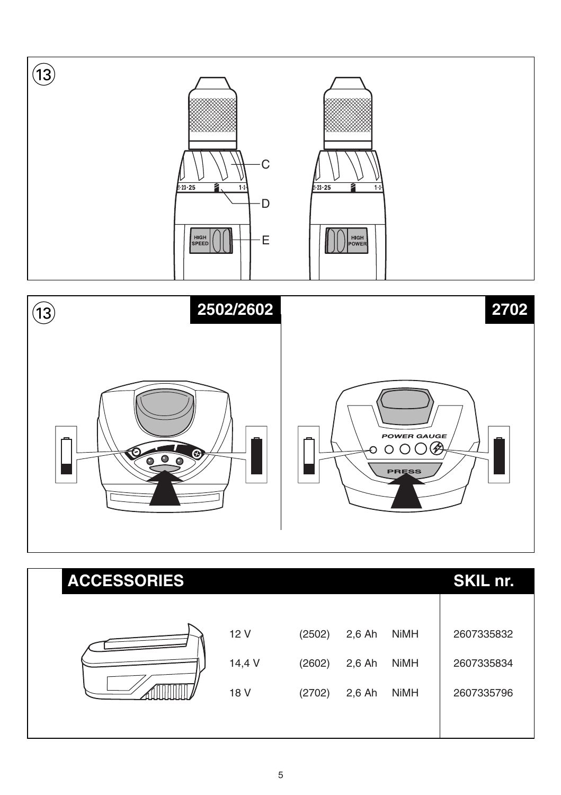| 13 |                                  |                            |
|----|----------------------------------|----------------------------|
|    | 8888888                          | 2000000000                 |
|    | 18888888888                      | 988888888888               |
|    | C<br>Ĺ<br>$1.23 - 25$<br>$1.3 -$ | 2<br>$1.23 - 25$<br>$1-3-$ |
|    | D                                |                            |
|    | HIGH<br>SPEED<br>Е               | <b>HIGH</b>                |
|    |                                  |                            |



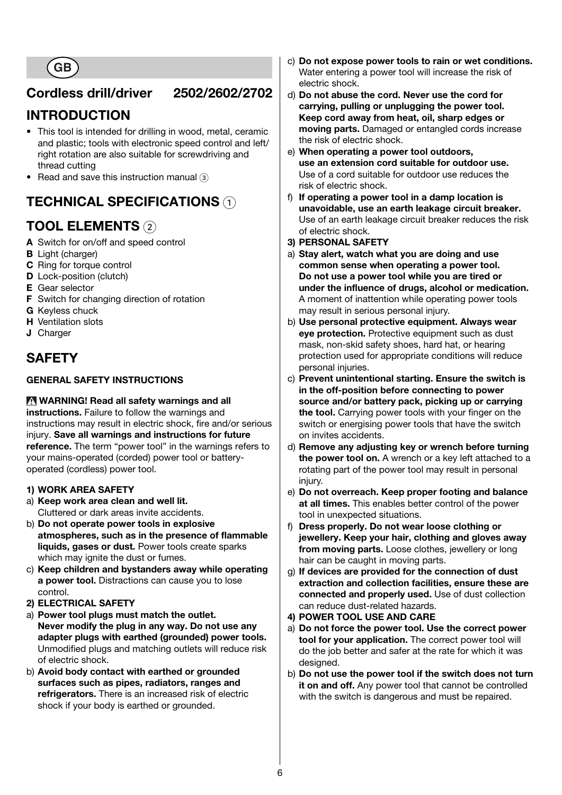

### **Cordless drill/driver 2502/2602/2702**

### **INTRODUCTION**

- This tool is intended for drilling in wood, metal, ceramic and plastic; tools with electronic speed control and left/ right rotation are also suitable for screwdriving and thread cutting
- Read and save this instruction manual  $\circled$

### **TECHNICAL SPECIFICATIONS** 1

### **TOOL ELEMENTS** 2

- **A** Switch for on/off and speed control
- **B** Light (charger)
- **C** Ring for torque control
- **D** Lock-position (clutch)
- **E** Gear selector
- **F** Switch for changing direction of rotation
- **G** Keyless chuck
- **H** Ventilation slots
- **J** Charger

### **SAFETY**

#### **GENERAL SAFETY INSTRUCTIONS**

 **WARNING! Read all safety warnings and all instructions.** Failure to follow the warnings and instructions may result in electric shock, fire and/or serious injury. **Save all warnings and instructions for future reference.** The term "power tool" in the warnings refers to your mains-operated (corded) power tool or batteryoperated (cordless) power tool.

#### **1) WORK AREA SAFETY**

- a) **Keep work area clean and well lit.** Cluttered or dark areas invite accidents.
- b) **Do not operate power tools in explosive atmospheres, such as in the presence of flammable liquids, gases or dust.** Power tools create sparks which may ignite the dust or fumes.
- c) **Keep children and bystanders away while operating a power tool.** Distractions can cause you to lose control.
- **2) ELECTRICAL SAFETY**
- a) **Power tool plugs must match the outlet. Never modify the plug in any way. Do not use any adapter plugs with earthed (grounded) power tools.** Unmodified plugs and matching outlets will reduce risk of electric shock.
- b) **Avoid body contact with earthed or grounded surfaces such as pipes, radiators, ranges and refrigerators.** There is an increased risk of electric shock if your body is earthed or grounded.
- c) **Do not expose power tools to rain or wet conditions.** Water entering a power tool will increase the risk of electric shock.
- d) **Do not abuse the cord. Never use the cord for carrying, pulling or unplugging the power tool. Keep cord away from heat, oil, sharp edges or moving parts.** Damaged or entangled cords increase the risk of electric shock.
- e) **When operating a power tool outdoors, use an extension cord suitable for outdoor use.** Use of a cord suitable for outdoor use reduces the risk of electric shock.
- f) **If operating a power tool in a damp location is unavoidable, use an earth leakage circuit breaker.** Use of an earth leakage circuit breaker reduces the risk of electric shock.
- **3) PERSONAL SAFETY**
- a) **Stay alert, watch what you are doing and use common sense when operating a power tool. Do not use a power tool while you are tired or under the influence of drugs, alcohol or medication.** A moment of inattention while operating power tools may result in serious personal injury.
- b) **Use personal protective equipment. Always wear eye protection.** Protective equipment such as dust mask, non-skid safety shoes, hard hat, or hearing protection used for appropriate conditions will reduce personal injuries.
- c) **Prevent unintentional starting. Ensure the switch is in the off-position before connecting to power source and/or battery pack, picking up or carrying the tool.** Carrying power tools with your finger on the switch or energising power tools that have the switch on invites accidents.
- d) **Remove any adjusting key or wrench before turning the power tool on.** A wrench or a key left attached to a rotating part of the power tool may result in personal injury.
- e) **Do not overreach. Keep proper footing and balance at all times.** This enables better control of the power tool in unexpected situations.
- f) **Dress properly. Do not wear loose clothing or jewellery. Keep your hair, clothing and gloves away from moving parts.** Loose clothes, jewellery or long hair can be caught in moving parts.
- g) **If devices are provided for the connection of dust extraction and collection facilities, ensure these are connected and properly used.** Use of dust collection can reduce dust-related hazards.
- **4) POWER TOOL USE AND CARE**
- a) **Do not force the power tool. Use the correct power tool for your application.** The correct power tool will do the job better and safer at the rate for which it was designed.
- b) **Do not use the power tool if the switch does not turn it on and off.** Any power tool that cannot be controlled with the switch is dangerous and must be repaired.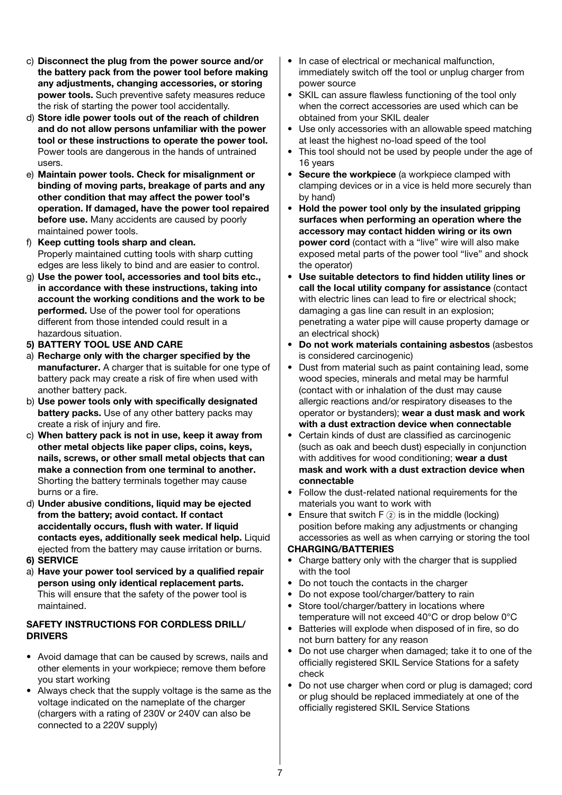- c) **Disconnect the plug from the power source and/or the battery pack from the power tool before making any adjustments, changing accessories, or storing power tools.** Such preventive safety measures reduce the risk of starting the power tool accidentally.
- d) **Store idle power tools out of the reach of children and do not allow persons unfamiliar with the power tool or these instructions to operate the power tool.** Power tools are dangerous in the hands of untrained users.
- e) **Maintain power tools. Check for misalignment or binding of moving parts, breakage of parts and any other condition that may affect the power tool's operation. If damaged, have the power tool repaired before use.** Many accidents are caused by poorly maintained power tools.
- f) **Keep cutting tools sharp and clean.** Properly maintained cutting tools with sharp cutting edges are less likely to bind and are easier to control.
- g) **Use the power tool, accessories and tool bits etc., in accordance with these instructions, taking into account the working conditions and the work to be performed.** Use of the power tool for operations different from those intended could result in a hazardous situation.
- **5) BATTERY TOOL USE AND CARE**
- a) **Recharge only with the charger specified by the manufacturer.** A charger that is suitable for one type of battery pack may create a risk of fire when used with another battery pack.
- b) **Use power tools only with specifically designated battery packs.** Use of any other battery packs may create a risk of injury and fire.
- c) **When battery pack is not in use, keep it away from other metal objects like paper clips, coins, keys, nails, screws, or other small metal objects that can make a connection from one terminal to another.** Shorting the battery terminals together may cause burns or a fire.
- d) **Under abusive conditions, liquid may be ejected from the battery; avoid contact. If contact accidentally occurs, flush with water. If liquid contacts eyes, additionally seek medical help.** Liquid ejected from the battery may cause irritation or burns. **6) SERVICE**
- a) **Have your power tool serviced by a qualified repair person using only identical replacement parts.** This will ensure that the safety of the power tool is maintained.

#### **SAFETY INSTRUCTIONS FOR CORDLESS DRILL/ DRIVERS**

- Avoid damage that can be caused by screws, nails and other elements in your workpiece; remove them before you start working
- Always check that the supply voltage is the same as the voltage indicated on the nameplate of the charger (chargers with a rating of 230V or 240V can also be connected to a 220V supply)
- In case of electrical or mechanical malfunction, immediately switch off the tool or unplug charger from power source
- SKIL can assure flawless functioning of the tool only when the correct accessories are used which can be obtained from your SKIL dealer
- Use only accessories with an allowable speed matching at least the highest no-load speed of the tool
- This tool should not be used by people under the age of 16 years
- **Secure the workpiece** (a workpiece clamped with clamping devices or in a vice is held more securely than by hand)
- **Hold the power tool only by the insulated gripping surfaces when performing an operation where the accessory may contact hidden wiring or its own power cord** (contact with a "live" wire will also make exposed metal parts of the power tool "live" and shock the operator)
- **Use suitable detectors to find hidden utility lines or call the local utility company for assistance** (contact with electric lines can lead to fire or electrical shock: damaging a gas line can result in an explosion; penetrating a water pipe will cause property damage or an electrical shock)
- **Do not work materials containing asbestos** (asbestos is considered carcinogenic)
- Dust from material such as paint containing lead, some wood species, minerals and metal may be harmful (contact with or inhalation of the dust may cause allergic reactions and/or respiratory diseases to the operator or bystanders); **wear a dust mask and work with a dust extraction device when connectable**
- Certain kinds of dust are classified as carcinogenic (such as oak and beech dust) especially in conjunction with additives for wood conditioning; **wear a dust mask and work with a dust extraction device when connectable**
- Follow the dust-related national requirements for the materials you want to work with
- Ensure that switch  $F(2)$  is in the middle (locking) position before making any adjustments or changing accessories as well as when carrying or storing the tool

### **CHARGING/BATTERIES**

- Charge battery only with the charger that is supplied with the tool
- Do not touch the contacts in the charger
- Do not expose tool/charger/battery to rain
- Store tool/charger/battery in locations where temperature will not exceed 40°C or drop below 0°C
- Batteries will explode when disposed of in fire, so do not burn battery for any reason
- Do not use charger when damaged; take it to one of the officially registered SKIL Service Stations for a safety check
- Do not use charger when cord or plug is damaged; cord or plug should be replaced immediately at one of the officially registered SKIL Service Stations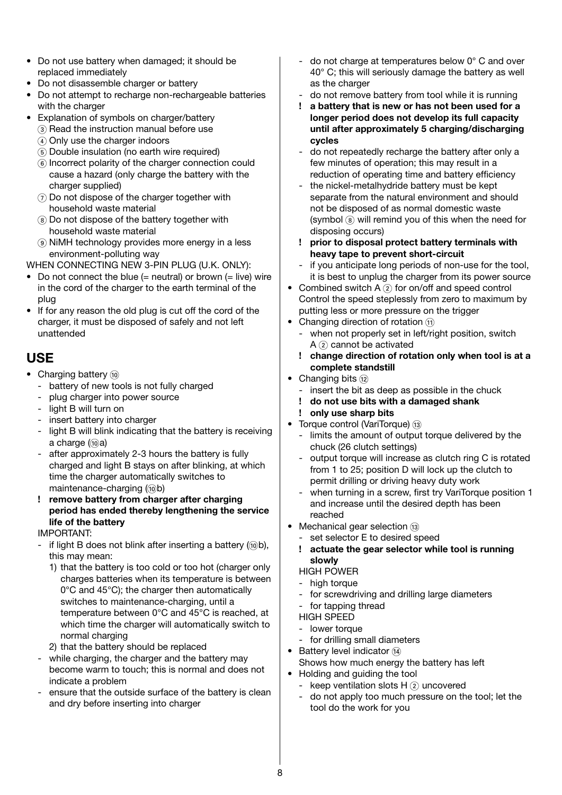- Do not use battery when damaged; it should be replaced immediately
- Do not disassemble charger or battery
- Do not attempt to recharge non-rechargeable batteries with the charger
- Explanation of symbols on charger/battery
	- 3 Read the instruction manual before use
	- $\bar{4}$  Only use the charger indoors
	- 5 Double insulation (no earth wire required)
	- 6 Incorrect polarity of the charger connection could cause a hazard (only charge the battery with the charger supplied)
	- $(7)$  Do not dispose of the charger together with household waste material
	- 8 Do not dispose of the battery together with household waste material
	- 9 NiMH technology provides more energy in a less environment-polluting way

WHEN CONNECTING NEW 3-PIN PLUG (U.K. ONLY):

- Do not connect the blue  $(=$  neutral) or brown  $(=$  live) wire in the cord of the charger to the earth terminal of the plug
- If for any reason the old plug is cut off the cord of the charger, it must be disposed of safely and not left unattended

### **USE**

- $\bullet$  Charging battery  $(10)$ 
	- battery of new tools is not fully charged
	- plug charger into power source
	- light B will turn on
	- insert battery into charger
	- light B will blink indicating that the battery is receiving a charge  $(na)$
	- after approximately 2-3 hours the battery is fully charged and light B stays on after blinking, at which time the charger automatically switches to maintenance-charging (@b)
	- **! remove battery from charger after charging period has ended thereby lengthening the service life of the battery**

IMPORTANT:

- if light B does not blink after inserting a battery  $(60b)$ . this may mean:
	- 1) that the battery is too cold or too hot (charger only charges batteries when its temperature is between 0°C and 45°C); the charger then automatically switches to maintenance-charging, until a temperature between 0°C and 45°C is reached, at which time the charger will automatically switch to normal charging
	- 2) that the battery should be replaced
- while charging, the charger and the battery may become warm to touch; this is normal and does not indicate a problem
- ensure that the outside surface of the battery is clean and dry before inserting into charger
- do not charge at temperatures below 0° C and over 40° C; this will seriously damage the battery as well as the charger
- do not remove battery from tool while it is running
- **! a battery that is new or has not been used for a longer period does not develop its full capacity until after approximately 5 charging/discharging cycles**
- do not repeatedly recharge the battery after only a few minutes of operation; this may result in a reduction of operating time and battery efficiency
- the nickel-metalhydride battery must be kept separate from the natural environment and should not be disposed of as normal domestic waste (symbol 8) will remind you of this when the need for disposing occurs)
- **! prior to disposal protect battery terminals with heavy tape to prevent short-circuit**
- if you anticipate long periods of non-use for the tool, it is best to unplug the charger from its power source
- Combined switch A  $(2)$  for on/off and speed control Control the speed steplessly from zero to maximum by putting less or more pressure on the trigger
- Changing direction of rotation  $(1)$ 
	- when not properly set in left/right position, switch  $A$  (2) cannot be activated
	- **! change direction of rotation only when tool is at a complete standstill**
- Changing bits @
	- insert the bit as deep as possible in the chuck
	- **! do not use bits with a damaged shank**
	- **! only use sharp bits**
- Torque control (VariTorque) (13) - limits the amount of output torque delivered by the chuck (26 clutch settings)
	- output torque will increase as clutch ring C is rotated from 1 to 25; position D will lock up the clutch to permit drilling or driving heavy duty work
	- when turning in a screw, first try VariTorque position 1 and increase until the desired depth has been reached
- Mechanical gear selection @
	- set selector E to desired speed
	- **! actuate the gear selector while tool is running slowly**

#### HIGH POWER

- high torque
- for screwdriving and drilling large diameters
- for tapping thread

HIGH SPEED

- lower torque
- for drilling small diameters
- $\bullet$  Battery level indicator  $\tt(\bar{a})$
- Shows how much energy the battery has left
- Holding and guiding the tool
	- keep ventilation slots  $H(2)$  uncovered
	- do not apply too much pressure on the tool; let the tool do the work for you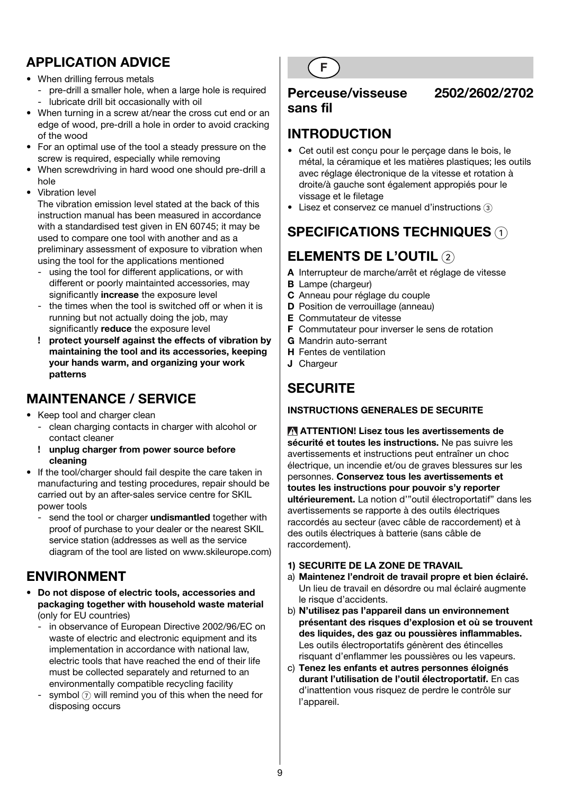### **APPLICATION ADVICE**

- When drilling ferrous metals
	- pre-drill a smaller hole, when a large hole is required - lubricate drill bit occasionally with oil
- When turning in a screw at/near the cross cut end or an edge of wood, pre-drill a hole in order to avoid cracking of the wood
- For an optimal use of the tool a steady pressure on the screw is required, especially while removing
- When screwdriving in hard wood one should pre-drill a hole
- Vibration level

 The vibration emission level stated at the back of this instruction manual has been measured in accordance with a standardised test given in EN 60745; it may be used to compare one tool with another and as a preliminary assessment of exposure to vibration when using the tool for the applications mentioned

- using the tool for different applications, or with different or poorly maintainted accessories, may significantly **increase** the exposure level
- the times when the tool is switched off or when it is running but not actually doing the job, may significantly **reduce** the exposure level
- **! protect yourself against the effects of vibration by maintaining the tool and its accessories, keeping your hands warm, and organizing your work patterns**

### **MAINTENANCE / SERVICE**

- Keep tool and charger clean
	- clean charging contacts in charger with alcohol or contact cleaner
	- **! unplug charger from power source before cleaning**
- If the tool/charger should fail despite the care taken in manufacturing and testing procedures, repair should be carried out by an after-sales service centre for SKIL power tools
	- send the tool or charger **undismantled** together with proof of purchase to your dealer or the nearest SKIL service station (addresses as well as the service diagram of the tool are listed on www.skileurope.com)

### **ENVIRONMENT**

- **Do not dispose of electric tools, accessories and packaging together with household waste material** (only for EU countries)
	- in observance of European Directive 2002/96/EC on waste of electric and electronic equipment and its implementation in accordance with national law, electric tools that have reached the end of their life must be collected separately and returned to an environmentally compatible recycling facility
	- symbol  $\widehat{y}$  will remind you of this when the need for disposing occurs

**F**

### **Perceuse/visseuse 2502/2602/2702 sans fil**

## **INTRODUCTION**

- Cet outil est conçu pour le perçage dans le bois, le métal, la céramique et les matières plastiques; les outils avec réglage électronique de la vitesse et rotation à droite/à gauche sont également appropiés pour le vissage et le filetage
- Lisez et conservez ce manuel d'instructions 3

### **SPECIFICATIONS TECHNIQUES** (1)

### **ELEMENTS DE L'OUTIL** 2

- **A** Interrupteur de marche/arrêt et réglage de vitesse
- **B** Lampe (chargeur)
- **C** Anneau pour réglage du couple
- **D** Position de verrouillage (anneau)
- **E** Commutateur de vitesse
- **F** Commutateur pour inverser le sens de rotation
- **G** Mandrin auto-serrant
- **H** Fentes de ventilation
- **J** Chargeur

### **SECURITE**

#### **INSTRUCTIONS GENERALES DE SECURITE**

 **ATTENTION! Lisez tous les avertissements de sécurité et toutes les instructions.** Ne pas suivre les avertissements et instructions peut entraîner un choc électrique, un incendie et/ou de graves blessures sur les personnes. **Conservez tous les avertissements et toutes les instructions pour pouvoir s'y reporter ultérieurement.** La notion d'"outil électroportatif" dans les avertissements se rapporte à des outils électriques raccordés au secteur (avec câble de raccordement) et à des outils électriques à batterie (sans câble de raccordement).

#### **1) SECURITE DE LA ZONE DE TRAVAIL**

- a) **Maintenez l'endroit de travail propre et bien éclairé.** Un lieu de travail en désordre ou mal éclairé augmente le risque d'accidents.
- b) **N'utilisez pas l'appareil dans un environnement présentant des risques d'explosion et où se trouvent des liquides, des gaz ou poussières inflammables.** Les outils électroportatifs génèrent des étincelles risquant d'enflammer les poussières ou les vapeurs.
- c) **Tenez les enfants et autres personnes éloignés durant l'utilisation de l'outil électroportatif.** En cas d'inattention vous risquez de perdre le contrôle sur l'appareil.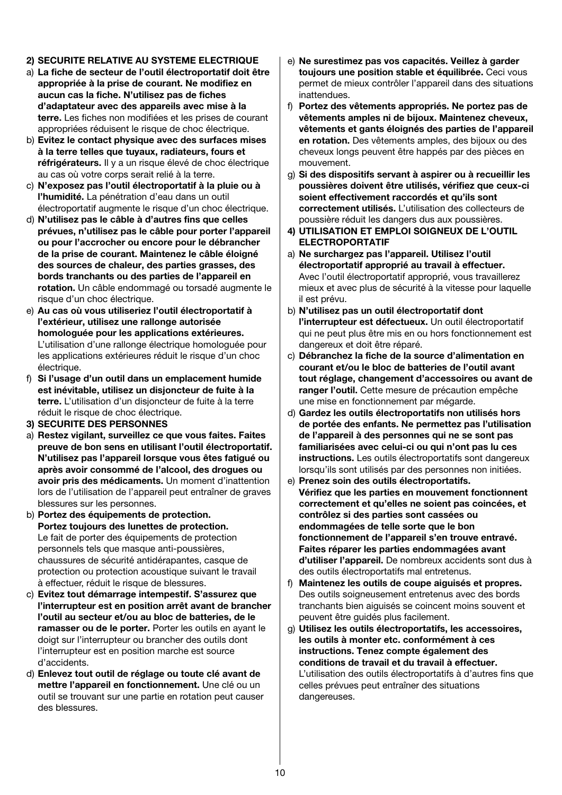#### **2) SECURITE RELATIVE AU SYSTEME ELECTRIQUE**

- a) **La fiche de secteur de l'outil électroportatif doit être appropriée à la prise de courant. Ne modifiez en aucun cas la fiche. N'utilisez pas de fiches d'adaptateur avec des appareils avec mise à la**  terre. Les fiches non modifiées et les prises de courant appropriées réduisent le risque de choc électrique.
- b) **Evitez le contact physique avec des surfaces mises à la terre telles que tuyaux, radiateurs, fours et réfrigérateurs.** Il y a un risque élevé de choc électrique au cas où votre corps serait relié à la terre.
- c) **N'exposez pas l'outil électroportatif à la pluie ou à l'humidité.** La pénétration d'eau dans un outil électroportatif augmente le risque d'un choc électrique.
- d) **N'utilisez pas le câble à d'autres fins que celles prévues, n'utilisez pas le câble pour porter l'appareil ou pour l'accrocher ou encore pour le débrancher de la prise de courant. Maintenez le câble éloigné des sources de chaleur, des parties grasses, des bords tranchants ou des parties de l'appareil en rotation.** Un câble endommagé ou torsadé augmente le risque d'un choc électrique.
- e) **Au cas où vous utiliseriez l'outil électroportatif à l'extérieur, utilisez une rallonge autorisée homologuée pour les applications extérieures.** L'utilisation d'une rallonge électrique homologuée pour les applications extérieures réduit le risque d'un choc électrique.
- f) **Si l'usage d'un outil dans un emplacement humide est inévitable, utilisez un disjoncteur de fuite à la terre.** L'utilisation d'un disjoncteur de fuite à la terre réduit le risque de choc électrique.
- **3) SECURITE DES PERSONNES**
- a) **Restez vigilant, surveillez ce que vous faites. Faites preuve de bon sens en utilisant l'outil électroportatif. N'utilisez pas l'appareil lorsque vous êtes fatigué ou après avoir consommé de l'alcool, des drogues ou avoir pris des médicaments.** Un moment d'inattention lors de l'utilisation de l'appareil peut entraîner de graves blessures sur les personnes.
- b) **Portez des équipements de protection. Portez toujours des lunettes de protection.** Le fait de porter des équipements de protection personnels tels que masque anti-poussières, chaussures de sécurité antidérapantes, casque de protection ou protection acoustique suivant le travail à effectuer, réduit le risque de blessures.
- c) **Evitez tout démarrage intempestif. S'assurez que l'interrupteur est en position arrêt avant de brancher l'outil au secteur et/ou au bloc de batteries, de le ramasser ou de le porter.** Porter les outils en ayant le doigt sur l'interrupteur ou brancher des outils dont l'interrupteur est en position marche est source d'accidents.
- d) **Enlevez tout outil de réglage ou toute clé avant de mettre l'appareil en fonctionnement.** Une clé ou un outil se trouvant sur une partie en rotation peut causer des blessures.
- e) **Ne surestimez pas vos capacités. Veillez à garder toujours une position stable et équilibrée.** Ceci vous permet de mieux contrôler l'appareil dans des situations inattendues.
- f) **Portez des vêtements appropriés. Ne portez pas de vêtements amples ni de bijoux. Maintenez cheveux, vêtements et gants éloignés des parties de l'appareil en rotation.** Des vêtements amples, des bijoux ou des cheveux longs peuvent être happés par des pièces en mouvement.
- g) **Si des dispositifs servant à aspirer ou à recueillir les poussières doivent être utilisés, vérifiez que ceux-ci soient effectivement raccordés et qu'ils sont correctement utilisés.** L'utilisation des collecteurs de poussière réduit les dangers dus aux poussières.
- **4) UTILISATION ET EMPLOI SOIGNEUX DE L'OUTIL ELECTROPORTATIF**
- a) **Ne surchargez pas l'appareil. Utilisez l'outil électroportatif approprié au travail à effectuer.** Avec l'outil électroportatif approprié, vous travaillerez mieux et avec plus de sécurité à la vitesse pour laquelle il est prévu.
- b) **N'utilisez pas un outil électroportatif dont l'interrupteur est défectueux.** Un outil électroportatif qui ne peut plus être mis en ou hors fonctionnement est dangereux et doit être réparé.
- c) **Débranchez la fiche de la source d'alimentation en courant et/ou le bloc de batteries de l'outil avant tout réglage, changement d'accessoires ou avant de ranger l'outil.** Cette mesure de précaution empêche une mise en fonctionnement par mégarde.
- d) **Gardez les outils électroportatifs non utilisés hors de portée des enfants. Ne permettez pas l'utilisation de l'appareil à des personnes qui ne se sont pas familiarisées avec celui-ci ou qui n'ont pas lu ces instructions.** Les outils électroportatifs sont dangereux lorsqu'ils sont utilisés par des personnes non initiées.
- e) **Prenez soin des outils électroportatifs. Vérifiez que les parties en mouvement fonctionnent correctement et qu'elles ne soient pas coincées, et contrôlez si des parties sont cassées ou endommagées de telle sorte que le bon fonctionnement de l'appareil s'en trouve entravé. Faites réparer les parties endommagées avant d'utiliser l'appareil.** De nombreux accidents sont dus à des outils électroportatifs mal entretenus.
- f) **Maintenez les outils de coupe aiguisés et propres.** Des outils soigneusement entretenus avec des bords tranchants bien aiguisés se coincent moins souvent et peuvent être guidés plus facilement.
- g) **Utilisez les outils électroportatifs, les accessoires, les outils à monter etc. conformément à ces instructions. Tenez compte également des conditions de travail et du travail à effectuer.** L'utilisation des outils électroportatifs à d'autres fins que celles prévues peut entraîner des situations dangereuses.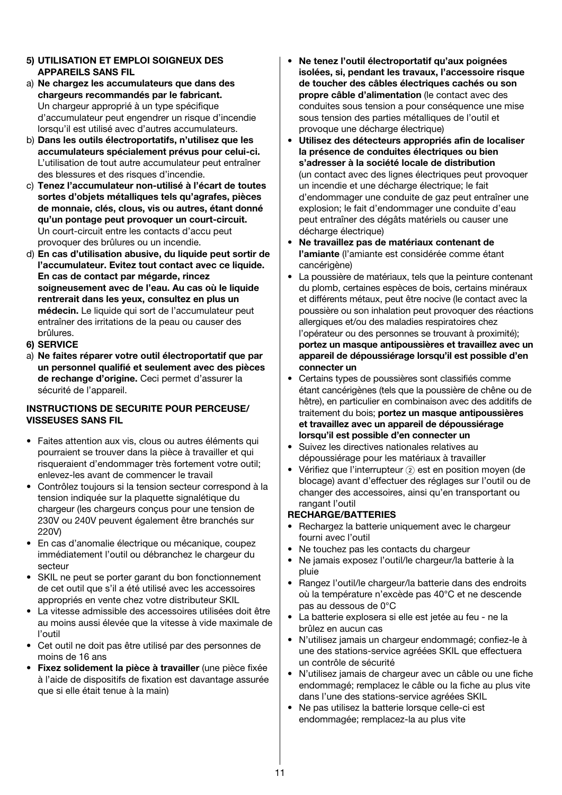- **5) UTILISATION ET EMPLOI SOIGNEUX DES APPAREILS SANS FIL**
- a) **Ne chargez les accumulateurs que dans des chargeurs recommandés par le fabricant.** Un chargeur approprié à un type spécifique d'accumulateur peut engendrer un risque d'incendie lorsqu'il est utilisé avec d'autres accumulateurs.
- b) **Dans les outils électroportatifs, n'utilisez que les accumulateurs spécialement prévus pour celui-ci.** L'utilisation de tout autre accumulateur peut entraîner des blessures et des risques d'incendie.
- c) **Tenez l'accumulateur non-utilisé à l'écart de toutes sortes d'objets métalliques tels qu'agrafes, pièces de monnaie, clés, clous, vis ou autres, étant donné qu'un pontage peut provoquer un court-circuit.** Un court-circuit entre les contacts d'accu peut provoquer des brûlures ou un incendie.
- d) **En cas d'utilisation abusive, du liquide peut sortir de l'accumulateur. Evitez tout contact avec ce liquide. En cas de contact par mégarde, rincez soigneusement avec de l'eau. Au cas où le liquide rentrerait dans les yeux, consultez en plus un médecin.** Le liquide qui sort de l'accumulateur peut entraîner des irritations de la peau ou causer des brûlures.

#### **6) SERVICE**

a) **Ne faites réparer votre outil électroportatif que par un personnel qualifié et seulement avec des pièces de rechange d'origine.** Ceci permet d'assurer la sécurité de l'appareil.

#### **INSTRUCTIONS DE SECURITE POUR PERCEUSE/ VISSEUSES SANS FIL**

- Faites attention aux vis, clous ou autres éléments qui pourraient se trouver dans la pièce à travailler et qui risqueraient d'endommager très fortement votre outil; enlevez-les avant de commencer le travail
- Contrôlez toujours si la tension secteur correspond à la tension indiquée sur la plaquette signalétique du chargeur (les chargeurs conçus pour une tension de 230V ou 240V peuvent également être branchés sur 220V)
- En cas d'anomalie électrique ou mécanique, coupez immédiatement l'outil ou débranchez le chargeur du secteur
- SKIL ne peut se porter garant du bon fonctionnement de cet outil que s'il a été utilisé avec les accessoires appropriés en vente chez votre distributeur SKIL
- La vitesse admissible des accessoires utilisées doit être au moins aussi élevée que la vitesse à vide maximale de l'outil
- Cet outil ne doit pas être utilisé par des personnes de moins de 16 ans
- Fixez solidement la pièce à travailler (une pièce fixée à l'aide de dispositifs de fixation est davantage assurée que si elle était tenue à la main)
- **Ne tenez l'outil électroportatif qu'aux poignées isolées, si, pendant les travaux, l'accessoire risque de toucher des câbles électriques cachés ou son propre câble d'alimentation** (le contact avec des conduites sous tension a pour conséquence une mise sous tension des parties métalliques de l'outil et provoque une décharge électrique)
- **Utilisez des détecteurs appropriés afin de localiser la présence de conduites électriques ou bien s'adresser à la société locale de distribution** (un contact avec des lignes électriques peut provoquer un incendie et une décharge électrique; le fait d'endommager une conduite de gaz peut entraîner une explosion; le fait d'endommager une conduite d'eau peut entraîner des dégâts matériels ou causer une décharge électrique)
- **Ne travaillez pas de matériaux contenant de l'amiante** (l'amiante est considérée comme étant cancérigène)
- La poussière de matériaux, tels que la peinture contenant du plomb, certaines espèces de bois, certains minéraux et différents métaux, peut être nocive (le contact avec la poussière ou son inhalation peut provoquer des réactions allergiques et/ou des maladies respiratoires chez l'opérateur ou des personnes se trouvant à proximité); **portez un masque antipoussières et travaillez avec un appareil de dépoussiérage lorsqu'il est possible d'en connecter un**
- Certains types de poussières sont classifiés comme étant cancérigènes (tels que la poussière de chêne ou de hêtre), en particulier en combinaison avec des additifs de traitement du bois; **portez un masque antipoussières et travaillez avec un appareil de dépoussiérage lorsqu'il est possible d'en connecter un**
- Suivez les directives nationales relatives au dépoussiérage pour les matériaux à travailler
- Vérifiez que l'interrupteur  $(2)$  est en position moven (de blocage) avant d'effectuer des réglages sur l'outil ou de changer des accessoires, ainsi qu'en transportant ou rangant l'outil

#### **RECHARGE/BATTERIES**

- Rechargez la batterie uniquement avec le chargeur fourni avec l'outil
- Ne touchez pas les contacts du chargeur
- Ne jamais exposez l'outil/le chargeur/la batterie à la pluie
- Rangez l'outil/le chargeur/la batterie dans des endroits où la température n'excède pas 40°C et ne descende pas au dessous de 0°C
- La batterie explosera si elle est jetée au feu ne la brûlez en aucun cas
- N'utilisez jamais un chargeur endommagé; confiez-le à une des stations-service agréées SKIL que effectuera un contrôle de sécurité
- · N'utilisez jamais de chargeur avec un câble ou une fiche endommagé; remplacez le câble ou la fiche au plus vite dans l'une des stations-service agréées SKIL
- Ne pas utilisez la batterie lorsque celle-ci est endommagée; remplacez-la au plus vite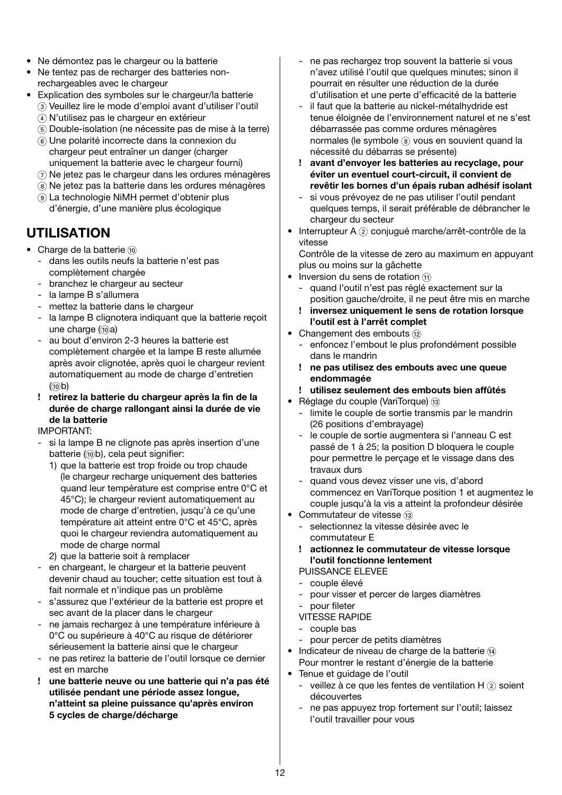- Ne démontez pas le chargeur ou la batterie
- Ne tentez pas de recharger des batteries nonrechargeables avec le chargeur
- Explication des symboles sur le chargeur/la batterie
- 3 Veuillez lire le mode d'emploi avant d'utiliser l'outil
- 4 N'utilisez pas le chargeur en extérieur
- 5 Double-isolation (ne nécessite pas de mise à la terre)
- 6 Une polarité incorrecte dans la connexion du chargeur peut entraîner un danger (charger uniquement la batterie avec le chargeur fourni)
- $(7)$  Ne jetez pas le chargeur dans les ordures ménagères
- 8 Ne jetez pas la batterie dans les ordures ménagères
- 9 La technologie NiMH permet d'obtenir plus d'énergie, d'une manière plus écologique

### **UTILISATION**

- $\bullet$  Charge de la batterie  $\omega$ 
	- dans les outils neufs la batterie n'est pas complètement chargée
	- branchez le chargeur au secteur
	- la lampe B s'allumera
	- mettez la batterie dans le chargeur
	- la lampe B clignotera indiquant que la batterie recoit une charge (10a)
	- au bout d'environ 2-3 heures la batterie est complètement chargée et la lampe B reste allumée après avoir clignotée, après quoi le chargeur revient automatiquement au mode de charge d'entretien  $(00b)$
	- **! retirez la batterie du chargeur après la fin de la durée de charge rallongant ainsi la durée de vie de la batterie**

IMPORTANT:

- si la lampe B ne clignote pas après insertion d'une batterie (@b), cela peut signifier:
	- 1) que la batterie est trop froide ou trop chaude (le chargeur recharge uniquement des batteries quand leur température est comprise entre 0°C et 45°C); le chargeur revient automatiquement au mode de charge d'entretien, jusqu'à ce qu'une température ait atteint entre 0°C et 45°C, après quoi le chargeur reviendra automatiquement au mode de charge normal
	- 2) que la batterie soit à remplacer
- en chargeant, le chargeur et la batterie peuvent devenir chaud au toucher; cette situation est tout à fait normale et n'indique pas un problème
- s'assurez que l'extérieur de la batterie est propre et sec avant de la placer dans le chargeur
- ne jamais rechargez à une température inférieure à 0°C ou supérieure à 40°C au risque de détériorer sérieusement la batterie ainsi que le chargeur
- ne pas retirez la batterie de l'outil lorsque ce dernier est en marche
- **! une batterie neuve ou une batterie qui n'a pas été utilisée pendant une période assez longue, n'atteint sa pleine puissance qu'après environ 5 cycles de charge/décharge**
- ne pas rechargez trop souvent la batterie si vous n'avez utilisé l'outil que quelques minutes; sinon il pourrait en résulter une réduction de la durée d'utilisation et une perte d'efficacité de la batterie
- il faut que la batterie au nickel-métalhydride est tenue éloignée de l'environnement naturel et ne s'est débarrassée pas comme ordures ménagères normales (le symbole 8 vous en souvient quand la nécessité du débarras se présente)
- **! avant d'envoyer les batteries au recyclage, pour éviter un eventuel court-circuit, il convient de revêtir les bornes d'un épais ruban adhésif isolant**
- si vous prévoyez de ne pas utiliser l'outil pendant quelques temps, il serait préférable de débrancher le chargeur du secteur
- Interrupteur A 2 conjugué marche/arrêt-contrôle de la vitesse

 Contrôle de la vitesse de zero au maximum en appuyant plus ou moins sur la gâchette

- $\bullet$  Inversion du sens de rotation  $\widehat{\mathfrak{m}}$ 
	- quand l'outil n'est pas réglé exactement sur la position gauche/droite, il ne peut être mis en marche
	- **! inversez uniquement le sens de rotation lorsque l'outil est à l'arrêt complet**
- Changement des embouts @
	- enfoncez l'embout le plus profondément possible dans le mandrin
	- **! ne pas utilisez des embouts avec une queue endommagée**
	- **! utilisez seulement des embouts bien affûtés**
- Réglage du couple (VariTorque)  $(3)$ 
	- limite le couple de sortie transmis par le mandrin (26 positions d'embrayage)
	- le couple de sortie augmentera si l'anneau C est passé de 1 à 25; la position D bloquera le couple pour permettre le perçage et le vissage dans des travaux durs
	- quand vous devez visser une vis, d'abord commencez en VariTorque position 1 et augmentez le couple jusqu'à la vis a atteint la profondeur désirée
- Commutateur de vitesse @
	- selectionnez la vitesse désirée avec le commutateur E
	- **! actionnez le commutateur de vitesse lorsque l'outil fonctionne lentement**
	- PUISSANCE ELEVEE
	- couple élevé
	- pour visser et percer de larges diamètres
	- pour fi leter
	- VITESSE RAPIDE
	- couple bas
	- pour percer de petits diamètres
- $\bullet$  Indicateur de niveau de charge de la batterie  $\widehat{A}$ Pour montrer le restant d'énergie de la batterie
- Tenue et guidage de l'outil
	- veillez à ce que les fentes de ventilation  $H(2)$  soient découvertes
	- ne pas appuyez trop fortement sur l'outil; laissez l'outil travailler pour vous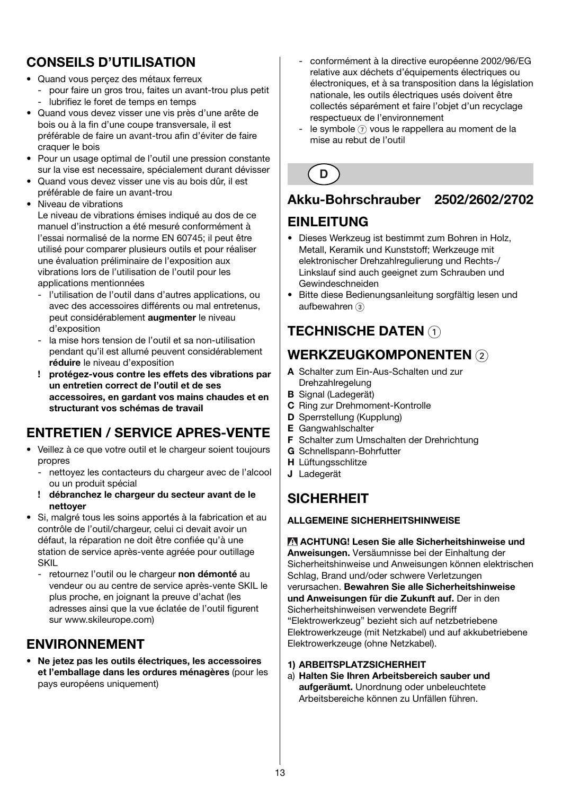### **CONSEILS D'UTILISATION**

- Quand vous perçez des métaux ferreux
- pour faire un gros trou, faites un avant-trou plus petit - lubrifiez le foret de temps en temps
- Quand vous devez visser une vis près d'une arête de bois ou à la fin d'une coupe transversale, il est préférable de faire un avant-trou afin d'éviter de faire craquer le bois
- Pour un usage optimal de l'outil une pression constante sur la vise est necessaire, spécialement durant dévisser
- Quand vous devez visser une vis au bois dûr, il est préférable de faire un avant-trou
- Niveau de vibrations Le niveau de vibrations émises indiqué au dos de ce manuel d'instruction a été mesuré conformément à l'essai normalisé de la norme EN 60745; il peut être utilisé pour comparer plusieurs outils et pour réaliser une évaluation préliminaire de l'exposition aux vibrations lors de l'utilisation de l'outil pour les applications mentionnées
- l'utilisation de l'outil dans d'autres applications, ou avec des accessoires différents ou mal entretenus, peut considérablement **augmenter** le niveau d'exposition
- la mise hors tension de l'outil et sa non-utilisation pendant qu'il est allumé peuvent considérablement **réduire** le niveau d'exposition
- **! protégez-vous contre les effets des vibrations par un entretien correct de l'outil et de ses accessoires, en gardant vos mains chaudes et en structurant vos schémas de travail**

### **ENTRETIEN / SERVICE APRES-VENTE**

- Veillez à ce que votre outil et le chargeur soient toujours propres
	- nettoyez les contacteurs du chargeur avec de l'alcool ou un produit spécial
	- **! débranchez le chargeur du secteur avant de le nettoyer**
- Si, malgré tous les soins apportés à la fabrication et au contrôle de l'outil/chargeur, celui ci devait avoir un défaut, la réparation ne doit être confiée qu'à une station de service après-vente agréée pour outillage **SKIL** 
	- retournez l'outil ou le chargeur **non démonté** au vendeur ou au centre de service après-vente SKIL le plus proche, en joignant la preuve d'achat (les adresses ainsi que la vue éclatée de l'outil fiqurent sur www.skileurope.com)

### **ENVIRONNEMENT**

• **Ne jetez pas les outils électriques, les accessoires et l'emballage dans les ordures ménagères** (pour les pays européens uniquement)

- conformément à la directive européenne 2002/96/EG relative aux déchets d'équipements électriques ou électroniques, et à sa transposition dans la législation nationale, les outils électriques usés doivent être collectés séparément et faire l'objet d'un recyclage respectueux de l'environnement
- le symbole  $\widehat{r}$  vous le rappellera au moment de la mise au rebut de l'outil

# **D**

## **Akku-Bohrschrauber 2502/2602/2702**

### **EINLEITUNG**

- Dieses Werkzeug ist bestimmt zum Bohren in Holz, Metall, Keramik und Kunststoff; Werkzeuge mit elektronischer Drehzahlregulierung und Rechts-/ Linkslauf sind auch geeignet zum Schrauben und Gewindeschneiden
- Bitte diese Bedienungsanleitung sorgfältig lesen und aufbewahren 3

### **TECHNISCHE DATEN 1**

### **WERKZEUGKOMPONENTEN** 2

- **A** Schalter zum Ein-Aus-Schalten und zur Drehzahlregelung
- **B** Signal (Ladegerät)
- **C** Ring zur Drehmoment-Kontrolle
- **D** Sperrstellung (Kupplung)
- **E** Gangwahlschalter
- **F** Schalter zum Umschalten der Drehrichtung
- **G** Schnellspann-Bohrfutter
- **H** Lüftungsschlitze
- **J** Ladegerät

### **SICHERHEIT**

#### **ALLGEMEINE SICHERHEITSHINWEISE**

 **ACHTUNG! Lesen Sie alle Sicherheitshinweise und Anweisungen.** Versäumnisse bei der Einhaltung der Sicherheitshinweise und Anweisungen können elektrischen Schlag, Brand und/oder schwere Verletzungen verursachen. **Bewahren Sie alle Sicherheitshinweise und Anweisungen für die Zukunft auf.** Der in den Sicherheitshinweisen verwendete Begriff "Elektrowerkzeug" bezieht sich auf netzbetriebene Elektrowerkzeuge (mit Netzkabel) und auf akkubetriebene Elektrowerkzeuge (ohne Netzkabel).

#### **1) ARBEITSPLATZSICHERHEIT**

a) **Halten Sie Ihren Arbeitsbereich sauber und aufgeräumt.** Unordnung oder unbeleuchtete Arbeitsbereiche können zu Unfällen führen.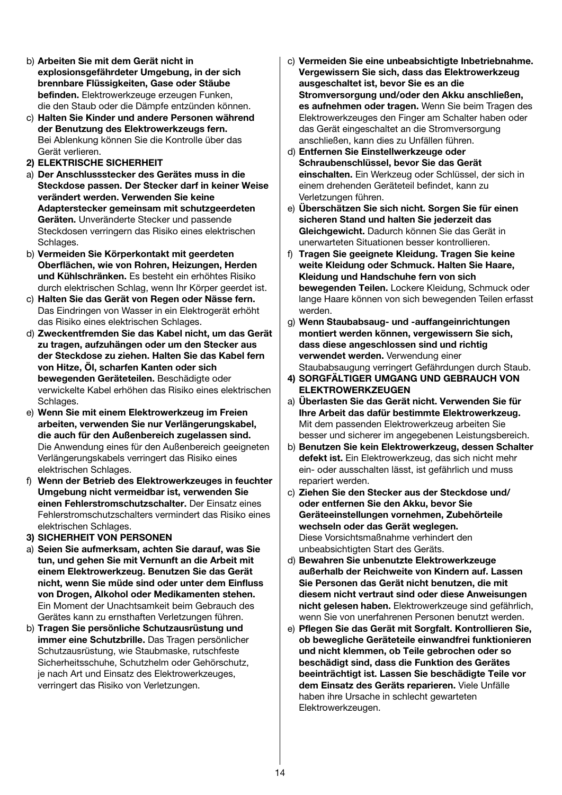- b) **Arbeiten Sie mit dem Gerät nicht in explosionsgefährdeter Umgebung, in der sich brennbare Flüssigkeiten, Gase oder Stäube befinden.** Elektrowerkzeuge erzeugen Funken, die den Staub oder die Dämpfe entzünden können.
- c) **Halten Sie Kinder und andere Personen während der Benutzung des Elektrowerkzeugs fern.** Bei Ablenkung können Sie die Kontrolle über das Gerät verlieren.
- **2) ELEKTRISCHE SICHERHEIT**
- a) **Der Anschlussstecker des Gerätes muss in die Steckdose passen. Der Stecker darf in keiner Weise verändert werden. Verwenden Sie keine Adapterstecker gemeinsam mit schutzgeerdeten Geräten.** Unveränderte Stecker und passende Steckdosen verringern das Risiko eines elektrischen Schlages.
- b) **Vermeiden Sie Körperkontakt mit geerdeten Oberflächen, wie von Rohren, Heizungen, Herden und Kühlschränken.** Es besteht ein erhöhtes Risiko durch elektrischen Schlag, wenn Ihr Körper geerdet ist.
- c) **Halten Sie das Gerät von Regen oder Nässe fern.** Das Eindringen von Wasser in ein Elektrogerät erhöht das Risiko eines elektrischen Schlages.
- d) **Zweckentfremden Sie das Kabel nicht, um das Gerät zu tragen, aufzuhängen oder um den Stecker aus der Steckdose zu ziehen. Halten Sie das Kabel fern von Hitze, Öl, scharfen Kanten oder sich bewegenden Geräteteilen.** Beschädigte oder verwickelte Kabel erhöhen das Risiko eines elektrischen Schlages.
- e) **Wenn Sie mit einem Elektrowerkzeug im Freien arbeiten, verwenden Sie nur Verlängerungskabel, die auch für den Außenbereich zugelassen sind.** Die Anwendung eines für den Außenbereich geeigneten Verlängerungskabels verringert das Risiko eines elektrischen Schlages.
- f) **Wenn der Betrieb des Elektrowerkzeuges in feuchter Umgebung nicht vermeidbar ist, verwenden Sie einen Fehlerstromschutzschalter.** Der Einsatz eines Fehlerstromschutzschalters vermindert das Risiko eines elektrischen Schlages.
- **3) SICHERHEIT VON PERSONEN**
- a) **Seien Sie aufmerksam, achten Sie darauf, was Sie tun, und gehen Sie mit Vernunft an die Arbeit mit einem Elektrowerkzeug. Benutzen Sie das Gerät nicht, wenn Sie müde sind oder unter dem Einfluss von Drogen, Alkohol oder Medikamenten stehen.** Ein Moment der Unachtsamkeit beim Gebrauch des Gerätes kann zu ernsthaften Verletzungen führen.
- b) **Tragen Sie persönliche Schutzausrüstung und immer eine Schutzbrille.** Das Tragen persönlicher Schutzausrüstung, wie Staubmaske, rutschfeste Sicherheitsschuhe, Schutzhelm oder Gehörschutz, je nach Art und Einsatz des Elektrowerkzeuges, verringert das Risiko von Verletzungen.
- c) **Vermeiden Sie eine unbeabsichtigte Inbetriebnahme. Vergewissern Sie sich, dass das Elektrowerkzeug ausgeschaltet ist, bevor Sie es an die Stromversorgung und/oder den Akku anschließen, es aufnehmen oder tragen.** Wenn Sie beim Tragen des Elektrowerkzeuges den Finger am Schalter haben oder das Gerät eingeschaltet an die Stromversorgung anschließen, kann dies zu Unfällen führen.
- d) **Entfernen Sie Einstellwerkzeuge oder Schraubenschlüssel, bevor Sie das Gerät einschalten.** Ein Werkzeug oder Schlüssel, der sich in einem drehenden Geräteteil befindet, kann zu Verletzungen führen.
- e) **Überschätzen Sie sich nicht. Sorgen Sie für einen sicheren Stand und halten Sie jederzeit das Gleichgewicht.** Dadurch können Sie das Gerät in unerwarteten Situationen besser kontrollieren.
- f) **Tragen Sie geeignete Kleidung. Tragen Sie keine weite Kleidung oder Schmuck. Halten Sie Haare, Kleidung und Handschuhe fern von sich bewegenden Teilen.** Lockere Kleidung, Schmuck oder lange Haare können von sich bewegenden Teilen erfasst werden.
- g) **Wenn Staubabsaug- und -auffangeinrichtungen montiert werden können, vergewissern Sie sich, dass diese angeschlossen sind und richtig verwendet werden.** Verwendung einer Staubabsaugung verringert Gefährdungen durch Staub.
- **4) SORGFÄLTIGER UMGANG UND GEBRAUCH VON ELEKTROWERKZEUGEN**
- a) **Überlasten Sie das Gerät nicht. Verwenden Sie für Ihre Arbeit das dafür bestimmte Elektrowerkzeug.** Mit dem passenden Elektrowerkzeug arbeiten Sie besser und sicherer im angegebenen Leistungsbereich.
- b) **Benutzen Sie kein Elektrowerkzeug, dessen Schalter defekt ist.** Ein Elektrowerkzeug, das sich nicht mehr ein- oder ausschalten lässt, ist gefährlich und muss repariert werden.
- c) **Ziehen Sie den Stecker aus der Steckdose und/ oder entfernen Sie den Akku, bevor Sie Geräteeinstellungen vornehmen, Zubehörteile wechseln oder das Gerät weglegen.** Diese Vorsichtsmaßnahme verhindert den unbeabsichtigten Start des Geräts.
- d) **Bewahren Sie unbenutzte Elektrowerkzeuge außerhalb der Reichweite von Kindern auf. Lassen Sie Personen das Gerät nicht benutzen, die mit diesem nicht vertraut sind oder diese Anweisungen nicht gelesen haben.** Elektrowerkzeuge sind gefährlich, wenn Sie von unerfahrenen Personen benutzt werden.
- e) **Pflegen Sie das Gerät mit Sorgfalt. Kontrollieren Sie, ob bewegliche Geräteteile einwandfrei funktionieren und nicht klemmen, ob Teile gebrochen oder so beschädigt sind, dass die Funktion des Gerätes beeinträchtigt ist. Lassen Sie beschädigte Teile vor dem Einsatz des Geräts reparieren.** Viele Unfälle haben ihre Ursache in schlecht gewarteten Elektrowerkzeugen.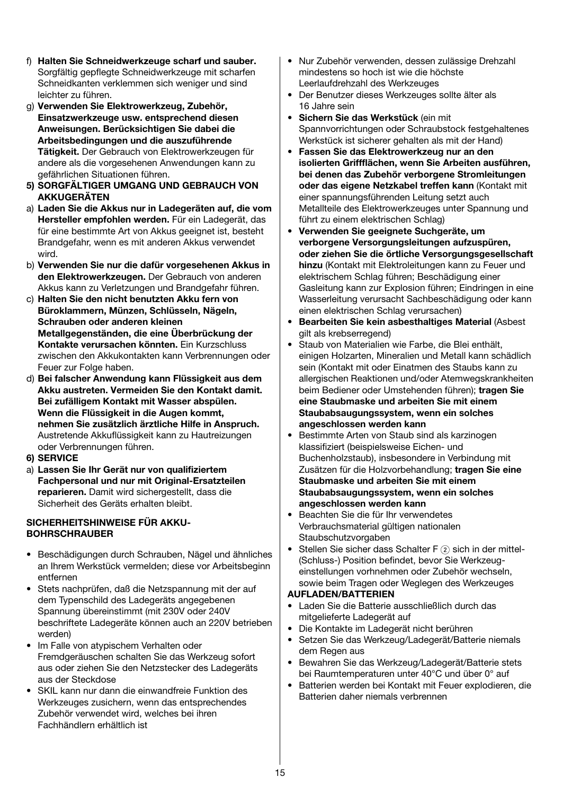- f) **Halten Sie Schneidwerkzeuge scharf und sauber.** Sorgfältig gepflegte Schneidwerkzeuge mit scharfen Schneidkanten verklemmen sich weniger und sind leichter zu führen.
- g) **Verwenden Sie Elektrowerkzeug, Zubehör, Einsatzwerkzeuge usw. entsprechend diesen Anweisungen. Berücksichtigen Sie dabei die Arbeitsbedingungen und die auszuführende Tätigkeit.** Der Gebrauch von Elektrowerkzeugen für andere als die vorgesehenen Anwendungen kann zu gefährlichen Situationen führen.
- **5) SORGFÄLTIGER UMGANG UND GEBRAUCH VON AKKUGERÄTEN**
- a) **Laden Sie die Akkus nur in Ladegeräten auf, die vom Hersteller empfohlen werden.** Für ein Ladegerät, das für eine bestimmte Art von Akkus geeignet ist, besteht Brandgefahr, wenn es mit anderen Akkus verwendet wird.
- b) **Verwenden Sie nur die dafür vorgesehenen Akkus in den Elektrowerkzeugen.** Der Gebrauch von anderen Akkus kann zu Verletzungen und Brandgefahr führen.
- c) **Halten Sie den nicht benutzten Akku fern von Büroklammern, Münzen, Schlüsseln, Nägeln, Schrauben oder anderen kleinen Metallgegenständen, die eine Überbrückung der Kontakte verursachen könnten.** Ein Kurzschluss zwischen den Akkukontakten kann Verbrennungen oder Feuer zur Folge haben.
- d) **Bei falscher Anwendung kann Flüssigkeit aus dem Akku austreten. Vermeiden Sie den Kontakt damit. Bei zufälligem Kontakt mit Wasser abspülen. Wenn die Flüssigkeit in die Augen kommt, nehmen Sie zusätzlich ärztliche Hilfe in Anspruch.** Austretende Akkuflüssigkeit kann zu Hautreizungen oder Verbrennungen führen.
- **6) SERVICE**
- a) **Lassen Sie Ihr Gerät nur von qualifiziertem Fachpersonal und nur mit Original-Ersatzteilen reparieren.** Damit wird sichergestellt, dass die Sicherheit des Geräts erhalten bleibt.

#### **SICHERHEITSHINWEISE FÜR AKKU-BOHRSCHRAUBER**

- Beschädigungen durch Schrauben, Nägel und ähnliches an Ihrem Werkstück vermelden; diese vor Arbeitsbeginn entfernen
- Stets nachprüfen, daß die Netzspannung mit der auf dem Typenschild des Ladegeräts angegebenen Spannung übereinstimmt (mit 230V oder 240V beschriftete Ladegeräte können auch an 220V betrieben werden)
- Im Falle von atypischem Verhalten oder Fremdgeräuschen schalten Sie das Werkzeug sofort aus oder ziehen Sie den Netzstecker des Ladegeräts aus der Steckdose
- SKIL kann nur dann die einwandfreie Funktion des Werkzeuges zusichern, wenn das entsprechendes Zubehör verwendet wird, welches bei ihren Fachhändlern erhältlich ist
- Nur Zubehör verwenden, dessen zulässige Drehzahl mindestens so hoch ist wie die höchste Leerlaufdrehzahl des Werkzeuges
- Der Benutzer dieses Werkzeuges sollte älter als 16 Jahre sein
- **Sichern Sie das Werkstück** (ein mit Spannvorrichtungen oder Schraubstock festgehaltenes Werkstück ist sicherer gehalten als mit der Hand)
- **Fassen Sie das Elektrowerkzeug nur an den isolierten Griffflächen, wenn Sie Arbeiten ausführen, bei denen das Zubehör verborgene Stromleitungen oder das eigene Netzkabel treffen kann** (Kontakt mit einer spannungsführenden Leitung setzt auch Metallteile des Elektrowerkzeuges unter Spannung und führt zu einem elektrischen Schlag)
- **Verwenden Sie geeignete Suchgeräte, um verborgene Versorgungsleitungen aufzuspüren, oder ziehen Sie die örtliche Versorgungsgesellschaft hinzu** (Kontakt mit Elektroleitungen kann zu Feuer und elektrischem Schlag führen; Beschädigung einer Gasleitung kann zur Explosion führen; Eindringen in eine Wasserleitung verursacht Sachbeschädigung oder kann einen elektrischen Schlag verursachen)
- **Bearbeiten Sie kein asbesthaltiges Material** (Asbest gilt als krebserregend)
- Staub von Materialien wie Farbe, die Blei enthält, einigen Holzarten, Mineralien und Metall kann schädlich sein (Kontakt mit oder Einatmen des Staubs kann zu allergischen Reaktionen und/oder Atemwegskrankheiten beim Bediener oder Umstehenden führen); **tragen Sie eine Staubmaske und arbeiten Sie mit einem Staubabsaugungssystem, wenn ein solches angeschlossen werden kann**
- Bestimmte Arten von Staub sind als karzinogen klassifiziert (beispielsweise Eichen- und Buchenholzstaub), insbesondere in Verbindung mit Zusätzen für die Holzvorbehandlung; **tragen Sie eine Staubmaske und arbeiten Sie mit einem Staubabsaugungssystem, wenn ein solches angeschlossen werden kann**
- Beachten Sie die für Ihr verwendetes Verbrauchsmaterial gültigen nationalen Staubschutzvorgaben
- Stellen Sie sicher dass Schalter F $(2)$  sich in der mittel-(Schluss-) Position befindet, bevor Sie Werkzeugeinstellungen vorhnehmen oder Zubehör wechseln, sowie beim Tragen oder Weglegen des Werkzeuges

#### **AUFLADEN/BATTERIEN**

- Laden Sie die Batterie ausschließlich durch das mitgelieferte Ladegerät auf
- Die Kontakte im Ladegerät nicht berühren
- Setzen Sie das Werkzeug/Ladegerät/Batterie niemals dem Regen aus
- Bewahren Sie das Werkzeug/Ladegerät/Batterie stets bei Raumtemperaturen unter 40°C und über 0° auf
- Batterien werden bei Kontakt mit Feuer explodieren, die Batterien daher niemals verbrennen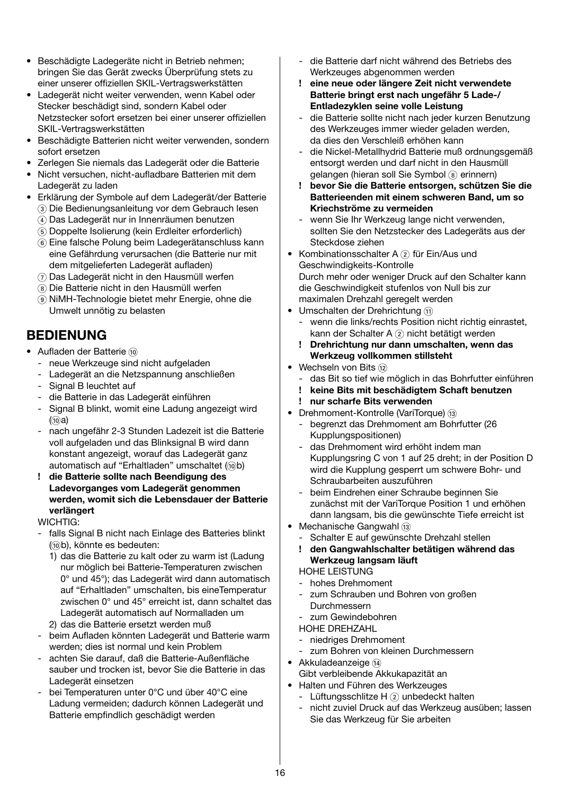- Beschädigte Ladegeräte nicht in Betrieb nehmen; bringen Sie das Gerät zwecks Überprüfung stets zu einer unserer offiziellen SKIL-Vertragswerkstätten
- Ladegerät nicht weiter verwenden, wenn Kabel oder Stecker beschädigt sind, sondern Kabel oder Netzstecker sofort ersetzen bei einer unserer offiziellen SKIL-Vertragswerkstätten
- Beschädigte Batterien nicht weiter verwenden, sondern sofort ersetzen
- Zerlegen Sie niemals das Ladegerät oder die Batterie
- Nicht versuchen, nicht-aufladbare Batterien mit dem Ladegerät zu laden
- Erklärung der Symbole auf dem Ladegerät/der Batterie 3 Die Bedienungsanleitung vor dem Gebrauch lesen
	- 4 Das Ladegerät nur in Innenräumen benutzen
	- 5 Doppelte Isolierung (kein Erdleiter erforderlich)
	- 6 Eine falsche Polung beim Ladegerätanschluss kann eine Gefährdung verursachen (die Batterie nur mit dem mitgelieferten Ladegerät aufladen)
	- 7 Das Ladegerät nicht in den Hausmüll werfen
	- 8 Die Batterie nicht in den Hausmüll werfen
	- 9 NiMH-Technologie bietet mehr Energie, ohne die Umwelt unnötig zu belasten

### **BEDIENUNG**

- Aufladen der Batterie (10)
	- neue Werkzeuge sind nicht aufgeladen
	- Ladegerät an die Netzspannung anschließen
	- Signal B leuchtet auf
	- die Batterie in das Ladegerät einführen
	- Signal B blinkt, womit eine Ladung angezeigt wird  $(10a)$
	- nach ungefähr 2-3 Stunden Ladezeit ist die Batterie voll aufgeladen und das Blinksignal B wird dann konstant angezeigt, worauf das Ladegerät ganz automatisch auf "Erhaltladen" umschaltet (@b)
	- **! die Batterie sollte nach Beendigung des Ladevorganges vom Ladegerät genommen werden, womit sich die Lebensdauer der Batterie verlängert**

#### WICHTIG:

- falls Signal B nicht nach Einlage des Batteries blinkt (0b), könnte es bedeuten:
	- 1) das die Batterie zu kalt oder zu warm ist (Ladung nur möglich bei Batterie-Temperaturen zwischen 0° und 45°); das Ladegerät wird dann automatisch auf "Erhaltladen" umschalten, bis eineTemperatur zwischen 0° und 45° erreicht ist, dann schaltet das Ladegerät automatisch auf Normalladen um
	- 2) das die Batterie ersetzt werden muß
- beim Aufladen könnten Ladegerät und Batterie warm werden; dies ist normal und kein Problem
- achten Sie darauf, daß die Batterie-Außenfläche sauber und trocken ist, bevor Sie die Batterie in das Ladegerät einsetzen
- bei Temperaturen unter 0°C und über 40°C eine Ladung vermeiden; dadurch können Ladegerät und Batterie empfindlich geschädigt werden
- die Batterie darf nicht während des Betriebs des Werkzeuges abgenommen werden
- **! eine neue oder längere Zeit nicht verwendete Batterie bringt erst nach ungefähr 5 Lade-/ Entladezyklen seine volle Leistung**
- die Batterie sollte nicht nach jeder kurzen Benutzung des Werkzeuges immer wieder geladen werden, da dies den Verschleiß erhöhen kann
- die Nickel-Metallhydrid Batterie muß ordnungsgemäß entsorgt werden und darf nicht in den Hausmüll gelangen (hieran soll Sie Symbol 8 erinnern)
- **! bevor Sie die Batterie entsorgen, schützen Sie die Batterieenden mit einem schweren Band, um so Kriechströme zu vermeiden**
- wenn Sie Ihr Werkzeug lange nicht verwenden. sollten Sie den Netzstecker des Ladegeräts aus der Steckdose ziehen
- Kombinationsschalter  $A$  (2) für Ein/Aus und Geschwindigkeits-Kontrolle Durch mehr oder weniger Druck auf den Schalter kann die Geschwindigkeit stufenlos von Null bis zur maximalen Drehzahl geregelt werden • Umschalten der Drehrichtung (i)
	- wenn die links/rechts Position nicht richtig einrastet, kann der Schalter A 2 nicht betätigt werden
	- **! Drehrichtung nur dann umschalten, wenn das Werkzeug vollkommen stillsteht**
- Wechseln von Bits (12)
	- das Bit so tief wie möglich in das Bohrfutter einführen
	- **! keine Bits mit beschädigtem Schaft benutzen**
	- **! nur scharfe Bits verwenden**
- Drehmoment-Kontrolle (VariTorque) (i3)
	- begrenzt das Drehmoment am Bohrfutter (26 Kupplungspositionen)
	- das Drehmoment wird erhöht indem man Kupplungsring C von 1 auf 25 dreht; in der Position D wird die Kupplung gesperrt um schwere Bohr- und Schraubarbeiten auszuführen
	- beim Eindrehen einer Schraube beginnen Sie zunächst mit der VariTorque Position 1 und erhöhen dann langsam, bis die gewünschte Tiefe erreicht ist
- Mechanische Gangwahl (13)
	- Schalter E auf gewünschte Drehzahl stellen
	- **! den Gangwahlschalter betätigen während das Werkzeug langsam läuft**
	- HOHE LEISTUNG
	- hohes Drehmoment
	- zum Schrauben und Bohren von großen Durchmessern
	- zum Gewindebohren

HOHE DREHZAHL

- niedriges Drehmoment
- zum Bohren von kleinen Durchmessern
- $\bullet$  Akkuladeanzeige  $\mathcal{A}$ 
	- Gibt verbleibende Akkukapazität an
- Halten und Führen des Werkzeuges - Lüftungsschlitze  $H(2)$  unbedeckt halten
	- nicht zuviel Druck auf das Werkzeug ausüben; lassen Sie das Werkzeug für Sie arbeiten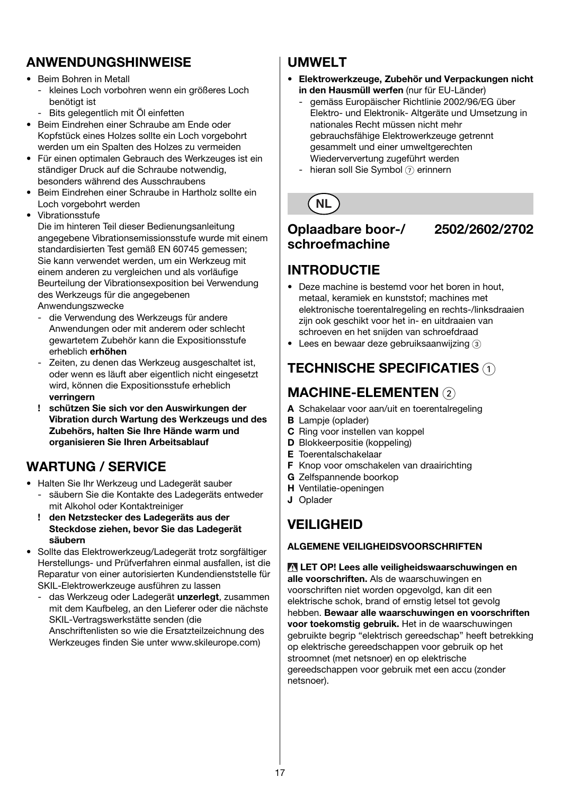### **ANWENDUNGSHINWEISE**

- Beim Bohren in Metall
	- kleines Loch vorbohren wenn ein größeres Loch benötigt ist
	- Bits gelegentlich mit Öl einfetten
- Beim Eindrehen einer Schraube am Ende oder Kopfstück eines Holzes sollte ein Loch vorgebohrt werden um ein Spalten des Holzes zu vermeiden
- Für einen optimalen Gebrauch des Werkzeuges ist ein ständiger Druck auf die Schraube notwendig, besonders während des Ausschraubens
- Beim Eindrehen einer Schraube in Hartholz sollte ein Loch vorgebohrt werden
- Vibrationsstufe

 Die im hinteren Teil dieser Bedienungsanleitung angegebene Vibrationsemissionsstufe wurde mit einem standardisierten Test gemäß EN 60745 gemessen; Sie kann verwendet werden, um ein Werkzeug mit einem anderen zu vergleichen und als vorläufige Beurteilung der Vibrationsexposition bei Verwendung des Werkzeugs für die angegebenen Anwendungszwecke

- die Verwendung des Werkzeugs für andere Anwendungen oder mit anderem oder schlecht gewartetem Zubehör kann die Expositionsstufe erheblich **erhöhen**
- Zeiten, zu denen das Werkzeug ausgeschaltet ist, oder wenn es läuft aber eigentlich nicht eingesetzt wird, können die Expositionsstufe erheblich **verringern**
- **! schützen Sie sich vor den Auswirkungen der Vibration durch Wartung des Werkzeugs und des Zubehörs, halten Sie Ihre Hände warm und organisieren Sie Ihren Arbeitsablauf**

### **WARTUNG / SERVICE**

- Halten Sie Ihr Werkzeug und Ladegerät sauber - säubern Sie die Kontakte des Ladegeräts entweder mit Alkohol oder Kontaktreiniger
	- **! den Netzstecker des Ladegeräts aus der Steckdose ziehen, bevor Sie das Ladegerät säubern**
- Sollte das Elektrowerkzeug/Ladegerät trotz sorgfältiger Herstellungs- und Prüfverfahren einmal ausfallen, ist die Reparatur von einer autorisierten Kundendienststelle für SKIL-Elektrowerkzeuge ausführen zu lassen
	- das Werkzeug oder Ladegerät **unzerlegt**, zusammen mit dem Kaufbeleg, an den Lieferer oder die nächste SKIL-Vertragswerkstätte senden (die Anschriftenlisten so wie die Ersatzteilzeichnung des Werkzeuges finden Sie unter www.skileurope.com)

### **UMWELT**

- **Elektrowerkzeuge, Zubehör und Verpackungen nicht in den Hausmüll werfen** (nur für EU-Länder)
	- gemäss Europäischer Richtlinie 2002/96/EG über Elektro- und Elektronik- Altgeräte und Umsetzung in nationales Recht müssen nicht mehr gebrauchsfähige Elektrowerkzeuge getrennt gesammelt und einer umweltgerechten Wiederververtung zugeführt werden
	- hieran soll Sie Symbol (7) erinnern



### **Oplaadbare boor-/ 2502/2602/2702 schroefmachine**

### **INTRODUCTIE**

- Deze machine is bestemd voor het boren in hout, metaal, keramiek en kunststof; machines met elektronische toerentalregeling en rechts-/linksdraaien zijn ook geschikt voor het in- en uitdraaien van schroeven en het snijden van schroefdraad
- $\bullet$  Lees en bewaar deze gebruiksaanwiizing  $\circled{3}$

### **TECHNISCHE SPECIFICATIES** 1

### **MACHINE-ELEMENTEN** 2

- **A** Schakelaar voor aan/uit en toerentalregeling
- **B** Lampje (oplader)
- **C** Ring voor instellen van koppel
- **D** Blokkeerpositie (koppeling)
- **E** Toerentalschakelaar
- **F** Knop voor omschakelen van draairichting
- **G** Zelfspannende boorkop
- **H** Ventilatie-openingen
- **J** Oplader

### **VEILIGHEID**

#### **ALGEMENE VEILIGHEIDSVOORSCHRIFTEN**

 **LET OP! Lees alle veiligheidswaarschuwingen en alle voorschriften.** Als de waarschuwingen en voorschriften niet worden opgevolgd, kan dit een elektrische schok, brand of ernstig letsel tot gevolg hebben. **Bewaar alle waarschuwingen en voorschriften voor toekomstig gebruik.** Het in de waarschuwingen gebruikte begrip "elektrisch gereedschap" heeft betrekking op elektrische gereedschappen voor gebruik op het stroomnet (met netsnoer) en op elektrische gereedschappen voor gebruik met een accu (zonder netsnoer).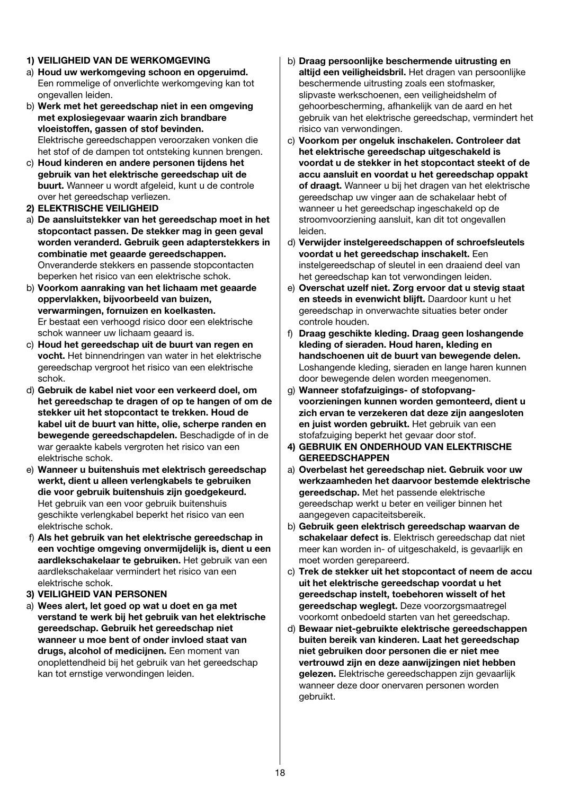#### **1) VEILIGHEID VAN DE WERKOMGEVING**

- a) **Houd uw werkomgeving schoon en opgeruimd.** Een rommelige of onverlichte werkomgeving kan tot ongevallen leiden.
- b) **Werk met het gereedschap niet in een omgeving met explosiegevaar waarin zich brandbare vloeistoffen, gassen of stof bevinden.** Elektrische gereedschappen veroorzaken vonken die het stof of de dampen tot ontsteking kunnen brengen.
- c) **Houd kinderen en andere personen tijdens het gebruik van het elektrische gereedschap uit de buurt.** Wanneer u wordt afgeleid, kunt u de controle over het gereedschap verliezen.
- **2) ELEKTRISCHE VEILIGHEID**
- a) **De aansluitstekker van het gereedschap moet in het stopcontact passen. De stekker mag in geen geval worden veranderd. Gebruik geen adapterstekkers in combinatie met geaarde gereedschappen.** Onveranderde stekkers en passende stopcontacten beperken het risico van een elektrische schok.
- b) **Voorkom aanraking van het lichaam met geaarde oppervlakken, bijvoorbeeld van buizen, verwarmingen, fornuizen en koelkasten.** Er bestaat een verhoogd risico door een elektrische schok wanneer uw lichaam geaard is.
- c) **Houd het gereedschap uit de buurt van regen en vocht.** Het binnendringen van water in het elektrische gereedschap vergroot het risico van een elektrische schok.
- d) **Gebruik de kabel niet voor een verkeerd doel, om het gereedschap te dragen of op te hangen of om de stekker uit het stopcontact te trekken. Houd de kabel uit de buurt van hitte, olie, scherpe randen en bewegende gereedschapdelen.** Beschadigde of in de war geraakte kabels vergroten het risico van een elektrische schok.
- e) **Wanneer u buitenshuis met elektrisch gereedschap werkt, dient u alleen verlengkabels te gebruiken die voor gebruik buitenshuis zijn goedgekeurd.** Het gebruik van een voor gebruik buitenshuis geschikte verlengkabel beperkt het risico van een elektrische schok.
- f) **Als het gebruik van het elektrische gereedschap in een vochtige omgeving onvermijdelijk is, dient u een aardlekschakelaar te gebruiken.** Het gebruik van een aardlekschakelaar vermindert het risico van een elektrische schok.
- **3) VEILIGHEID VAN PERSONEN**
- a) **Wees alert, let goed op wat u doet en ga met verstand te werk bij het gebruik van het elektrische gereedschap. Gebruik het gereedschap niet wanneer u moe bent of onder invloed staat van drugs, alcohol of medicijnen.** Een moment van onoplettendheid bij het gebruik van het gereedschap kan tot ernstige verwondingen leiden.
- b) **Draag persoonlijke beschermende uitrusting en altijd een veiligheidsbril.** Het dragen van persoonlijke beschermende uitrusting zoals een stofmasker, slipvaste werkschoenen, een veiligheidshelm of gehoorbescherming, afhankelijk van de aard en het gebruik van het elektrische gereedschap, vermindert het risico van verwondingen.
- c) **Voorkom per ongeluk inschakelen. Controleer dat het elektrische gereedschap uitgeschakeld is voordat u de stekker in het stopcontact steekt of de accu aansluit en voordat u het gereedschap oppakt of draagt.** Wanneer u bij het dragen van het elektrische gereedschap uw vinger aan de schakelaar hebt of wanneer u het gereedschap ingeschakeld op de stroomvoorziening aansluit, kan dit tot ongevallen leiden.
- d) **Verwijder instelgereedschappen of schroefsleutels voordat u het gereedschap inschakelt.** Een instelgereedschap of sleutel in een draaiend deel van het gereedschap kan tot verwondingen leiden.
- e) **Overschat uzelf niet. Zorg ervoor dat u stevig staat en steeds in evenwicht blijft.** Daardoor kunt u het gereedschap in onverwachte situaties beter onder controle houden.
- f) **Draag geschikte kleding. Draag geen loshangende kleding of sieraden. Houd haren, kleding en handschoenen uit de buurt van bewegende delen.** Loshangende kleding, sieraden en lange haren kunnen door bewegende delen worden meegenomen.
- g) **Wanneer stofafzuigings- of stofopvangvoorzieningen kunnen worden gemonteerd, dient u zich ervan te verzekeren dat deze zijn aangesloten en juist worden gebruikt.** Het gebruik van een stofafzuiging beperkt het gevaar door stof.
- **4) GEBRUIK EN ONDERHOUD VAN ELEKTRISCHE GEREEDSCHAPPEN**
- a) **Overbelast het gereedschap niet. Gebruik voor uw werkzaamheden het daarvoor bestemde elektrische gereedschap.** Met het passende elektrische gereedschap werkt u beter en veiliger binnen het aangegeven capaciteitsbereik.
- b) **Gebruik geen elektrisch gereedschap waarvan de schakelaar defect is**. Elektrisch gereedschap dat niet meer kan worden in- of uitgeschakeld, is gevaarlijk en moet worden gerepareerd.
- c) **Trek de stekker uit het stopcontact of neem de accu uit het elektrische gereedschap voordat u het gereedschap instelt, toebehoren wisselt of het gereedschap weglegt.** Deze voorzorgsmaatregel voorkomt onbedoeld starten van het gereedschap.
- d) **Bewaar niet-gebruikte elektrische gereedschappen buiten bereik van kinderen. Laat het gereedschap niet gebruiken door personen die er niet mee vertrouwd zijn en deze aanwijzingen niet hebben gelezen.** Elektrische gereedschappen zijn gevaarlijk wanneer deze door onervaren personen worden gebruikt.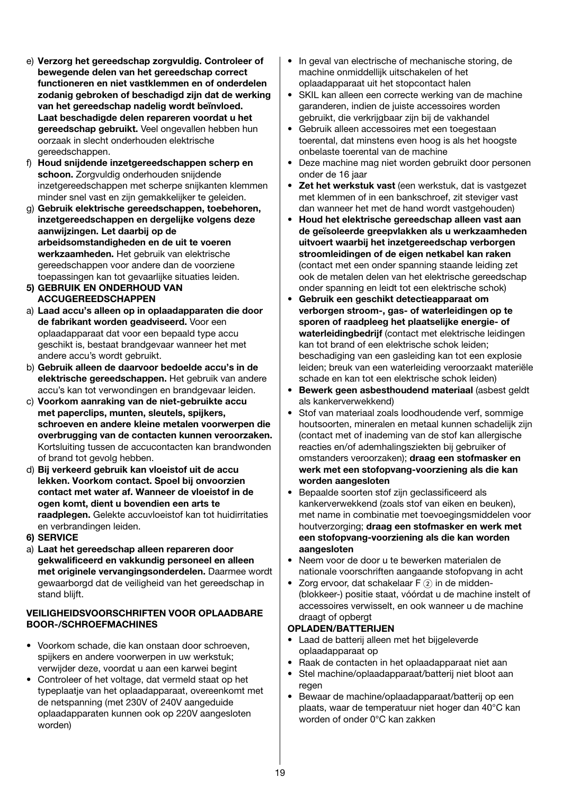- e) **Verzorg het gereedschap zorgvuldig. Controleer of bewegende delen van het gereedschap correct functioneren en niet vastklemmen en of onderdelen zodanig gebroken of beschadigd zijn dat de werking van het gereedschap nadelig wordt beïnvloed. Laat beschadigde delen repareren voordat u het gereedschap gebruikt.** Veel ongevallen hebben hun oorzaak in slecht onderhouden elektrische gereedschappen.
- f) **Houd snijdende inzetgereedschappen scherp en**  schoon. Zorgvuldig onderhouden snijdende inzetgereedschappen met scherpe snijkanten klemmen minder snel vast en zijn gemakkelijker te geleiden.
- g) **Gebruik elektrische gereedschappen, toebehoren, inzetgereedschappen en dergelijke volgens deze aanwijzingen. Let daarbij op de arbeidsomstandigheden en de uit te voeren werkzaamheden.** Het gebruik van elektrische gereedschappen voor andere dan de voorziene toepassingen kan tot gevaarlijke situaties leiden.
- **5) GEBRUIK EN ONDERHOUD VAN ACCUGEREEDSCHAPPEN**
- a) **Laad accu's alleen op in oplaadapparaten die door de fabrikant worden geadviseerd.** Voor een oplaadapparaat dat voor een bepaald type accu geschikt is, bestaat brandgevaar wanneer het met andere accu's wordt gebruikt.
- b) **Gebruik alleen de daarvoor bedoelde accu's in de elektrische gereedschappen.** Het gebruik van andere accu's kan tot verwondingen en brandgevaar leiden.
- c) **Voorkom aanraking van de niet-gebruikte accu met paperclips, munten, sleutels, spijkers, schroeven en andere kleine metalen voorwerpen die overbrugging van de contacten kunnen veroorzaken.** Kortsluiting tussen de accucontacten kan brandwonden of brand tot gevolg hebben.
- d) **Bij verkeerd gebruik kan vloeistof uit de accu lekken. Voorkom contact. Spoel bij onvoorzien contact met water af. Wanneer de vloeistof in de ogen komt, dient u bovendien een arts te raadplegen.** Gelekte accuvloeistof kan tot huidirritaties en verbrandingen leiden.
- **6) SERVICE**
- a) **Laat het gereedschap alleen repareren door gekwalificeerd en vakkundig personeel en alleen met originele vervangingsonderdelen.** Daarmee wordt gewaarborgd dat de veiligheid van het gereedschap in stand bliift.

#### **VEILIGHEIDSVOORSCHRIFTEN VOOR OPLAADBARE BOOR-/SCHROEFMACHINES**

- Voorkom schade, die kan onstaan door schroeven, spijkers en andere voorwerpen in uw werkstuk; verwijder deze, voordat u aan een karwei begint
- Controleer of het voltage, dat vermeld staat op het typeplaatje van het oplaadapparaat, overeenkomt met de netspanning (met 230V of 240V aangeduide oplaadapparaten kunnen ook op 220V aangesloten worden)
- In geval van electrische of mechanische storing, de machine onmiddellijk uitschakelen of het oplaadapparaat uit het stopcontact halen
- SKIL kan alleen een correcte werking van de machine garanderen, indien de juiste accessoires worden gebruikt, die verkrijgbaar zijn bij de vakhandel
- Gebruik alleen accessoires met een toegestaan toerental, dat minstens even hoog is als het hoogste onbelaste toerental van de machine
- Deze machine mag niet worden gebruikt door personen onder de 16 jaar
- **Zet het werkstuk vast** (een werkstuk, dat is vastgezet met klemmen of in een bankschroef, zit steviger vast dan wanneer het met de hand wordt vastgehouden)
- **Houd het elektrische gereedschap alleen vast aan de geïsoleerde greepvlakken als u werkzaamheden uitvoert waarbij het inzetgereedschap verborgen stroomleidingen of de eigen netkabel kan raken** (contact met een onder spanning staande leiding zet ook de metalen delen van het elektrische gereedschap onder spanning en leidt tot een elektrische schok)
- **Gebruik een geschikt detectieapparaat om verborgen stroom-, gas- of waterleidingen op te sporen of raadpleeg het plaatselijke energie- of waterleidingbedrijf** (contact met elektrische leidingen kan tot brand of een elektrische schok leiden; beschadiging van een gasleiding kan tot een explosie leiden; breuk van een waterleiding veroorzaakt materiële schade en kan tot een elektrische schok leiden)
- **Bewerk geen asbesthoudend materiaal** (asbest geldt als kankerverwekkend)
- Stof van materiaal zoals loodhoudende verf, sommige houtsoorten, mineralen en metaal kunnen schadelijk zijn (contact met of inademing van de stof kan allergische reacties en/of ademhalingsziekten bij gebruiker of omstanders veroorzaken); **draag een stofmasker en werk met een stofopvang-voorziening als die kan worden aangesloten**
- Bepaalde soorten stof zijn geclassificeerd als kankerverwekkend (zoals stof van eiken en beuken), met name in combinatie met toevoegingsmiddelen voor houtverzorging; **draag een stofmasker en werk met een stofopvang-voorziening als die kan worden aangesloten**
- Neem voor de door u te bewerken materialen de nationale voorschriften aangaande stofopvang in acht
- Zorg ervoor, dat schakelaar  $F(2)$  in de midden-(blokkeer-) positie staat, vóórdat u de machine instelt of accessoires verwisselt, en ook wanneer u de machine draagt of opbergt

#### **OPLADEN/BATTERIJEN**

- Laad de batterij alleen met het bijgeleverde oplaadapparaat op
- Raak de contacten in het oplaadapparaat niet aan
- Stel machine/oplaadapparaat/batterij niet bloot aan regen
- Bewaar de machine/oplaadapparaat/batterij op een plaats, waar de temperatuur niet hoger dan 40°C kan worden of onder 0°C kan zakken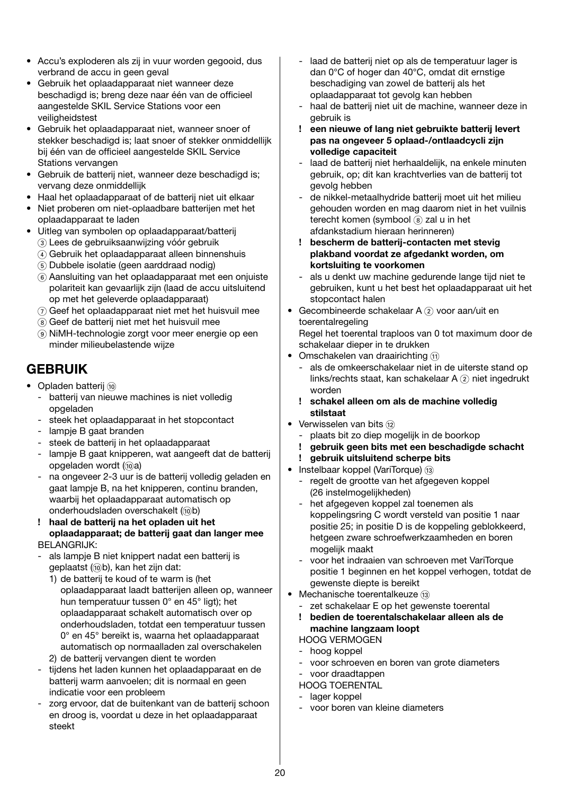- Accu's exploderen als zij in vuur worden gegooid, dus verbrand de accu in geen geval
- Gebruik het oplaadapparaat niet wanneer deze beschadigd is; breng deze naar één van de officieel aangestelde SKIL Service Stations voor een veiligheidstest
- Gebruik het oplaadapparaat niet, wanneer snoer of stekker beschadigd is; laat snoer of stekker onmiddellijk bij één van de officieel aangestelde SKIL Service Stations vervangen
- Gebruik de batterij niet, wanneer deze beschadigd is: vervang deze onmiddellijk
- Haal het oplaadapparaat of de batterij niet uit elkaar
- Niet proberen om niet-oplaadbare batterijen met het oplaadapparaat te laden
- Uitleg van symbolen op oplaadapparaat/batterij 3 Lees de gebruiksaanwijzing vóór gebruik
	- 4 Gebruik het oplaadapparaat alleen binnenshuis
	- 5 Dubbele isolatie (geen aarddraad nodig)
	- 6 Aansluiting van het oplaadapparaat met een onjuiste polariteit kan gevaarlijk zijn (laad de accu uitsluitend op met het geleverde oplaadapparaat)
	- $(7)$  Geef het oplaadapparaat niet met het huisvuil mee
	- 8 Geef de batterij niet met het huisvuil mee
	- 9 NiMH-technologie zorgt voor meer energie op een minder milieubelastende wijze

### **GEBRUIK**

- Opladen batterij (10)
	- batterij van nieuwe machines is niet volledig opgeladen
	- steek het oplaadapparaat in het stopcontact
	- lampje B gaat branden
	- steek de batterij in het oplaadapparaat
	- lampje B gaat knipperen, wat aangeeft dat de batterij opgeladen wordt (@a)
	- na ongeveer 2-3 uur is de batterij volledig geladen en gaat lampje B, na het knipperen, continu branden, waarbij het oplaadapparaat automatisch op onderhoudsladen overschakelt (10b)
	- **! haal de batterij na het opladen uit het oplaadapparaat; de batterij gaat dan langer mee** BELANGRIJK:
	- als lampje B niet knippert nadat een batterij is geplaatst (10b), kan het zijn dat:
		- 1) de batterij te koud of te warm is (het oplaadapparaat laadt batterijen alleen op, wanneer hun temperatuur tussen 0° en 45° ligt); het oplaadapparaat schakelt automatisch over op onderhoudsladen, totdat een temperatuur tussen 0° en 45° bereikt is, waarna het oplaadapparaat automatisch op normaalladen zal overschakelen
		- 2) de batterij vervangen dient te worden
	- tijdens het laden kunnen het oplaadapparaat en de batterij warm aanvoelen; dit is normaal en geen indicatie voor een probleem
	- zorg ervoor, dat de buitenkant van de batterij schoon en droog is, voordat u deze in het oplaadapparaat steekt
- laad de batterij niet op als de temperatuur lager is dan 0°C of hoger dan 40°C, omdat dit ernstige beschadiging van zowel de batterij als het oplaadapparaat tot gevolg kan hebben
- haal de batterij niet uit de machine, wanneer deze in gebruik is
- **! een nieuwe of lang niet gebruikte batterij levert pas na ongeveer 5 oplaad-/ontlaadcycli zijn volledige capaciteit**
- laad de batterij niet herhaaldelijk, na enkele minuten gebruik, op; dit kan krachtverlies van de batterij tot gevolg hebben
- de nikkel-metaalhydride batterij moet uit het milieu gehouden worden en mag daarom niet in het vuilnis terecht komen (symbool 8 zal u in het afdankstadium hieraan herinneren)
- **! bescherm de batterij-contacten met stevig plakband voordat ze afgedankt worden, om kortsluiting te voorkomen**
- als u denkt uw machine gedurende lange tijd niet te gebruiken, kunt u het best het oplaadapparaat uit het stopcontact halen
- Gecombineerde schakelaar A $(2)$  voor aan/uit en toerentalregeling Regel het toerental traploos van 0 tot maximum door de schakelaar dieper in te drukken
- $\bullet$  Omschakelen van draairichting  $\textcircled{\tiny{1}}$ 
	- als de omkeerschakelaar niet in de uiterste stand op links/rechts staat, kan schakelaar  $A$   $(2)$  niet ingedrukt worden
	- **! schakel alleen om als de machine volledig stilstaat**
- Verwisselen van bits @
	- plaats bit zo diep mogelijk in de boorkop
	- **! gebruik geen bits met een beschadigde schacht**
	- **! gebruik uitsluitend scherpe bits**
- Instelbaar koppel (VariTorque) (i3)
	- regelt de grootte van het afgegeven koppel (26 instelmogelijkheden)
	- het afgegeven koppel zal toenemen als koppelingsring C wordt versteld van positie 1 naar positie 25; in positie D is de koppeling geblokkeerd, hetgeen zware schroefwerkzaamheden en boren mogelijk maakt
	- voor het indraaien van schroeven met VariTorque positie 1 beginnen en het koppel verhogen, totdat de gewenste diepte is bereikt
- $\bullet$  Mechanische toerentalkeuze  $@$ 
	- zet schakelaar E op het gewenste toerental
	- **! bedien de toerentalschakelaar alleen als de machine langzaam loopt** HOOG VERMOGEN
	- hoog koppel
	- voor schroeven en boren van grote diameters
	- voor draadtappen

#### HOOG TOERENTAL

- lager koppel
- voor boren van kleine diameters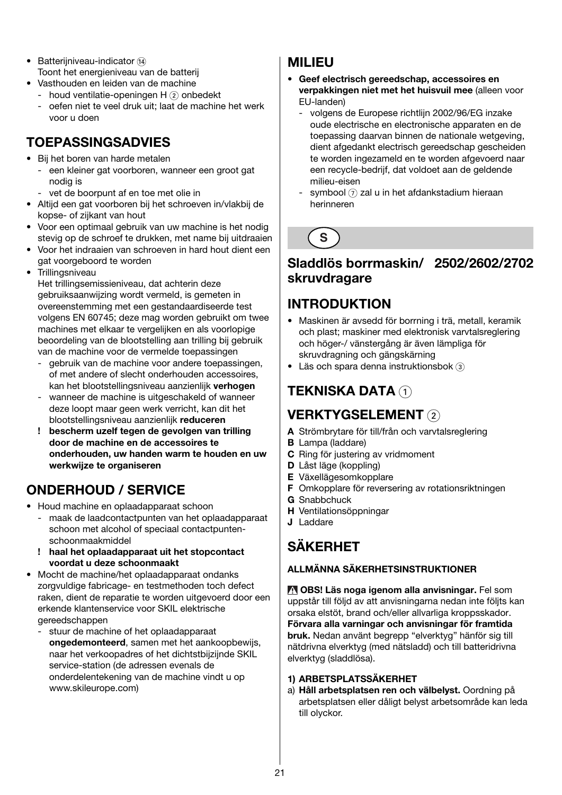- $\bullet$  Batteriiniveau-indicator  $@$ Toont het energieniveau van de batterij
- Vasthouden en leiden van de machine
	- houd ventilatie-openingen  $H(2)$  onbedekt
	- oefen niet te veel druk uit; laat de machine het werk voor u doen

### **TOEPASSINGSADVIES**

- Bij het boren van harde metalen
	- een kleiner gat voorboren, wanneer een groot gat nodig is
	- vet de boorpunt af en toe met olie in
- Altijd een gat voorboren bij het schroeven in/vlakbij de kopse- of zijkant van hout
- Voor een optimaal gebruik van uw machine is het nodig stevig op de schroef te drukken, met name bij uitdraaien
- Voor het indraaien van schroeven in hard hout dient een gat voorgeboord te worden
- Trillingsniveau

 Het trillingsemissieniveau, dat achterin deze gebruiksaanwijzing wordt vermeld, is gemeten in overeenstemming met een gestandaardiseerde test volgens EN 60745; deze mag worden gebruikt om twee machines met elkaar te vergelijken en als voorlopige beoordeling van de blootstelling aan trilling bij gebruik van de machine voor de vermelde toepassingen

- gebruik van de machine voor andere toepassingen, of met andere of slecht onderhouden accessoires, kan het blootstellingsniveau aanzienlijk **verhogen**
- wanneer de machine is uitgeschakeld of wanneer deze loopt maar geen werk verricht, kan dit het blootstellingsniveau aanzienlijk **reduceren**
- **! bescherm uzelf tegen de gevolgen van trilling door de machine en de accessoires te onderhouden, uw handen warm te houden en uw werkwijze te organiseren**

### **ONDERHOUD / SERVICE**

- Houd machine en oplaadapparaat schoon
	- maak de laadcontactpunten van het oplaadapparaat schoon met alcohol of speciaal contactpuntenschoonmaakmiddel
	- **! haal het oplaadapparaat uit het stopcontact voordat u deze schoonmaakt**
- Mocht de machine/het oplaadapparaat ondanks zorgvuldige fabricage- en testmethoden toch defect raken, dient de reparatie te worden uitgevoerd door een erkende klantenservice voor SKIL elektrische gereedschappen
	- stuur de machine of het oplaadapparaat **ongedemonteerd**, samen met het aankoopbewijs, naar het verkoopadres of het dichtstbijzijnde SKIL service-station (de adressen evenals de onderdelentekening van de machine vindt u op www.skileurope.com)

### **MILIEU**

- **Geef electrisch gereedschap, accessoires en verpakkingen niet met het huisvuil mee** (alleen voor EU-landen)
	- volgens de Europese richtlijn 2002/96/EG inzake oude electrische en electronische apparaten en de toepassing daarvan binnen de nationale wetgeving, dient afgedankt electrisch gereedschap gescheiden te worden ingezameld en te worden afgevoerd naar een recycle-bedrijf, dat voldoet aan de geldende milieu-eisen
	- symbool  $(\bar{\imath})$  zal u in het afdankstadium hieraan herinneren

**S**

### **Sladdlös borrmaskin/ 2502/2602/2702 skruvdragare**

### **INTRODUKTION**

- Maskinen är avsedd för borrning i trä, metall, keramik och plast; maskiner med elektronisk varvtalsreglering och höger-/ vänstergång är även lämpliga för skruvdragning och gängskärning
- Läs och spara denna instruktionsbok 3

### **TEKNISKA DATA** (1)

### **VERKTYGSELEMENT** 2

- **A** Strömbrytare för till/från och varvtalsreglering
- **B** Lampa (laddare)
- **C** Ring för justering av vridmoment
- **D** Låst läge (koppling)
- **E** Växellägesomkopplare
- **F** Omkopplare för reversering av rotationsriktningen
- **G** Snabbchuck
- **H** Ventilationsöppningar
- **J** Laddare

### **SÄKERHET**

#### **ALLMÄNNA SÄKERHETSINSTRUKTIONER**

 **OBS! Läs noga igenom alla anvisningar.** Fel som uppstår till följd av att anvisningarna nedan inte följts kan orsaka elstöt, brand och/eller allvarliga kroppsskador. **Förvara alla varningar och anvisningar för framtida** 

**bruk.** Nedan använt begrepp "elverktyg" hänför sig till nätdrivna elverktyg (med nätsladd) och till batteridrivna elverktyg (sladdlösa).

#### **1) ARBETSPLATSSÄKERHET**

a) **Håll arbetsplatsen ren och välbelyst.** Oordning på arbetsplatsen eller dåligt belyst arbetsområde kan leda till olyckor.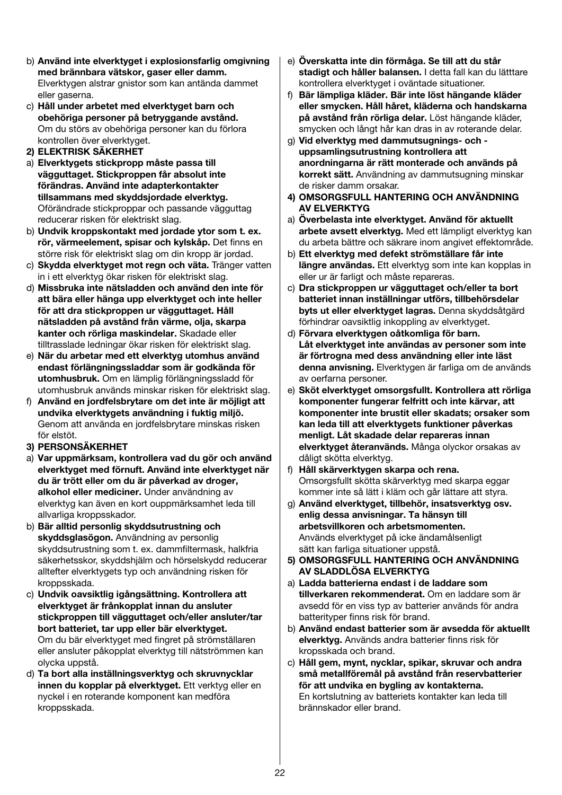- b) **Använd inte elverktyget i explosionsfarlig omgivning med brännbara vätskor, gaser eller damm.** Elverktygen alstrar gnistor som kan antända dammet eller gaserna.
- c) **Håll under arbetet med elverktyget barn och obehöriga personer på betryggande avstånd.** Om du störs av obehöriga personer kan du förlora kontrollen över elverktyget.
- **2) ELEKTRISK SÄKERHET**
- a) **Elverktygets stickpropp måste passa till vägguttaget. Stickproppen får absolut inte förändras. Använd inte adapterkontakter tillsammans med skyddsjordade elverktyg.** Oförändrade stickproppar och passande vägguttag reducerar risken för elektriskt slag.
- b) **Undvik kroppskontakt med jordade ytor som t. ex.**  rör, värmeelement, spisar och kylskåp. Det finns en större risk för elektriskt slag om din kropp är jordad.
- c) **Skydda elverktyget mot regn och väta.** Tränger vatten in i ett elverktyg ökar risken för elektriskt slag.
- d) **Missbruka inte nätsladden och använd den inte för att bära eller hänga upp elverktyget och inte heller för att dra stickproppen ur vägguttaget. Håll nätsladden på avstånd från värme, olja, skarpa kanter och rörliga maskindelar.** Skadade eller tilltrasslade ledningar ökar risken för elektriskt slag.
- e) **När du arbetar med ett elverktyg utomhus använd endast förlängningssladdar som är godkända för utomhusbruk.** Om en lämplig förlängningssladd för utomhusbruk används minskar risken för elektriskt slag.
- f) **Använd en jordfelsbrytare om det inte är möjligt att undvika elverktygets användning i fuktig miljö.** Genom att använda en jordfelsbrytare minskas risken för elstöt.
- **3) PERSONSÄKERHET**
- a) **Var uppmärksam, kontrollera vad du gör och använd elverktyget med förnuft. Använd inte elverktyget när du är trött eller om du är påverkad av droger, alkohol eller mediciner.** Under användning av elverktyg kan även en kort ouppmärksamhet leda till allvarliga kroppsskador.
- b) **Bär alltid personlig skyddsutrustning och skyddsglasögon.** Användning av personlig skyddsutrustning som t. ex. dammfiltermask, halkfria säkerhetsskor, skyddshjälm och hörselskydd reducerar alltefter elverktygets typ och användning risken för kroppsskada.
- c) **Undvik oavsiktlig igångsättning. Kontrollera att elverktyget är frånkopplat innan du ansluter stickproppen till vägguttaget och/eller ansluter/tar bort batteriet, tar upp eller bär elverktyget.** Om du bär elverktyget med fingret på strömställaren eller ansluter påkopplat elverktyg till nätströmmen kan olycka uppstå.
- d) **Ta bort alla inställningsverktyg och skruvnycklar innen du kopplar på elverktyget.** Ett verktyg eller en nyckel i en roterande komponent kan medföra kroppsskada.
- e) **Överskatta inte din förmåga. Se till att du står stadigt och håller balansen.** I detta fall kan du lätttare kontrollera elverktyget i oväntade situationer.
- f) **Bär lämpliga kläder. Bär inte löst hängande kläder eller smycken. Håll håret, kläderna och handskarna på avstånd från rörliga delar.** Löst hängande kläder, smycken och långt hår kan dras in av roterande delar.
- g) **Vid elverktyg med dammutsugnings- och uppsamlingsutrustning kontrollera att anordningarna är rätt monterade och används på korrekt sätt.** Användning av dammutsugning minskar de risker damm orsakar.
- **4) OMSORGSFULL HANTERING OCH ANVÄNDNING AV ELVERKTYG**
- a) **Överbelasta inte elverktyget. Använd för aktuellt arbete avsett elverktyg.** Med ett lämpligt elverktyg kan du arbeta bättre och säkrare inom angivet effektområde.
- b) **Ett elverktyg med defekt strömställare får inte längre användas.** Ett elverktyg som inte kan kopplas in eller ur är farligt och måste repareras.
- c) **Dra stickproppen ur vägguttaget och/eller ta bort batteriet innan inställningar utförs, tillbehörsdelar byts ut eller elverktyget lagras.** Denna skyddsåtgärd förhindrar oavsiktlig inkoppling av elverktyget.
- d) **Förvara elverktygen oåtkomliga för barn. Låt elverktyget inte användas av personer som inte är förtrogna med dess användning eller inte läst denna anvisning.** Elverktygen är farliga om de används av oerfarna personer.
- e) **Sköt elverktyget omsorgsfullt. Kontrollera att rörliga komponenter fungerar felfritt och inte kärvar, att komponenter inte brustit eller skadats; orsaker som kan leda till att elverktygets funktioner påverkas menligt. Låt skadade delar repareras innan elverktyget återanvänds.** Många olyckor orsakas av dåligt skötta elverktyg.
- f) **Håll skärverktygen skarpa och rena.** Omsorgsfullt skötta skärverktyg med skarpa eggar kommer inte så lätt i kläm och går lättare att styra.
- g) **Använd elverktyget, tillbehör, insatsverktyg osv. enlig dessa anvisningar. Ta hänsyn till arbetsvillkoren och arbetsmomenten.** Används elverktyget på icke ändamålsenligt sätt kan farliga situationer uppstå.
- **5) OMSORGSFULL HANTERING OCH ANVÄNDNING AV SLADDLÖSA ELVERKTYG**
- a) **Ladda batterierna endast i de laddare som tillverkaren rekommenderat.** Om en laddare som är avsedd för en viss typ av batterier används för andra batterityper finns risk för brand.
- b) **Använd endast batterier som är avsedda för aktuellt**  elverktyg. Används andra batterier finns risk för kropsskada och brand.
- c) **Håll gem, mynt, nycklar, spikar, skruvar och andra små metallföremål på avstånd från reservbatterier för att undvika en bygling av kontakterna.** En kortslutning av batteriets kontakter kan leda till brännskador eller brand.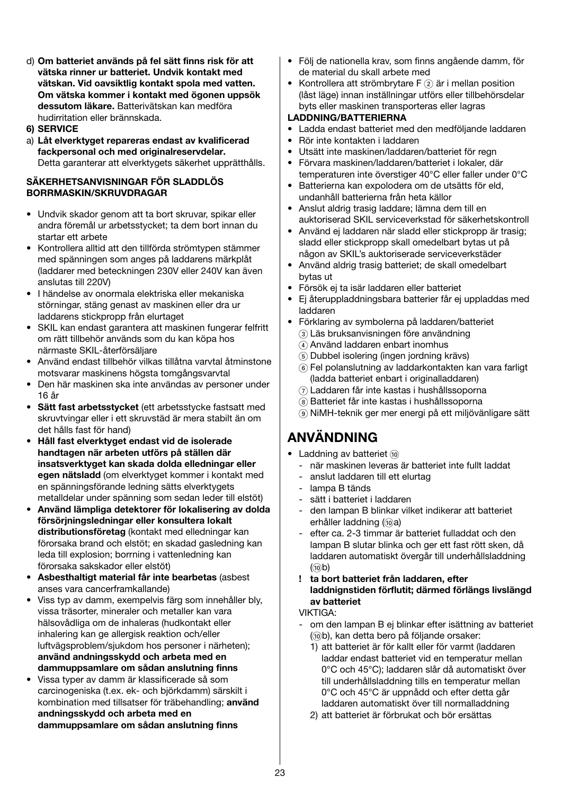- d) **Om batteriet används på fel sätt finns risk för att vätska rinner ur batteriet. Undvik kontakt med vätskan. Vid oavsiktlig kontakt spola med vatten. Om vätska kommer i kontakt med ögonen uppsök dessutom läkare.** Batterivätskan kan medföra hudirritation eller brännskada.
- **6) SERVICE**
- a) **Låt elverktyget repareras endast av kvalificerad fackpersonal och med originalreservdelar.** Detta garanterar att elverktygets säkerhet upprätthålls.

#### **SÄKERHETSANVISNINGAR FÖR SLADDLÖS BORRMASKIN/SKRUVDRAGAR**

- Undvik skador genom att ta bort skruvar, spikar eller andra föremål ur arbetsstycket; ta dem bort innan du startar ett arbete
- Kontrollera alltid att den tillförda strömtypen stämmer med spänningen som anges på laddarens märkplåt (laddarer med beteckningen 230V eller 240V kan även anslutas till 220V)
- I händelse av onormala elektriska eller mekaniska störningar, stäng genast av maskinen eller dra ur laddarens stickpropp från elurtaget
- SKIL kan endast garantera att maskinen fungerar felfritt om rätt tillbehör används som du kan köpa hos närmaste SKIL-återförsäljare
- Använd endast tillbehör vilkas tillåtna varvtal åtminstone motsvarar maskinens högsta tomgångsvarvtal
- Den här maskinen ska inte användas av personer under 16 år
- **Sätt fast arbetsstycket** (ett arbetsstycke fastsatt med skruvtvingar eller i ett skruvstäd är mera stabilt än om det hålls fast för hand)
- **Håll fast elverktyget endast vid de isolerade handtagen när arbeten utförs på ställen där insatsverktyget kan skada dolda elledningar eller egen nätsladd** (om elverktyget kommer i kontakt med en spänningsförande ledning sätts elverktygets metalldelar under spänning som sedan leder till elstöt)
- **Använd lämpliga detektorer för lokalisering av dolda försörjningsledningar eller konsultera lokalt distributionsföretag** (kontakt med elledningar kan förorsaka brand och elstöt; en skadad gasledning kan leda till explosion; borrning i vattenledning kan förorsaka sakskador eller elstöt)
- **Asbesthaltigt material får inte bearbetas** (asbest anses vara cancerframkallande)
- Viss typ av damm, exempelvis färg som innehåller bly, vissa träsorter, mineraler och metaller kan vara hälsovådliga om de inhaleras (hudkontakt eller inhalering kan ge allergisk reaktion och/eller luftvägsproblem/sjukdom hos personer i närheten); **använd andningsskydd och arbeta med en dammuppsamlare om sådan anslutning finns**
- Vissa typer av damm är klassificerade så som carcinogeniska (t.ex. ek- och björkdamm) särskilt i kombination med tillsatser för träbehandling; **använd andningsskydd och arbeta med en dammuppsamlare om sådan anslutning finns**
- Följ de nationella krav, som finns angående damm, för de material du skall arbete med
- Kontrollera att strömbrytare  $F(2)$  är i mellan position (låst läge) innan inställningar utförs eller tillbehörsdelar byts eller maskinen transporteras eller lagras

#### **LADDNING/BATTERIERNA**

- Ladda endast batteriet med den medföljande laddaren
- Rör inte kontakten i laddaren
- Utsätt inte maskinen/laddaren/batteriet för regn
- Förvara maskinen/laddaren/batteriet i lokaler, där temperaturen inte överstiger 40°C eller faller under 0°C
- Batterierna kan expolodera om de utsätts för eld, undanhåll batterierna från heta källor
- Anslut aldrig trasig laddare; lämna dem till en auktoriserad SKIL serviceverkstad för säkerhetskontroll
- Använd ei laddaren när sladd eller stickpropp är trasig: sladd eller stickpropp skall omedelbart bytas ut på någon av SKIL's auktoriserade serviceverkstäder
- Använd aldrig trasig batteriet; de skall omedelbart bytas ut
- Försök ej ta isär laddaren eller batteriet
- Ej återuppladdningsbara batterier får ej uppladdas med laddaren
- Förklaring av symbolerna på laddaren/batteriet
	- 3 Läs bruksanvisningen före användning
	- 4 Använd laddaren enbart inomhus
	- 5 Dubbel isolering (ingen jordning krävs)
	- 6 Fel polanslutning av laddarkontakten kan vara farligt (ladda batteriet enbart i originalladdaren)
	- 7 Laddaren får inte kastas i hushållssoporna
	- 8 Batteriet får inte kastas i hushållssoporna
	- 9 NiMH-teknik ger mer energi på ett miljövänligare sätt

### **ANVÄNDNING**

- $\bullet$  Laddning av batteriet  $60$ 
	- när maskinen leveras är batteriet inte fullt laddat
	- anslut laddaren till ett elurtag
	- lampa B tänds
	- sätt i batteriet i laddaren
	- den lampan B blinkar vilket indikerar att batteriet erhåller laddning (@a)
	- efter ca. 2-3 timmar är batteriet fulladdat och den lampan B slutar blinka och ger ett fast rött sken, då laddaren automatiskt övergår till underhållsladdning  $(nh)$
	- **! ta bort batteriet från laddaren, efter laddnignstiden förflutit; därmed förlängs livslängd av batteriet**

#### VIKTIGA:

- om den lampan B ej blinkar efter isättning av batteriet (0b), kan detta bero på följande orsaker:
	- 1) att batteriet är för kallt eller för varmt (laddaren laddar endast batteriet vid en temperatur mellan 0°C och 45°C); laddaren slår då automatiskt över till underhållsladdning tills en temperatur mellan 0°C och 45°C är uppnådd och efter detta går laddaren automatiskt över till normalladdning
	- 2) att batteriet är förbrukat och bör ersättas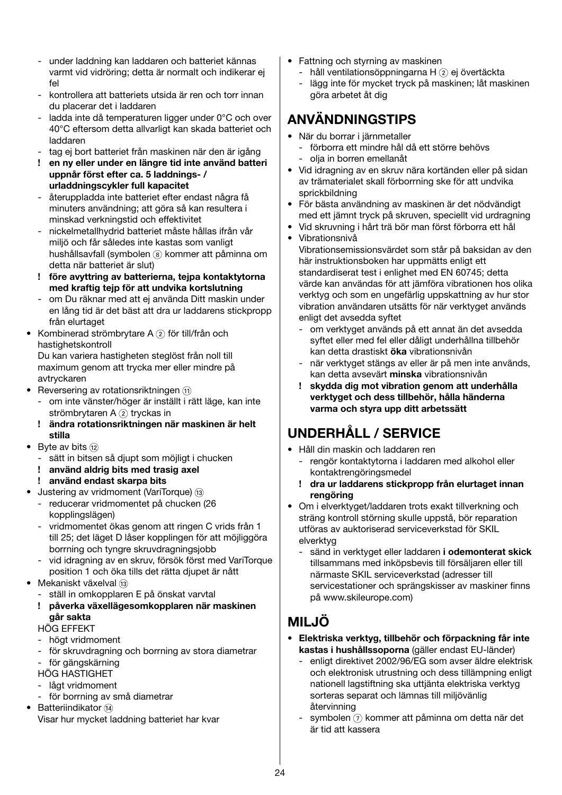- under laddning kan laddaren och batteriet kännas varmt vid vidröring; detta är normalt och indikerar ej  $f_{\Omega}$
- kontrollera att batteriets utsida är ren och torr innan du placerar det i laddaren
- ladda inte då temperaturen ligger under 0°C och over 40°C eftersom detta allvarligt kan skada batteriet och laddaren
- tag ej bort batteriet från maskinen när den är igång
- **! en ny eller under en längre tid inte använd batteri uppnår först efter ca. 5 laddnings- / urladdningscykler full kapacitet**
- återuppladda inte batteriet efter endast några få minuters användning; att göra så kan resultera i minskad verkningstid och effektivitet
- nickelmetallhydrid batteriet måste hållas ifrån vår miljö och får således inte kastas som vanligt hushållsavfall (symbolen 8) kommer att påminna om detta när batteriet är slut)
- **! före avyttring av batterierna, tejpa kontaktytorna med kraftig tejp för att undvika kortslutning**
- om Du räknar med att ej använda Ditt maskin under en lång tid är det bäst att dra ur laddarens stickpropp från elurtaget
- Kombinerad strömbrytare A $(2)$  för till/från och hastighetskontroll

 Du kan variera hastigheten steglöst från noll till maximum genom att trycka mer eller mindre på avtryckaren

- Reversering av rotationsriktningen (ii)
	- om inte vänster/höger är inställt i rätt läge, kan inte strömbrytaren A 2 tryckas in
	- **! ändra rotationsriktningen när maskinen är helt stilla**
- Byte av bits (12)
	- sätt in bitsen så djupt som möjligt i chucken
	- **! använd aldrig bits med trasig axel**
	- **! använd endast skarpa bits**
- Justering av vridmoment (VariTorque) (13)
	- reducerar vridmomentet på chucken (26 kopplingslägen)
	- vridmomentet ökas genom att ringen C vrids från 1 till 25; det läget D låser kopplingen för att möjliggöra borrning och tyngre skruvdragningsjobb
	- vid idragning av en skruv, försök först med VariTorque position 1 och öka tills det rätta djupet är nått
- Mekaniskt växelval (13)
	- ställ in omkopplaren E på önskat varvtal
	- **! påverka växellägesomkopplaren när maskinen går sakta**

HÖG EFFEKT

- högt vridmoment
- för skruvdragning och borrning av stora diametrar för gängskärning
- HÖG HASTIGHET
- lågt vridmoment
- för borrning av små diametrar
- $\bullet$  Batteriindikator  $\widehat{a}$

Visar hur mycket laddning batteriet har kvar

- Fattning och styrning av maskinen
	- håll ventilationsöppningarna H 2 ei övertäckta
	- lägg inte för mycket tryck på maskinen; låt maskinen göra arbetet åt dig

### **ANVÄNDNINGSTIPS**

- När du borrar i järnmetaller
	- förborra ett mindre hål då ett större behövs
	- olja in borren emellanåt
- Vid idragning av en skruv nära kortänden eller på sidan av trämaterialet skall förborrning ske för att undvika sprickbildning
- För bästa användning av maskinen är det nödvändigt med ett jämnt tryck på skruven, speciellt vid urdragning
- Vid skruvning i hårt trä bör man först förborra ett hål
- Vibrationsnivå

 Vibrationsemissionsvärdet som står på baksidan av den här instruktionsboken har uppmätts enligt ett standardiserat test i enlighet med FN 60745; detta värde kan användas för att jämföra vibrationen hos olika verktyg och som en ungefärlig uppskattning av hur stor vibration användaren utsätts för när verktyget används enligt det avsedda syftet

- om verktyget används på ett annat än det avsedda syftet eller med fel eller dåligt underhållna tillbehör kan detta drastiskt **öka** vibrationsnivån
- när verktyget stängs av eller är på men inte används, kan detta avsevärt **minska** vibrationsnivån
- **! skydda dig mot vibration genom att underhålla verktyget och dess tillbehör, hålla händerna varma och styra upp ditt arbetssätt**

### **UNDERHÅLL / SERVICE**

- Håll din maskin och laddaren ren
	- rengör kontaktytorna i laddaren med alkohol eller kontaktrengöringsmedel
	- **! dra ur laddarens stickpropp från elurtaget innan rengöring**
- Om i elverktyget/laddaren trots exakt tillverkning och sträng kontroll störning skulle uppstå, bör reparation utföras av auktoriserad serviceverkstad för SKIL elverktyg
	- sänd in verktyget eller laddaren **i odemonterat skick** tillsammans med inköpsbevis till försäljaren eller till närmaste SKIL serviceverkstad (adresser till servicestationer och sprängskisser av maskiner finns på www.skileurope.com)

### **MILJÖ**

- **Elektriska verktyg, tillbehör och förpackning får inte kastas i hushållssoporna** (gäller endast EU-länder)
	- enligt direktivet 2002/96/EG som avser äldre elektrisk och elektronisk utrustning och dess tillämpning enligt nationell lagstiftning ska uttjänta elektriska verktyg sorteras separat och lämnas till miljövänlig återvinning
	- symbolen  $\widehat{p}$  kommer att påminna om detta när det är tid att kassera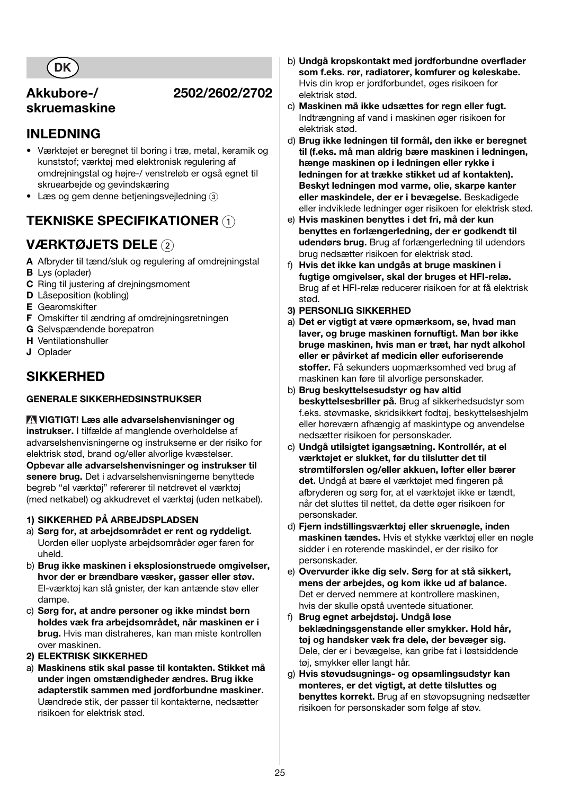

# **skruemaskine**

### **Akkubore-/ 2502/2602/2702**

### **INLEDNING**

- Værktøjet er beregnet til boring i træ, metal, keramik og kunststof; værktøj med elektronisk regulering af omdrejningstal og højre-/ venstreløb er også egnet til skruearbejde og gevindskæring
- $\bullet$  Læs og gem denne betjeningsvejledning  $\circled3$

### **TEKNISKE SPECIFIKATIONER** 1

### **VÆRKTØJETS DELE** 2

- **A** Afbryder til tænd/sluk og regulering af omdrejningstal
- **B** Lys (oplader)
- **C** Ring til justering af drejningsmoment
- **D** Låseposition (kobling)
- **E** Gearomskifter
- **F** Omskifter til ændring af omdrejningsretningen
- **G** Selvspændende borepatron
- **H** Ventilationshuller
- **J** Oplader

### **SIKKERHED**

#### **GENERALE SIKKERHEDSINSTRUKSER**

 **VIGTIGT! Læs alle advarselshenvisninger og instrukser.** I tilfælde af manglende overholdelse af advarselshenvisningerne og instrukserne er der risiko for elektrisk stød, brand og/eller alvorlige kvæstelser. **Opbevar alle advarselshenvisninger og instrukser til senere brug.** Det i advarselshenvisningerne benyttede begreb "el værktøj" refererer til netdrevet el værktøj (med netkabel) og akkudrevet el værktøj (uden netkabel).

#### **1) SIKKERHED PÅ ARBEJDSPLADSEN**

- a) **Sørg for, at arbejdsområdet er rent og ryddeligt.** Uorden eller uoplyste arbejdsområder øger faren for uheld.
- b) **Brug ikke maskinen i eksplosionstruede omgivelser, hvor der er brændbare væsker, gasser eller støv.** El-værktøj kan slå gnister, der kan antænde støv eller dampe.
- c) **Sørg for, at andre personer og ikke mindst børn holdes væk fra arbejdsområdet, når maskinen er i brug.** Hvis man distraheres, kan man miste kontrollen over maskinen.
- **2) ELEKTRISK SIKKERHED**
- a) **Maskinens stik skal passe til kontakten. Stikket må under ingen omstændigheder ændres. Brug ikke adapterstik sammen med jordforbundne maskiner.** Uændrede stik, der passer til kontakterne, nedsætter risikoen for elektrisk stød.
- b) **Undgå kropskontakt med jordforbundne overflader som f.eks. rør, radiatorer, komfurer og køleskabe.** Hvis din krop er jordforbundet, øges risikoen for elektrisk stød.
- c) **Maskinen må ikke udsættes for regn eller fugt.** Indtrængning af vand i maskinen øger risikoen for elektrisk stød.
- d) **Brug ikke ledningen til formål, den ikke er beregnet til (f.eks. må man aldrig bære maskinen i ledningen, hænge maskinen op i ledningen eller rykke i ledningen for at trække stikket ud af kontakten). Beskyt ledningen mod varme, olie, skarpe kanter eller maskindele, der er i bevægelse.** Beskadigede eller indviklede ledninger øger risikoen for elektrisk stød.
- e) **Hvis maskinen benyttes i det fri, må der kun benyttes en forlængerledning, der er godkendt til udendørs brug.** Brug af forlængerledning til udendørs brug nedsætter risikoen for elektrisk stød.
- f) **Hvis det ikke kan undgås at bruge maskinen i fugtige omgivelser, skal der bruges et HFI-relæ.** Brug af et HFI-relæ reducerer risikoen for at få elektrisk stød.
- **3) PERSONLIG SIKKERHED**
- a) **Det er vigtigt at være opmærksom, se, hvad man laver, og bruge maskinen fornuftigt. Man bør ikke bruge maskinen, hvis man er træt, har nydt alkohol eller er påvirket af medicin eller euforiserende stoffer.** Få sekunders uopmærksomhed ved brug af maskinen kan føre til alvorlige personskader.
- b) **Brug beskyttelsesudstyr og hav altid beskyttelsesbriller på.** Brug af sikkerhedsudstyr som f.eks. støvmaske, skridsikkert fodtøj, beskyttelseshjelm eller høreværn afhængig af maskintype og anvendelse nedsætter risikoen for personskader.
- c) **Undgå utilsigtet igangsætning. Kontrollér, at el værktøjet er slukket, før du tilslutter det til strømtilførslen og/eller akkuen, løfter eller bærer**  det. Undgå at bære el værktøjet med fingeren på afbryderen og sørg for, at el værktøjet ikke er tændt, når det sluttes til nettet, da dette øger risikoen for personskader.
- d) **Fjern indstillingsværktøj eller skruenøgle, inden maskinen tændes.** Hvis et stykke værktøj eller en nøgle sidder i en roterende maskindel, er der risiko for personskader.
- e) **Overvurder ikke dig selv. Sørg for at stå sikkert, mens der arbejdes, og kom ikke ud af balance.** Det er derved nemmere at kontrollere maskinen, hvis der skulle opstå uventede situationer.
- f) **Brug egnet arbejdstøj. Undgå løse beklædningsgenstande eller smykker. Hold hår, tøj og handsker væk fra dele, der bevæger sig.** Dele, der er i bevægelse, kan gribe fat i løstsiddende tøj, smykker eller langt hår.
- g) **Hvis støvudsugnings- og opsamlingsudstyr kan monteres, er det vigtigt, at dette tilsluttes og benyttes korrekt.** Brug af en støvopsugning nedsætter risikoen for personskader som følge af støv.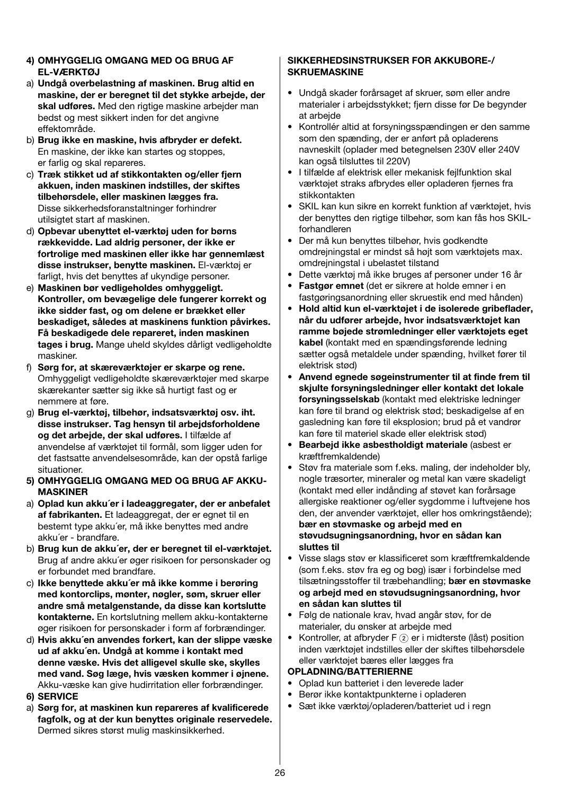- **4) OMHYGGELIG OMGANG MED OG BRUG AF EL-VÆRKTØJ**
- a) **Undgå overbelastning af maskinen. Brug altid en maskine, der er beregnet til det stykke arbejde, der**  skal udføres. Med den rigtige maskine arbeider man bedst og mest sikkert inden for det angivne effektområde.
- b) **Brug ikke en maskine, hvis afbryder er defekt.** En maskine, der ikke kan startes og stoppes, er farlig og skal repareres.
- c) **Træk stikket ud af stikkontakten og/eller fjern akkuen, inden maskinen indstilles, der skiftes tilbehørsdele, eller maskinen lægges fra.** Disse sikkerhedsforanstaltninger forhindrer utilsigtet start af maskinen.
- d) **Opbevar ubenyttet el-værktøj uden for børns rækkevidde. Lad aldrig personer, der ikke er fortrolige med maskinen eller ikke har gennemlæst disse instrukser, benytte maskinen.** El-værktøj er farligt, hvis det benyttes af ukyndige personer.
- e) **Maskinen bør vedligeholdes omhyggeligt. Kontroller, om bevægelige dele fungerer korrekt og ikke sidder fast, og om delene er brækket eller beskadiget, således at maskinens funktion påvirkes. Få beskadigede dele repareret, inden maskinen tages i brug.** Mange uheld skyldes dårligt vedligeholdte maskiner.
- f) **Sørg for, at skæreværktøjer er skarpe og rene.** Omhyggeligt vedligeholdte skæreværktøjer med skarpe skærekanter sætter sig ikke så hurtigt fast og er nemmere at føre.
- g) **Brug el-værktøj, tilbehør, indsatsværktøj osv. iht. disse instrukser. Tag hensyn til arbejdsforholdene og det arbejde, der skal udføres.** I tilfælde af anvendelse af værktøjet til formål, som ligger uden for det fastsatte anvendelsesområde, kan der opstå farlige situationer.
- **5) OMHYGGELIG OMGANG MED OG BRUG AF AKKU-MASKINER**
- a) **Oplad kun akku´er i ladeaggregater, der er anbefalet af fabrikanten.** Et ladeaggregat, der er egnet til en bestemt type akku´er, må ikke benyttes med andre akku´er - brandfare.
- b) **Brug kun de akku´er, der er beregnet til el-værktøjet.** Brug af andre akku´er øger risikoen for personskader og er forbundet med brandfare.
- c) **Ikke benyttede akku´er må ikke komme i berøring med kontorclips, mønter, nøgler, søm, skruer eller andre små metalgenstande, da disse kan kortslutte kontakterne.** En kortslutning mellem akku-kontakterne øger risikoen for personskader i form af forbrændinger.
- d) **Hvis akku´en anvendes forkert, kan der slippe væske ud af akku´en. Undgå at komme i kontakt med denne væske. Hvis det alligevel skulle ske, skylles med vand. Søg læge, hvis væsken kommer i øjnene.** Akku-væske kan give hudirritation eller forbrændinger. **6) SERVICE**
- a) **Sørg for, at maskinen kun repareres af kvalificerede fagfolk, og at der kun benyttes originale reservedele.** Dermed sikres størst mulig maskinsikkerhed.

#### **SIKKERHEDSINSTRUKSER FOR AKKUBORE-/ SKRUEMASKINE**

- Undgå skader forårsaget af skruer, søm eller andre materialer i arbejdsstykket; fjern disse før De begynder at arbejde
- Kontrollér altid at forsyningsspændingen er den samme som den spænding, der er anført på opladerens navneskilt (oplader med betegnelsen 230V eller 240V kan også tilsluttes til 220V)
- I tilfælde af elektrisk eller mekanisk fejlfunktion skal værktøjet straks afbrydes eller opladeren fjernes fra stikkontakten
- SKIL kan kun sikre en korrekt funktion af værktøjet, hvis der benyttes den rigtige tilbehør, som kan fås hos SKILforhandleren
- Der må kun benyttes tilbehør, hvis godkendte omdrejningstal er mindst så højt som værktøjets max. omdrejningstal i ubelastet tilstand
- Dette værktøj må ikke bruges af personer under 16 år
- **Fastgør emnet** (det er sikrere at holde emner i en fastgøringsanordning eller skruestik end med hånden)
- **Hold altid kun el-værktøjet i de isolerede gribeflader, når du udfører arbejde, hvor indsatsværktøjet kan ramme bøjede strømledninger eller værktøjets eget kabel** (kontakt med en spændingsførende ledning sætter også metaldele under spænding, hvilket fører til elektrisk stød)
- **Anvend egnede søgeinstrumenter til at finde frem til skjulte forsyningsledninger eller kontakt det lokale forsyningsselskab** (kontakt med elektriske ledninger kan føre til brand og elektrisk stød; beskadigelse af en gasledning kan føre til eksplosion; brud på et vandrør kan føre til materiel skade eller elektrisk stød)
- **Bearbejd ikke asbestholdigt materiale** (asbest er kræftfremkaldende)
- Støv fra materiale som f.eks. maling, der indeholder bly, nogle træsorter, mineraler og metal kan være skadeligt (kontakt med eller indånding af støvet kan forårsage allergiske reaktioner og/eller sygdomme i luftvejene hos den, der anvender værktøjet, eller hos omkringstående); **bær en støvmaske og arbejd med en støvudsugningsanordning, hvor en sådan kan sluttes til**
- Visse slags støv er klassificeret som kræftfremkaldende (som f.eks. støv fra eg og bøg) især i forbindelse med tilsætningsstoffer til træbehandling; **bær en støvmaske og arbejd med en støvudsugningsanordning, hvor en sådan kan sluttes til**
- Følg de nationale krav, hvad angår støv, for de materialer, du ønsker at arbejde med
- Kontroller, at afbryder  $F(2)$  er i midterste (låst) position inden værktøjet indstilles eller der skiftes tilbehørsdele eller værktøjet bæres eller lægges fra

#### **OPLADNING/BATTERIERNE**

- Oplad kun batteriet i den leverede lader
- Berør ikke kontaktpunkterne i opladeren
- Sæt ikke værktøj/opladeren/batteriet ud i regn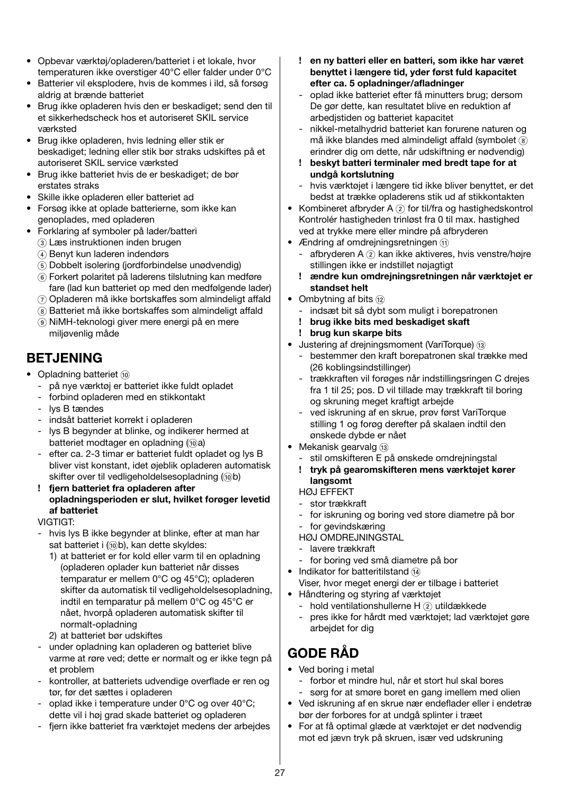- Opbevar værktøj/opladeren/batteriet i et lokale, hvor temperaturen ikke overstiger 40°C eller falder under 0°C
- Batterier vil eksplodere, hvis de kommes i ild, så forsøg aldrig at brænde batteriet
- Brug ikke opladeren hvis den er beskadiget; send den til et sikkerhedscheck hos et autoriseret SKIL service værksted
- Brug ikke opladeren, hvis ledning eller stik er beskadiget; ledning eller stik bør straks udskiftes på et autoriseret SKIL service værksted
- Brug ikke batteriet hvis de er beskadiget; de bør erstates straks
- Skille ikke opladeren eller batteriet ad
- Forsøg ikke at oplade batterierne, som ikke kan genoplades, med opladeren
- Forklaring af symboler på lader/batteri 3 Læs instruktionen inden brugen
	- 4 Benyt kun laderen indendørs
	- 5 Dobbelt isolering (jordforbindelse unødvendig)
	- 6 Forkert polaritet på laderens tilslutning kan medføre fare (lad kun batteriet op med den medfølgende lader)
	- 7 Opladeren må ikke bortskaffes som almindeligt affald
	- 8 Batteriet må ikke bortskaffes som almindeligt affald
	- 9 NiMH-teknologi giver mere energi på en mere miljøvenlig måde

### **BETJENING**

- $\bullet$  Opladning batteriet  $0$ 
	- på nye værktøj er batteriet ikke fuldt opladet
	- forbind opladeren med en stikkontakt
	- lys B tændes
	- indsåt batteriet korrekt i opladeren
	- lys B begynder at blinke, og indikerer hermed at batteriet modtager en opladning (@a)
	- efter ca. 2-3 timar er batteriet fuldt opladet og lys B bliver vist konstant, idet øjeblik opladeren automatisk skifter over til vedligeholdelsesopladning (@b)
	- **! fjern batteriet fra opladeren after opladningsperioden er slut, hvilket forøger levetid af batteriet**

#### VIGTIGT:

- hvis lys B ikke begynder at blinke, efter at man har sat batteriet i (@b), kan dette skyldes:
	- 1) at batteriet er for kold eller varm til en opladning (opladeren oplader kun batteriet når disses temparatur er mellem 0°C og 45°C); opladeren skifter da automatisk til vedligeholdelsesopladning, indtil en temparatur på mellem 0°C og 45°C er nået, hvorpå opladeren automatisk skifter til normalt-opladning
	- 2) at batteriet bør udskiftes
- under opladning kan opladeren og batteriet blive varme at røre ved; dette er normalt og er ikke tegn på et problem
- kontroller, at batteriets udvendige overflade er ren og tør, før det sættes i opladeren
- oplad ikke i temperature under 0°C og over 40°C; dette vil i høj grad skade batteriet og opladeren
- fjern ikke batteriet fra værktøjet medens der arbejdes
- **! en ny batteri eller en batteri, som ikke har været benyttet i længere tid, yder først fuld kapacitet efter ca. 5 opladninger/afladninger**
- oplad ikke batteriet efter få minutters brug; dersom De gør dette, kan resultatet blive en reduktion af arbedjstiden og batteriet kapacitet
- nikkel-metalhydrid batteriet kan forurene naturen og må ikke blandes med almindeligt affald (symbolet 8) erindrer dig om dette, når udskiftning er nødvendig)
- **! beskyt batteri terminaler med bredt tape for at undgå kortslutning**
- hvis værktøjet i længere tid ikke bliver benyttet, er det bedst at trække opladerens stik ud af stikkontakten
- Kombineret afbryder A  $(2)$  for til/fra og hastighedskontrol Kontrolér hastigheden trinløst fra 0 til max. hastighed ved at trykke mere eller mindre på afbryderen
- Ændring af omdreiningsretningen  $(1)$ 
	- afbryderen A (2) kan ikke aktiveres, hvis venstre/højre stillingen ikke er indstillet nøjagtigt
	- **! ændre kun omdrejningsretningen når værktøjet er standset helt**
- Ombytning af bits (12)
	- indsæt bit så dybt som muligt i borepatronen
	- **! brug ikke bits med beskadiget skaft**
	- **! brug kun skarpe bits**
- Justering af dreiningsmoment (VariTorque) (is)
	- bestemmer den kraft borepatronen skal trække med (26 koblingsindstillinger)
	- trækkraften vil forøges når indstillingsringen C drejes fra 1 til 25; pos. D vil tillade may trækkraft til boring og skruning meget kraftigt arbejde
	- ved iskruning af en skrue, prøv først VariTorque stilling 1 og forøg derefter på skalaen indtil den ønskede dybde er nået
- $\bullet$  Mekanisk gearvalg  $(3)$ 
	- stil omskifteren E på ønskede omdrejningstal
	- **! tryk på gearomskifteren mens værktøjet kører langsomt**

#### HØJ EFFEKT

- stor trækkraft
- for iskruning og boring ved store diametre på bor

HØJ OMDREJNINGSTAL

- lavere trækkraft
- for boring ved små diametre på bor
- $\bullet$  Indikator for batteritilstand  $\tan$
- Viser, hvor meget energi der er tilbage i batteriet
- Håndtering og styring af værktøjet
	- hold ventilationshullerne H $(2)$  utildækkede
	- pres ikke for hårdt med værktøjet; lad værktøjet gøre arbeidet for dig

### **GODE RÅD**

- Ved boring i metal
	- forbor et mindre hul, når et stort hul skal bores
	- sørg for at smøre boret en gang imellem med olien
- Ved iskruning af en skrue nær endeflader eller i endetræ bør der forbores for at undgå splinter i træet
- For at få optimal glæde at værktøjet er det nødvendig mot ed jævn tryk på skruen, især ved udskruning
- -

## for gevindskæring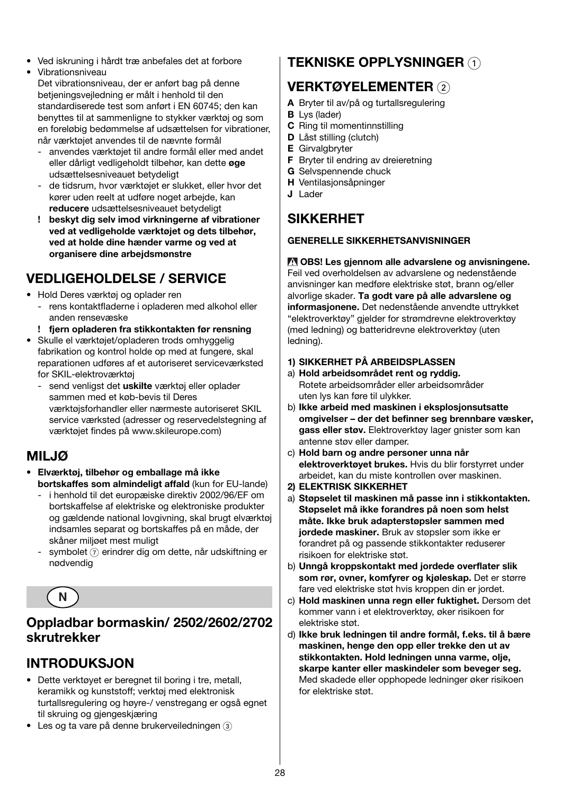- Ved iskruning i hårdt træ anbefales det at forbore
- Vibrationsniveau

 Det vibrationsniveau, der er anført bag på denne betjeningsvejledning er målt i henhold til den standardiserede test som anført i EN 60745; den kan benyttes til at sammenligne to stykker værktøj og som en foreløbig bedømmelse af udsættelsen for vibrationer, når værktøjet anvendes til de nævnte formål

- anvendes værktøjet til andre formål eller med andet eller dårligt vedligeholdt tilbehør, kan dette **øge** udsættelsesniveauet betydeligt
- de tidsrum, hvor værktøjet er slukket, eller hvor det kører uden reelt at udføre noget arbejde, kan **reducere** udsættelsesniveauet betydeligt
- **! beskyt dig selv imod virkningerne af vibrationer ved at vedligeholde værktøjet og dets tilbehør, ved at holde dine hænder varme og ved at organisere dine arbejdsmønstre**

### **VEDLIGEHOLDELSE / SERVICE**

- Hold Deres værktøj og oplader ren
	- rens kontaktfladerne i opladeren med alkohol eller anden rensevæske
	- **! fjern opladeren fra stikkontakten før rensning**
- Skulle el værktøjet/opladeren trods omhyggelig fabrikation og kontrol holde op med at fungere, skal reparationen udføres af et autoriseret serviceværksted for SKIL-elektroværktøj
	- send venligst det **uskilte** værktøj eller oplader sammen med et køb-bevis til Deres værktøjsforhandler eller nærmeste autoriseret SKIL service værksted (adresser og reservedelstegning af værktøjet findes på www.skileurope.com)

### **MILJØ**

- **Elværktøj, tilbehør og emballage må ikke bortskaffes som almindeligt affald** (kun for EU-lande)
	- i henhold til det europæiske direktiv 2002/96/EF om bortskaffelse af elektriske og elektroniske produkter og gældende national lovgivning, skal brugt elværktøj indsamles separat og bortskaffes på en måde, der skåner miljøet mest muligt
	- symbolet  $(\bar{7})$  erindrer dig om dette, når udskiftning er nødvendig

**N**

### **Oppladbar bormaskin/ 2502/2602/2702 skrutrekker**

### **INTRODUKSJON**

- Dette verktøyet er beregnet til boring i tre, metall, keramikk og kunststoff; verktøj med elektronisk turtallsregulering og høyre-/ venstregang er også egnet til skruing og gjengeskjæring
- $\bullet$  Les og ta vare på denne brukerveiledningen  $\circled$

### **TEKNISKE OPPLYSNINGER 1**

### **VERKTØYELEMENTER** 2

- **A** Bryter til av/på og turtallsregulering
- **B** Lys (lader)
- **C** Ring til momentinnstilling
- **D** Låst stilling (clutch)
- **E** Girvalgbryter
- **F** Bryter til endring av dreieretning
- **G** Selvspennende chuck
- **H** Ventilasjonsåpninger
- **J** Lader

### **SIKKERHET**

### **GENERELLE SIKKERHETSANVISNINGER**

 **OBS! Les gjennom alle advarslene og anvisningene.** Feil ved overholdelsen av advarslene og nedenstående anvisninger kan medføre elektriske støt, brann og/eller alvorlige skader. **Ta godt vare på alle advarslene og informasjonene.** Det nedenstående anvendte uttrykket "elektroverktøy" gjelder for strømdrevne elektroverktøy (med ledning) og batteridrevne elektroverktøy (uten ledning).

#### **1) SIKKERHET PÅ ARBEIDSPLASSEN**

- a) **Hold arbeidsområdet rent og ryddig.** Rotete arbeidsområder eller arbeidsområder uten lys kan føre til ulykker.
- b) **Ikke arbeid med maskinen i eksplosjonsutsatte omgivelser – der det befinner seg brennbare væsker, gass eller støv.** Elektroverktøy lager gnister som kan antenne støv eller damper.
- c) **Hold barn og andre personer unna når elektroverktøyet brukes.** Hvis du blir forstyrret under arbeidet, kan du miste kontrollen over maskinen.
- **2) ELEKTRISK SIKKERHET**
- a) **Støpselet til maskinen må passe inn i stikkontakten. Støpselet må ikke forandres på noen som helst måte. Ikke bruk adapterstøpsler sammen med jordede maskiner.** Bruk av støpsler som ikke er forandret på og passende stikkontakter reduserer risikoen for elektriske støt.
- b) **Unngå kroppskontakt med jordede overflater slik som rør, ovner, komfyrer og kjøleskap.** Det er større fare ved elektriske støt hvis kroppen din er jordet.
- c) **Hold maskinen unna regn eller fuktighet.** Dersom det kommer vann i et elektroverktøy, øker risikoen for elektriske støt.
- d) **Ikke bruk ledningen til andre formål, f.eks. til å bære maskinen, henge den opp eller trekke den ut av stikkontakten. Hold ledningen unna varme, olje, skarpe kanter eller maskindeler som beveger seg.** Med skadede eller opphopede ledninger øker risikoen for elektriske støt.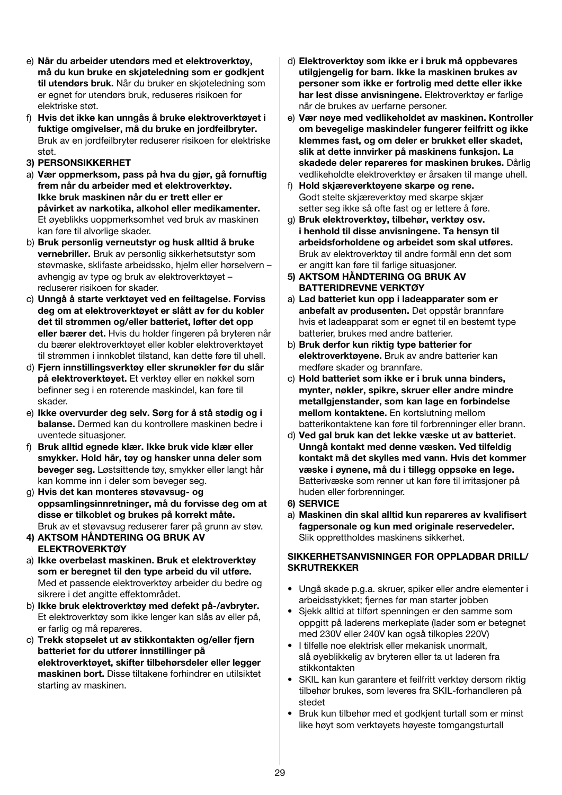- e) **Når du arbeider utendørs med et elektroverktøy, må du kun bruke en skjøteledning som er godkjent til utendørs bruk.** Når du bruker en skjøteledning som er egnet for utendørs bruk, reduseres risikoen for elektriske støt.
- f) **Hvis det ikke kan unngås å bruke elektroverktøyet i fuktige omgivelser, må du bruke en jordfeilbryter.** Bruk av en jordfeilbryter reduserer risikoen for elektriske støt.
- **3) PERSONSIKKERHET**
- a) **Vær oppmerksom, pass på hva du gjør, gå fornuftig frem når du arbeider med et elektroverktøy. Ikke bruk maskinen når du er trett eller er påvirket av narkotika, alkohol eller medikamenter.** Et øyeblikks uoppmerksomhet ved bruk av maskinen kan føre til alvorlige skader.
- b) **Bruk personlig verneutstyr og husk alltid å bruke vernebriller.** Bruk av personlig sikkerhetsutstyr som støvmaske, sklifaste arbeidssko, hjelm eller hørselvern – avhengig av type og bruk av elektroverktøyet – reduserer risikoen for skader.
- c) **Unngå å starte verktøyet ved en feiltagelse. Forviss deg om at elektroverktøyet er slått av før du kobler det til strømmen og/eller batteriet, løfter det opp**  eller bærer det. Hvis du holder fingeren på bryteren når du bærer elektroverktøyet eller kobler elektroverktøyet til strømmen i innkoblet tilstand, kan dette føre til uhell.
- d) **Fjern innstillingsverktøy eller skrunøkler før du slår på elektroverktøyet.** Et verktøy eller en nøkkel som befinner seg i en roterende maskindel, kan føre til skader.
- e) **Ikke overvurder deg selv. Sørg for å stå stødig og i balanse.** Dermed kan du kontrollere maskinen bedre i uventede situasjoner.
- f) **Bruk alltid egnede klær. Ikke bruk vide klær eller smykker. Hold hår, tøy og hansker unna deler som beveger seg.** Løstsittende tøy, smykker eller langt hår kan komme inn i deler som beveger seg.
- g) **Hvis det kan monteres støvavsug- og oppsamlingsinnretninger, må du forvisse deg om at disse er tilkoblet og brukes på korrekt måte.** Bruk av et støvavsug reduserer farer på grunn av støv.
- **4) AKTSOM HÅNDTERING OG BRUK AV ELEKTROVERKTØY**
- a) **Ikke overbelast maskinen. Bruk et elektroverktøy som er beregnet til den type arbeid du vil utføre.** Med et passende elektroverktøy arbeider du bedre og sikrere i det angitte effektområdet.
- b) **Ikke bruk elektroverktøy med defekt på-/avbryter.** Et elektroverktøy som ikke lenger kan slås av eller på, er farlig og må repareres.
- c) **Trekk støpselet ut av stikkontakten og/eller fjern batteriet før du utfører innstillinger på elektroverktøyet, skifter tilbehørsdeler eller legger maskinen bort.** Disse tiltakene forhindrer en utilsiktet starting av maskinen.
- d) **Elektroverktøy som ikke er i bruk må oppbevares utilgjengelig for barn. Ikke la maskinen brukes av personer som ikke er fortrolig med dette eller ikke har lest disse anvisningene.** Elektroverktøy er farlige når de brukes av uerfarne personer.
- e) **Vær nøye med vedlikeholdet av maskinen. Kontroller om bevegelige maskindeler fungerer feilfritt og ikke klemmes fast, og om deler er brukket eller skadet, slik at dette innvirker på maskinens funksjon. La skadede deler repareres før maskinen brukes.** Dårlig vedlikeholdte elektroverktøy er årsaken til mange uhell.
- f) **Hold skjæreverktøyene skarpe og rene.** Godt stelte skjæreverktøy med skarpe skjær setter seg ikke så ofte fast og er lettere å føre.
- g) **Bruk elektroverktøy, tilbehør, verktøy osv. i henhold til disse anvisningene. Ta hensyn til arbeidsforholdene og arbeidet som skal utføres.** Bruk av elektroverktøy til andre formål enn det som er angitt kan føre til farlige situasjoner.
- **5) AKTSOM HÅNDTERING OG BRUK AV BATTERIDREVNE VERKTØY**
- a) **Lad batteriet kun opp i ladeapparater som er anbefalt av produsenten.** Det oppstår brannfare hvis et ladeapparat som er egnet til en bestemt type batterier, brukes med andre batterier.
- b) **Bruk derfor kun riktig type batterier for elektroverktøyene.** Bruk av andre batterier kan medføre skader og brannfare.
- c) **Hold batteriet som ikke er i bruk unna binders, mynter, nøkler, spikre, skruer eller andre mindre metallgjenstander, som kan lage en forbindelse mellom kontaktene.** En kortslutning mellom batterikontaktene kan føre til forbrenninger eller brann.
- d) **Ved gal bruk kan det lekke væske ut av batteriet. Unngå kontakt med denne væsken. Ved tilfeldig kontakt må det skylles med vann. Hvis det kommer væske i øynene, må du i tillegg oppsøke en lege.** Batterivæske som renner ut kan føre til irritasjoner på huden eller forbrenninger.
- **6) SERVICE**
- a) **Maskinen din skal alltid kun repareres av kvalifisert fagpersonale og kun med originale reservedeler.** Slik opprettholdes maskinens sikkerhet.

#### **SIKKERHETSANVISNINGER FOR OPPLADBAR DRILL/ SKRUTREKKER**

- Ungå skade p.g.a. skruer, spiker eller andre elementer i arbeidsstykket; fjernes før man starter jobben
- Sjekk alltid at tilført spenningen er den samme som oppgitt på laderens merkeplate (lader som er betegnet med 230V eller 240V kan også tilkoples 220V)
- I tilfelle noe elektrisk eller mekanisk unormalt, slå øyeblikkelig av bryteren eller ta ut laderen fra stikkontakten
- SKIL kan kun garantere et feilfritt verktøy dersom riktig tilbehør brukes, som leveres fra SKIL-forhandleren på stedet
- Bruk kun tilbehør med et godkjent turtall som er minst like høyt som verktøyets høyeste tomgangsturtall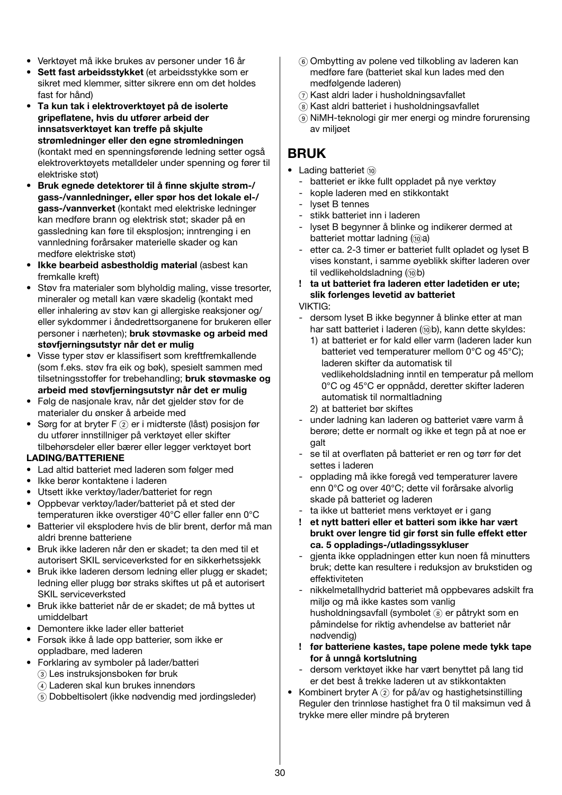- Verktøyet må ikke brukes av personer under 16 år
- **Sett fast arbeidsstykket** (et arbeidsstykke som er sikret med klemmer, sitter sikrere enn om det holdes fast for hånd)
- **Ta kun tak i elektroverktøyet på de isolerte gripeflatene, hvis du utfører arbeid der innsatsverktøyet kan treffe på skjulte strømledninger eller den egne strømledningen** (kontakt med en spenningsførende ledning setter også elektroverktøyets metalldeler under spenning og fører til elektriske støt)
- **Bruk egnede detektorer til å finne skjulte strøm-/ gass-/vannledninger, eller spør hos det lokale el-/ gass-/vannverket** (kontakt med elektriske ledninger kan medføre brann og elektrisk støt; skader på en gassledning kan føre til eksplosjon; inntrenging i en vannledning forårsaker materielle skader og kan medføre elektriske støt)
- **Ikke bearbeid asbestholdig material** (asbest kan fremkalle kreft)
- Støv fra materialer som blyholdig maling, visse tresorter, mineraler og metall kan være skadelig (kontakt med eller inhalering av støv kan gi allergiske reaksjoner og/ eller sykdommer i åndedrettsorganene for brukeren eller personer i nærheten); **bruk støvmaske og arbeid med støvfjerningsutstyr når det er mulig**
- Visse typer støy er klassifisert som kreftfremkallende (som f.eks. støv fra eik og bøk), spesielt sammen med tilsetningsstoffer for trebehandling; **bruk støvmaske og arbeid med støvfjerningsutstyr når det er mulig**
- Følg de nasjonale krav, når det gjelder støv for de materialer du ønsker å arbeide med
- Sørg for at bryter  $F(2)$  er i midterste (låst) posisjon før du utfører innstillniger på verktøyet eller skifter tilbehørsdeler eller bærer eller legger verktøyet bort

#### **LADING/BATTERIENE**

- Lad altid batteriet med laderen som følger med
- Ikke berør kontaktene i laderen
- Utsett ikke verktøy/lader/batteriet for regn
- Oppbevar verktøy/lader/batteriet på et sted der temperaturen ikke overstiger 40°C eller faller enn 0°C
- Batterier vil eksplodere hvis de blir brent, derfor må man aldri brenne batteriene
- Bruk ikke laderen når den er skadet; ta den med til et autorisert SKIL serviceverksted for en sikkerhetssjekk
- Bruk ikke laderen dersom ledning eller plugg er skadet; ledning eller plugg bør straks skiftes ut på et autorisert SKIL serviceverksted
- Bruk ikke batteriet når de er skadet; de må byttes ut umiddelbart
- Demontere ikke lader eller batteriet
- Forsøk ikke å lade opp batterier, som ikke er oppladbare, med laderen
- Forklaring av symboler på lader/batteri 3 Les instruksjonsboken før bruk
	- 4 Laderen skal kun brukes innendørs
	- 5 Dobbeltisolert (ikke nødvendig med jordingsleder)
- 6 Ombytting av polene ved tilkobling av laderen kan medføre fare (batteriet skal kun lades med den medfølgende laderen)
- 7 Kast aldri lader i husholdningsavfallet
- 8 Kast aldri batteriet i husholdningsavfallet
- 9 NiMH-teknologi gir mer energi og mindre forurensing av miljøet

### **BRUK**

- $\bullet$  Lading batteriet  $(10)$ 
	- batteriet er ikke fullt oppladet på nye verktøy
	- kople laderen med en stikkontakt
	- lyset B tennes
	- stikk batteriet inn i laderen
	- lyset B begynner å blinke og indikerer dermed at batteriet mottar ladning (@a)
	- etter ca. 2-3 timer er batteriet fullt opladet og lyset B vises konstant, i samme øyeblikk skifter laderen over til vedlikeholdsladning  $(0$ b)

**! ta ut batteriet fra laderen etter ladetiden er ute; slik forlenges levetid av batteriet**

VIKTIG:

- dersom lyset B ikke begynner å blinke etter at man har satt batteriet i laderen (@b), kann dette skyldes:
	- 1) at batteriet er for kald eller varm (laderen lader kun batteriet ved temperaturer mellom 0°C og 45°C); laderen skifter da automatisk til vedlikeholdsladning inntil en temperatur på mellom 0°C og 45°C er oppnådd, deretter skifter laderen automatisk til normaltladning
	- 2) at batteriet bør skiftes
- under ladning kan laderen og batteriet være varm å berøre; dette er normalt og ikke et tegn på at noe er galt
- se til at overflaten på batteriet er ren og tørr før det settes i laderen
- opplading må ikke foregå ved temperaturer lavere enn 0°C og over 40°C; dette vil forårsake alvorlig skade på batteriet og laderen
- ta ikke ut batteriet mens verktøyet er i gang
- **! et nytt batteri eller et batteri som ikke har vært brukt over lengre tid gir først sin fulle effekt etter ca. 5 oppladings-/utladingssykluser**
- gjenta ikke oppladningen etter kun noen få minutters bruk; dette kan resultere i reduksjon av brukstiden og effektiviteten
- nikkelmetallhydrid batteriet må oppbevares adskilt fra miljø og må ikke kastes som vanlig husholdningsavfall (symbolet 8 er påtrykt som en påmindelse for riktig avhendelse av batteriet når nødvendig)
- **! før batteriene kastes, tape polene mede tykk tape for å unngå kortslutning**
- dersom verktøyet ikke har vært benyttet på lang tid er det best å trekke laderen ut av stikkontakten
- Kombinert bryter A  $(2)$  for på/av og hastighetsinstilling Reguler den trinnløse hastighet fra 0 til maksimun ved å trykke mere eller mindre på bryteren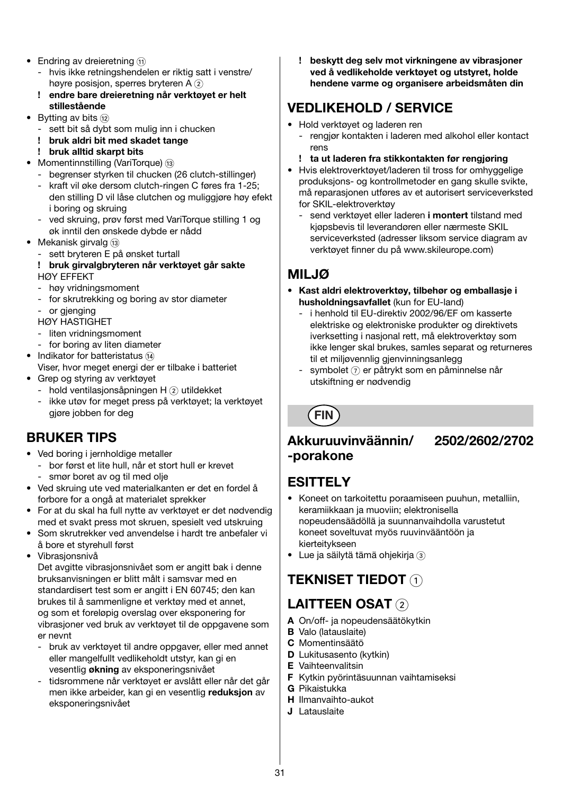- $\bullet$  Endring av dreieretning  $\textcircled{\tiny{n}}$ 
	- hvis ikke retningshendelen er riktig satt i venstre/ høyre posisjon, sperres bryteren A 2
	- **! endre bare dreieretning når verktøyet er helt stillestående**
- Bytting av bits (12)
	- sett bit så dybt som mulig inn i chucken
	- **! bruk aldri bit med skadet tange**
	- **! bruk alltid skarpt bits**
- Momentinnstilling (VariTorque) (i3)
	- begrenser styrken til chucken (26 clutch-stillinger)
	- kraft vil øke dersom clutch-ringen C føres fra 1-25; den stilling D vil låse clutchen og muliggjøre høy efekt i boring og skruing
	- ved skruing, prøv først med VariTorque stilling 1 og øk inntil den ønskede dybde er nådd
- Mekanisk girvalg (13)
	- sett bryteren E på ønsket turtall

#### **! bruk girvalgbryteren når verktøyet går sakte** HØY EFFEKT

- høy vridningsmoment
- for skrutrekking og boring av stor diameter
- or gjenging

HØY HASTIGHET

- liten vridningsmoment
- for boring av liten diameter
- $\bullet$  Indikator for batteristatus  $\tan$
- Viser, hvor meget energi der er tilbake i batteriet
- Grep og styring av verktøyet
	- hold ventilasionsåpningen H 2 utildekket
	- ikke utøv for meget press på verktøyet; la verktøyet giøre jobben for deg

### **BRUKER TIPS**

- Ved boring i jernholdige metaller
	- bor først et lite hull, når et stort hull er krevet
	- smør boret av og til med olje
- Ved skruing ute ved materialkanten er det en fordel å forbore for a ongå at materialet sprekker
- For at du skal ha full nytte av verktøyet er det nødvendig med et svakt press mot skruen, spesielt ved utskruing
- Som skrutrekker ved anvendelse i hardt tre anbefaler vi å bore et styrehull først
- Vibrasjonsnivå

 Det avgitte vibrasjonsnivået som er angitt bak i denne bruksanvisningen er blitt målt i samsvar med en standardisert test som er angitt i EN 60745; den kan brukes til å sammenligne et verktøy med et annet, og som et foreløpig overslag over eksponering for vibrasjoner ved bruk av verktøyet til de oppgavene som er nevnt

- bruk av verktøyet til andre oppgaver, eller med annet eller mangelfullt vedlikeholdt utstyr, kan gi en vesentlig **økning** av eksponeringsnivået
- tidsrommene når verktøyet er avslått eller når det går men ikke arbeider, kan gi en vesentlig **reduksjon** av eksponeringsnivået

**! beskytt deg selv mot virkningene av vibrasjoner ved å vedlikeholde verktøyet og utstyret, holde hendene varme og organisere arbeidsmåten din**

### **VEDLIKEHOLD / SERVICE**

- Hold verktøyet og laderen ren
	- rengjør kontakten i laderen med alkohol eller kontact rens
	- **! ta ut laderen fra stikkontakten før rengjøring**
- Hvis elektroverktøyet/laderen til tross for omhyggelige produksjons- og kontrollmetoder en gang skulle svikte, må reparasjonen utføres av et autorisert serviceverksted for SKIL-elektroverktøy
	- send verktøyet eller laderen **i montert** tilstand med kjøpsbevis til leverandøren eller nærmeste SKIL serviceverksted (adresser liksom service diagram av verktøyet finner du på www.skileurope.com)

### **MILJØ**

- **Kast aldri elektroverktøy, tilbehør og emballasje i husholdningsavfallet** (kun for EU-land)
	- i henhold til EU-direktiv 2002/96/EF om kasserte elektriske og elektroniske produkter og direktivets iverksetting i nasjonal rett, må elektroverktøy som ikke lenger skal brukes, samles separat og returneres til et miljøvennlig gjenvinningsanlegg
	- symbolet  $\widehat{7}$ ) er påtrykt som en påminnelse når utskiftning er nødvendig

**FIN**

### **Akkuruuvinväännin/ 2502/2602/2702 -porakone**

### **ESITTELY**

- Koneet on tarkoitettu poraamiseen puuhun, metalliin, keramiikkaan ja muoviin; elektronisella nopeudensäädöllä ja suunnanvaihdolla varustetut koneet soveltuvat myös ruuvinvääntöön ja kierteitykseen
- $\bullet$  Lue ja säilytä tämä ohjekirja  $\circ$

### **TEKNISET TIEDOT** 1

### **LAITTEEN OSAT 2**

- **A** On/off- ja nopeudensäätökytkin
- **B** Valo (latauslaite)
- **C** Momentinsäätö
- **D** Lukitusasento (kytkin)
- **E** Vaihteenvalitsin
- **F** Kytkin pyörintäsuunnan vaihtamiseksi
- **G** Pikaistukka
- **H** Ilmanvaihto-aukot
- **J** Latauslaite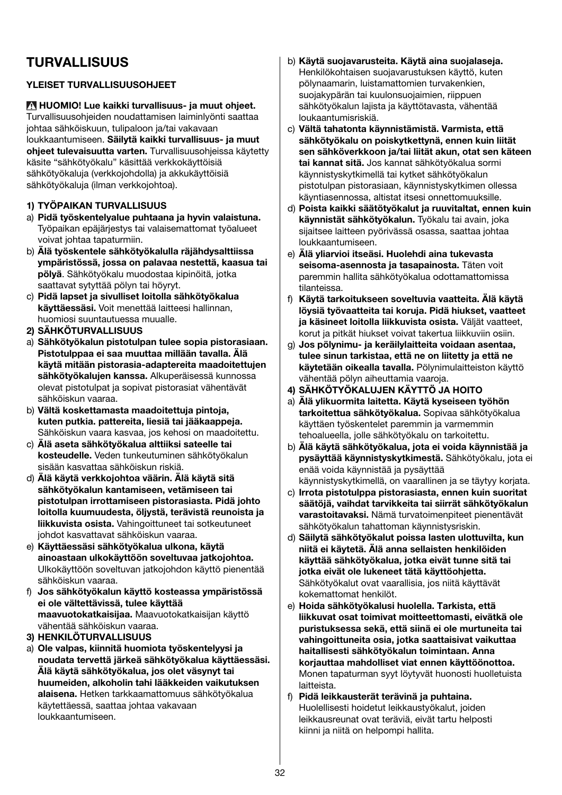### **TURVALLISUUS**

#### **YLEISET TURVALLISUUSOHJEET**

#### **M. HUOMIO!** Lue kaikki turvallisuus- ja muut ohjeet.

Turvallisuusohjeiden noudattamisen laiminlyönti saattaa johtaa sähköiskuun, tulipaloon ja/tai vakavaan loukkaantumiseen. **Säilytä kaikki turvallisuus- ja muut ohjeet tulevaisuutta varten.** Turvallisuusohjeissa käytetty käsite "sähkötyökalu" käsittää verkkokäyttöisiä sähkötyökaluja (verkkojohdolla) ja akkukäyttöisiä sähkötyökaluja (ilman verkkojohtoa).

- **1) TYÖPAIKAN TURVALLISUUS**
- a) **Pidä työskentelyalue puhtaana ja hyvin valaistuna.** Työpaikan epäjärjestys tai valaisemattomat työalueet voivat johtaa tapaturmiin.
- b) **Älä työskentele sähkötyökalulla räjähdysalttiissa ympäristössä, jossa on palavaa nestettä, kaasua tai pölyä**. Sähkötyökalu muodostaa kipinöitä, jotka saattavat sytyttää pölyn tai höyryt.
- c) **Pidä lapset ja sivulliset loitolla sähkötyökalua käyttäessäsi.** Voit menettää laitteesi hallinnan, huomiosi suuntautuessa muualle.
- **2) SÄHKÖTURVALLISUUS**
- a) **Sähkötyökalun pistotulpan tulee sopia pistorasiaan. Pistotulppaa ei saa muuttaa millään tavalla. Älä käytä mitään pistorasia-adaptereita maadoitettujen sähkötyökalujen kanssa.** Alkuperäisessä kunnossa olevat pistotulpat ja sopivat pistorasiat vähentävät sähköiskun vaaraa.
- b) **Vältä koskettamasta maadoitettuja pintoja, kuten putkia. pattereita, liesiä tai jääkaappeja.** Sähköiskun vaara kasvaa, jos kehosi on maadoitettu.
- c) **Älä aseta sähkötyökalua alttiiksi sateelle tai kosteudelle.** Veden tunkeutuminen sähkötyökalun sisään kasvattaa sähköiskun riskiä.
- d) **Älä käytä verkkojohtoa väärin. Älä käytä sitä sähkötyökalun kantamiseen, vetämiseen tai pistotulpan irrottamiseen pistorasiasta. Pidä johto loitolla kuumuudesta, öljystä, terävistä reunoista ja liikkuvista osista.** Vahingoittuneet tai sotkeutuneet johdot kasvattavat sähköiskun vaaraa.
- e) **Käyttäessäsi sähkötyökalua ulkona, käytä ainoastaan ulkokäyttöön soveltuvaa jatkojohtoa.** Ulkokäyttöön soveltuvan jatkojohdon käyttö pienentää sähköiskun vaaraa.
- f) **Jos sähkötyökalun käyttö kosteassa ympäristössä ei ole vältettävissä, tulee käyttää maavuotokatkaisijaa.** Maavuotokatkaisijan käyttö vähentää sähköiskun vaaraa.
- **3) HENKILÖTURVALLISUUS**
- a) **Ole valpas, kiinnitä huomiota työskentelyysi ja noudata tervettä järkeä sähkötyökalua käyttäessäsi. Älä käytä sähkötyökalua, jos olet väsynyt tai huumeiden, alkoholin tahi lääkkeiden vaikutuksen alaisena.** Hetken tarkkaamattomuus sähkötyökalua käytettäessä, saattaa johtaa vakavaan loukkaantumiseen.
- b) **Käytä suojavarusteita. Käytä aina suojalaseja.** Henkilökohtaisen suojavarustuksen käyttö, kuten pölynaamarin, luistamattomien turvakenkien, suojakypärän tai kuulonsuojaimien, riippuen sähkötyökalun lajista ja käyttötavasta, vähentää loukaantumisriskiä.
- c) **Vältä tahatonta käynnistämistä. Varmista, että sähkötyökalu on poiskytkettynä, ennen kuin liität sen sähköverkkoon ja/tai liität akun, otat sen käteen tai kannat sitä.** Jos kannat sähkötyökalua sormi käynnistyskytkimellä tai kytket sähkötyökalun pistotulpan pistorasiaan, käynnistyskytkimen ollessa käyntiasennossa, altistat itsesi onnettomuuksille.
- d) **Poista kaikki säätötyökalut ja ruuvitaltat, ennen kuin käynnistät sähkötyökalun.** Työkalu tai avain, joka sijaitsee laitteen pyörivässä osassa, saattaa johtaa loukkaantumiseen.
- e) **Älä yliarvioi itseäsi. Huolehdi aina tukevasta seisoma-asennosta ja tasapainosta.** Täten voit paremmin hallita sähkötyökalua odottamattomissa tilanteissa.
- f) **Käytä tarkoitukseen soveltuvia vaatteita. Älä käytä löysiä työvaatteita tai koruja. Pidä hiukset, vaatteet ja käsineet loitolla liikkuvista osista.** Väljät vaatteet, korut ja pitkät hiukset voivat takertua liikkuviin osiin.
- g) **Jos pölynimu- ja keräilylaitteita voidaan asentaa, tulee sinun tarkistaa, että ne on liitetty ja että ne käytetään oikealla tavalla.** Pölynimulaitteiston käyttö vähentää pölyn aiheuttamia vaaroja.
- **4) SÄHKÖTYÖKALUJEN KÄYTTÖ JA HOITO**
- a) **Älä ylikuormita laitetta. Käytä kyseiseen työhön tarkoitettua sähkötyökalua.** Sopivaa sähkötyökalua käyttäen työskentelet paremmin ja varmemmin tehoalueella, jolle sähkötyökalu on tarkoitettu.
- b) **Älä käytä sähkötyökalua, jota ei voida käynnistää ja pysäyttää käynnistyskytkimestä.** Sähkötyökalu, jota ei enää voida käynnistää ja pysäyttää käynnistyskytkimellä, on vaarallinen ja se täytyy korjata.
- c) **Irrota pistotulppa pistorasiasta, ennen kuin suoritat säätöjä, vaihdat tarvikkeita tai siirrät sähkötyökalun varastoitavaksi.** Nämä turvatoimenpiteet pienentävät sähkötyökalun tahattoman käynnistysriskin.
- d) **Säilytä sähkötyökalut poissa lasten ulottuvilta, kun niitä ei käytetä. Älä anna sellaisten henkilöiden käyttää sähkötyökalua, jotka eivät tunne sitä tai jotka eivät ole lukeneet tätä käyttöohjetta.** Sähkötyökalut ovat vaarallisia, jos niitä käyttävät kokemattomat henkilöt.
- e) **Hoida sähkötyökalusi huolella. Tarkista, että liikkuvat osat toimivat moitteettomasti, eivätkä ole puristuksessa sekä, että siinä ei ole murtuneita tai vahingoittuneita osia, jotka saattaisivat vaikuttaa haitallisesti sähkötyökalun toimintaan. Anna korjauttaa mahdolliset viat ennen käyttöönottoa.** Monen tapaturman syyt löytyvät huonosti huolletuista laitteista.
- f) **Pidä leikkausterät terävinä ja puhtaina.** Huolellisesti hoidetut leikkaustyökalut, joiden leikkausreunat ovat teräviä, eivät tartu helposti kiinni ja niitä on helpompi hallita.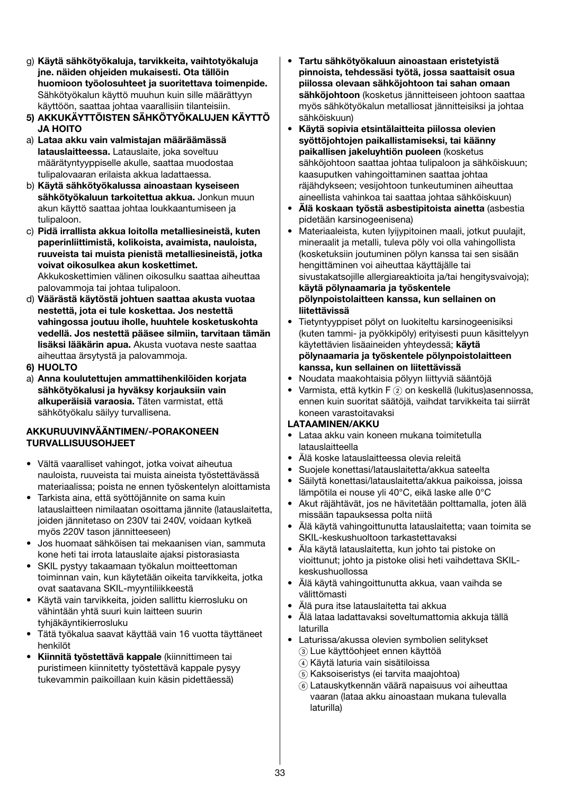- g) **Käytä sähkötyökaluja, tarvikkeita, vaihtotyökaluja jne. näiden ohjeiden mukaisesti. Ota tällöin huomioon työolosuhteet ja suoritettava toimenpide.** Sähkötyökalun käyttö muuhun kuin sille määrättyyn käyttöön, saattaa johtaa vaarallisiin tilanteisiin.
- **5) AKKUKÄYTTÖISTEN SÄHKÖTYÖKALUJEN KÄYTTÖ JA HOITO**
- a) **Lataa akku vain valmistajan määräämässä latauslaitteessa.** Latauslaite, joka soveltuu määrätyntyyppiselle akulle, saattaa muodostaa tulipalovaaran erilaista akkua ladattaessa.
- b) **Käytä sähkötyökalussa ainoastaan kyseiseen sähkötyökaluun tarkoitettua akkua.** Jonkun muun akun käyttö saattaa johtaa loukkaantumiseen ja tulipaloon.
- c) **Pidä irrallista akkua loitolla metalliesineistä, kuten paperinliittimistä, kolikoista, avaimista, nauloista, ruuveista tai muista pienistä metalliesineistä, jotka voivat oikosulkea akun koskettimet.** Akkukoskettimien välinen oikosulku saattaa aiheuttaa palovammoja tai johtaa tulipaloon.
- d) **Väärästä käytöstä johtuen saattaa akusta vuotaa nestettä, jota ei tule koskettaa. Jos nestettä vahingossa joutuu iholle, huuhtele kosketuskohta vedellä. Jos nestettä pääsee silmiin, tarvitaan tämän lisäksi lääkärin apua.** Akusta vuotava neste saattaa aiheuttaa ärsytystä ja palovammoja.
- **6) HUOLTO**
- a) **Anna koulutettujen ammattihenkilöiden korjata sähkötyökalusi ja hyväksy korjauksiin vain alkuperäisiä varaosia.** Täten varmistat, että sähkötyökalu säilyy turvallisena.

#### **AKKURUUVINVÄÄNTIMEN/-PORAKONEEN TURVALLISUUSOHJEET**

- Vältä vaaralliset vahingot, jotka voivat aiheutua nauloista, ruuveista tai muista aineista työstettävässä materiaalissa; poista ne ennen työskentelyn aloittamista
- Tarkista aina, että syöttöjännite on sama kuin latauslaitteen nimilaatan osoittama jännite (latauslaitetta, joiden jännitetaso on 230V tai 240V, voidaan kytkeä myös 220V tason jännitteeseen)
- Jos huomaat sähköisen tai mekaanisen vian, sammuta kone heti tai irrota latauslaite ajaksi pistorasiasta
- SKIL pystyy takaamaan työkalun moitteettoman toiminnan vain, kun käytetään oikeita tarvikkeita, jotka ovat saatavana SKIL-myyntiliikkeestä
- Käytä vain tarvikkeita, joiden sallittu kierrosluku on vähintään yhtä suuri kuin laitteen suurin tyhjäkäyntikierrosluku
- Tätä työkalua saavat käyttää vain 16 vuotta täyttäneet henkilöt
- **Kiinnitä työstettävä kappale** (kiinnittimeen tai puristimeen kiinnitetty työstettävä kappale pysyy tukevammin paikoillaan kuin käsin pidettäessä)
- **Tartu sähkötyökaluun ainoastaan eristetyistä pinnoista, tehdessäsi työtä, jossa saattaisit osua piilossa olevaan sähköjohtoon tai sahan omaan sähköjohtoon** (kosketus jännitteiseen johtoon saattaa myös sähkötyökalun metalliosat jännitteisiksi ja johtaa sähköiskuun)
- **Käytä sopivia etsintälaitteita piilossa olevien syöttöjohtojen paikallistamiseksi, tai käänny paikallisen jakeluyhtiön puoleen** (kosketus sähköjohtoon saattaa johtaa tulipaloon ja sähköiskuun; kaasuputken vahingoittaminen saattaa johtaa räjähdykseen; vesijohtoon tunkeutuminen aiheuttaa aineellista vahinkoa tai saattaa johtaa sähköiskuun)
- **Älä koskaan työstä asbestipitoista ainetta** (asbestia pidetään karsinogeenisena)
- Materiaaleista, kuten lyijypitoinen maali, jotkut puulajit, mineraalit ja metalli, tuleva pöly voi olla vahingollista (kosketuksiin joutuminen pölyn kanssa tai sen sisään hengittäminen voi aiheuttaa käyttäjälle tai sivustakatsojille allergiareaktioita ja/tai hengitysvaivoja); **käytä pölynaamaria ja työskentele pölynpoistolaitteen kanssa, kun sellainen on liitettävissä**
- Tietyntyyppiset pölyt on luokiteltu karsinogeenisiksi (kuten tammi- ja pyökkipöly) erityisesti puun käsittelyyn käytettävien lisäaineiden yhteydessä; **käytä pölynaamaria ja työskentele pölynpoistolaitteen kanssa, kun sellainen on liitettävissä**
- Noudata maakohtaisia pölyyn liittyviä sääntöjä
- Varmista, että kytkin  $F(2)$  on keskellä (lukitus)asennossa, ennen kuin suoritat säätöjä, vaihdat tarvikkeita tai siirrät koneen varastoitavaksi

#### **LATAAMINEN/AKKU**

- Lataa akku vain koneen mukana toimitetulla latauslaitteella
- Älä koske latauslaitteessa olevia releitä
- Suojele konettasi/latauslaitetta/akkua sateelta
- Säilytä konettasi/latauslaitetta/akkua paikoissa, joissa lämpötila ei nouse yli 40°C, eikä laske alle 0°C
- Akut räjähtävät, jos ne hävitetään polttamalla, joten älä missään tapauksessa polta niitä
- Älä käytä vahingoittunutta latauslaitetta; vaan toimita se SKIL-keskushuoltoon tarkastettavaksi
- Äla käytä latauslaitetta, kun johto tai pistoke on vioittunut; johto ja pistoke olisi heti vaihdettava SKILkeskushuollossa
- Älä käytä vahingoittunutta akkua, vaan vaihda se välittömasti
- Älä pura itse latauslaitetta tai akkua
- Älä lataa ladattavaksi soveltumattomia akkuja tällä laturilla
- Laturissa/akussa olevien symbolien selitykset
	- 3 Lue käyttöohjeet ennen käyttöä
	- 4 Käytä laturia vain sisätiloissa
	- 5 Kaksoiseristys (ei tarvita maajohtoa)
	- 6 Latauskytkennän väärä napaisuus voi aiheuttaa vaaran (lataa akku ainoastaan mukana tulevalla laturilla)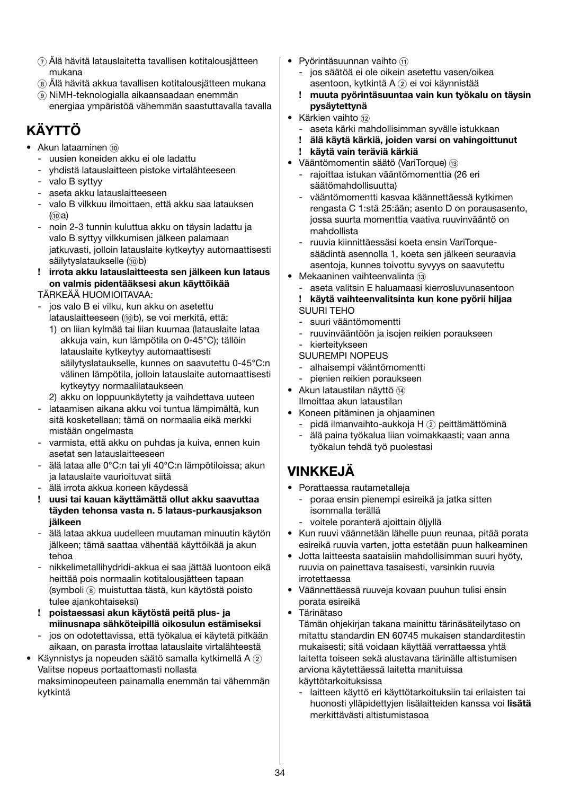- 7 Älä hävitä latauslaitetta tavallisen kotitalousjätteen mukana
- 8 Älä hävitä akkua tavallisen kotitalousjätteen mukana
- 9 NiMH-teknologialla aikaansaadaan enemmän energiaa ympäristöä vähemmän saastuttavalla tavalla

### **KÄYTTÖ**

- $\bullet$  Akun lataaminen  $60$ 
	- uusien koneiden akku ei ole ladattu
	- yhdistä latauslaitteen pistoke virtalähteeseen
	- valo B syttyy
	- aseta akku latauslaitteeseen
	- valo B vilkkuu ilmoittaen, että akku saa latauksen  $(n)$ a)
	- noin 2-3 tunnin kuluttua akku on täysin ladattu ja valo B syttyy vilkkumisen jälkeen palamaan jatkuvasti, jolloin latauslaite kytkeytyy automaattisesti säilytyslataukselle (@b)
	- **! irrota akku latauslaitteesta sen jälkeen kun lataus on valmis pidentääksesi akun käyttöikää**
	- TÄRKEÄÄ HUOMIOITAVAA:
	- jos valo B ei vilku, kun akku on asetettu latauslaitteeseen (@b), se voi merkitä, että:
		- 1) on liian kylmää tai liian kuumaa (latauslaite lataa akkuja vain, kun lämpötila on 0-45°C); tällöin latauslaite kytkeytyy automaattisesti säilytyslataukselle, kunnes on saavutettu 0-45°C:n välinen lämpötila, jolloin latauslaite automaattisesti kytkeytyy normaalilataukseen
		- 2) akku on loppuunkäytetty ja vaihdettava uuteen
	- lataamisen aikana akku voi tuntua lämpimältä, kun sitä kosketellaan; tämä on normaalia eikä merkki mistään ongelmasta
	- varmista, että akku on puhdas ja kuiva, ennen kuin asetat sen latauslaitteeseen
	- älä lataa alle 0°C:n tai yli 40°C:n lämpötiloissa; akun ja latauslaite vaurioituvat siitä
	- älä irrota akkua koneen käydessä
	- **! uusi tai kauan käyttämättä ollut akku saavuttaa täyden tehonsa vasta n. 5 lataus-purkausjakson jälkeen**
	- älä lataa akkua uudelleen muutaman minuutin käytön jälkeen; tämä saattaa vähentää käyttöikää ja akun tehoa
	- nikkelimetallihydridi-akkua ei saa jättää luontoon eikä heittää pois normaalin kotitalousjätteen tapaan (symboli 8 muistuttaa tästä, kun käytöstä poisto tulee ajankohtaiseksi)
	- **! poistaessasi akun käytöstä peitä plus- ja miinusnapa sähköteipillä oikosulun estämiseksi**
	- jos on odotettavissa, että työkalua ei käytetä pitkään aikaan, on parasta irrottaa latauslaite virtalähteestä
- Käynnistys ja nopeuden säätö samalla kytkimellä A $(2)$  Valitse nopeus portaattomasti nollasta maksiminopeuteen painamalla enemmän tai vähemmän kytkintä
- Pyörintäsuunnan vaihto m
	- jos säätöä ei ole oikein asetettu vasen/oikea asentoon, kytkintä A 2 ei voi käynnistää
	- **! muuta pyörintäsuuntaa vain kun työkalu on täysin pysäytettynä**
- Kärkien vaihto @
	- aseta kärki mahdollisimman syvälle istukkaan
	- **! älä käytä kärkiä, joiden varsi on vahingoittunut**
	- **! käytä vain teräviä kärkiä**
- Vääntömomentin säätö (VariTorque) #
	- rajoittaa istukan vääntömomenttia (26 eri säätömahdollisuutta)
	- vääntömomentti kasvaa käännettäessä kytkimen rengasta C 1:stä 25:ään; asento D on porausasento, jossa suurta momenttia vaativa ruuvinvääntö on mahdollista
	- ruuvia kiinnittäessäsi koeta ensin VariTorquesäädintä asennolla 1, koeta sen jälkeen seuraavia asentoja, kunnes toivottu syvyys on saavutettu
- $\bullet$  Mekaaninen vaihteenvalinta  $\widehat{a}$ 
	- aseta valitsin E haluamaasi kierrosluvunasentoon
	- **! käytä vaihteenvalitsinta kun kone pyörii hiljaa** SUURI TEHO
	- suuri vääntömomentti
	- ruuvinvääntöön ja isojen reikien poraukseen
	- kierteitykseen
	- SUUREMPI NOPEUS
	- alhaisempi vääntömomentti
	- pienien reikien poraukseen
- $\bullet$  Akun lataustilan näyttö  $\tan$ Ilmoittaa akun lataustilan
- Koneen pitäminen ja ohjaaminen
	- pidä ilmanvaihto-aukkoja H (2) peittämättöminä
	- älä paina työkalua liian voimakkaasti; vaan anna työkalun tehdä työ puolestasi

### **VINKKEJÄ**

- Porattaessa rautametalleja
	- poraa ensin pienempi esireikä ja jatka sitten isommalla terällä
	- voitele poranterä ajoittain öljyllä
- Kun ruuvi väännetään lähelle puun reunaa, pitää porata esireikä ruuvia varten, jotta estetään puun halkeaminen
- Jotta laitteesta saataisiin mahdollisimman suuri hyöty, ruuvia on painettava tasaisesti, varsinkin ruuvia irrotettaessa
- Väännettäessä ruuveja kovaan puuhun tulisi ensin porata esireikä
- Tärinätaso

 Tämän ohjekirjan takana mainittu tärinäsäteilytaso on mitattu standardin EN 60745 mukaisen standarditestin mukaisesti; sitä voidaan käyttää verrattaessa yhtä laitetta toiseen sekä alustavana tärinälle altistumisen arviona käytettäessä laitetta manituissa käyttötarkoituksissa

laitteen käyttö eri käyttötarkoituksiin tai erilaisten tai huonosti ylläpidettyjen lisälaitteiden kanssa voi **lisätä** merkittävästi altistumistasoa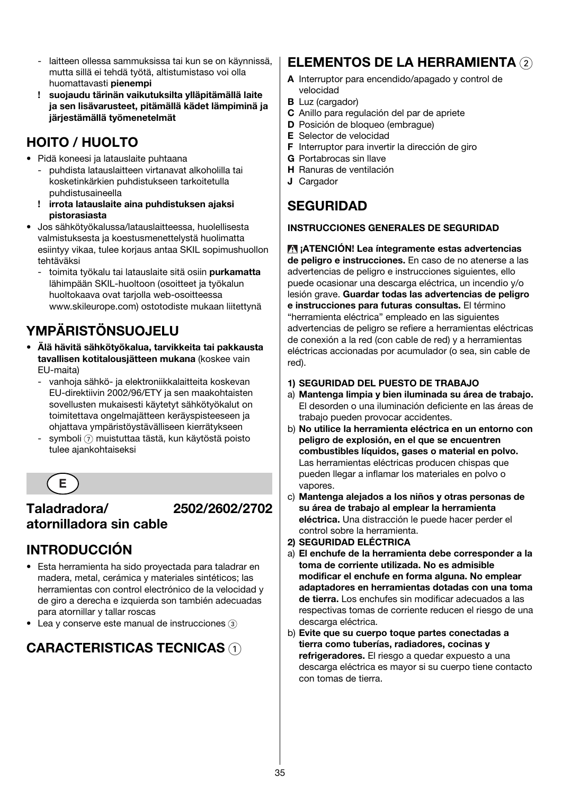- laitteen ollessa sammuksissa tai kun se on käynnissä, mutta sillä ei tehdä työtä, altistumistaso voi olla huomattavasti **pienempi**
- **! suojaudu tärinän vaikutuksilta ylläpitämällä laite ja sen lisävarusteet, pitämällä kädet lämpiminä ja järjestämällä työmenetelmät**

### **HOITO / HUOLTO**

- Pidä koneesi ja latauslaite puhtaana
	- puhdista latauslaitteen virtanavat alkoholilla tai kosketinkärkien puhdistukseen tarkoitetulla puhdistusaineella
	- **! irrota latauslaite aina puhdistuksen ajaksi pistorasiasta**
- Jos sähkötyökalussa/latauslaitteessa, huolellisesta valmistuksesta ja koestusmenettelystä huolimatta esiintyy vikaa, tulee korjaus antaa SKIL sopimushuollon tehtäväksi
	- toimita työkalu tai latauslaite sitä osiin **purkamatta** lähimpään SKIL-huoltoon (osoitteet ja työkalun huoltokaava ovat tarjolla web-osoitteessa www.skileurope.com) ostotodiste mukaan liitettynä

### **YMPÄRISTÖNSUOJELU**

- **Älä hävitä sähkötyökalua, tarvikkeita tai pakkausta tavallisen kotitalousjätteen mukana** (koskee vain EU-maita)
	- vanhoja sähkö- ja elektroniikkalaitteita koskevan EU-direktiivin 2002/96/ETY ja sen maakohtaisten sovellusten mukaisesti käytetyt sähkötyökalut on toimitettava ongelmajätteen keräyspisteeseen ja ohjattava ympäristöystävälliseen kierrätykseen
	- symboli $\overline{(\tau)}$  muistuttaa tästä, kun käytöstä poisto tulee ajankohtaiseksi



### **Taladradora/ 2502/2602/2702 atornilladora sin cable**

### **INTRODUCCIÓN**

- Esta herramienta ha sido proyectada para taladrar en madera, metal, cerámica y materiales sintéticos; las herramientas con control electrónico de la velocidad y de giro a derecha e izquierda son también adecuadas para atornillar y tallar roscas
- $\bullet$  Lea y conserve este manual de instrucciones  $\circled$

### **CARACTERISTICAS TECNICAS** (1)

### **ELEMENTOS DE LA HERRAMIENTA** 2

- **A** Interruptor para encendido/apagado y control de velocidad
- **B** Luz (cargador)
- **C** Anillo para regulación del par de apriete
- **D** Posición de bloqueo (embrague)
- **E** Selector de velocidad
- **F** Interruptor para invertir la dirección de giro
- **G** Portabrocas sin llave
- **H** Ranuras de ventilación
- **J** Cargador

### **SEGURIDAD**

#### **INSTRUCCIONES GENERALES DE SEGURIDAD**

 **¡ATENCIÓN! Lea íntegramente estas advertencias de peligro e instrucciones.** En caso de no atenerse a las advertencias de peligro e instrucciones siguientes, ello puede ocasionar una descarga eléctrica, un incendio y/o lesión grave. **Guardar todas las advertencias de peligro e instrucciones para futuras consultas.** El término "herramienta eléctrica" empleado en las siguientes advertencias de peligro se refiere a herramientas eléctricas de conexión a la red (con cable de red) y a herramientas eléctricas accionadas por acumulador (o sea, sin cable de red).

#### **1) SEGURIDAD DEL PUESTO DE TRABAJO**

- a) **Mantenga limpia y bien iluminada su área de trabajo.** El desorden o una iluminación deficiente en las áreas de trabajo pueden provocar accidentes.
- b) **No utilice la herramienta eléctrica en un entorno con peligro de explosión, en el que se encuentren combustibles líquidos, gases o material en polvo.** Las herramientas eléctricas producen chispas que pueden llegar a inflamar los materiales en polvo o vapores.
- c) **Mantenga alejados a los niños y otras personas de su área de trabajo al emplear la herramienta eléctrica.** Una distracción le puede hacer perder el control sobre la herramienta.
- **2) SEGURIDAD ELÉCTRICA**
- a) **El enchufe de la herramienta debe corresponder a la toma de corriente utilizada. No es admisible modificar el enchufe en forma alguna. No emplear adaptadores en herramientas dotadas con una toma**  de tierra. Los enchufes sin modificar adecuados a las respectivas tomas de corriente reducen el riesgo de una descarga eléctrica.
- b) **Evite que su cuerpo toque partes conectadas a tierra como tuberías, radiadores, cocinas y refrigeradores.** El riesgo a quedar expuesto a una descarga eléctrica es mayor si su cuerpo tiene contacto con tomas de tierra.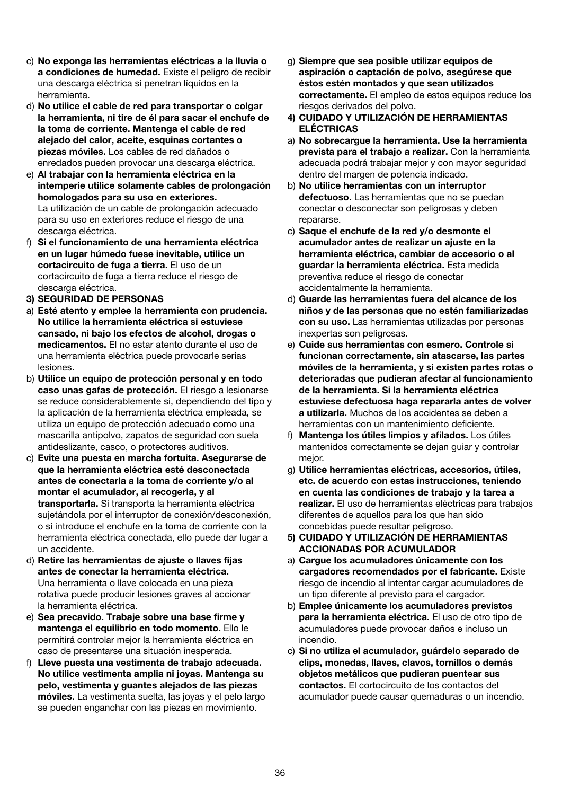- c) **No exponga las herramientas eléctricas a la lluvia o a condiciones de humedad.** Existe el peligro de recibir una descarga eléctrica si penetran líquidos en la herramienta.
- d) **No utilice el cable de red para transportar o colgar la herramienta, ni tire de él para sacar el enchufe de la toma de corriente. Mantenga el cable de red alejado del calor, aceite, esquinas cortantes o piezas móviles.** Los cables de red dañados o enredados pueden provocar una descarga eléctrica.
- e) **Al trabajar con la herramienta eléctrica en la intemperie utilice solamente cables de prolongación homologados para su uso en exteriores.** La utilización de un cable de prolongación adecuado para su uso en exteriores reduce el riesgo de una descarga eléctrica.
- f) **Si el funcionamiento de una herramienta eléctrica en un lugar húmedo fuese inevitable, utilice un cortacircuito de fuga a tierra.** El uso de un cortacircuito de fuga a tierra reduce el riesgo de descarga eléctrica.
- **3) SEGURIDAD DE PERSONAS**
- a) **Esté atento y emplee la herramienta con prudencia. No utilice la herramienta eléctrica si estuviese cansado, ni bajo los efectos de alcohol, drogas o medicamentos.** El no estar atento durante el uso de una herramienta eléctrica puede provocarle serias lesiones.
- b) **Utilice un equipo de protección personal y en todo caso unas gafas de protección.** El riesgo a lesionarse se reduce considerablemente si, dependiendo del tipo y la aplicación de la herramienta eléctrica empleada, se utiliza un equipo de protección adecuado como una mascarilla antipolvo, zapatos de seguridad con suela antideslizante, casco, o protectores auditivos.
- c) **Evite una puesta en marcha fortuita. Asegurarse de que la herramienta eléctrica esté desconectada antes de conectarla a la toma de corriente y/o al montar el acumulador, al recogerla, y al transportarla.** Si transporta la herramienta eléctrica sujetándola por el interruptor de conexión/desconexión, o si introduce el enchufe en la toma de corriente con la herramienta eléctrica conectada, ello puede dar lugar a un accidente.
- d) **Retire las herramientas de ajuste o llaves fijas antes de conectar la herramienta eléctrica.** Una herramienta o llave colocada en una pieza rotativa puede producir lesiones graves al accionar la herramienta eléctrica.
- e) **Sea precavido. Trabaje sobre una base firme y mantenga el equilibrio en todo momento.** Ello le permitirá controlar mejor la herramienta eléctrica en caso de presentarse una situación inesperada.
- f) **Lleve puesta una vestimenta de trabajo adecuada. No utilice vestimenta amplia ni joyas. Mantenga su pelo, vestimenta y guantes alejados de las piezas móviles.** La vestimenta suelta, las joyas y el pelo largo se pueden enganchar con las piezas en movimiento.
- g) **Siempre que sea posible utilizar equipos de aspiración o captación de polvo, asegúrese que éstos estén montados y que sean utilizados correctamente.** El empleo de estos equipos reduce los riesgos derivados del polvo.
- **4) CUIDADO Y UTILIZACIÓN DE HERRAMIENTAS ELÉCTRICAS**
- a) **No sobrecargue la herramienta. Use la herramienta prevista para el trabajo a realizar.** Con la herramienta adecuada podrá trabajar mejor y con mayor seguridad dentro del margen de potencia indicado.
- b) **No utilice herramientas con un interruptor defectuoso.** Las herramientas que no se puedan conectar o desconectar son peligrosas y deben repararse.
- c) **Saque el enchufe de la red y/o desmonte el acumulador antes de realizar un ajuste en la herramienta eléctrica, cambiar de accesorio o al guardar la herramienta eléctrica.** Esta medida preventiva reduce el riesgo de conectar accidentalmente la herramienta.
- d) **Guarde las herramientas fuera del alcance de los niños y de las personas que no estén familiarizadas con su uso.** Las herramientas utilizadas por personas inexpertas son peligrosas.
- e) **Cuide sus herramientas con esmero. Controle si funcionan correctamente, sin atascarse, las partes móviles de la herramienta, y si existen partes rotas o deterioradas que pudieran afectar al funcionamiento de la herramienta. Si la herramienta eléctrica estuviese defectuosa haga repararla antes de volver a utilizarla.** Muchos de los accidentes se deben a herramientas con un mantenimiento deficiente.
- f) **Mantenga los útiles limpios y afilados.** Los útiles mantenidos correctamente se dejan guiar y controlar mejor.
- g) **Utilice herramientas eléctricas, accesorios, útiles, etc. de acuerdo con estas instrucciones, teniendo en cuenta las condiciones de trabajo y la tarea a realizar.** El uso de herramientas eléctricas para trabajos diferentes de aquellos para los que han sido concebidas puede resultar peligroso.
- **5) CUIDADO Y UTILIZACIÓN DE HERRAMIENTAS ACCIONADAS POR ACUMULADOR**
- a) **Cargue los acumuladores únicamente con los cargadores recomendados por el fabricante.** Existe riesgo de incendio al intentar cargar acumuladores de un tipo diferente al previsto para el cargador.
- b) **Emplee únicamente los acumuladores previstos para la herramienta eléctrica.** El uso de otro tipo de acumuladores puede provocar daños e incluso un incendio.
- c) **Si no utiliza el acumulador, guárdelo separado de clips, monedas, llaves, clavos, tornillos o demás objetos metálicos que pudieran puentear sus contactos.** El cortocircuito de los contactos del acumulador puede causar quemaduras o un incendio.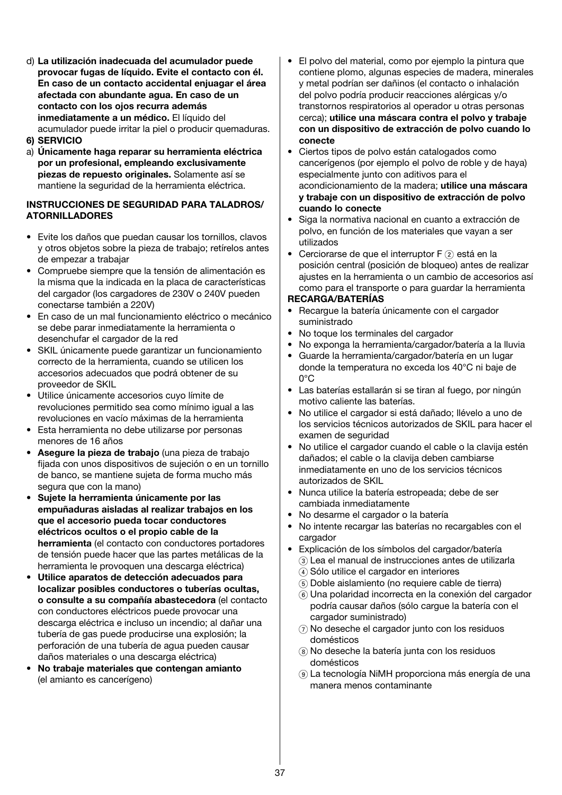- d) **La utilización inadecuada del acumulador puede provocar fugas de líquido. Evite el contacto con él. En caso de un contacto accidental enjuagar el área afectada con abundante agua. En caso de un contacto con los ojos recurra además inmediatamente a un médico.** El líquido del acumulador puede irritar la piel o producir quemaduras.
- **6) SERVICIO**
- a) **Únicamente haga reparar su herramienta eléctrica por un profesional, empleando exclusivamente piezas de repuesto originales.** Solamente así se mantiene la seguridad de la herramienta eléctrica.

#### **INSTRUCCIONES DE SEGURIDAD PARA TALADROS/ ATORNILLADORES**

- Evite los daños que puedan causar los tornillos, clavos y otros objetos sobre la pieza de trabajo; retírelos antes de empezar a trabajar
- Compruebe siempre que la tensión de alimentación es la misma que la indicada en la placa de características del cargador (los cargadores de 230V o 240V pueden conectarse también a 220V)
- En caso de un mal funcionamiento eléctrico o mecánico se debe parar inmediatamente la herramienta o desenchufar el cargador de la red
- SKIL únicamente puede garantizar un funcionamiento correcto de la herramienta, cuando se utilicen los accesorios adecuados que podrá obtener de su proveedor de SKIL
- Utilice únicamente accesorios cuyo límite de revoluciones permitido sea como mínimo igual a las revoluciones en vacío máximas de la herramienta
- Esta herramienta no debe utilizarse por personas menores de 16 años
- **Asegure la pieza de trabajo** (una pieza de trabajo fijada con unos dispositivos de sujeción o en un tornillo de banco, se mantiene sujeta de forma mucho más segura que con la mano)
- **Sujete la herramienta únicamente por las empuñaduras aisladas al realizar trabajos en los que el accesorio pueda tocar conductores eléctricos ocultos o el propio cable de la herramienta** (el contacto con conductores portadores de tensión puede hacer que las partes metálicas de la herramienta le provoquen una descarga eléctrica)
- **Utilice aparatos de detección adecuados para localizar posibles conductores o tuberías ocultas, o consulte a su compañía abastecedora** (el contacto con conductores eléctricos puede provocar una descarga eléctrica e incluso un incendio; al dañar una tubería de gas puede producirse una explosión; la perforación de una tubería de agua pueden causar daños materiales o una descarga eléctrica)
- **No trabaje materiales que contengan amianto** (el amianto es cancerígeno)
- El polvo del material, como por ejemplo la pintura que contiene plomo, algunas especies de madera, minerales y metal podrían ser dañinos (el contacto o inhalación del polvo podría producir reacciones alérgicas y/o transtornos respiratorios al operador u otras personas cerca); **utilice una máscara contra el polvo y trabaje con un dispositivo de extracción de polvo cuando lo conecte**
- Ciertos tipos de polvo están catalogados como cancerígenos (por ejemplo el polvo de roble y de haya) especialmente junto con aditivos para el acondicionamiento de la madera; **utilice una máscara y trabaje con un dispositivo de extracción de polvo cuando lo conecte**
- Siga la normativa nacional en cuanto a extracción de polvo, en función de los materiales que vayan a ser utilizados
- Cerciorarse de que el interruptor  $F(2)$  está en la posición central (posición de bloqueo) antes de realizar ajustes en la herramienta o un cambio de accesorios así como para el transporte o para guardar la herramienta **RECARGA/BATERÍAS**
- Recargue la batería únicamente con el cargador suministrado
- No toque los terminales del cargador
- No exponga la herramienta/cargador/batería a la lluvia
- Guarde la herramienta/cargador/batería en un lugar donde la temperatura no exceda los 40°C ni baje de 0°C
- Las baterías estallarán si se tiran al fuego, por ningún motivo caliente las baterías.
- No utilice el cargador si está dañado; llévelo a uno de los servicios técnicos autorizados de SKIL para hacer el examen de seguridad
- No utilice el cargador cuando el cable o la clavija estén dañados; el cable o la clavija deben cambiarse inmediatamente en uno de los servicios técnicos autorizados de SKIL
- Nunca utilice la batería estropeada; debe de ser cambiada inmediatamente
- No desarme el cargador o la batería
- No intente recargar las baterías no recargables con el cargador
- Explicación de los símbolos del cargador/batería
	- 3 Lea el manual de instrucciones antes de utilizarla
	- 4 Sólo utilice el cargador en interiores
	- 5 Doble aislamiento (no requiere cable de tierra)
	- 6 Una polaridad incorrecta en la conexión del cargador podría causar daños (sólo cargue la batería con el cargador suministrado)
	- $(7)$  No deseche el cargador junto con los residuos domésticos
	- 8 No deseche la batería junta con los residuos domésticos
	- 9 La tecnología NiMH proporciona más energía de una manera menos contaminante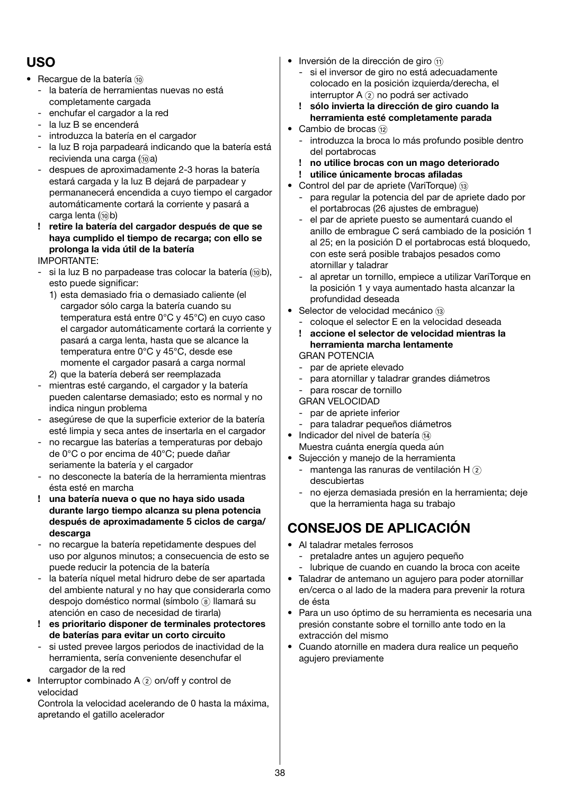### **USO**

- $\bullet$  Recargue de la batería  $60$ 
	- la batería de herramientas nuevas no está completamente cargada
	- enchufar el cargador a la red
	- la luz B se encenderá
	- introduzca la batería en el cargador
	- la luz B roja parpadeará indicando que la batería está recivienda una carga (10a)
	- despues de aproximadamente 2-3 horas la batería estará cargada y la luz B dejará de parpadear y permananecerá encendida a cuyo tiempo el cargador automáticamente cortará la corriente y pasará a carga lenta (10b)
	- **! retire la batería del cargador después de que se haya cumplido el tiempo de recarga; con ello se prolonga la vida útil de la batería**

#### IMPORTANTE:

- $-$  si la luz B no parpadease tras colocar la batería ( $(0)$ b), esto puede significar:
	- 1) esta demasiado fria o demasiado caliente (el cargador sólo carga la batería cuando su temperatura está entre 0°C y 45°C) en cuyo caso el cargador automáticamente cortará la corriente y pasará a carga lenta, hasta que se alcance la temperatura entre 0°C y 45°C, desde ese momente el cargador pasará a carga normal
	- 2) que la batería deberá ser reemplazada
- mientras esté cargando, el cargador y la batería pueden calentarse demasiado; esto es normal y no indica ningun problema
- asegúrese de que la superficie exterior de la batería esté limpia y seca antes de insertarla en el cargador
- no recarque las baterías a temperaturas por debajo de 0°C o por encima de 40°C; puede dañar seriamente la batería y el cargador
- no desconecte la batería de la herramienta mientras ésta esté en marcha
- **! una batería nueva o que no haya sido usada durante largo tiempo alcanza su plena potencia después de aproximadamente 5 ciclos de carga/ descarga**
- no recargue la batería repetidamente despues del uso por algunos minutos; a consecuencia de esto se puede reducir la potencia de la batería
- la batería níquel metal hidruro debe de ser apartada del ambiente natural y no hay que considerarla como despojo doméstico normal (símbolo ® llamará su atención en caso de necesidad de tirarla)
- **! es prioritario disponer de terminales protectores de baterías para evitar un corto circuito**
- si usted prevee largos periodos de inactividad de la herramienta, sería conveniente desenchufar el cargador de la red
- Interruptor combinado  $A(2)$  on/off y control de velocidad

 Controla la velocidad acelerando de 0 hasta la máxima, apretando el gatillo acelerador

- $\bullet$  Inversión de la dirección de giro  $\textcircled{\tiny{1}}$ 
	- si el inversor de giro no está adecuadamente colocado en la posición izquierda/derecha, el interruptor A 2 no podrá ser activado
	- **! sólo invierta la dirección de giro cuando la herramienta esté completamente parada**
- Cambio de brocas @
	- introduzca la broca lo más profundo posible dentro del portabrocas
	- **! no utilice brocas con un mago deteriorado**
	- **! utilice únicamente brocas afiladas**
- Control del par de apriete (VariTorque) (13) para regular la potencia del par de apriete dado por el portabrocas (26 ajustes de embrague)
	- el par de apriete puesto se aumentará cuando el anillo de embrague C será cambiado de la posición 1 al 25; en la posición D el portabrocas está bloquedo, con este será posible trabajos pesados como atornillar y taladrar
	- al apretar un tornillo, empiece a utilizar VariTorque en la posición 1 y vaya aumentado hasta alcanzar la profundidad deseada
- Selector de velocidad mecánico @
	- coloque el selector E en la velocidad deseada
	- **! accione el selector de velocidad mientras la herramienta marcha lentamente** GRAN POTENCIA
	- par de apriete elevado
	- para atornillar y taladrar grandes diámetros
	- para roscar de tornillo

GRAN VELOCIDAD

- par de apriete inferior
- para taladrar pequeños diámetros
- $\bullet$  Indicador del nivel de batería  $@$ Muestra cuánta energía queda aún
- Sujección y manejo de la herramienta
	- mantenga las ranuras de ventilación  $H(2)$ descubiertas
	- no ejerza demasiada presión en la herramienta; deje que la herramienta haga su trabajo

### **CONSEJOS DE APLICACIÓN**

- Al taladrar metales ferrosos
	- pretaladre antes un agujero pequeño
- lubrique de cuando en cuando la broca con aceite • Taladrar de antemano un agujero para poder atornillar
- en/cerca o al lado de la madera para prevenir la rotura de ésta
- Para un uso óptimo de su herramienta es necesaria una presión constante sobre el tornillo ante todo en la extracción del mismo
- Cuando atornille en madera dura realice un pequeño agujero previamente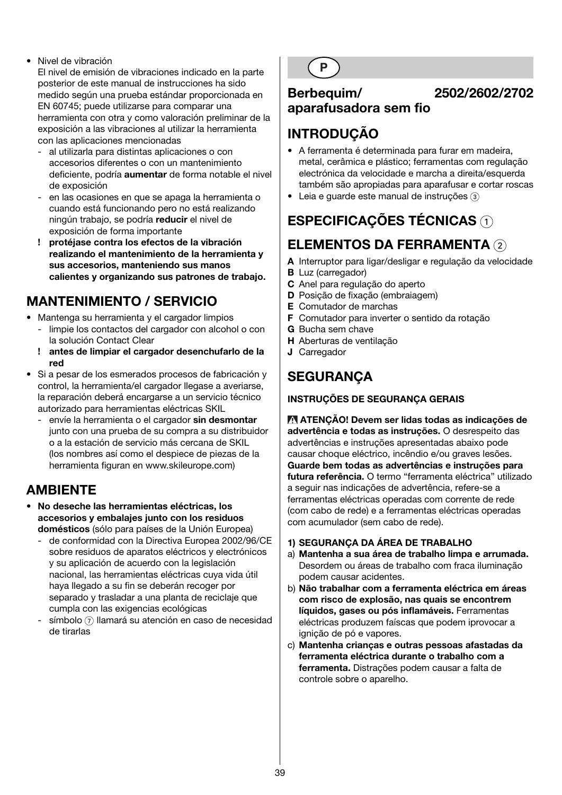#### • Nivel de vibración

 El nivel de emisión de vibraciones indicado en la parte posterior de este manual de instrucciones ha sido medido según una prueba estándar proporcionada en EN 60745; puede utilizarse para comparar una herramienta con otra y como valoración preliminar de la exposición a las vibraciones al utilizar la herramienta con las aplicaciones mencionadas

- al utilizarla para distintas aplicaciones o con accesorios diferentes o con un mantenimiento defi ciente, podría **aumentar** de forma notable el nivel de exposición
- en las ocasiones en que se apaga la herramienta o cuando está funcionando pero no está realizando ningún trabajo, se podría **reducir** el nivel de exposición de forma importante
- **! protéjase contra los efectos de la vibración realizando el mantenimiento de la herramienta y sus accesorios, manteniendo sus manos calientes y organizando sus patrones de trabajo.**

### **MANTENIMIENTO / SERVICIO**

- Mantenga su herramienta y el cargador limpios
	- limpie los contactos del cargador con alcohol o con la solución Contact Clear
	- **! antes de limpiar el cargador desenchufarlo de la red**
- Si a pesar de los esmerados procesos de fabricación y control, la herramienta/el cargador llegase a averiarse, la reparación deberá encargarse a un servicio técnico autorizado para herramientas eléctricas SKIL
	- envíe la herramienta o el cargador **sin desmontar** junto con una prueba de su compra a su distribuidor o a la estación de servicio más cercana de SKIL (los nombres así como el despiece de piezas de la herramienta figuran en www.skileurope.com)

### **AMBIENTE**

- **No deseche las herramientas eléctricas, los accesorios y embalajes junto con los residuos domésticos** (sólo para países de la Unión Europea)
	- de conformidad con la Directiva Europea 2002/96/CE sobre residuos de aparatos eléctricos y electrónicos y su aplicación de acuerdo con la legislación nacional, las herramientas eléctricas cuya vida útil haya llegado a su fin se deberán recoger por separado y trasladar a una planta de reciclaje que cumpla con las exigencias ecológicas
	- símbolo  $\widehat{y}$  llamará su atención en caso de necesidad de tirarlas

**P**

### **Berbequim/ 2502/2602/2702 aparafusadora sem fio**

# **INTRODUÇÃO**

- A ferramenta é determinada para furar em madeira, metal, cerâmica e plástico; ferramentas com regulação electrónica da velocidade e marcha a direita/esquerda também são apropiadas para aparafusar e cortar roscas
- Leia e guarde este manual de instruções 3

# **ESPECIFICAÇÕES TÉCNICAS** 1

# **ELEMENTOS DA FERRAMENTA** 2

- **A** Interruptor para ligar/desligar e regulação da velocidade
- **B** Luz (carregador)
- **C** Anel para regulação do aperto
- **D** Posição de fixação (embraiagem)
- **E** Comutador de marchas
- **F** Comutador para inverter o sentido da rotação
- **G** Bucha sem chave
- **H** Aberturas de ventilação
- **J** Carregador

### **SEGURANÇA**

#### **INSTRUÇÕES DE SEGURANÇA GERAIS**

 **ATENÇÃO! Devem ser lidas todas as indicações de advertência e todas as instruções.** O desrespeito das advertências e instruções apresentadas abaixo pode causar choque eléctrico, incêndio e/ou graves lesões. **Guarde bem todas as advertências e instruções para futura referência.** O termo "ferramenta eléctrica" utilizado a seguir nas indicações de advertência, refere-se a ferramentas eléctricas operadas com corrente de rede (com cabo de rede) e a ferramentas eléctricas operadas com acumulador (sem cabo de rede).

#### **1) SEGURANÇA DA ÁREA DE TRABALHO**

- a) **Mantenha a sua área de trabalho limpa e arrumada.** Desordem ou áreas de trabalho com fraca iluminação podem causar acidentes.
- b) **Não trabalhar com a ferramenta eléctrica em áreas com risco de explosão, nas quais se encontrem líquidos, gases ou pós inflamáveis.** Ferramentas eléctricas produzem faíscas que podem iprovocar a ignição de pó e vapores.
- c) **Mantenha crianças e outras pessoas afastadas da ferramenta eléctrica durante o trabalho com a ferramenta.** Distrações podem causar a falta de controle sobre o aparelho.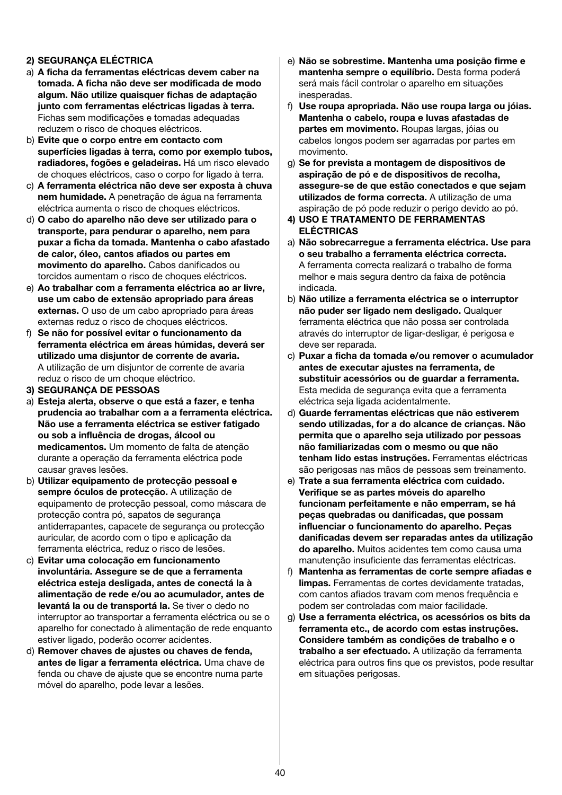#### **2) SEGURANÇA ELÉCTRICA**

- a) **A ficha da ferramentas eléctricas devem caber na tomada. A ficha não deve ser modificada de modo algum. Não utilize quaisquer fichas de adaptação junto com ferramentas eléctricas ligadas à terra.** Fichas sem modificações e tomadas adequadas reduzem o risco de choques eléctricos.
- b) **Evite que o corpo entre em contacto com superfícies ligadas à terra, como por exemplo tubos, radiadores, fogões e geladeiras.** Há um risco elevado de choques eléctricos, caso o corpo for ligado à terra.
- c) **A ferramenta eléctrica não deve ser exposta à chuva nem humidade.** A penetração de água na ferramenta eléctrica aumenta o risco de choques eléctricos.
- d) **O cabo do aparelho não deve ser utilizado para o transporte, para pendurar o aparelho, nem para puxar a ficha da tomada. Mantenha o cabo afastado de calor, óleo, cantos afiados ou partes em**  movimento do aparelho. Cabos danificados ou torcidos aumentam o risco de choques eléctricos.
- e) **Ao trabalhar com a ferramenta eléctrica ao ar livre, use um cabo de extensão apropriado para áreas externas.** O uso de um cabo apropriado para áreas externas reduz o risco de choques eléctricos.
- f) **Se não for possível evitar o funcionamento da ferramenta eléctrica em áreas húmidas, deverá ser utilizado uma disjuntor de corrente de avaria.** A utilização de um disjuntor de corrente de avaria reduz o risco de um choque eléctrico.
- **3) SEGURANÇA DE PESSOAS**
- a) **Esteja alerta, observe o que está a fazer, e tenha prudencia ao trabalhar com a a ferramenta eléctrica. Não use a ferramenta eléctrica se estiver fatigado ou sob a influência de drogas, álcool ou medicamentos.** Um momento de falta de atenção durante a operação da ferramenta eléctrica pode causar graves lesões.
- b) **Utilizar equipamento de protecção pessoal e sempre óculos de protecção.** A utilização de equipamento de protecção pessoal, como máscara de protecção contra pó, sapatos de segurança antiderrapantes, capacete de segurança ou protecção auricular, de acordo com o tipo e aplicação da ferramenta eléctrica, reduz o risco de lesões.
- c) **Evitar uma colocação em funcionamento involuntária. Assegure se de que a ferramenta eléctrica esteja desligada, antes de conectá la à alimentação de rede e/ou ao acumulador, antes de levantá la ou de transportá la.** Se tiver o dedo no interruptor ao transportar a ferramenta eléctrica ou se o aparelho for conectado à alimentação de rede enquanto estiver ligado, poderão ocorrer acidentes.
- d) **Remover chaves de ajustes ou chaves de fenda, antes de ligar a ferramenta eléctrica.** Uma chave de fenda ou chave de ajuste que se encontre numa parte móvel do aparelho, pode levar a lesões.
- e) **Não se sobrestime. Mantenha uma posição firme e mantenha sempre o equilíbrio.** Desta forma poderá será mais fácil controlar o aparelho em situações inesperadas.
- f) **Use roupa apropriada. Não use roupa larga ou jóias. Mantenha o cabelo, roupa e luvas afastadas de partes em movimento.** Roupas largas, jóias ou cabelos longos podem ser agarradas por partes em movimento.
- g) **Se for prevista a montagem de dispositivos de aspiração de pó e de dispositivos de recolha, assegure-se de que estão conectados e que sejam utilizados de forma correcta.** A utilização de uma aspiração de pó pode reduzir o perigo devido ao pó.
- **4) USO E TRATAMENTO DE FERRAMENTAS ELÉCTRICAS**
- a) **Não sobrecarregue a ferramenta eléctrica. Use para o seu trabalho a ferramenta eléctrica correcta.** A ferramenta correcta realizará o trabalho de forma melhor e mais segura dentro da faixa de potência indicada.
- b) **Não utilize a ferramenta eléctrica se o interruptor não puder ser ligado nem desligado.** Qualquer ferramenta eléctrica que não possa ser controlada através do interruptor de ligar-desligar, é perigosa e deve ser reparada.
- c) **Puxar a ficha da tomada e/ou remover o acumulador antes de executar ajustes na ferramenta, de substituir acessórios ou de guardar a ferramenta.** Esta medida de segurança evita que a ferramenta eléctrica seja ligada acidentalmente.
- d) **Guarde ferramentas eléctricas que não estiverem sendo utilizadas, for a do alcance de crianças. Não permita que o aparelho seja utilizado por pessoas não familiarizadas com o mesmo ou que não tenham lido estas instruções.** Ferramentas eléctricas são perigosas nas mãos de pessoas sem treinamento.
- e) **Trate a sua ferramenta eléctrica com cuidado. Verifique se as partes móveis do aparelho funcionam perfeitamente e não emperram, se há peças quebradas ou danificadas, que possam influenciar o funcionamento do aparelho. Peças danificadas devem ser reparadas antes da utilização do aparelho.** Muitos acidentes tem como causa uma manutenção insuficiente das ferramentas eléctricas.
- f) **Mantenha as ferramentas de corte sempre afiadas e limpas.** Ferramentas de cortes devidamente tratadas, com cantos afiados travam com menos frequência e podem ser controladas com maior facilidade.
- g) **Use a ferramenta eléctrica, os acessórios os bits da ferramenta etc., de acordo com estas instruções. Considere também as condições de trabalho e o trabalho a ser efectuado.** A utilização da ferramenta eléctrica para outros fins que os previstos, pode resultar em situações perigosas.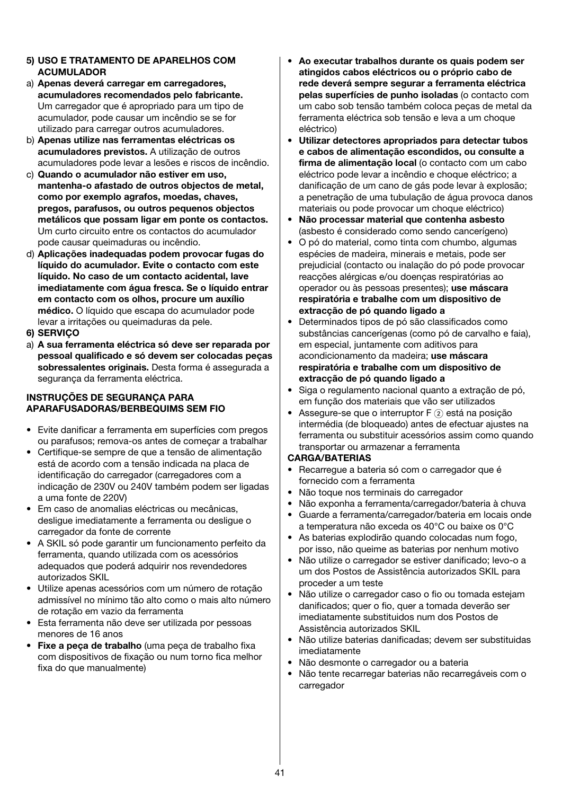- **5) USO E TRATAMENTO DE APARELHOS COM ACUMULADOR**
- a) **Apenas deverá carregar em carregadores, acumuladores recomendados pelo fabricante.** Um carregador que é apropriado para um tipo de acumulador, pode causar um incêndio se se for utilizado para carregar outros acumuladores.
- b) **Apenas utilize nas ferramentas eléctricas os acumuladores previstos.** A utilização de outros acumuladores pode levar a lesões e riscos de incêndio.
- c) **Quando o acumulador não estiver em uso, mantenha-o afastado de outros objectos de metal, como por exemplo agrafos, moedas, chaves, pregos, parafusos, ou outros pequenos objectos metálicos que possam ligar em ponte os contactos.** Um curto circuito entre os contactos do acumulador pode causar queimaduras ou incêndio.
- d) **Aplicações inadequadas podem provocar fugas do líquido do acumulador. Evite o contacto com este líquido. No caso de um contacto acidental, lave imediatamente com água fresca. Se o líquido entrar em contacto com os olhos, procure um auxílio médico.** O líquido que escapa do acumulador pode levar a irritações ou queimaduras da pele.
- **6) SERVIÇO**
- a) **A sua ferramenta eléctrica só deve ser reparada por pessoal qualificado e só devem ser colocadas peças sobressalentes originais.** Desta forma é assegurada a segurança da ferramenta eléctrica.

#### **INSTRUÇÕES DE SEGURANÇA PARA APARAFUSADORAS/BERBEQUIMS SEM FIO**

- Evite danificar a ferramenta em superfícies com pregos ou parafusos; remova-os antes de começar a trabalhar
- Certifique-se sempre de que a tensão de alimentação está de acordo com a tensão indicada na placa de identificação do carregador (carregadores com a indicação de 230V ou 240V também podem ser ligadas a uma fonte de 220V)
- Em caso de anomalias eléctricas ou mecânicas, desligue imediatamente a ferramenta ou desligue o carregador da fonte de corrente
- A SKIL só pode garantir um funcionamento perfeito da ferramenta, quando utilizada com os acessórios adequados que poderá adquirir nos revendedores autorizados SKIL
- Utilize apenas acessórios com um número de rotação admissível no mínimo tão alto como o mais alto número de rotação em vazio da ferramenta
- Esta ferramenta não deve ser utilizada por pessoas menores de 16 anos
- Fixe a peça de trabalho (uma peça de trabalho fixa com dispositivos de fixação ou num torno fica melhor fixa do que manualmente)
- **Ao executar trabalhos durante os quais podem ser atingidos cabos eléctricos ou o próprio cabo de rede deverá sempre segurar a ferramenta eléctrica pelas superfícies de punho isoladas** (o contacto com um cabo sob tensão também coloca peças de metal da ferramenta eléctrica sob tensão e leva a um choque eléctrico)
- **Utilizar detectores apropriados para detectar tubos e cabos de alimentação escondidos, ou consulte a firma de alimentação local** (o contacto com um cabo eléctrico pode levar a incêndio e choque eléctrico; a danificação de um cano de gás pode levar à explosão; a penetração de uma tubulação de água provoca danos materiais ou pode provocar um choque eléctrico)
- **Não processar material que contenha asbesto** (asbesto é considerado como sendo cancerígeno)
- O pó do material, como tinta com chumbo, algumas espécies de madeira, minerais e metais, pode ser prejudicial (contacto ou inalação do pó pode provocar reacções alérgicas e/ou doenças respiratórias ao operador ou às pessoas presentes); **use máscara respiratória e trabalhe com um dispositivo de extracção de pó quando ligado a**
- Determinados tipos de pó são classificados como substâncias cancerígenas (como pó de carvalho e faia), em especial, juntamente com aditivos para acondicionamento da madeira; **use máscara respiratória e trabalhe com um dispositivo de extracção de pó quando ligado a**
- Siga o regulamento nacional quanto a extração de pó, em função dos materiais que vão ser utilizados
- Assegure-se que o interruptor  $F(2)$  está na posição intermédia (de bloqueado) antes de efectuar ajustes na ferramenta ou substituir acessórios assim como quando transportar ou armazenar a ferramenta

#### **CARGA/BATERIAS**

- Recarregue a bateria só com o carregador que é fornecido com a ferramenta
- Não toque nos terminais do carregador
- Não exponha a ferramenta/carregador/bateria à chuva
- Guarde a ferramenta/carregador/bateria em locais onde a temperatura não exceda os 40°C ou baixe os 0°C
- As baterias explodirão quando colocadas num fogo, por isso, não queime as baterias por nenhum motivo
- Não utilize o carregador se estiver danificado: levo-o a um dos Postos de Assistência autorizados SKIL para proceder a um teste
- Não utilize o carregador caso o fio ou tomada estejam danificados; quer o fio, quer a tomada deverão ser imediatamente substituidos num dos Postos de Assistência autorizados SKIL
- Não utilize baterias danificadas; devem ser substituidas imediatamente
- Não desmonte o carregador ou a bateria
- Não tente recarregar baterias não recarregáveis com o carregador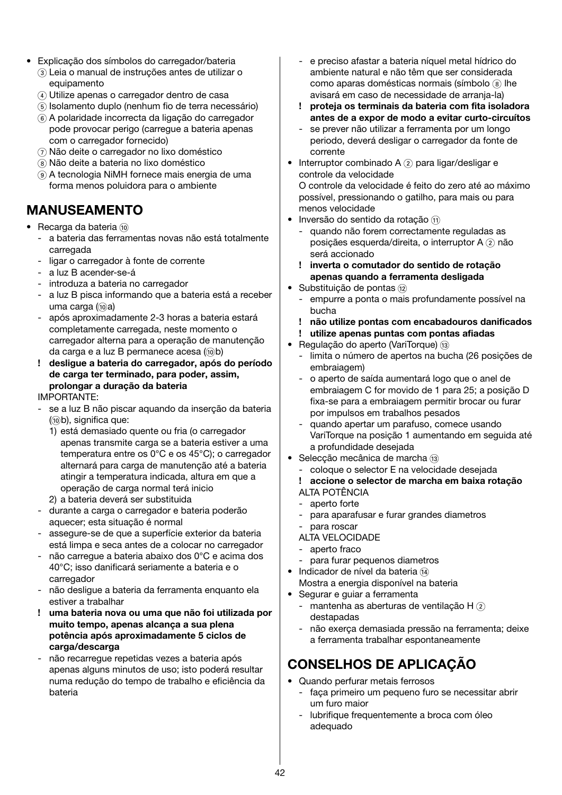- Explicação dos símbolos do carregador/bateria
	- 3 Leia o manual de instruções antes de utilizar o equipamento
	- 4 Utilize apenas o carregador dentro de casa
	- $\bar{6}$  Isolamento duplo (nenhum fio de terra necessário)
	- 6 A polaridade incorrecta da ligação do carregador pode provocar perigo (carregue a bateria apenas com o carregador fornecido)
	- 7 Não deite o carregador no lixo doméstico
	- 8 Não deite a bateria no lixo doméstico
	- 9 A tecnologia NiMH fornece mais energia de uma forma menos poluidora para o ambiente

### **MANUSEAMENTO**

- $\bullet$  Recarga da bateria  $60$ 
	- a bateria das ferramentas novas não está totalmente carregada
	- ligar o carregador à fonte de corrente
	- a luz B acender-se-á
	- introduza a bateria no carregador
	- a luz B pisca informando que a bateria está a receber uma carga (10a)
	- após aproximadamente 2-3 horas a bateria estará completamente carregada, neste momento o carregador alterna para a operação de manutenção da carga e a luz B permanece acesa (10b)
	- **! desligue a bateria do carregador, após do período de carga ter terminado, para poder, assim, prolongar a duração da bateria**
	- IMPORTANTE:
	- se a luz B não piscar aquando da inserção da bateria  $(0, b)$ , significa que:
		- 1) está demasiado quente ou fria (o carregador apenas transmite carga se a bateria estiver a uma temperatura entre os 0°C e os 45°C); o carregador alternará para carga de manutenção até a bateria atingir a temperatura indicada, altura em que a operação de carga normal terá inicio 2) a bateria deverá ser substituida
	- durante a carga o carregador e bateria poderão aquecer; esta situação é normal
	- assegure-se de que a superfície exterior da bateria está limpa e seca antes de a colocar no carregador
	- não carregue a bateria abaixo dos 0°C e acima dos 40°C; isso danificará seriamente a bateria e o carregador
	- não desligue a bateria da ferramenta enquanto ela estiver a trabalhar
	- **! uma bateria nova ou uma que não foi utilizada por muito tempo, apenas alcança a sua plena potência após aproximadamente 5 ciclos de carga/descarga**
	- não recarregue repetidas vezes a bateria após apenas alguns minutos de uso; isto poderá resultar numa redução do tempo de trabalho e eficiência da bateria
- e preciso afastar a bateria níquel metal hídrico do ambiente natural e não têm que ser considerada como aparas domésticas normais (símbolo 8) lhe avisará em caso de necessidade de arranja-la)
- **! proteja os terminais da bateria com fita isoladora antes de a expor de modo a evitar curto-circuítos**
- se prever não utilizar a ferramenta por um longo periodo, deverá desligar o carregador da fonte de corrente
- Interruptor combinado  $A(2)$  para ligar/desligar e controle da velocidade

 O controle da velocidade é feito do zero até ao máximo possível, pressionando o gatilho, para mais ou para menos velocidade

- · Inversão do sentido da rotação (1)
	- quando não forem correctamente reguladas as posiçães esquerda/direita, o interruptor A (2) não será accionado
	- **! inverta o comutador do sentido de rotação apenas quando a ferramenta desligada**
- Substituição de pontas @
	- empurre a ponta o mais profundamente possível na bucha
	- **! não utilize pontas com encabadouros danificados**
	- **! utilize apenas puntas com pontas afiadas**
- Regulação do aperto (VariTorque) @
	- limita o número de apertos na bucha (26 posições de embraiagem)
	- o aperto de saída aumentará logo que o anel de embraiagem C for movido de 1 para 25; a posição D fixa-se para a embraiagem permitir brocar ou furar por impulsos em trabalhos pesados
	- quando apertar um parafuso, comece usando VariTorque na posição 1 aumentando em seguida até a profundidade desejada
- Selecção mecânica de marcha @
	- coloque o selector E na velocidade desejada
	- **! accione o selector de marcha em baixa rotação** ALTA POTÊNCIA
	- aperto forte
	- para aparafusar e furar grandes diametros
	- para roscar
	- ALTA VELOCIDADE
	- aperto fraco
	- para furar pequenos diametros
- $\bullet$  Indicador de nível da bateria  $\widehat{a}$
- Mostra a energia disponível na bateria
- Segurar e guiar a ferramenta
	- mantenha as aberturas de ventilação  $H(2)$ destapadas
	- não exerça demasiada pressão na ferramenta; deixe a ferramenta trabalhar espontaneamente

### **CONSELHOS DE APLICAÇÃO**

- Quando perfurar metais ferrosos
	- faça primeiro um pequeno furo se necessitar abrir um furo maior
	- lubrifique frequentemente a broca com óleo adequado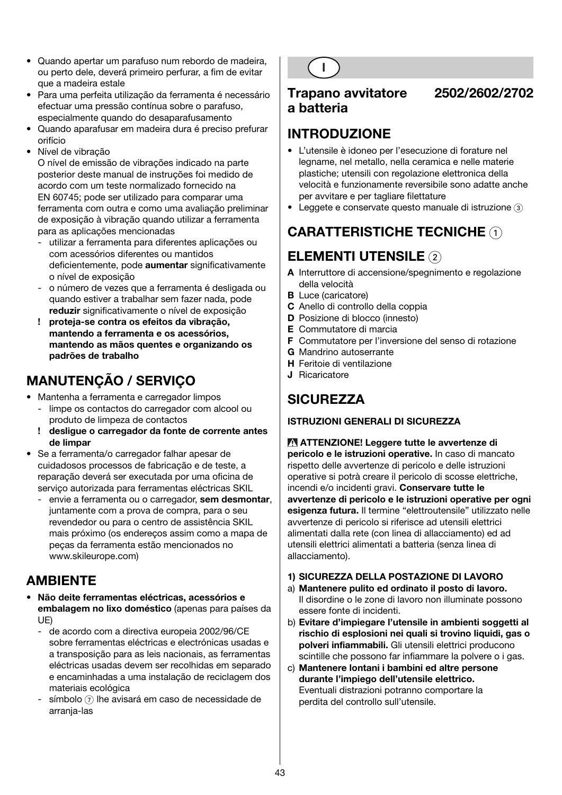- Quando apertar um parafuso num rebordo de madeira, ou perto dele, deverá primeiro perfurar, a fim de evitar que a madeira estale
- Para uma perfeita utilização da ferramenta é necessário efectuar uma pressão contínua sobre o parafuso, especialmente quando do desaparafusamento
- Quando aparafusar em madeira dura é preciso prefurar orifício
- Nível de vibração

 O nível de emissão de vibrações indicado na parte posterior deste manual de instruções foi medido de acordo com um teste normalizado fornecido na EN 60745; pode ser utilizado para comparar uma ferramenta com outra e como uma avaliação preliminar de exposição à vibração quando utilizar a ferramenta para as aplicações mencionadas

- utilizar a ferramenta para diferentes aplicações ou com acessórios diferentes ou mantidos deficientemente, pode **aumentar** significativamente o nível de exposição
- o número de vezes que a ferramenta é desligada ou quando estiver a trabalhar sem fazer nada, pode reduzir significativamente o nível de exposição
- **! proteja-se contra os efeitos da vibração, mantendo a ferramenta e os acessórios, mantendo as mãos quentes e organizando os padrões de trabalho**

# **MANUTENÇÃO / SERVIÇO**

- Mantenha a ferramenta e carregador limpos
	- limpe os contactos do carregador com alcool ou produto de limpeza de contactos
	- **! desligue o carregador da fonte de corrente antes de limpar**
- Se a ferramenta/o carregador falhar apesar de cuidadosos processos de fabricação e de teste, a reparação deverá ser executada por uma oficina de servico autorizada para ferramentas eléctricas SKIL
	- envie a ferramenta ou o carregador, **sem desmontar**, juntamente com a prova de compra, para o seu revendedor ou para o centro de assistência SKIL mais próximo (os endereços assim como a mapa de peças da ferramenta estão mencionados no www.skileurope.com)

### **AMBIENTE**

- **Não deite ferramentas eléctricas, acessórios e embalagem no lixo doméstico** (apenas para países da UE)
	- de acordo com a directiva europeia 2002/96/CE sobre ferramentas eléctricas e electrónicas usadas e a transposição para as leis nacionais, as ferramentas eléctricas usadas devem ser recolhidas em separado e encaminhadas a uma instalação de reciclagem dos materiais ecológica
	- símbolo  $\widehat{r}$ ) lhe avisará em caso de necessidade de arranja-las

 $\mathbf{I}$ 

### **Trapano avvitatore 2502/2602/2702 a batteria**

### **INTRODUZIONE**

- L'utensile è idoneo per l'esecuzione di forature nel legname, nel metallo, nella ceramica e nelle materie plastiche; utensili con regolazione elettronica della velocità e funzionamente reversibile sono adatte anche per avvitare e per tagliare filettature
- Leggete e conservate questo manuale di istruzione 3

### **CARATTERISTICHE TECNICHE** (1)

## **ELEMENTI UTENSILE** 2

- **A** Interruttore di accensione/spegnimento e regolazione della velocità
- **B** Luce (caricatore)
- **C** Anello di controllo della coppia
- **D** Posizione di blocco (innesto)
- **E** Commutatore di marcia
- **F** Commutatore per l'inversione del senso di rotazione
- **G** Mandrino autoserrante
- **H** Feritoie di ventilazione
- **J** Ricaricatore

### **SICUREZZA**

### **ISTRUZIONI GENERALI DI SICUREZZA**

 **ATTENZIONE! Leggere tutte le avvertenze di pericolo e le istruzioni operative.** In caso di mancato rispetto delle avvertenze di pericolo e delle istruzioni operative si potrà creare il pericolo di scosse elettriche, incendi e/o incidenti gravi. **Conservare tutte le avvertenze di pericolo e le istruzioni operative per ogni esigenza futura.** Il termine "elettroutensile" utilizzato nelle avvertenze di pericolo si riferisce ad utensili elettrici alimentati dalla rete (con linea di allacciamento) ed ad utensili elettrici alimentati a batteria (senza linea di allacciamento).

#### **1) SICUREZZA DELLA POSTAZIONE DI LAVORO**

- a) **Mantenere pulito ed ordinato il posto di lavoro.** Il disordine o le zone di lavoro non illuminate possono essere fonte di incidenti.
- b) **Evitare d'impiegare l'utensile in ambienti soggetti al rischio di esplosioni nei quali si trovino liquidi, gas o polveri infiammabili.** Gli utensili elettrici producono scintille che possono far infiammare la polvere o i gas.
- c) **Mantenere lontani i bambini ed altre persone durante l'impiego dell'utensile elettrico.** Eventuali distrazioni potranno comportare la perdita del controllo sull'utensile.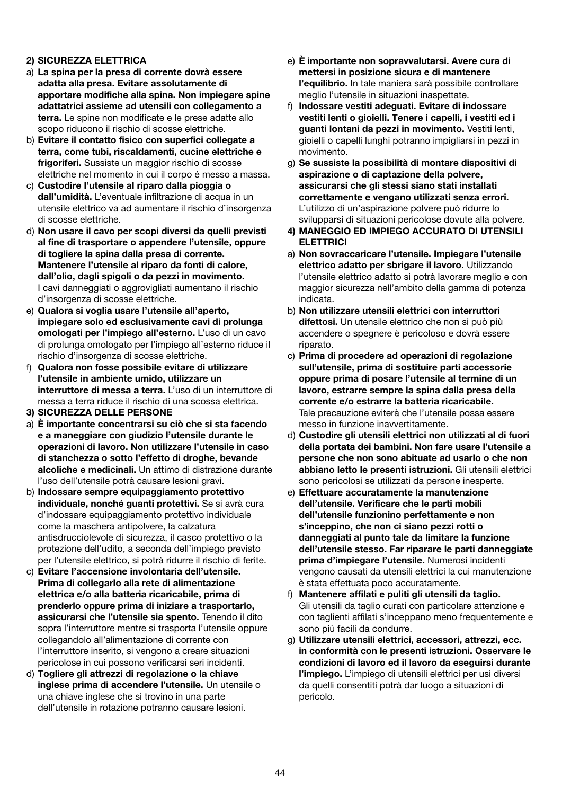#### **2) SICUREZZA ELETTRICA**

- a) **La spina per la presa di corrente dovrà essere adatta alla presa. Evitare assolutamente di apportare modifiche alla spina. Non impiegare spine adattatrici assieme ad utensili con collegamento a**  terra. Le spine non modificate e le prese adatte allo scopo riducono il rischio di scosse elettriche.
- b) **Evitare il contatto fisico con superfici collegate a terra, come tubi, riscaldamenti, cucine elettriche e frigoriferi.** Sussiste un maggior rischio di scosse elettriche nel momento in cui il corpo é messo a massa.
- c) **Custodire l'utensile al riparo dalla pioggia o**  dall'umidità. L'eventuale infiltrazione di acqua in un utensile elettrico va ad aumentare il rischio d'insorgenza di scosse elettriche.
- d) **Non usare il cavo per scopi diversi da quelli previsti al fine di trasportare o appendere l'utensile, oppure di togliere la spina dalla presa di corrente. Mantenere l'utensile al riparo da fonti di calore, dall'olio, dagli spigoli o da pezzi in movimento.** I cavi danneggiati o aggrovigliati aumentano il rischio d'insorgenza di scosse elettriche.
- e) **Qualora si voglia usare l'utensile all'aperto, impiegare solo ed esclusivamente cavi di prolunga omologati per l'impiego all'esterno.** L'uso di un cavo di prolunga omologato per l'impiego all'esterno riduce il rischio d'insorgenza di scosse elettriche.
- f) **Qualora non fosse possibile evitare di utilizzare l'utensile in ambiente umido, utilizzare un interruttore di messa a terra.** L'uso di un interruttore di messa a terra riduce il rischio di una scossa elettrica.
- **3) SICUREZZA DELLE PERSONE**
- a) **È importante concentrarsi su ciò che si sta facendo e a maneggiare con giudizio l'utensile durante le operazioni di lavoro. Non utilizzare l'utensile in caso di stanchezza o sotto l'effetto di droghe, bevande alcoliche e medicinali.** Un attimo di distrazione durante l'uso dell'utensile potrà causare lesioni gravi.
- b) **Indossare sempre equipaggiamento protettivo individuale, nonché guanti protettivi.** Se si avrà cura d'indossare equipaggiamento protettivo individuale come la maschera antipolvere, la calzatura antisdrucciolevole di sicurezza, il casco protettivo o la protezione dell'udito, a seconda dell'impiego previsto per l'utensile elettrico, si potrà ridurre il rischio di ferite.
- c) **Evitare l'accensione involontaria dell'utensile. Prima di collegarlo alla rete di alimentazione elettrica e/o alla batteria ricaricabile, prima di prenderlo oppure prima di iniziare a trasportarlo, assicurarsi che l'utensile sia spento.** Tenendo il dito sopra l'interruttore mentre si trasporta l'utensile oppure collegandolo all'alimentazione di corrente con l'interruttore inserito, si vengono a creare situazioni pericolose in cui possono verificarsi seri incidenti.
- d) **Togliere gli attrezzi di regolazione o la chiave inglese prima di accendere l'utensile.** Un utensile o una chiave inglese che si trovino in una parte dell'utensile in rotazione potranno causare lesioni.
- e) **È importante non sopravvalutarsi. Avere cura di mettersi in posizione sicura e di mantenere l'equilibrio.** In tale maniera sarà possibile controllare meglio l'utensile in situazioni inaspettate.
- f) **Indossare vestiti adeguati. Evitare di indossare vestiti lenti o gioielli. Tenere i capelli, i vestiti ed i guanti lontani da pezzi in movimento.** Vestiti lenti, gioielli o capelli lunghi potranno impigliarsi in pezzi in movimento.
- g) **Se sussiste la possibilità di montare dispositivi di aspirazione o di captazione della polvere, assicurarsi che gli stessi siano stati installati correttamente e vengano utilizzati senza errori.** L'utilizzo di un'aspirazione polvere può ridurre lo svilupparsi di situazioni pericolose dovute alla polvere.
- **4) MANEGGIO ED IMPIEGO ACCURATO DI UTENSILI ELETTRICI**
- a) **Non sovraccaricare l'utensile. Impiegare l'utensile elettrico adatto per sbrigare il lavoro.** Utilizzando l'utensile elettrico adatto si potrà lavorare meglio e con maggior sicurezza nell'ambito della gamma di potenza indicata.
- b) **Non utilizzare utensili elettrici con interruttori difettosi.** Un utensile elettrico che non si può più accendere o spegnere è pericoloso e dovrà essere riparato.
- c) **Prima di procedere ad operazioni di regolazione sull'utensile, prima di sostituire parti accessorie oppure prima di posare l'utensile al termine di un lavoro, estrarre sempre la spina dalla presa della corrente e/o estrarre la batteria ricaricabile.** Tale precauzione eviterà che l'utensile possa essere messo in funzione inavvertitamente.
- d) **Custodire gli utensili elettrici non utilizzati al di fuori della portata dei bambini. Non fare usare l'utensile a persone che non sono abituate ad usarlo o che non abbiano letto le presenti istruzioni.** Gli utensili elettrici sono pericolosi se utilizzati da persone inesperte.
- e) **Effettuare accuratamente la manutenzione dell'utensile. Verificare che le parti mobili dell'utensile funzionino perfettamente e non s'inceppino, che non ci siano pezzi rotti o danneggiati al punto tale da limitare la funzione dell'utensile stesso. Far riparare le parti danneggiate prima d'impiegare l'utensile.** Numerosi incidenti vengono causati da utensili elettrici la cui manutenzione è stata effettuata poco accuratamente.
- f) **Mantenere affilati e puliti gli utensili da taglio.** Gli utensili da taglio curati con particolare attenzione e con taglienti affilati s'inceppano meno frequentemente e sono più facili da condurre.
- g) **Utilizzare utensili elettrici, accessori, attrezzi, ecc. in conformità con le presenti istruzioni. Osservare le condizioni di lavoro ed il lavoro da eseguirsi durante l'impiego.** L'impiego di utensili elettrici per usi diversi da quelli consentiti potrà dar luogo a situazioni di pericolo.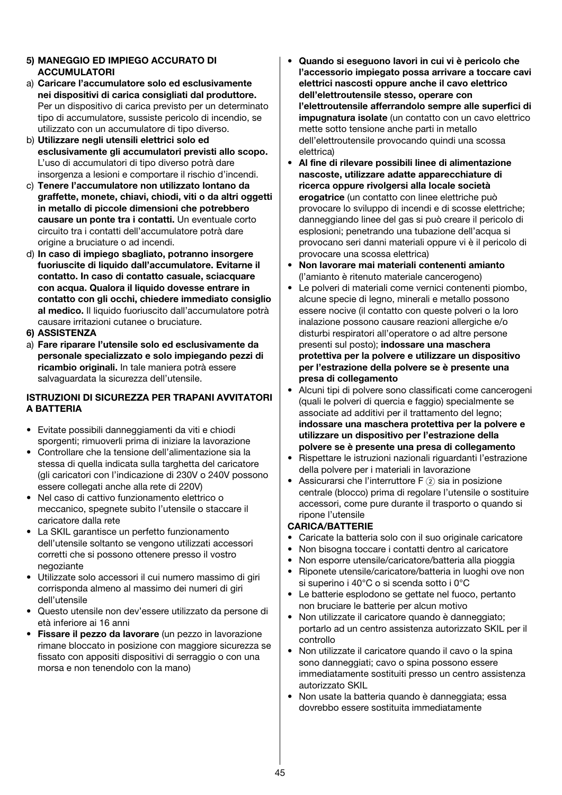- **5) MANEGGIO ED IMPIEGO ACCURATO DI ACCUMULATORI**
- a) **Caricare l'accumulatore solo ed esclusivamente nei dispositivi di carica consigliati dal produttore.** Per un dispositivo di carica previsto per un determinato tipo di accumulatore, sussiste pericolo di incendio, se utilizzato con un accumulatore di tipo diverso.
- b) **Utilizzare negli utensili elettrici solo ed esclusivamente gli accumulatori previsti allo scopo.** L'uso di accumulatori di tipo diverso potrà dare insorgenza a lesioni e comportare il rischio d'incendi.
- c) **Tenere l'accumulatore non utilizzato lontano da graffette, monete, chiavi, chiodi, viti o da altri oggetti in metallo di piccole dimensioni che potrebbero causare un ponte tra i contatti.** Un eventuale corto circuito tra i contatti dell'accumulatore potrà dare origine a bruciature o ad incendi.
- d) **In caso di impiego sbagliato, potranno insorgere fuoriuscite di liquido dall'accumulatore. Evitarne il contatto. In caso di contatto casuale, sciacquare con acqua. Qualora il liquido dovesse entrare in contatto con gli occhi, chiedere immediato consiglio al medico.** Il liquido fuoriuscito dall'accumulatore potrà causare irritazioni cutanee o bruciature.
- **6) ASSISTENZA**
- a) **Fare riparare l'utensile solo ed esclusivamente da personale specializzato e solo impiegando pezzi di ricambio originali.** In tale maniera potrà essere salvaguardata la sicurezza dell'utensile.

#### **ISTRUZIONI DI SICUREZZA PER TRAPANI AVVITATORI A BATTERIA**

- Evitate possibili danneggiamenti da viti e chiodi sporgenti; rimuoverli prima di iniziare la lavorazione
- Controllare che la tensione dell'alimentazione sia la stessa di quella indicata sulla targhetta del caricatore (gli caricatori con l'indicazione di 230V o 240V possono essere collegati anche alla rete di 220V)
- Nel caso di cattivo funzionamento elettrico o meccanico, spegnete subito l'utensile o staccare il caricatore dalla rete
- La SKIL garantisce un perfetto funzionamento dell'utensile soltanto se vengono utilizzati accessori corretti che si possono ottenere presso il vostro negoziante
- Utilizzate solo accessori il cui numero massimo di giri corrisponda almeno al massimo dei numeri di giri dell'utensile
- Questo utensile non dev'essere utilizzato da persone di età inferiore ai 16 anni
- **Fissare il pezzo da lavorare** (un pezzo in lavorazione rimane bloccato in posizione con maggiore sicurezza se fissato con appositi dispositivi di serraggio o con una morsa e non tenendolo con la mano)
- **Quando si eseguono lavori in cui vi è pericolo che l'accessorio impiegato possa arrivare a toccare cavi elettrici nascosti oppure anche il cavo elettrico dell'elettroutensile stesso, operare con l'elettroutensile afferrandolo sempre alle superfici di impugnatura isolate** (un contatto con un cavo elettrico mette sotto tensione anche parti in metallo dell'elettroutensile provocando quindi una scossa elettrica)
- **Al fine di rilevare possibili linee di alimentazione nascoste, utilizzare adatte apparecchiature di ricerca oppure rivolgersi alla locale società erogatrice** (un contatto con linee elettriche può provocare lo sviluppo di incendi e di scosse elettriche; danneggiando linee del gas si può creare il pericolo di esplosioni; penetrando una tubazione dell'acqua si provocano seri danni materiali oppure vi è il pericolo di provocare una scossa elettrica)
- **Non lavorare mai materiali contenenti amianto** (l'amianto è ritenuto materiale cancerogeno)
- Le polveri di materiali come vernici contenenti piombo, alcune specie di legno, minerali e metallo possono essere nocive (il contatto con queste polveri o la loro inalazione possono causare reazioni allergiche e/o disturbi respiratori all'operatore o ad altre persone presenti sul posto); **indossare una maschera protettiva per la polvere e utilizzare un dispositivo per l'estrazione della polvere se è presente una presa di collegamento**
- Alcuni tipi di polvere sono classificati come cancerogeni (quali le polveri di quercia e faggio) specialmente se associate ad additivi per il trattamento del legno; **indossare una maschera protettiva per la polvere e utilizzare un dispositivo per l'estrazione della polvere se è presente una presa di collegamento**
- Rispettare le istruzioni nazionali riguardanti l'estrazione della polvere per i materiali in lavorazione
- Assicurarsi che l'interruttore  $F(2)$  sia in posizione centrale (blocco) prima di regolare l'utensile o sostituire accessori, come pure durante il trasporto o quando si ripone l'utensile

#### **CARICA/BATTERIE**

- Caricate la batteria solo con il suo originale caricatore
- Non bisogna toccare i contatti dentro al caricatore
- Non esporre utensile/caricatore/batteria alla pioggia
- Riponete utensile/caricatore/batteria in luoghi ove non si superino i 40°C o si scenda sotto i 0°C
- Le batterie esplodono se gettate nel fuoco, pertanto non bruciare le batterie per alcun motivo
- Non utilizzate il caricatore quando è danneggiato: portarlo ad un centro assistenza autorizzato SKIL per il controllo
- Non utilizzate il caricatore quando il cavo o la spina sono danneggiati; cavo o spina possono essere immediatamente sostituiti presso un centro assistenza autorizzato SKIL
- Non usate la batteria quando è danneggiata; essa dovrebbo essere sostituita immediatamente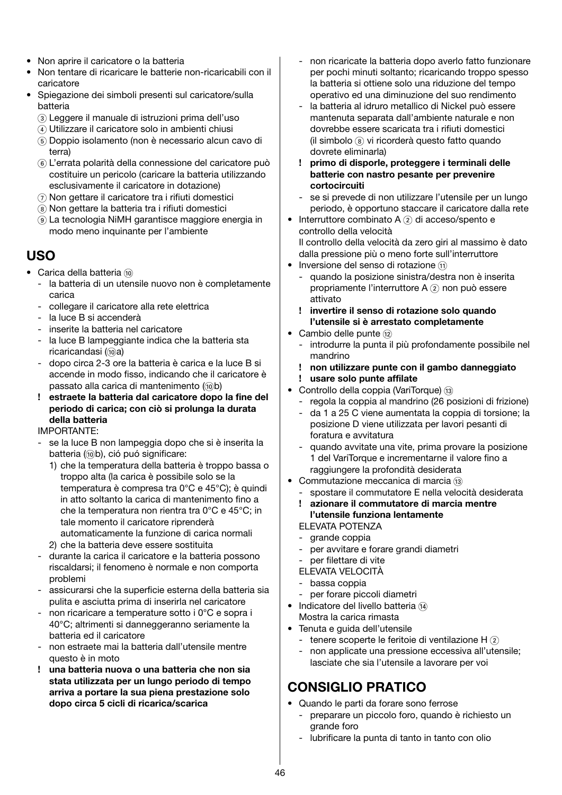- Non aprire il caricatore o la batteria
- Non tentare di ricaricare le batterie non-ricaricabili con il caricatore
- Spiegazione dei simboli presenti sul caricatore/sulla batteria
	- 3 Leggere il manuale di istruzioni prima dell'uso
	- 4 Utilizzare il caricatore solo in ambienti chiusi
	- 5 Doppio isolamento (non è necessario alcun cavo di terra)
	- 6 L'errata polarità della connessione del caricatore può costituire un pericolo (caricare la batteria utilizzando esclusivamente il caricatore in dotazione)
	- $(7)$  Non gettare il caricatore tra i rifiuti domestici
	- $\overline{8}$  Non gettare la batteria tra i rifiuti domestici
	- 9 La tecnologia NiMH garantisce maggiore energia in modo meno inquinante per l'ambiente

### **USO**

- $\bullet$  Carica della batteria  $@$ 
	- la batteria di un utensile nuovo non è completamente carica
	- collegare il caricatore alla rete elettrica
	- la luce B si accenderà
	- inserite la batteria nel caricatore
	- la luce B lampeggiante indica che la batteria sta ricaricandasi (10a)
	- dopo circa 2-3 ore la batteria è carica e la luce B si accende in modo fisso, indicando che il caricatore è passato alla carica di mantenimento (10b)
	- **! estraete la batteria dal caricatore dopo la fine del periodo di carica; con ciò si prolunga la durata della batteria**

IMPORTANTE:

- se la luce B non lampeggia dopo che si è inserita la batteria (@b), ció puó significare:
	- 1) che la temperatura della batteria è troppo bassa o troppo alta (la carica è possibile solo se la temperatura è compresa tra 0°C e 45°C); è quindi in atto soltanto la carica di mantenimento fino a che la temperatura non rientra tra 0°C e 45°C; in tale momento il caricatore riprenderà automaticamente la funzione di carica normali
	- 2) che la batteria deve essere sostituita
- durante la carica il caricatore e la batteria possono riscaldarsi; il fenomeno è normale e non comporta problemi
- assicurarsi che la superficie esterna della batteria sia pulita e asciutta prima di inserirla nel caricatore
- non ricaricare a temperature sotto i 0°C e sopra i 40°C; altrimenti si danneggeranno seriamente la batteria ed il caricatore
- non estraete mai la batteria dall'utensile mentre questo è in moto
- **! una batteria nuova o una batteria che non sia stata utilizzata per un lungo periodo di tempo arriva a portare la sua piena prestazione solo dopo circa 5 cicli di ricarica/scarica**
- non ricaricate la batteria dopo averlo fatto funzionare per pochi minuti soltanto; ricaricando troppo spesso la batteria si ottiene solo una riduzione del tempo operativo ed una diminuzione del suo rendimento
- la batteria al idruro metallico di Nickel può essere mantenuta separata dall'ambiente naturale e non dovrebbe essere scaricata tra i rifiuti domestici (il simbolo 8 vi ricorderà questo fatto quando dovrete eliminarla)
- **! primo di disporle, proteggere i terminali delle batterie con nastro pesante per prevenire cortocircuiti**
- se si prevede di non utilizzare l'utensile per un lungo periodo, è opportuno staccare il caricatore dalla rete
- Interruttore combinato A  $(2)$  di acceso/spento e controllo della velocità Il controllo della velocità da zero giri al massimo è dato dalla pressione più o meno forte sull'interruttore
- $\bullet$  Inversione del senso di rotazione  $\omega$ 
	- quando la posizione sinistra/destra non è inserita propriamente l'interruttore A (2) non può essere attivato
	- **! invertire il senso di rotazione solo quando l'utensile si è arrestato completamente**
- Cambio delle punte @
	- introdurre la punta il più profondamente possibile nel mandrino
	- **! non utilizzare punte con il gambo danneggiato**
	- **! usare solo punte affilate**
- Controllo della coppia (VariTorque)  $(3)$ 
	- regola la coppia al mandrino (26 posizioni di frizione)
	- da 1 a 25 C viene aumentata la coppia di torsione; la posizione D viene utilizzata per lavori pesanti di foratura e avvitatura
	- quando avvitate una vite, prima provare la posizione 1 del VariTorque e incrementarne il valore fino a raggiungere la profondità desiderata
- Commutazione meccanica di marcia (i3)
	- spostare il commutatore E nella velocità desiderata
	- **! azionare il commutatore di marcia mentre l'utensile funziona lentamente**
	- ELEVATA POTENZA
	- grande coppia
	- per avvitare e forare grandi diametri
	- per filettare di vite
	- ELEVATA VELOCITÀ
	- bassa coppia
	- per forare piccoli diametri
- $\bullet$  Indicatore del livello batteria  $@$ Mostra la carica rimasta
- Tenuta e guida dell'utensile
	- tenere scoperte le feritoie di ventilazione  $H(2)$
	- non applicate una pressione eccessiva all'utensile; lasciate che sia l'utensile a lavorare per voi

### **CONSIGLIO PRATICO**

- Quando le parti da forare sono ferrose
	- preparare un piccolo foro, quando è richiesto un grande foro
	- lubrificare la punta di tanto in tanto con olio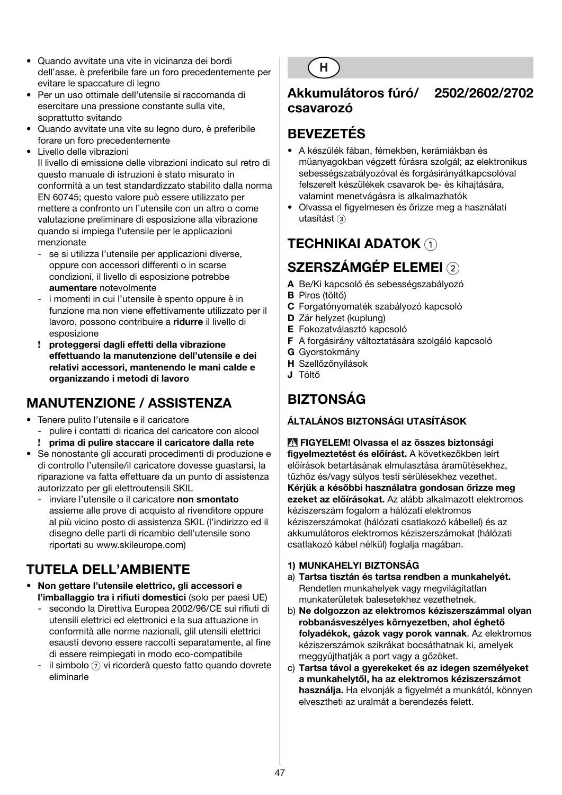- Quando avvitate una vite in vicinanza dei bordi dell'asse, è preferibile fare un foro precedentemente per evitare le spaccature di legno
- Per un uso ottimale dell'utensile si raccomanda di esercitare una pressione constante sulla vite, soprattutto svitando
- Quando avvitate una vite su legno duro, è preferibile forare un foro precedentemente
- Livello delle vibrazioni

 Il livello di emissione delle vibrazioni indicato sul retro di questo manuale di istruzioni è stato misurato in conformità a un test standardizzato stabilito dalla norma EN 60745; questo valore può essere utilizzato per mettere a confronto un l'utensile con un altro o come valutazione preliminare di esposizione alla vibrazione quando si impiega l'utensile per le applicazioni menzionate

- se si utilizza l'utensile per applicazioni diverse, oppure con accessori differenti o in scarse condizioni, il livello di esposizione potrebbe **aumentare** notevolmente
- i momenti in cui l'utensile è spento oppure è in funzione ma non viene effettivamente utilizzato per il lavoro, possono contribuire a **ridurre** il livello di esposizione
- **! proteggersi dagli effetti della vibrazione effettuando la manutenzione dell'utensile e dei relativi accessori, mantenendo le mani calde e organizzando i metodi di lavoro**

### **MANUTENZIONE / ASSISTENZA**

- Tenere pulito l'utensile e il caricatore
	- pulire i contatti di ricarica del caricatore con alcool
	- **! prima di pulire staccare il caricatore dalla rete**
- Se nonostante gli accurati procedimenti di produzione e di controllo l'utensile/il caricatore dovesse guastarsi, la riparazione va fatta effettuare da un punto di assistenza autorizzato per gli elettroutensili SKIL
	- inviare l'utensile o il caricatore **non smontato** assieme alle prove di acquisto al rivenditore oppure al più vicino posto di assistenza SKIL (l'indirizzo ed il disegno delle parti di ricambio dell'utensile sono riportati su www.skileurope.com)

### **TUTELA DELL'AMBIENTE**

- **Non gettare l'utensile elettrico, gli accessori e l'imballaggio tra i rifiuti domestici** (solo per paesi UE)
	- secondo la Direttiva Europea 2002/96/CE sui rifiuti di utensili elettrici ed elettronici e la sua attuazione in conformità alle norme nazionali, glil utensili elettrici esausti devono essere raccolti separatamente, al fine di essere reimpiegati in modo eco-compatibile
	- il simbolo  $\widehat{r}$  vi ricorderà questo fatto quando dovrete eliminarle

# **H**

### **Akkumulátoros fúró/ 2502/2602/2702 csavarozó**

## **BEVEZETÉS**

- A készülék fában, fémekben, kerámiákban és müanyagokban végzett fúrásra szolgál; az elektronikus sebességszabályozóval és forgásirányátkapcsolóval felszerelt készülékek csavarok be- és kihajtására, valamint menetvágásra is alkalmazhatók
- Olvassa el figyelmesen és őrizze meg a használati utasítást 3

# **TECHNIKAI ADATOK 1**

# **SZERSZÁMGÉP ELEMEI** 2

- **A** Be/Ki kapcsoló és sebességszabályozó
- **B** Piros (töltő)
- **C** Forgatónyomaték szabályozó kapcsoló
- **D** Zár helyzet (kuplung)
- **E** Fokozatválasztó kapcsoló
- **F** A forgásirány változtatására szolgáló kapcsoló
- **G** Gyorstokmány
- **H** Szellőzőnyílások
- **J** Töltő

# **BIZTONSÁG**

### **ÁLTALÁNOS BIZTONSÁGI UTASÍTÁSOK**

**FIGYELEM! Olvassa el az összes biztonsági figyelmeztetést és előírást.** A következőkben leírt előírások betartásának elmulasztása áramütésekhez, tűzhöz és/vagy súlyos testi sérülésekhez vezethet.

**Kérjük a későbbi használatra gondosan őrizze meg ezeket az előírásokat.** Az alább alkalmazott elektromos kéziszerszám fogalom a hálózati elektromos kéziszerszámokat (hálózati csatlakozó kábellel) és az akkumulátoros elektromos kéziszerszámokat (hálózati csatlakozó kábel nélkül) foglalja magában.

### **1) MUNKAHELYI BIZTONSÁG**

- a) **Tartsa tisztán és tartsa rendben a munkahelyét.** Rendetlen munkahelyek vagy megvilágítatlan munkaterületek balesetekhez vezethetnek.
- b) **Ne dolgozzon az elektromos kéziszerszámmal olyan robbanásveszélyes környezetben, ahol éghető folyadékok, gázok vagy porok vannak**. Az elektromos kéziszerszámok szikrákat bocsáthatnak ki, amelyek meggyújthatják a port vagy a gőzöket.
- c) **Tartsa távol a gyerekeket és az idegen személyeket a munkahelytől, ha az elektromos kéziszerszámot használja.** Ha elvonják a figyelmét a munkától, könnyen elvesztheti az uralmát a berendezés felett.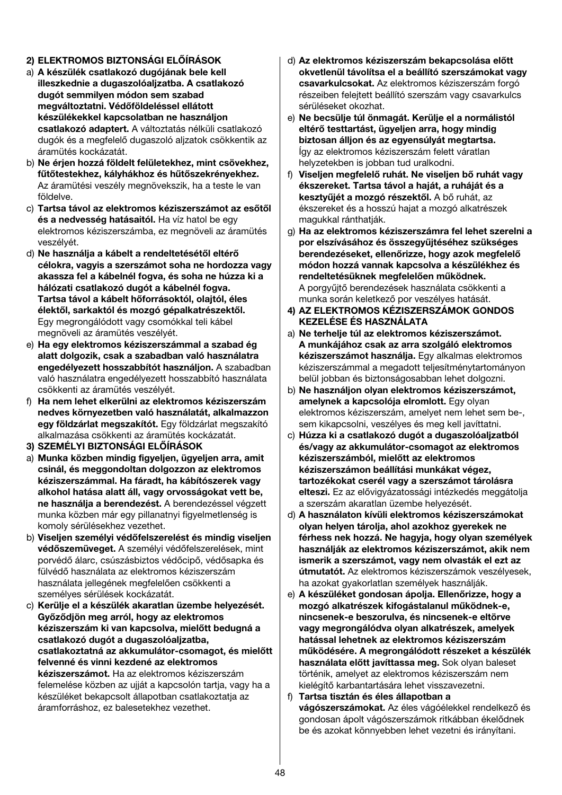#### **2) ELEKTROMOS BIZTONSÁGI ELŐÍRÁSOK**

- a) **A készülék csatlakozó dugójának bele kell illeszkednie a dugaszolóaljzatba. A csatlakozó dugót semmilyen módon sem szabad megváltoztatni. Védőföldeléssel ellátott készülékekkel kapcsolatban ne használjon csatlakozó adaptert.** A változtatás nélküli csatlakozó dugók és a megfelelő dugaszoló aljzatok csökkentik az áramütés kockázatát.
- b) **Ne érjen hozzá földelt felületekhez, mint csövekhez, fűtőtestekhez, kályhákhoz és hűtőszekrényekhez.** Az áramütési veszély megnövekszik, ha a teste le van földelve.
- c) **Tartsa távol az elektromos kéziszerszámot az esőtől és a nedvesség hatásaitól.** Ha víz hatol be egy elektromos kéziszerszámba, ez megnöveli az áramütés veszélyét.
- d) **Ne használja a kábelt a rendeltetésétől eltérő célokra, vagyis a szerszámot soha ne hordozza vagy akassza fel a kábelnél fogva, és soha ne húzza ki a hálózati csatlakozó dugót a kábelnél fogva. Tartsa távol a kábelt hőforrásoktól, olajtól, éles élektől, sarkaktól és mozgó gépalkatrészektől.** Egy megrongálódott vagy csomókkal teli kábel megnöveli az áramütés veszélyét.
- e) **Ha egy elektromos kéziszerszámmal a szabad ég alatt dolgozik, csak a szabadban való használatra engedélyezett hosszabbítót használjon.** A szabadban való használatra engedélyezett hosszabbító használata csökkenti az áramütés veszélyét.
- f) **Ha nem lehet elkerülni az elektromos kéziszerszám nedves környezetben való használatát, alkalmazzon egy földzárlat megszakítót.** Egy földzárlat megszakító alkalmazása csökkenti az áramütés kockázatát.
- **3) SZEMÉLYI BIZTONSÁGI ELŐÍRÁSOK**
- a) **Munka közben mindig figyeljen, ügyeljen arra, amit csinál, és meggondoltan dolgozzon az elektromos kéziszerszámmal. Ha fáradt, ha kábítószerek vagy alkohol hatása alatt áll, vagy orvosságokat vett be, ne használja a berendezést.** A berendezéssel végzett munka közben már egy pillanatnyi figyelmetlenség is komoly sérülésekhez vezethet.
- b) **Viseljen személyi védőfelszerelést és mindig viseljen védőszemüveget.** A személyi védőfelszerelések, mint porvédő álarc, csúszásbiztos védőcipő, védősapka és fülvédő használata az elektromos kéziszerszám használata jellegének megfelelően csökkenti a személyes sérülések kockázatát.
- c) **Kerülje el a készülék akaratlan üzembe helyezését. Győződjön meg arról, hogy az elektromos kéziszerszám ki van kapcsolva, mielőtt bedugná a csatlakozó dugót a dugaszolóaljzatba, csatlakoztatná az akkumulátor-csomagot, és mielőtt felvenné és vinni kezdené az elektromos kéziszerszámot.** Ha az elektromos kéziszerszám felemelése közben az ujját a kapcsolón tartja, vagy ha a készüléket bekapcsolt állapotban csatlakoztatja az áramforráshoz, ez balesetekhez vezethet.
- d) **Az elektromos kéziszerszám bekapcsolása előtt okvetlenül távolítsa el a beállító szerszámokat vagy csavarkulcsokat.** Az elektromos kéziszerszám forgó részeiben felejtett beállító szerszám vagy csavarkulcs sérüléseket okozhat.
- e) **Ne becsülje túl önmagát. Kerülje el a normálistól eltérő testtartást, ügyeljen arra, hogy mindig biztosan álljon és az egyensúlyát megtartsa.** Így az elektromos kéziszerszám felett váratlan helyzetekben is jobban tud uralkodni.
- f) **Viseljen megfelelő ruhát. Ne viseljen bő ruhát vagy ékszereket. Tartsa távol a haját, a ruháját és a kesztyűjét a mozgó részektől.** A bő ruhát, az ékszereket és a hosszú hajat a mozgó alkatrészek magukkal ránthatják.
- g) **Ha az elektromos kéziszerszámra fel lehet szerelni a por elszívásához és összegyűjtéséhez szükséges berendezéseket, ellenőrizze, hogy azok megfelelő módon hozzá vannak kapcsolva a készülékhez és rendeltetésüknek megfelelően működnek.** A porgyűjtő berendezések használata csökkenti a munka során keletkező por veszélyes hatását.
- **4) AZ ELEKTROMOS KÉZISZERSZÁMOK GONDOS KEZELÉSE ÉS HASZNÁLATA**
- a) **Ne terhelje túl az elektromos kéziszerszámot. A munkájához csak az arra szolgáló elektromos kéziszerszámot használja.** Egy alkalmas elektromos kéziszerszámmal a megadott teljesítménytartományon belül jobban és biztonságosabban lehet dolgozni.
- b) **Ne használjon olyan elektromos kéziszerszámot, amelynek a kapcsolója elromlott.** Egy olyan elektromos kéziszerszám, amelyet nem lehet sem be-, sem kikapcsolni, veszélyes és meg kell javíttatni.
- c) **Húzza ki a csatlakozó dugót a dugaszolóaljzatból és/vagy az akkumulátor-csomagot az elektromos kéziszerszámból, mielőtt az elektromos kéziszerszámon beállítási munkákat végez, tartozékokat cserél vagy a szerszámot tárolásra elteszi.** Ez az elővigyázatossági intézkedés meggátolja a szerszám akaratlan üzembe helyezését.
- d) **A használaton kívüli elektromos kéziszerszámokat olyan helyen tárolja, ahol azokhoz gyerekek ne férhess nek hozzá. Ne hagyja, hogy olyan személyek használják az elektromos kéziszerszámot, akik nem ismerik a szerszámot, vagy nem olvasták el ezt az útmutatót.** Az elektromos kéziszerszámok veszélyesek, ha azokat gyakorlatlan személyek használják.
- e) **A készüléket gondosan ápolja. Ellenőrizze, hogy a mozgó alkatrészek kifogástalanul működnek-e, nincsenek-e beszorulva, és nincsenek-e eltörve vagy megrongálódva olyan alkatrészek, amelyek hatással lehetnek az elektromos kéziszerszám működésére. A megrongálódott részeket a készülék használata előtt javíttassa meg.** Sok olyan baleset történik, amelyet az elektromos kéziszerszám nem kielégítő karbantartására lehet visszavezetni.
- f) **Tartsa tisztán és éles állapotban a vágószerszámokat.** Az éles vágóélekkel rendelkező és gondosan ápolt vágószerszámok ritkábban ékelődnek be és azokat könnyebben lehet vezetni és irányítani.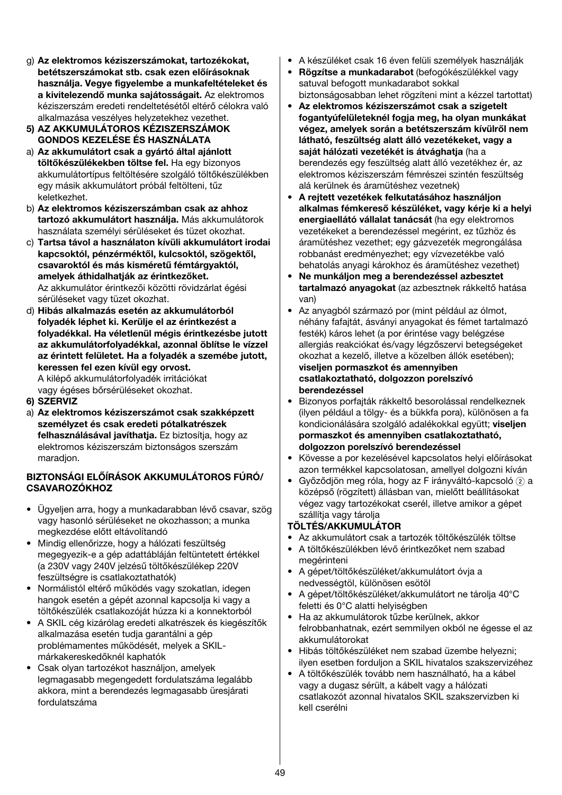- g) **Az elektromos kéziszerszámokat, tartozékokat, betétszerszámokat stb. csak ezen előírásoknak használja. Vegye figyelembe a munkafeltételeket és a kivitelezendő munka sajátosságait.** Az elektromos kéziszerszám eredeti rendeltetésétől eltérő célokra való alkalmazása veszélyes helyzetekhez vezethet.
- **5) AZ AKKUMULÁTOROS KÉZISZERSZÁMOK GONDOS KEZELÉSE ÉS HASZNÁLATA**
- a) **Az akkumulátort csak a gyártó által ajánlott töltőkészülékekben töltse fel.** Ha egy bizonyos akkumulátortípus feltöltésére szolgáló töltőkészülékben egy másik akkumulátort próbál feltölteni, tűz keletkezhet.
- b) **Az elektromos kéziszerszámban csak az ahhoz tartozó akkumulátort használja.** Más akkumulátorok használata személyi sérüléseket és tüzet okozhat.
- c) **Tartsa távol a használaton kívüli akkumulátort irodai kapcsoktól, pénzérméktől, kulcsoktól, szögektől, csavaroktól és más kisméretű fémtárgyaktól, amelyek áthidalhatják az érintkezőket.** Az akkumulátor érintkezői közötti rövidzárlat égési

sérüléseket vagy tüzet okozhat.

d) **Hibás alkalmazás esetén az akkumulátorból folyadék léphet ki. Kerülje el az érintkezést a folyadékkal. Ha véletlenül mégis érintkezésbe jutott az akkumulátorfolyadékkal, azonnal öblítse le vízzel az érintett felületet. Ha a folyadék a szemébe jutott, keressen fel ezen kívül egy orvost.**  A kilépő akkumulátorfolyadék irritációkat

vagy égéses bőrsérüléseket okozhat.

- **6) SZERVIZ**
- a) **Az elektromos kéziszerszámot csak szakképzett személyzet és csak eredeti pótalkatrészek felhasználásával javíthatja.** Ez biztosítja, hogy az elektromos kéziszerszám biztonságos szerszám maradion.

#### **BIZTONSÁGI ELŐĺRÁSOK AKKUMULÁTOROS FÚRÓ/ CSAVAROZÓKHOZ**

- Ügyeljen arra, hogy a munkadarabban lévő csavar, szög vagy hasonló sérüléseket ne okozhasson; a munka megkezdése előtt eltávolítandó
- Mindig ellenőrizze, hogy a hálózati feszültség megegyezik-e a gép adattábláján feltüntetett értékkel (a 230V vagy 240V jelzésű töltőkészülékep 220V feszültségre is csatlakoztathatók)
- Normálistól eltérő működés vagy szokatlan, idegen hangok esetén a gépét azonnal kapcsolja ki vagy a töltőkészülék csatlakozóját húzza ki a konnektorból
- A SKIL cég kizárólag eredeti alkatrészek és kiegészítők alkalmazása esetén tudja garantálni a gép problémamentes működését, melyek a SKILmárkakereskedőknél kaphatók
- Csak olyan tartozékot használjon, amelyek legmagasabb megengedett fordulatszáma legalább akkora, mint a berendezés legmagasabb üresjárati fordulatszáma
- A készüléket csak 16 éven felüli személyek használják
- **Rögzítse a munkadarabot** (befogókészülékkel vagy satuval befogott munkadarabot sokkal biztonságosabban lehet rögzíteni mint a kézzel tartottat)
- **Az elektromos kéziszerszámot csak a szigetelt fogantyúfelületeknél fogja meg, ha olyan munkákat végez, amelyek során a betétszerszám kívülről nem látható, feszültség alatt álló vezetékeket, vagy a saját hálózati vezetékét is átvághatja** (ha a berendezés egy feszültség alatt álló vezetékhez ér, az elektromos kéziszerszám fémrészei szintén feszültség alá kerülnek és áramütéshez vezetnek)
- **A rejtett vezetékek felkutatásához használjon alkalmas fémkereső készüléket, vagy kérje ki a helyi energiaellátó vállalat tanácsát** (ha egy elektromos vezetékeket a berendezéssel megérint, ez tűzhöz és áramütéshez vezethet; egy gázvezeték megrongálása robbanást eredményezhet; egy vízvezetékbe való behatolás anyagi károkhoz és áramütéshez vezethet)
- **Ne munkáljon meg a berendezéssel azbesztet tartalmazó anyagokat** (az azbesztnek rákkeltő hatása van)
- Az anyagból származó por (mint például az ólmot, néhány fafajtát, ásványi anyagokat és fémet tartalmazó festék) káros lehet (a por érintése vagy belégzése allergiás reakciókat és/vagy légzőszervi betegségeket okozhat a kezelő, illetve a közelben állók esetében); **viseljen pormaszkot és amennyiben csatlakoztatható, dolgozzon porelszívó berendezéssel**
- Bizonyos porfajták rákkeltő besorolással rendelkeznek (ilyen például a tölgy- és a bükkfa pora), különösen a fa kondicionálására szolgáló adalékokkal együtt; **viseljen pormaszkot és amennyiben csatlakoztatható, dolgozzon porelszívó berendezéssel**
- Kövesse a por kezelésével kapcsolatos helyi előírásokat azon termékkel kapcsolatosan, amellyel dolgozni kíván
- Győződjön meg róla, hogy az F irányváltó-kapcsoló 2 a középső (rögzített) állásban van, mielőtt beállításokat végez vagy tartozékokat cserél, illetve amikor a gépet szállítja vagy tárolja

#### **TÖLTÉS/AKKUMULÁTOR**

- Az akkumulátort csak a tartozék töltőkészülék töltse
- A töltőkészülékben lévő érintkezőket nem szabad megérinteni
- A gépet/töltőkészüléket/akkumulátort óvja a nedvességtöl, különösen esötöl
- A gépet/töltőkészüléket/akkumulátort ne tárolja 40°C feletti és 0°C alatti helyiségben
- Ha az akkumulátorok tűzbe kerülnek, akkor felrobbanhatnak, ezért semmilyen okból ne égesse el az akkumulátorokat
- Hibás töltőkészüléket nem szabad üzembe helyezni; ilyen esetben forduljon a SKIL hivatalos szakszervizéhez
- A töltőkészülék tovább nem használható, ha a kábel vagy a dugasz sérült, a kábelt vagy a hálózati csatlakozót azonnal hivatalos SKIL szakszervizben ki kell cserélni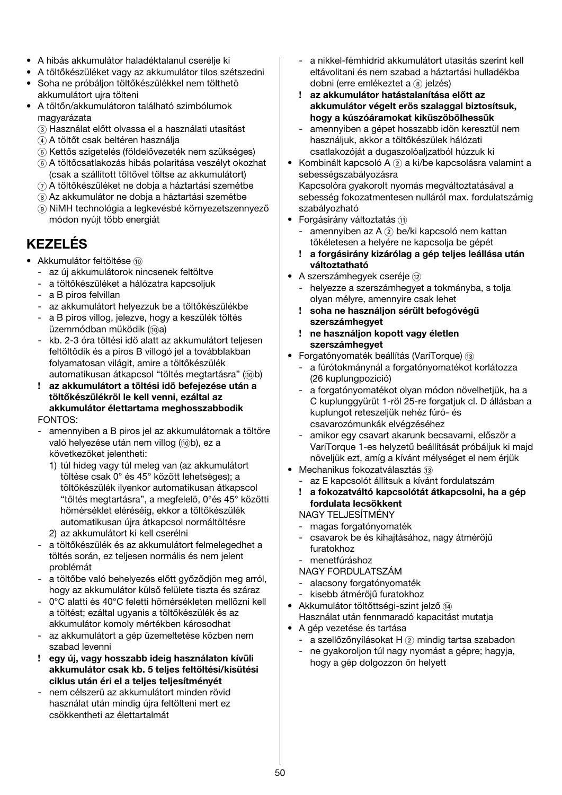- A hibás akkumulátor haladéktalanul cserélje ki
- A töltőkészüléket vagy az akkumulátor tilos szétszedni
- Soha ne próbáljon töltőkészülékkel nem tölthetö akkumulátort ujra tölteni
- A töltőn/akkumulátoron található szimbólumok magyarázata
- 3 Használat előtt olvassa el a használati utasítást
- 4 A töltőt csak beltéren használja
- 5 Kettős szigetelés (földelővezeték nem szükséges)
- 6 A töltőcsatlakozás hibás polaritása veszélyt okozhat (csak a szállított töltővel töltse az akkumulátort)
- 7 A töltőkészüléket ne dobja a háztartási szemétbe
- 8 Az akkumulátor ne dobja a háztartási szemétbe
- 9 NiMH technológia a legkevésbé környezetszennyező módon nyújt több energiát

### **KEZELÉS**

- Akkumulátor feltöltése @
	- az új akkumulátorok nincsenek feltöltve
	- a töltőkészüléket a hálózatra kapcsoljuk
	- a B piros felvillan
	- az akkumulátort helyezzuk be a töltőkészülékbe
	- a B piros villog, jelezve, hogy a keszülék töltés üzemmódban müködik (@a)
	- kb. 2-3 óra töltési idö alatt az akkumulátort teljesen feltöltődik és a piros B villogó jel a továbblakban folyamatosan világit, amire a töltőkészülék automatikusan átkapcsol "töltés megtartásra" (@b)
	- **! az akkumulátort a töltési idö befejezése után a töltőkészülékröl le kell venni, ezáltal az akkumulátor élettartama meghosszabbodik** FONTOS:
	- amennyiben a B piros jel az akkumulátornak a töltöre való helyezése után nem villog (@b), ez a következöket jelentheti:
		- 1) túl hideg vagy túl meleg van (az akkumulátort töltése csak 0° és 45° között lehetséges); a töltőkészülék ilyenkor automatikusan átkapscol "töltés megtartásra", a megfelelö, 0°és 45° közötti hömérséklet eléréséig, ekkor a töltőkészülék automatikusan újra átkapcsol normáltöltésre 2) az akkumulátort ki kell cserélni
	- a töltőkészülék és az akkumulátort felmelegedhet a töltés során, ez teljesen normális és nem jelent problémát
	- a töltőbe való behelyezés előtt győződiön meg arról, hogy az akkumulátor külső felülete tiszta és száraz
	- 0°C alatti és 40°C feletti hömérsékleten mellõzni kell a töltést; ezáltal ugyanis a töltőkészülék és az akkumulátor komoly mértékben károsodhat
	- az akkumulátort a gép üzemeltetése közben nem szabad levenni
	- **! egy új, vagy hosszabb ideig használaton kívüli akkumulátor csak kb. 5 teljes feltöltési/kisütési ciklus után éri el a teljes teljesítményét**
	- nem célszerü az akkumulátort minden rövid használat után mindig újra feltölteni mert ez csökkentheti az élettartalmát
- a nikkel-fémhidrid akkumulátort utasitás szerint kell eltávolitani és nem szabad a háztartási hulladékba dobni (erre emlékeztet a 8 jelzés)
- **! az akkumulátor hatástalanítása előtt az akkumulátor végelt erös szalaggal biztosítsuk, hogy a kúszóáramokat kiküszöbölhessük**
- amennyiben a gépet hosszabb idön keresztül nem használjuk, akkor a töltőkészülek hálózati csatlakozóját a dugaszolóaljzatból húzzuk ki
- Kombinált kapcsoló A $(2)$  a ki/be kapcsolásra valamint a sebességszabályozásra

 Kapcsolóra gyakorolt nyomás megváltoztatásával a sebesség fokozatmentesen nulláról max. fordulatszámig szabályozható

- Forgásirány változtatás (1)
	- amennyiben az A 2 be/ki kapcsoló nem kattan tökéletesen a helyére ne kapcsolja be gépét
	- **! a forgásirány kizárólag a gép teljes leállása után változtatható**
- A szerszámhegyek cseréje @
	- helyezze a szerszámhegyet a tokmányba, s tolja olyan mélyre, amennyire csak lehet
	- **! soha ne használjon sérült befogóvégű szerszámhegyet**
	- **! ne használjon kopott vagy életlen szerszámhegyet**
- Forgatónyomaték beállítás (VariTorque) @
	- a fúrótokmánynál a forgatónyomatékot korlátozza (26 kuplungpozíció)
	- a forgatónyomatékot olyan módon növelhetjük, ha a C kuplunggyürüt 1-röl 25-re forgatjuk cl. D állásban a kuplungot reteszeljük nehéz fúró- és csavarozómunkák elvégzéséhez
	- amikor egy csavart akarunk becsavarni, először a VariTorque 1-es helyzetű beállítását próbáljuk ki majd növeljük ezt, amíg a kívánt mélységet el nem érjük
- Mechanikus fokozatválasztás @
	- az E kapcsolót állitsuk a kívánt fordulatszám
	- **! a fokozatváltó kapcsolótát átkapcsolni, ha a gép fordulata lecsökkent**

NAGY TELJESÍTMÉNY

- magas forgatónyomaték
- csavarok be és kihajtásához, nagy átméröjű furatokhoz
- menetfúráshoz
- NAGY FORDULATSZÁM
- alacsony forgatónyomaték
- kisebb átméröjű furatokhoz
- $\bullet$  Akkumulátor töltőttségi-szint jelző  $@$ Használat után fennmaradó kapacitást mutatja
- A gép vezetése és tartása
	- a szellőzőnyílásokat H 2 mindig tartsa szabadon
	- ne gyakoroljon túl nagy nyomást a gépre; hagyja, hogy a gép dolgozzon ön helyett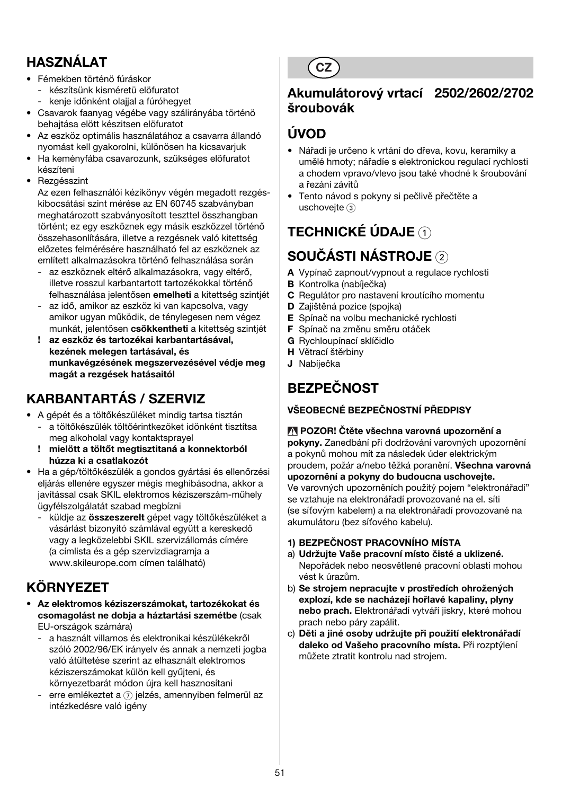# **HASZNÁLAT**

- Fémekben történö fúráskor
	- készítsünk kisméretü elöfuratot kenje időnként olajjal a fúróhegyet
- Csavarok faanyag végébe vagy szálirányába történö behajtása elött készitsen elöfuratot
- Az eszköz optimális használatához a csavarra állandó nyomást kell gyakorolni, különösen ha kicsavarjuk
- Ha keményfába csavarozunk, szükséges elöfuratot készíteni
- **Rezgésszint**

 Az ezen felhasználói kézikönyv végén megadott rezgéskibocsátási szint mérése az EN 60745 szabványban meghatározott szabványosított teszttel összhangban történt; ez egy eszköznek egy másik eszközzel történő összehasonlítására, illetve a rezgésnek való kitettség előzetes felmérésére használható fel az eszköznek az említett alkalmazásokra történő felhasználása során

- az eszköznek eltérő alkalmazásokra, vagy eltérő, illetve rosszul karbantartott tartozékokkal történő felhasználása jelentősen **emelheti** a kitettség szintjét
- az idő, amikor az eszköz ki van kapcsolva, vagy amikor ugyan működik, de ténylegesen nem végez munkát, jelentősen **csökkentheti** a kitettség szintjét
- **! az eszköz és tartozékai karbantartásával, kezének melegen tartásával, és munkavégzésének megszervezésével védje meg magát a rezgések hatásaitól**

# **KARBANTARTÁS / SZERVIZ**

- A gépét és a töltőkészüléket mindig tartsa tisztán - a töltőkészülék töltőérintkezöket idönként tisztítsa meg alkoholal vagy kontaktsprayel
	- **! mielött a töltőt megtisztitaná a konnektorból húzza ki a csatlakozót**
- Ha a gép/töltőkészülék a gondos gyártási és ellenőrzési eljárás ellenére egyszer mégis meghibásodna, akkor a javítással csak SKIL elektromos kéziszerszám-műhely ügyfélszolgálatát szabad megbízni
	- küldje az **összeszerelt** gépet vagy töltőkészüléket a vásárlást bizonyító számlával együtt a kereskedő vagy a legközelebbi SKIL szervizállomás címére (a címlista és a gép szervizdiagramja a www.skileurope.com címen található)

# **KÖRNYEZET**

- **Az elektromos kéziszerszámokat, tartozékokat és csomagolást ne dobja a háztartási szemétbe** (csak EU-országok számára)
	- a használt villamos és elektronikai készülékekről szóló 2002/96/EK irányelv és annak a nemzeti jogba való átültetése szerint az elhasznált elektromos kéziszerszámokat külön kell gyűjteni, és környezetbarát módon újra kell hasznosítani
	- erre emlékeztet a  $\overline{(7)}$  jelzés, amennyiben felmerül az intézkedésre való igény

# **CZ**

### **Akumulátorový vrtací 2502/2602/2702 šroubovák**

# **ÚVOD**

- Nářadí je určeno k vrtání do dřeva, kovu, keramiky a umělé hmoty; nářadíe s elektronickou regulací rychlosti a chodem vpravo/vlevo jsou také vhodné k šroubování a řezání závitů
- Tento návod s pokyny si pečlivě přečtěte a uschoveite 3

# **TECHNICKÉ ÚDAJE** 1

# **SOUČÁSTI NÁSTROJE** 2

- **A** Vypínač zapnout/vypnout a regulace rychlosti
- **B** Kontrolka (nabíječka)
- **C** Regulátor pro nastavení kroutícího momentu
- **D** Zajištěná pozice (spojka)
- **E** Spínač na volbu mechanické rychlosti
- **F** Spínač na změnu směru otáček
- **G** Rychloupínací sklíčidlo
- **H** Větrací štěrbiny
- **J** Nabíječka

# **BEZPEČNOST**

### **VŠEOBECNÉ BEZPEČNOSTNÍ PŘEDPISY**

**POZOR! Čtěte všechna varovná upozornění a pokyny.** Zanedbání při dodržování varovných upozornění a pokynů mohou mít za následek úder elektrickým proudem, požár a/nebo těžká poranění. **Všechna varovná upozornění a pokyny do budoucna uschovejte.** Ve varovných upozorněních použitý pojem "elektronářadí" se vztahuje na elektronářadí provozované na el. síti (se síťovým kabelem) a na elektronářadí provozované na akumulátoru (bez síťového kabelu).

### **1) BEZPEČNOST PRACOVNÍHO MÍSTA**

- a) **Udržujte Vaše pracovní místo čisté a uklizené.** Nepořádek nebo neosvětlené pracovní oblasti mohou vést k úrazům.
- b) **Se strojem nepracujte v prostředích ohrožených explozí, kde se nacházejí hořlavé kapaliny, plyny nebo prach.** Elektronářadí vytváří jiskry, které mohou prach nebo páry zapálit.
- c) **Děti a jiné osoby udržujte při použití elektronářadí daleko od Vašeho pracovního místa.** Při rozptýlení můžete ztratit kontrolu nad strojem.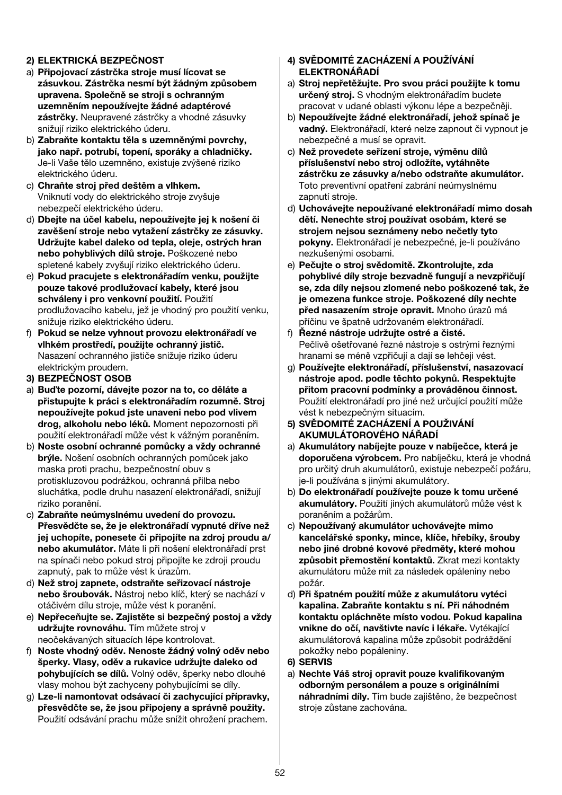#### **2) ELEKTRICKÁ BEZPEČNOST**

- a) **Připojovací zástrčka stroje musí lícovat se zásuvkou. Zástrčka nesmí být žádným způsobem upravena. Společně se stroji s ochranným uzemněním nepoužívejte žádné adaptérové zástrčky.** Neupravené zástrčky a vhodné zásuvky snižují riziko elektrického úderu.
- b) **Zabraňte kontaktu těla s uzemněnými povrchy, jako např. potrubí, topení, sporáky a chladničky.** Je-li Vaše tělo uzemněno, existuje zvýšené riziko elektrického úderu.
- c) **Chraňte stroj před deštěm a vlhkem.** Vniknutí vody do elektrického stroje zvyšuje nebezpečí elektrického úderu.
- d) **Dbejte na účel kabelu, nepoužívejte jej k nošení či zavěšení stroje nebo vytažení zástrčky ze zásuvky. Udržujte kabel daleko od tepla, oleje, ostrých hran nebo pohyblivých dílů stroje.** Poškozené nebo spletené kabely zvyšují riziko elektrického úderu.
- e) **Pokud pracujete s elektronářadím venku, použijte pouze takové prodlužovací kabely, které jsou schváleny i pro venkovní použití.** Použití prodlužovacího kabelu, jež je vhodný pro použití venku, snižuje riziko elektrického úderu.
- f) **Pokud se nelze vyhnout provozu elektronářadí ve vlhkém prostředí, použijte ochranný jistič.** Nasazení ochranného jističe snižuje riziko úderu elektrickým proudem.
- **3) BEZPEČNOST OSOB**
- a) **Buďte pozorní, dávejte pozor na to, co děláte a přistupujte k práci s elektronářadím rozumně. Stroj nepoužívejte pokud jste unaveni nebo pod vlivem drog, alkoholu nebo léků.** Moment nepozornosti při použití elektronářadí může vést k vážným poraněním.
- b) **Noste osobní ochranné pomůcky a vždy ochranné brýle.** Nošení osobních ochranných pomůcek jako maska proti prachu, bezpečnostní obuv s protiskluzovou podrážkou, ochranná přilba nebo sluchátka, podle druhu nasazení elektronářadí, snižují riziko poranění.
- c) **Zabraňte neúmyslnému uvedení do provozu. Přesvědčte se, že je elektronářadí vypnuté dříve než jej uchopíte, ponesete či připojíte na zdroj proudu a/ nebo akumulátor.** Máte li při nošení elektronářadí prst na spínači nebo pokud stroj připojíte ke zdroji proudu zapnutý, pak to může vést k úrazům.
- d) **Než stroj zapnete, odstraňte seřizovací nástroje nebo šroubovák.** Nástroj nebo klíč, který se nachází v otáčivém dílu stroje, může vést k poranění.
- e) **Nepřeceňujte se. Zajistěte si bezpečný postoj a vždy udržujte rovnováhu.** Tím můžete stroj v neočekávaných situacích lépe kontrolovat.
- f) **Noste vhodný oděv. Nenoste žádný volný oděv nebo šperky. Vlasy, oděv a rukavice udržujte daleko od pohybujících se dílů.** Volný oděv, šperky nebo dlouhé vlasy mohou být zachyceny pohybujícími se díly.
- g) **Lze-li namontovat odsávací či zachycující přípravky, přesvědčte se, že jsou připojeny a správně použity.** Použití odsávání prachu může snížit ohrožení prachem.
- **4) SVĚDOMITÉ ZACHÁZENÍ A POUŽÍVÁNÍ ELEKTRONÁŘADÍ**
- a) **Stroj nepřetěžujte. Pro svou práci použijte k tomu určený stroj.** S vhodným elektronářadím budete pracovat v udané oblasti výkonu lépe a bezpečněji.
- b) **Nepoužívejte žádné elektronářadí, jehož spínač je vadný.** Elektronářadí, které nelze zapnout či vypnout je nebezpečné a musí se opravit.
- c) **Než provedete seřízení stroje, výměnu dílů příslušenství nebo stroj odložíte, vytáhněte zástrčku ze zásuvky a/nebo odstraňte akumulátor.** Toto preventivní opatření zabrání neúmyslnému zapnutí stroje.
- d) **Uchovávejte nepoužívané elektronářadí mimo dosah dětí. Nenechte stroj používat osobám, které se strojem nejsou seznámeny nebo nečetly tyto pokyny.** Elektronářadí je nebezpečné, je-li používáno nezkušenými osobami.
- e) **Pečujte o stroj svědomitě. Zkontrolujte, zda pohyblivé díly stroje bezvadně fungují a nevzpřičují se, zda díly nejsou zlomené nebo poškozené tak, že je omezena funkce stroje. Poškozené díly nechte před nasazením stroje opravit.** Mnoho úrazů má příčinu ve špatně udržovaném elektronářadí.
- f) **Řezné nástroje udržujte ostré a čisté.** Pečlivě ošetřované řezné nástroje s ostrými řeznými hranami se méně vzpřičují a dají se lehčeji vést.
- g) **Používejte elektronářadí, příslušenství, nasazovací nástroje apod. podle těchto pokynů. Respektujte přitom pracovní podmínky a prováděnou činnost.** Použití elektronářadí pro jiné než určující použití může vést k nebezpečným situacím.
- **5) SVĚDOMITÉ ZACHÁZENÍ A POUŽIVÁNÍ AKUMULÁTOROVÉHO NÁŘADÍ**
- a) **Akumulátory nabíjejte pouze v nabíječce, která je doporučena výrobcem.** Pro nabíječku, která je vhodná pro určitý druh akumulátorů, existuje nebezpečí požáru, je-li používána s jinými akumulátory.
- b) **Do elektronářadí používejte pouze k tomu určené akumulátory.** Použití jiných akumulátorů může vést k poraněním a požárům.
- c) **Nepoužívaný akumulátor uchovávejte mimo kancelářské sponky, mince, klíče, hřebíky, šrouby nebo jiné drobné kovové předměty, které mohou způsobit přemostění kontaktů.** Zkrat mezi kontakty akumulátoru může mít za následek opáleniny nebo požár.
- d) **Při špatném použití může z akumulátoru vytéci kapalina. Zabraňte kontaktu s ní. Při náhodném kontaktu opláchněte místo vodou. Pokud kapalina vnikne do očí, navštivte navíc i lékaře.** Vytékající akumulátorová kapalina může způsobit podráždění pokožky nebo popáleniny.

#### **6) SERVIS**

a) **Nechte Váš stroj opravit pouze kvalifikovaným odborným personálem a pouze s originálními náhradními díly.** Tím bude zajištěno, že bezpečnost stroje zůstane zachována.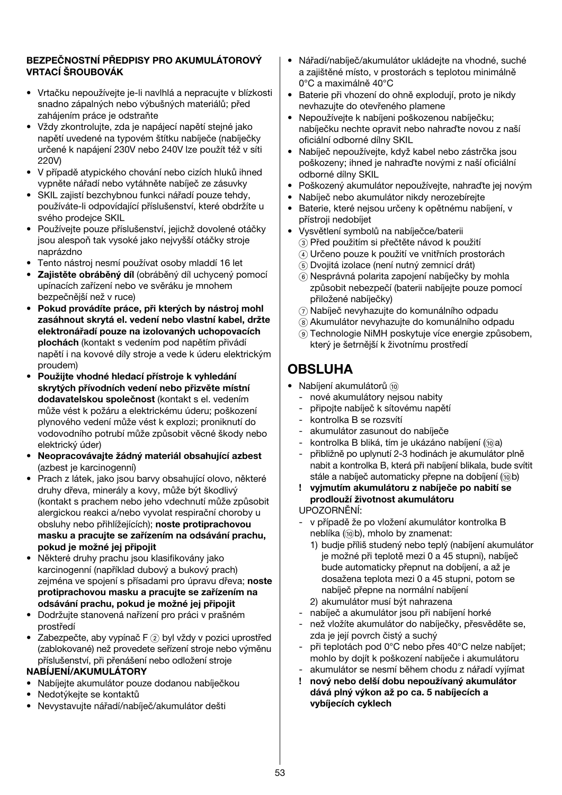#### **BEZPEČNOSTNÍ PŘEDPISY PRO AKUMULÁTOROVÝ VRTACÍ ŠROUBOVÁK**

- Vrtačku nepoužívejte je-li navlhlá a nepracujte v blízkosti snadno zápalných nebo výbušných materiálů; před zahájením práce je odstraňte
- Vždy zkontrolujte, zda je napájecí napětí stejné jako napětí uvedené na typovém štítku nabíječe (nabíječky určené k napájení 230V nebo 240V lze použít též v síti 220V)
- V případě atypického chování nebo cizích hluků ihned vypněte nářadí nebo vytáhněte nabíječ ze zásuvky
- SKIL zajistí bezchybnou funkci nářadí pouze tehdy, používáte-li odpovídající příslušenství, které obdržíte u svého prodejce SKIL
- Používejte pouze příslušenství, jejichž dovolené otáčky jsou alespoň tak vysoké jako nejvyšší otáčky stroje naprázdno
- Tento nástroj nesmí používat osoby mladdí 16 let
- **Zajistěte obráběný díl** (obráběný díl uchycený pomocí upínacích zařízení nebo ve svěráku je mnohem bezpečnější než v ruce)
- **Pokud provádíte práce, při kterých by nástroj mohl zasáhnout skrytá el. vedení nebo vlastní kabel, držte elektronářadí pouze na izolovaných uchopovacích plochách** (kontakt s vedením pod napětím přivádí napětí i na kovové díly stroje a vede k úderu elektrickým proudem)
- **Použijte vhodné hledací přístroje k vyhledání skrytých přívodních vedení nebo přizvěte místní dodavatelskou společnost** (kontakt s el. vedením může vést k požáru a elektrickému úderu; poškození plynového vedení může vést k explozi; proniknutí do vodovodního potrubí může způsobit věcné škody nebo elektrický úder)
- **Neopracovávajte žádný materiál obsahující azbest** (azbest je karcinogenní)
- Prach z látek, jako jsou barvy obsahující olovo, některé druhy dřeva, minerály a kovy, může být škodlivý (kontakt s prachem nebo jeho vdechnutí může způsobit alergickou reakci a/nebo vyvolat respirační choroby u obsluhy nebo přihlížejících); **noste protiprachovou masku a pracujte se zařízením na odsávání prachu, pokud je možné jej připojit**
- Některé druhy prachu jsou klasifikovány jako karcinogenní (například dubový a bukový prach) zejména ve spojení s přísadami pro úpravu dřeva; **noste protiprachovou masku a pracujte se zařízením na odsávání prachu, pokud je možné jej připojit**
- Dodržujte stanovená nařízení pro práci v prašném prostředí
- Zabezpečte, aby vypínač F 2 byl vždy v pozici uprostřed (zablokované) než provedete seřízení stroje nebo výměnu příslušenství, při přenášení nebo odložení stroje

#### **NABÍJENÍ/AKUMULÁTORY**

- Nabíjejte akumulátor pouze dodanou nabíječkou
- Nedotýkejte se kontaktů
- Nevystavujte nářadí/nabíječ/akumulátor dešti
- Nářadí/nabíječ/akumulátor ukládejte na vhodné, suché a zajištěné místo, v prostorách s teplotou minimálně 0°C a maximálně 40°C
- Baterie při vhození do ohně explodují, proto je nikdy nevhazujte do otevřeného plamene
- Nepoužívejte k nabíjeni poškozenou nabíječku; nabíječku nechte opravit nebo nahraďte novou z naší oficiální odborné dílny SKIL
- Nabíječ nepoužívejte, když kabel nebo zástrčka jsou poškozeny; ihned je nahraďte novými z naší oficiální odborné dílny SKIL
- Poškozený akumulátor nepoužívejte, nahraďte jej novým
- Nabíječ nebo akumulátor nikdy nerozebírejte
- Baterie, které nejsou určeny k opětnému nabíjení, v přístroji nedobíjet
- Vysvětlení symbolů na nabíječce/baterii 3 Před použitím si přečtěte návod k použití
	- 4 Určeno pouze k použití ve vnitřních prostorách
	- 5 Dvojitá izolace (není nutný zemnicí drát)
	- 6 Nesprávná polarita zapojení nabíječky by mohla způsobit nebezpečí (baterii nabíjejte pouze pomocí přiložené nabíječky)
	- 7 Nabíječ nevyhazujte do komunálního odpadu
	- $\overline{8}$  Akumulátor nevyhazujte do komunálního odpadu
	- 9 Technologie NiMH poskytuje více energie způsobem, který je šetrnější k životnímu prostředí

### **OBSLUHA**

- Nabíjení akumulátorů @
	- nové akumulátory nejsou nabity
	- připojte nabíječ k sítovému napětí
	- kontrolka B se rozsvítí
	- akumulátor zasunout do nabíječe
	- kontrolka B bliká, tím je ukázáno nabíjení (@a)
	- přibližně po uplynutí 2-3 hodinách je akumulátor plně nabit a kontrolka B, která při nabíjení blikala, bude svítit stále a nabíječ automaticky přepne na dobíjení (@b)
	- **! vyjmutím akumulátoru z nabíječe po nabití se prodlouží životnost akumulátoru** UPOZORNĚNÍ:

- v případě že po vložení akumulátor kontrolka B neblíka (10b), mholo by znamenat:
	- 1) budje příliš studený nebo teplý (nabíjení akumulátor je možné při teplotě mezi 0 a 45 stupni), nabíječ bude automaticky přepnut na dobíjení, a až je dosažena teplota mezi 0 a 45 stupni, potom se nabíječ přepne na normální nabíjení
- 2) akumulátor musí být nahrazena
- nabíječ a akumulátor jsou při nabíjení horké
- než vložíte akumulátor do nabíječky, přesvěděte se, zda je její povrch čistý a suchý
- při teplotách pod 0°C nebo přes 40°C nelze nabíjet; mohlo by dojít k poškození nabíječe i akumulátoru
- akumulátor se nesmí během chodu z nářadí vyjímat
- **! nový nebo delší dobu nepoužívaný akumulátor dává plný výkon až po ca. 5 nabíjecích a vybíjecích cyklech**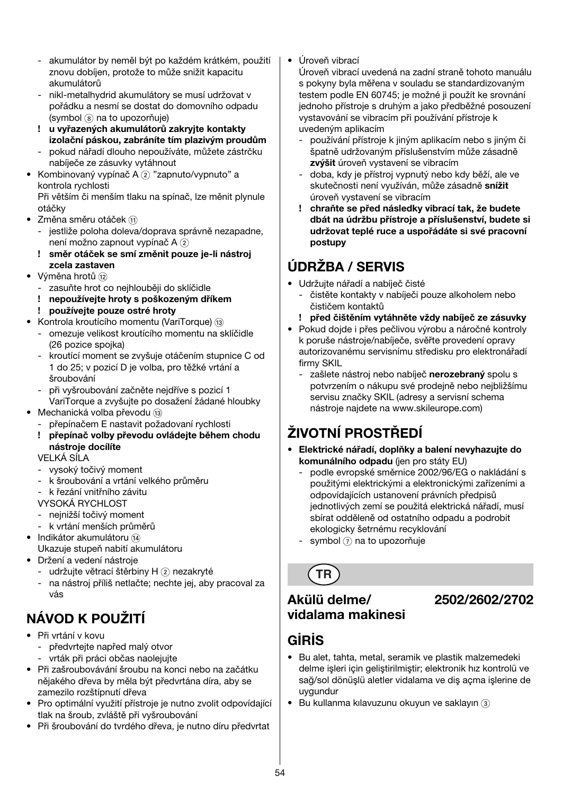- akumulátor by neměl být po každém krátkém, použití znovu dobíjen, protože to může snižit kapacitu akumulátorů
- nikl-metalhydrid akumulátory se musí udržovat v pořádku a nesmí se dostat do domovního odpadu (symbol 8) na to upozorňuje)
- **! u vyřazených akumulátorů zakryjte kontakty izolační páskou, zabráníte tím plazivým proudům**
- pokud nářadí dlouho nepoužíváte, můžete zástrčku nabíječe ze zásuvky vytáhnout
- Kombinovaný vypínač A 2 "zapnuto/vypnuto" a kontrola rychlosti Při větším či menším tlaku na spínač, lze měnit plynule
- otáčky
- Změna směru otáček m
	- jestliže poloha doleva/doprava správně nezapadne, není možno zapnout vypínač A 2
	- **! směr otáček se smí změnit pouze je-li nástroj zcela zastaven**
- Výměna hrotů @
	- zasuňte hrot co nejhlouběji do sklíčidle
	- **! nepoužívejte hroty s poškozeným dříkem**
	- **! používejte pouze ostré hroty**
- Kontrola kroutícího momentu (VariTorque) (13)
	- omezuje velikost kroutícího momentu na sklíčidle (26 pozice spojka)
	- kroutící moment se zvyšuje otáčením stupnice C od 1 do 25; v pozicí D je volba, pro těžké vrtání a šroubování
	- při vyšroubování začněte nejdříve s pozicí 1 VariTorque a zvyšujte po dosažení žádané hloubky
- Mechanická volba převodu @
	- přepínačem E nastavit požadovaní rychlosti
	- **! přepínač volby převodu ovládejte během chodu nástroje docílíte**

#### VELKÁ SÍLA

- vysoký točivý moment
- k šroubování a vrtání velkého průměru
- k řezání vnitřního závitu

VYSOKÁ RYCHLOST

- nejnižší točivý moment
- k vrtání menších průměrů
- $\bullet$  Indikátor akumulátoru  $\tan$ 
	- Ukazuje stupeň nabití akumulátoru
- Držení a vedení nástroje
	- udržujte větrací štěrbiny H 2 nezakryté
	- na nástroj příliš netlačte; nechte jej, aby pracoval za vás

# **NÁVOD K POUŽITÍ**

- Při vrtání v kovu
	- předvrtejte napřed malý otvor
	- vrták při práci občas naolejujte
- Při zašroubovávání šroubu na konci nebo na začátku nějakého dřeva by měla být předvrtána díra, aby se zamezilo rozštípnutí dřeva
- Pro optimální využití přístroje je nutno zvolit odpovídající tlak na šroub, zvláště při vyšroubování
- Při šroubování do tvrdého dřeva, je nutno díru předvrtat

• Úroveň vibrací

 Úroveň vibrací uvedená na zadní straně tohoto manuálu s pokyny byla měřena v souladu se standardizovaným testem podle EN 60745; je možné ji použít ke srovnání jednoho přístroje s druhým a jako předběžné posouzení vystavování se vibracím při používání přístroje k uvedeným aplikacím

- používání přístroje k jiným aplikacím nebo s jiným či špatně udržovaným příslušenstvím může zásadně **zvýšit** úroveň vystavení se vibracím
- doba, kdy je přístroj vypnutý nebo kdy běží, ale ve skutečnosti není využíván, může zásadně **snížit** úroveň vystavení se vibracím
- **! chraňte se před následky vibrací tak, že budete dbát na údržbu přístroje a příslušenství, budete si udržovat teplé ruce a uspořádáte si své pracovní postupy**

## **ÚDRŽBA / SERVIS**

- Udržujte nářadí a nabíječ čisté
	- čistěte kontakty v nabíječi pouze alkoholem nebo čističem kontaktů
	- **! před čištěním vytáhněte vždy nabíječ ze zásuvky**
- Pokud dojde i přes pečlivou výrobu a náročné kontroly k poruše nástroje/nabíječe, svěřte provedení opravy autorizovanému servisnímu středisku pro elektronářadí firmy SKIL
	- zašlete nástroj nebo nabíječ **nerozebraný** spolu s potvrzením o nákupu své prodejně nebo nejbližšímu servisu značky SKIL (adresy a servisní schema nástroje najdete na www.skileurope.com)

# **ŽIVOTNÍ PROSTŘEDÍ**

- **Elektrické nářadí, doplňky a balení nevyhazujte do komunálního odpadu** (jen pro státy EU)
	- podle evropské směrnice 2002/96/EG o nakládání s použitými elektrickými a elektronickými zařízeními a odpovídajících ustanovení právních předpisů jednotlivých zemí se použitá elektrická nářadí, musí sbírat odděleně od ostatního odpadu a podrobit ekologicky šetrnému recyklování
	- symbol  $\widehat{2}$  na to upozorňuje

# **TR**

### **Akülü delme/ 2502/2602/2702 vidalama makinesi**

### **GİRİS**

- Bu alet, tahta, metal, seramik ve plastik malzemedeki delme işleri için geliştirilmiştir; elektronik hız kontrolü ve sağ/sol dönüşlü aletler vidalama ve diş açma işlerine de uygundur
- $\bullet$  Bu kullanma kılavuzunu okuvun ve saklayın  $\circ$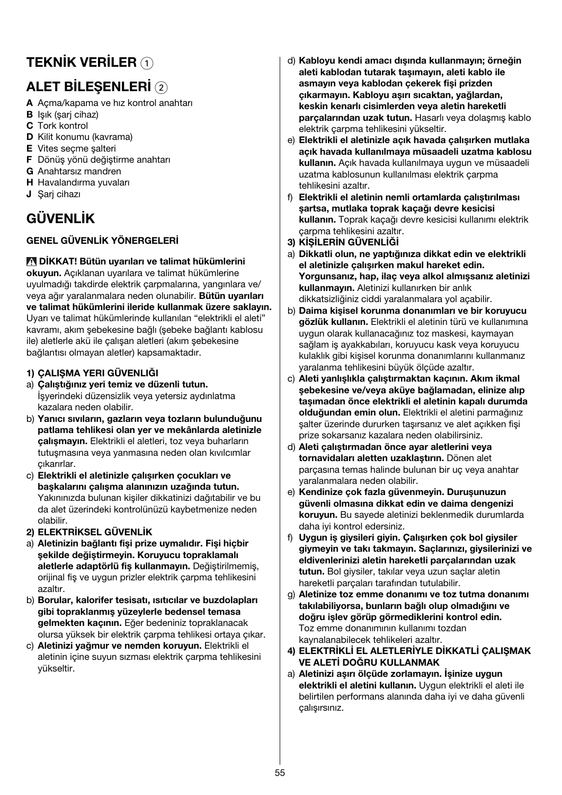# **TEKNİK VERİLER (1)**

# **ALET BİLEŞENLERİ** 2

- **A** Açma/kapama ve hız kontrol anahtarı
- **B** Işık (şarj cihaz)
- **C** Tork kontrol
- **D** Kilit konumu (kavrama)
- **E** Vites secme salteri
- **F** Dönüş yönü değiştirme anahtarı
- **G** Anahtarsız mandren
- **H** Havalandırma yuvaları
- **J** Şarj cihazı

# **GÜVENLİK**

### **GENEL GÜVENLİK YÖNERGELERİ**

**DİKKAT! Bütün uyarıları ve talimat hükümlerini okuyun.** Açıklanan uyarılara ve talimat hükümlerine uyulmadığı takdirde elektrik çarpmalarına, yangınlara ve/ veya ağır yaralanmalara neden olunabilir. **Bütün uyarıları ve talimat hükümlerini ileride kullanmak üzere saklayın.** Uyarı ve talimat hükümlerinde kullanılan "elektrikli el aleti" kavramı, akım şebekesine bağlı (şebeke bağlantı kablosu ile) aletlerle akü ile çalışan aletleri (akım şebekesine bağlantısı olmayan aletler) kapsamaktadır.

#### **1) ÇALIŞMA YERI GÜVENLIĞI**

- a) **Çalıştığınız yeri temiz ve düzenli tutun.** İşyerindeki düzensizlik veya yetersiz aydınlatma kazalara neden olabilir.
- b) **Yanıcı sıvıların, gazların veya tozların bulunduğunu patlama tehlikesi olan yer ve mekânlarda aletinizle çalışmayın.** Elektrikli el aletleri, toz veya buharların tutuşmasına veya yanmasına neden olan kıvılcımlar çıkarırlar.
- c) **Elektrikli el aletinizle çalışırken çocukları ve başkalarını çalışma alanınızın uzağında tutun.** Yakınınızda bulunan kişiler dikkatinizi dağıtabilir ve bu da alet üzerindeki kontrolünüzü kaybetmenize neden olabilir.

#### **2) ELEKTRİKSEL GÜVENLİK**

- a) **Aletinizin bağlantı fişi prize uymalıdır. Fişi hiçbir şekilde değiştirmeyin. Koruyucu topraklamalı aletlerle adaptörlü fiş kullanmayın.** Değiştirilmemiş, orijinal fiş ve uygun prizler elektrik çarpma tehlikesini azaltır.
- b) **Borular, kalorifer tesisatı, ısıtıcılar ve buzdolapları gibi topraklanmış yüzeylerle bedensel temasa gelmekten kaçının.** Eğer bedeniniz topraklanacak olursa yüksek bir elektrik çarpma tehlikesi ortaya çıkar.
- c) **Aletinizi yağmur ve nemden koruyun.** Elektrikli el aletinin içine suyun sızması elektrik çarpma tehlikesini yükseltir.
- d) **Kabloyu kendi amacı dışında kullanmayın; örneğin aleti kablodan tutarak taşımayın, aleti kablo ile asmayın veya kablodan çekerek fişi prizden çıkarmayın. Kabloyu aşırı sıcaktan, yağlardan, keskin kenarlı cisimlerden veya aletin hareketli parçalarından uzak tutun.** Hasarlı veya dolaşmış kablo elektrik çarpma tehlikesini yükseltir.
- e) **Elektrikli el aletinizle açık havada çalışırken mutlaka açık havada kullanılmaya müsaadeli uzatma kablosu kullanın.** Açık havada kullanılmaya uygun ve müsaadeli uzatma kablosunun kullanılması elektrik çarpma tehlikesini azaltır.
- f) **Elektrikli el aletinin nemli ortamlarda çalıştırılması şartsa, mutlaka toprak kaçağı devre kesicisi kullanın.** Toprak kaçağı devre kesicisi kullanımı elektrik çarpma tehlikesini azaltır.
- **3) KİŞİLERİN GÜVENLİĞİ**
- a) **Dikkatli olun, ne yaptığınıza dikkat edin ve elektrikli el aletinizle çalışırken makul hareket edin. Yorgunsanız, hap, ilaç veya alkol almışsanız aletinizi kullanmayın.** Aletinizi kullanırken bir anlık dikkatsizliğiniz ciddi yaralanmalara yol açabilir.
- b) **Daima kişisel korunma donanımları ve bir koruyucu gözlük kullanın.** Elektrikli el aletinin türü ve kullanımına uygun olarak kullanacağınız toz maskesi, kaymayan sağlam iş ayakkabıları, koruyucu kask veya koruyucu kulaklık gibi kişisel korunma donanımlarını kullanmanız yaralanma tehlikesini büyük ölçüde azaltır.
- c) **Aleti yanlışlıkla çalıştırmaktan kaçının. Akım ikmal şebekesine ve/veya aküye bağlamadan, elinize alıp taşımadan önce elektrikli el aletinin kapalı durumda olduğundan emin olun.** Elektrikli el aletini parmağınız şalter üzerinde dururken taşırsanız ve alet açıkken fişi prize sokarsanız kazalara neden olabilirsiniz.
- d) **Aleti çalıştırmadan önce ayar aletlerini veya tornavidaları aletten uzaklaştırın.** Dönen alet parçasına temas halinde bulunan bir uç veya anahtar yaralanmalara neden olabilir.
- e) **Kendinize çok fazla güvenmeyin. Duruşunuzun güvenli olmasına dikkat edin ve daima dengenizi koruyun.** Bu sayede aletinizi beklenmedik durumlarda daha iyi kontrol edersiniz.
- f) **Uygun iş giysileri giyin. Çalışırken çok bol giysiler giymeyin ve takı takmayın. Saçlarınızı, giysilerinizi ve eldivenlerinizi aletin hareketli parçalarından uzak tutun.** Bol giysiler, takılar veya uzun saçlar aletin hareketli parçaları tarafından tutulabilir.
- g) **Aletinize toz emme donanımı ve toz tutma donanımı takılabiliyorsa, bunların bağlı olup olmadığını ve doğru işlev görüp görmediklerini kontrol edin.** Toz emme donanımının kullanımı tozdan kaynalanabilecek tehlikeleri azaltır.
- **4) ELEKTRİKLİ EL ALETLERİYLE DİKKATLİ ÇALIŞMAK VE ALETİ DOĞRU KULLANMAK**
- a) **Aletinizi aşırı ölçüde zorlamayın. İşinize uygun elektrikli el aletini kullanın.** Uygun elektrikli el aleti ile belirtilen performans alanında daha iyi ve daha güvenli çalışırsınız.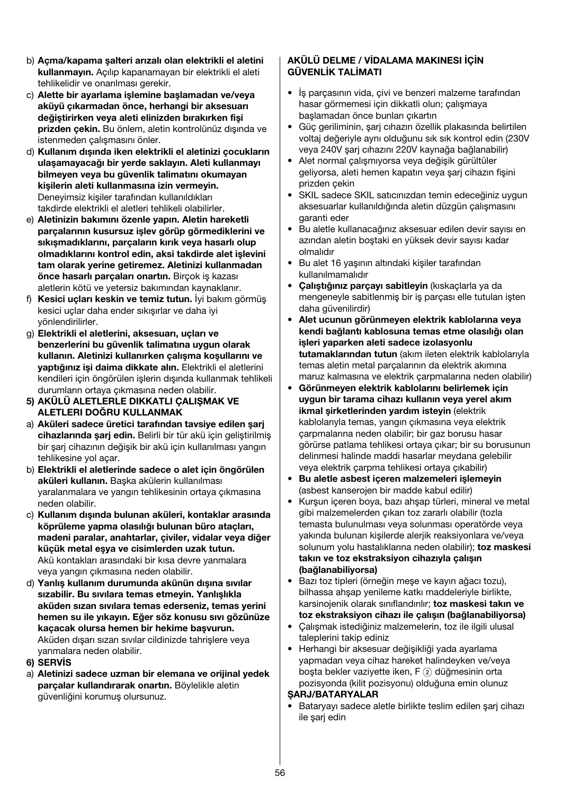- b) **Açma/kapama şalteri arızalı olan elektrikli el aletini kullanmayın.** Açılıp kapanamayan bir elektrikli el aleti tehlikelidir ve onarılması gerekir.
- c) **Alette bir ayarlama işlemine başlamadan ve/veya aküyü çıkarmadan önce, herhangi bir aksesuarı değiştirirken veya aleti elinizden bırakırken fişi prizden çekin.** Bu önlem, aletin kontrolünüz dışında ve istenmeden calışmasını önler.
- d) **Kullanım dışında iken elektrikli el aletinizi çocukların ulaşamayacağı bir yerde saklayın. Aleti kullanmayı bilmeyen veya bu güvenlik talimatını okumayan kişilerin aleti kullanmasına izin vermeyin.** Deneyimsiz kişiler tarafından kullanıldıkları takdirde elektrikli el aletleri tehlikeli olabilirler.
- e) **Aletinizin bakımını özenle yapın. Aletin hareketli parçalarının kusursuz işlev görüp görmediklerini ve sıkışmadıklarını, parçaların kırık veya hasarlı olup olmadıklarını kontrol edin, aksi takdirde alet işlevini tam olarak yerine getiremez. Aletinizi kullanmadan önce hasarlı parçaları onartın.** Birçok iş kazası aletlerin kötü ve yetersiz bakımından kaynaklanır.
- f) **Kesici uçları keskin ve temiz tutun.** İyi bakım görmüş kesici uçlar daha ender sıkışırlar ve daha iyi yönlendirilirler.
- g) **Elektrikli el aletlerini, aksesuarı, uçları ve benzerlerini bu güvenlik talimatına uygun olarak kullanın. Aletinizi kullanırken çalışma koşullarını ve yaptığınız işi daima dikkate alın.** Elektrikli el aletlerini kendileri için öngörülen işlerin dışında kullanmak tehlikeli durumların ortaya çıkmasına neden olabilir.
- **5) AKÜLÜ ALETLERLE DIKKATLI ÇALIŞMAK VE ALETLERI DOĞRU KULLANMAK**
- a) **Aküleri sadece üretici tarafından tavsiye edilen şarj cihazlarında şarj edin.** Belirli bir tür akü için geliştirilmiş bir şarj cihazının değişik bir akü için kullanılması yangın tehlikesine yol açar.
- b) **Elektrikli el aletlerinde sadece o alet için öngörülen aküleri kullanın.** Başka akülerin kullanılması yaralanmalara ve yangın tehlikesinin ortaya çıkmasına neden olabilir.
- c) **Kullanım dışında bulunan aküleri, kontaklar arasında köprüleme yapma olasılığı bulunan büro ataçları, madeni paralar, anahtarlar, çiviler, vidalar veya diğer küçük metal eşya ve cisimlerden uzak tutun.** Akü kontakları arasındaki bir kısa devre yanmalara veya yangın çıkmasına neden olabilir.
- d) **Yanlış kullanım durumunda akünün dışına sıvılar sızabilir. Bu sıvılara temas etmeyin. Yanlışlıkla aküden sızan sıvılara temas ederseniz, temas yerini hemen su ile yıkayın. Eğer söz konusu sıvı gözünüze kaçacak olursa hemen bir hekime başvurun.** Aküden dışarı sızan sıvılar cildinizde tahrişlere veya yanmalara neden olabilir.
- **6) SERVİS**
- a) **Aletinizi sadece uzman bir elemana ve orijinal yedek parçalar kullandırarak onartın.** Böylelikle aletin güvenliğini korumuş olursunuz.

#### **AKÜLÜ DELME / VİDALAMA MAKINESI İÇİN GÜVENLİK TALİMATI**

- İs parcasının vida, çivi ve benzeri malzeme tarafından hasar görmemesi için dikkatli olun; çalışmaya başlamadan önce bunları çıkartın
- Güç geriliminin, şarj cıhazın özellik plakasında belirtilen voltaj değeriyle aynı olduğunu sık sık kontrol edin (230V veya 240V şarj cıhazını 220V kaynağa bağlanabilir)
- Alet normal çalışmıyorsa veya değişik gürültüler geliyorsa, aleti hemen kapatın veya şarj cihazın fişini prizden çekin
- SKIL sadece SKIL satıcınızdan temin edeceğiniz uygun aksesuarlar kullanıldığında aletin düzgün çalışmasını garanti eder
- Bu aletle kullanacağınız aksesuar edilen devir sayısı en azından aletin boştaki en yüksek devir sayısı kadar olmalıdır
- Bu alet 16 yaşının altındaki kişiler tarafından kullanılmamalıdır
- **Çalıştığınız parçayı sabitleyin** (kıskaçlarla ya da mengeneyle sabitlenmiş bir iş parçası elle tutulan işten daha güvenilirdir)
- **Alet ucunun görünmeyen elektrik kablolarına veya kendi bağlantı kablosuna temas etme olasılığı olan işleri yaparken aleti sadece izolasyonlu tutamaklarından tutun** (akım ileten elektrik kablolarıyla temas aletin metal parçalarının da elektrik akımına maruz kalmasına ve elektrik çarpmalarına neden olabilir)
- **Görünmeyen elektrik kablolarını belirlemek için uygun bir tarama cihazı kullanın veya yerel akım ikmal şirketlerinden yardım isteyin** (elektrik kablolarıyla temas, yangın çıkmasına veya elektrik çarpmalarına neden olabilir; bir gaz borusu hasar görürse patlama tehlikesi ortaya çıkar; bir su borusunun delinmesi halinde maddi hasarlar meydana gelebilir veya elektrik çarpma tehlikesi ortaya çıkabilir)
- **Bu aletle asbest içeren malzemeleri işlemeyin** (asbest kanserojen bir madde kabul edilir)
- Kurşun içeren boya, bazı ahşap türleri, mineral ve metal gibi malzemelerden çıkan toz zararlı olabilir (tozla temasta bulunulması veya solunması operatörde veya yakında bulunan kişilerde alerjik reaksiyonlara ve/veya solunum yolu hastalıklarına neden olabilir); **toz maskesi takın ve toz ekstraksiyon cihazıyla çalışın (bağlanabiliyorsa)**
- Bazı toz tipleri (örneğin meşe ve kayın ağacı tozu), bilhassa ahşap yenileme katkı maddeleriyle birlikte, karsinojenik olarak sınıflandırılır; **toz maskesi takın ve toz ekstraksiyon cihazı ile çalışın (bağlanabiliyorsa)**
- Çalışmak istediğiniz malzemelerin, toz ile ilgili ulusal taleplerini takip ediniz
- Herhangi bir aksesuar değişikliği yada ayarlama yapmadan veya cihaz hareket halindeyken ve/veya bosta bekler vazivette iken. F 2 düğmesinin orta pozisyonda (kilit pozisyonu) olduğuna emin olunuz

#### **ŞARJ/BATARYALAR**

• Bataryayı sadece aletle birlikte teslim edilen sari cihazı ile şarj edin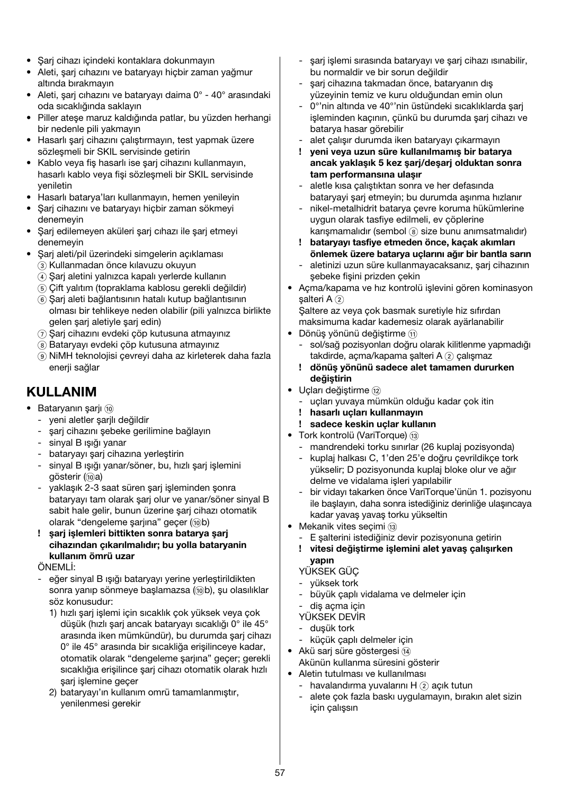- Sari cihazı içindeki kontaklara dokunmayın
- Aleti, şarj cıhazını ve bataryayı hiçbir zaman yağmur altında bırakmayın
- Aleti, şarj cıhazını ve bataryayı daima 0° 40° arasındaki oda sıcaklığında saklayın
- Piller ateşe maruz kaldığında patlar, bu yüzden herhangi bir nedenle pili yakmayın
- Hasarlı şarj cihazını çalıştırmayın, test yapmak üzere sözleşmeli bir SKIL servisinde getirin
- Kablo veya fiş hasarlı ise şarj cihazını kullanmayın, hasarlı kablo veya fişi sözleşmeli bir SKIL servisinde yeniletin
- Hasarlı batarya'ları kullanmayın, hemen yenileyin
- Şarj cihazını ve bataryayı hiçbir zaman sökmeyi denemeyin
- Sari edilemeyen aküleri şari cıhazı ile şari etmeyi denemeyin
- Şarj aleti/pil üzerindeki simgelerin açıklaması
	- 3 Kullanmadan önce kılavuzu okuyun
	- 4 Şarj aletini yalnızca kapalı yerlerde kullanın
	- 5 Çift yalıtım (topraklama kablosu gerekli değildir)
	- 6 Şarj aleti bağlantısının hatalı kutup bağlantısının olması bir tehlikeye neden olabilir (pili yalnızca birlikte gelen şarj aletiyle şarj edin)
	- 7 Şarj cihazını evdeki çöp kutusuna atmayınız
	- 8 Bataryayı evdeki çöp kutusuna atmayınız
	- 9 NiMH teknolojisi çevreyi daha az kirleterek daha fazla enerji sağlar

### **KULLANIM**

- $\bullet$  Bataryanın şarjı  $60$ 
	- yeni aletler şarjlı değildir
	- şarj cihazını şebeke gerilimine bağlayın
	- sinyal B ışığı yanar
	- bataryayı şarj cihazına yerleştirin
	- sinyal B ışığı yanar/söner, bu, hızlı şarj işlemini gösterir (@a)
	- yaklaşık 2-3 saat süren şarj işleminden şonra bataryayı tam olarak şarj olur ve yanar/söner sinyal B sabit hale gelir, bunun üzerine şarj cihazı otomatik olarak "dengeleme şarjına" geçer (@b)
	- **! şarj işlemleri bittikten sonra batarya şarj cihazından çıkarılmalıdır; bu yolla bataryanin kullanım ömrü uzar**

ÖNEMLİ:

- eğer sinyal B ışığı bataryayı yerine yerleştirildikten sonra yanıp sönmeye başlamazsa (@b), şu olasılıklar söz konusudur:
	- 1) hızlı şarj işlemi için sıcaklık çok yüksek veya çok düşük (hızlı şarj ancak bataryayı sıcaklığı 0° ile 45° arasında iken mümkündür), bu durumda şarj cihazı 0° ile 45° arasında bir sıcakliğa erişilinceye kadar, otomatik olarak "dengeleme şarjına" geçer; gerekli sıcaklığıa erişilince şarj cihazı otomatik olarak hızlı sari islemine gecer
	- 2) bataryayı'ın kullanım omrü tamamlanmıştır, yenilenmesi gerekir
- sari islemi sırasında bataryayı ve şari cihazı ısınabilir. bu normaldir ve bir sorun değildir
- şarj cihazına takmadan önce, bataryanın dış yüzeyinin temiz ve kuru olduğundan emin olun
- 0°'nin altında ve 40°'nin üstündeki sıcaklıklarda şarj işleminden kaçının, çünkü bu durumda şarj cihazı ve batarya hasar görebilir
- alet calısır durumda iken bataryayı çıkarmayın
- **! yeni veya uzun süre kullanılmamış bir batarya ancak yaklaşık 5 kez şarj/deşarj olduktan sonra tam performansına ulaşır**
- aletle kısa çalıştıktan sonra ve her defasında bataryayi şarj etmeyin; bu durumda aşınma hızlanır
- nikel-metalhidrit batarya çevre koruma hükümlerine uygun olarak tasfiye edilmeli, ev çöplerine karışmamalıdır (sembol 8 size bunu anımsatmalıdır)
- **! bataryayı tasfiye etmeden önce, kaçak akımları önlemek üzere batarya uçlarını ağır bir bantla sarın**
- aletinizi uzun süre kullanmayacaksanız, şari cihazının şebeke fişini prizden çekin
- Açma/kapama ve hız kontrolü işlevini gören kominasyon salteri A 2

Saltere az veya çok basmak suretiyle hiz sıfırdan maksimuma kadar kademesiz olarak ayärlanabilir  $\bullet$  Dönüs yönünü değiştirme  $\textcircled{\tiny 1}$ 

- sol/sağ pozisyonları doğru olarak kilitlenme yapmadığı takdirde, açma/kapama şalteri  $A(2)$  çalışmaz
- **! dönüş yönünü sadece alet tamamen dururken değiştirin**
- Ucları değiştirme @
	- uçları yuvaya mümkün olduğu kadar çok itin
	- **! hasarlı uçları kullanmayın**
	- **! sadece keskin uçlar kullanın**
- Tork kontrolü (VariTorque) (i3)
	- mandrendeki torku sınırlar (26 kuplaj pozisyonda)
	- kuplaj halkası C, 1'den 25'e doğru çevrildikçe tork yükselir; D pozisyonunda kuplaj bloke olur ve ağır delme ve vidalama işleri yapılabilir
	- bir vidayı takarken önce VariTorque'ünün 1. pozisyonu ile başlayın, daha sonra istediğiniz derinliğe ulaşıncaya kadar yavaş yavaş torku yükseltin
- Mekanik vites secimi @
	- E şalterini istediğiniz devir pozisyonuna getirin
	- **! vitesi değiştirme işlemini alet yavaş çalışırken yapın**

#### YÜKSEK GÜÇ

- yüksek tork
- büyük çaplı vidalama ve delmeler için
- dis açma için

#### YÜKSEK DEVİR

- duşük tork
- küçük çaplı delmeler için
- Akü sarj süre göstergesi (14) Akünün kullanma süresini gösterir
- Aletin tutulması ve kullanılması
	- havalandırma yuvalarını  $H(2)$  acık tutun
	- alete çok fazla baskı uygulamayın, bırakın alet sizin için çalışsın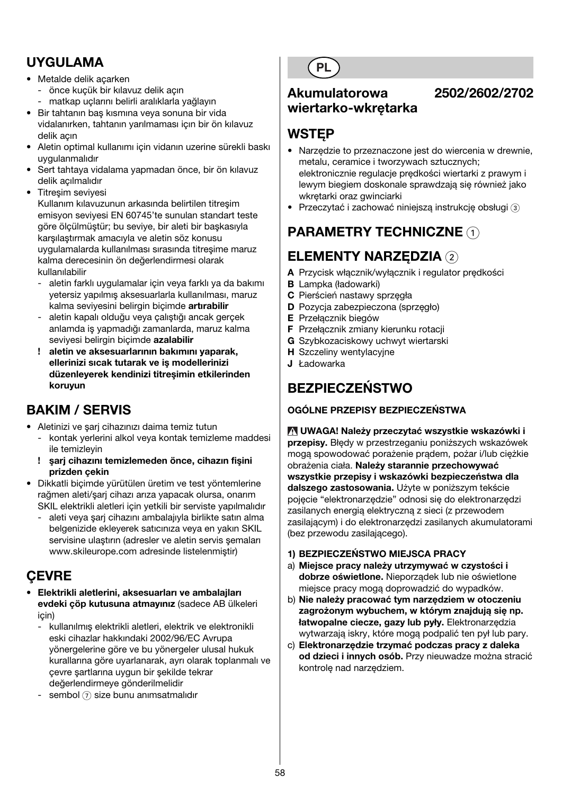## **UYGULAMA**

- Metalde delik açarken
	- önce kuçük bir kılavuz delik açın - matkap uçlarını belirli aralıklarla yağlayın
- Bir tahtanın baş kısmına veya sonuna bir vida
- vidalanırken, tahtanın yarılmaması içın bir ön kılavuz delik açın
- Aletin optimal kullanımı için vidanın uzerine sürekli baskı uygulanmalıdır
- Sert tahtaya vidalama yapmadan önce, bir ön kılavuz delik açılmalıdır
- Titreşim seviyesi Kullanım kılavuzunun arkasında belirtilen titreşim emisyon seviyesi EN 60745'te sunulan standart teste göre ölçülmüştür; bu seviye, bir aleti bir başkasıyla karşılaştırmak amacıyla ve aletin söz konusu

uygulamalarda kullanılması sırasında titreşime maruz kalma derecesinin ön değerlendirmesi olarak kullanılabilir

- aletin farklı uygulamalar için veya farklı ya da bakımı yetersiz yapılmış aksesuarlarla kullanılması, maruz kalma seviyesini belirgin biçimde **artırabilir**
- aletin kapalı olduğu veya çalıştığı ancak gerçek anlamda iş yapmadığı zamanlarda, maruz kalma seviyesi belirgin biçimde **azalabilir**
- **! aletin ve aksesuarlarının bakımını yaparak, ellerinizi sıcak tutarak ve iş modellerinizi düzenleyerek kendinizi titreşimin etkilerinden koruyun**

### **BAKIM / SERVIS**

- Aletinizi ve şarj cihazınızı daima temiz tutun
	- kontak yerlerini alkol veya kontak temizleme maddesi ile temizleyin
	- **! şarj cihazını temizlemeden önce, cihazın fişini prizden çekin**
- Dikkatli biçimde yürütülen üretim ve test yöntemlerine rağmen aleti/şarj cihazı arıza yapacak olursa, onarım SKIL elektrikli aletleri için yetkili bir serviste yapılmalıdır
	- aleti veya şarj cihazını ambalajıyla birlikte satın alma belgenizide ekleyerek satıcınıza veya en yakın SKIL servisine ulaştırın (adresler ve aletin servis semaları www.skileurope.com adresinde listelenmiştir)

### **ÇEVRE**

- **Elektrikli aletlerini, aksesuarları ve ambalajları evdeki çöp kutusuna atmayınız** (sadece AB ülkeleri için)
	- kullanılmış elektrikli aletleri, elektrik ve elektronikli eski cihazlar hakkındaki 2002/96/EC Avrupa yönergelerine göre ve bu yönergeler ulusal hukuk kurallarına göre uyarlanarak, ayrı olarak toplanmalı ve çevre şartlarına uygun bir şekilde tekrar değerlendirmeye gönderilmelidir
	- sembol  $\widehat{\tau}$  size bunu animsatmalıdır



### **Akumulatorowa 2502/2602/2702 wiertarko-wkrętarka**

### **WSTĘP**

- Narzedzie to przeznaczone jest do wiercenia w drewnie. metalu, ceramice i tworzywach sztucznych; elektronicznie regulacje prędkości wiertarki z prawym i lewym biegiem doskonale sprawdzają się również jako wkrętarki oraz gwinciarki
- Przeczytać i zachować niniejsza instrukcje obsługi 3

### **PARAMETRY TECHNICZNE (1)**

## **ELEMENTY NARZĘDZIA** 2

- **A** Przycisk włącznik/wyłącznik i regulator prędkości
- **B** Lampka (ładowarki)
- **C** Pierścień nastawy sprzęgła
- **D** Pozycia zabezpieczona (sprzegło)
- **E** Przełącznik biegów
- **F** Przełącznik zmiany kierunku rotacji
- **G** Szybkozaciskowy uchwyt wiertarski
- **H** Szczeliny wentylacyjne
- **J** Ładowarka

### **BEZPIECZEŃSTWO**

### **OGÓLNE PRZEPISY BEZPIECZEŃSTWA**

**UWAGA! Należy przeczytać wszystkie wskazówki i przepisy.** Błędy w przestrzeganiu poniższych wskazówek mogą spowodować porażenie prądem, pożar i/lub ciężkie obrażenia ciała. **Należy starannie przechowywać wszystkie przepisy i wskazówki bezpieczeństwa dla dalszego zastosowania.** Użyte w poniższym tekście pojęcie "elektronarzędzie" odnosi się do elektronarzędzi zasilanych energią elektryczną z sieci (z przewodem zasilającym) i do elektronarzędzi zasilanych akumulatorami (bez przewodu zasilającego).

- **1) BEZPIECZEŃSTWO MIEJSCA PRACY**
- a) **Miejsce pracy należy utrzymywać w czystości i dobrze oświetlone.** Nieporządek lub nie oświetlone miejsce pracy mogą doprowadzić do wypadków.
- b) **Nie należy pracować tym narzędziem w otoczeniu zagrożonym wybuchem, w którym znajdują się np. łatwopalne ciecze, gazy lub pyły.** Elektronarzędzia wytwarzają iskry, które mogą podpalić ten pył lub pary.
- c) **Elektronarzędzie trzymać podczas pracy z daleka od dzieci i innych osób.** Przy nieuwadze można stracić kontrolę nad narzędziem.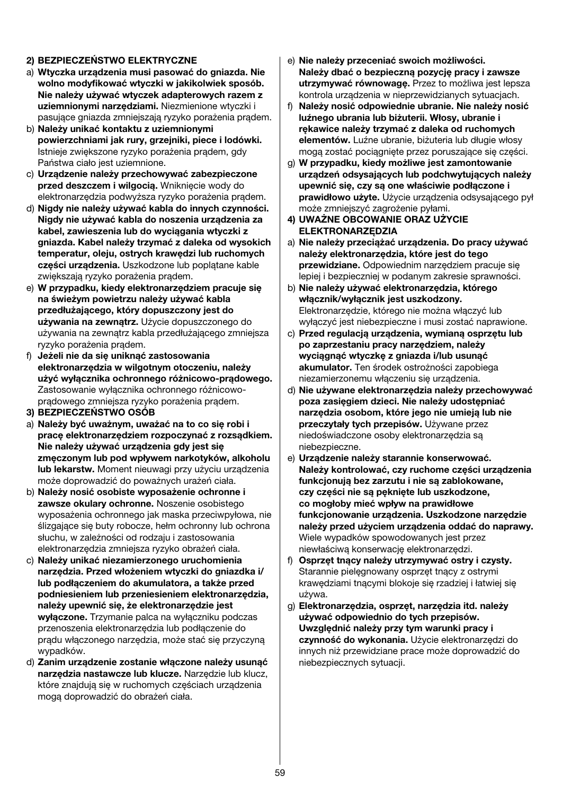#### **2) BEZPIECZEŃSTWO ELEKTRYCZNE**

- a) **Wtyczka urządzenia musi pasować do gniazda. Nie wolno modyfikować wtyczki w jakikolwiek sposób. Nie należy używać wtyczek adapterowych razem z uziemnionymi narzędziami.** Niezmienione wtyczki i pasujące gniazda zmniejszają ryzyko porażenia prądem.
- b) **Należy unikać kontaktu z uziemnionymi powierzchniami jak rury, grzejniki, piece i lodówki.**  Istnieje zwiększone ryzyko porażenia prądem, gdy Państwa ciało jest uziemnione.
- c) **Urządzenie należy przechowywać zabezpieczone przed deszczem i wilgocią.** Wniknięcie wody do elektronarzędzia podwyższa ryzyko porażenia prądem.
- d) **Nigdy nie należy używać kabla do innych czynności. Nigdy nie używać kabla do noszenia urządzenia za kabel, zawieszenia lub do wyciągania wtyczki z gniazda. Kabel należy trzymać z daleka od wysokich temperatur, oleju, ostrych krawędzi lub ruchomych części urządzenia.** Uszkodzone lub poplątane kable zwiększają ryzyko porażenia prądem.
- e) **W przypadku, kiedy elektronarzędziem pracuje się na świeżym powietrzu należy używać kabla przedłużającego, który dopuszczony jest do używania na zewnątrz.** Użycie dopuszczonego do używania na zewnątrz kabla przedłużającego zmniejsza ryzyko porażenia prądem.
- f) **Jeżeli nie da się uniknąć zastosowania elektronarzędzia w wilgotnym otoczeniu, należy użyć wyłącznika ochronnego różnicowo-prądowego.** Zastosowanie wyłącznika ochronnego różnicowoprądowego zmniejsza ryzyko porażenia prądem.
- **3) BEZPIECZEŃSTWO OSÓB**
- a) **Należy być uważnym, uważać na to co się robi i pracę elektronarzędziem rozpoczynać z rozsądkiem. Nie należy używać urządzenia gdy jest się zmęczonym lub pod wpływem narkotyków, alkoholu lub lekarstw.** Moment nieuwagi przy użyciu urządzenia może doprowadzić do poważnych urażeń ciała.
- b) **Należy nosić osobiste wyposażenie ochronne i zawsze okulary ochronne.** Noszenie osobistego wyposażenia ochronnego jak maska przeciwpyłowa, nie ślizgające się buty robocze, hełm ochronny lub ochrona słuchu, w zależności od rodzaju i zastosowania elektronarzędzia zmniejsza ryzyko obrażeń ciała.
- c) **Należy unikać niezamierzonego uruchomienia narzędzia. Przed włożeniem wtyczki do gniazdka i/ lub podłączeniem do akumulatora, a także przed podniesieniem lub przeniesieniem elektronarzędzia, należy upewnić się, że elektronarzędzie jest wyłączone.** Trzymanie palca na wyłączniku podczas przenoszenia elektronarzędzia lub podłączenie do prądu włączonego narzędzia, może stać się przyczyną wypadków.
- d) **Zanim urządzenie zostanie włączone należy usunąć narzędzia nastawcze lub klucze.** Narzędzie lub klucz, które znajdują się w ruchomych częściach urządzenia mogą doprowadzić do obrażeń ciała.
- e) **Nie należy przeceniać swoich możliwości. Należy dbać o bezpieczną pozycję pracy i zawsze utrzymywać równowagę.** Przez to możliwa jest lepsza kontrola urządzenia w nieprzewidzianych sytuacjach.
- f) **Należy nosić odpowiednie ubranie. Nie należy nosić luźnego ubrania lub biżuterii. Włosy, ubranie i rękawice należy trzymać z daleka od ruchomych elementów.** Luźne ubranie, biżuteria lub długie włosy mogą zostać pociągnięte przez poruszające się części.
- g) **W przypadku, kiedy możliwe jest zamontowanie urządzeń odsysających lub podchwytujących należy upewnić się, czy są one właściwie podłączone i prawidłowo użyte.** Użycie urządzenia odsysającego pył może zmniejszyć zagrożenie pyłami.
- **4) UWAŻNE OBCOWANIE ORAZ UŻYCIE ELEKTRONARZĘDZIA**
- a) **Nie należy przeciążać urządzenia. Do pracy używać należy elektronarzędzia, które jest do tego przewidziane.** Odpowiednim narzędziem pracuje się lepiej i bezpieczniej w podanym zakresie sprawności.
- b) **Nie należy używać elektronarzędzia, którego włącznik/wyłącznik jest uszkodzony.** Elektronarzędzie, którego nie można włączyć lub wyłączyć jest niebezpieczne i musi zostać naprawione.
- c) **Przed regulacją urządzenia, wymianą osprzętu lub po zaprzestaniu pracy narzędziem, należy wyciągnąć wtyczkę z gniazda i/lub usunąć akumulator.** Ten środek ostrożności zapobiega niezamierzonemu włączeniu się urządzenia.
- d) **Nie używane elektronarzędzia należy przechowywać poza zasięgiem dzieci. Nie należy udostępniać narzędzia osobom, które jego nie umieją lub nie przeczytały tych przepisów.** Używane przez niedoświadczone osoby elektronarzędzia są niebezpieczne.
- e) **Urządzenie należy starannie konserwować. Należy kontrolować, czy ruchome części urządzenia funkcjonują bez zarzutu i nie są zablokowane, czy części nie są pęknięte lub uszkodzone, co mogłoby mieć wpływ na prawidłowe funkcjonowanie urządzenia. Uszkodzone narzędzie należy przed użyciem urządzenia oddać do naprawy.** Wiele wypadków spowodowanych jest przez niewłaściwą konserwację elektronarzędzi.
- f) **Osprzęt tnący należy utrzymywać ostry i czysty.** Starannie pielęgnowany osprzęt tnący z ostrymi krawędziami tnącymi blokoje się rzadziej i łatwiej się używa.
- g) **Elektronarzędzia, osprzęt, narzędzia itd. należy używać odpowiednio do tych przepisów. Uwzględnić należy przy tym warunki pracy i czynność do wykonania.** Użycie elektronarzędzi do innych niż przewidziane prace może doprowadzić do niebezpiecznych sytuacji.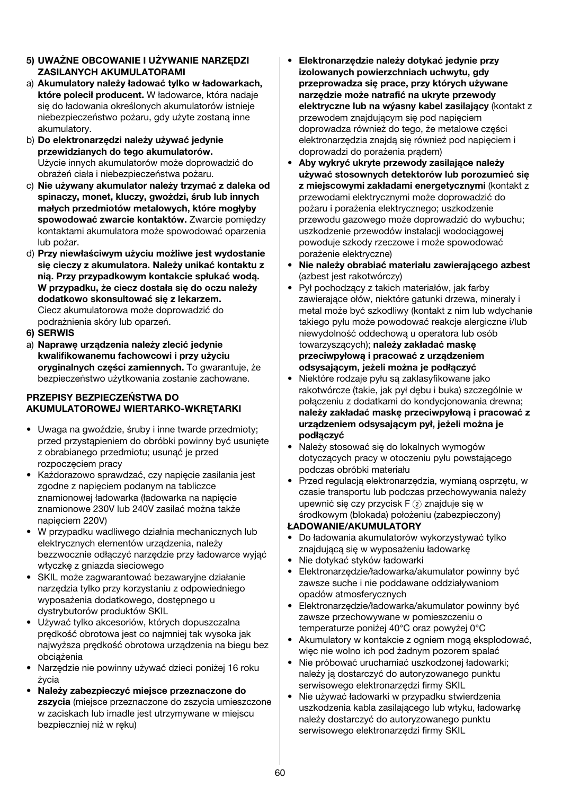- **5) UWAŻNE OBCOWANIE I UŻYWANIE NARZĘDZI ZASILANYCH AKUMULATORAMI**
- a) **Akumulatory należy ładować tylko w ładowarkach, które polecił producent.** W ładowarce, która nadaje się do ładowania określonych akumulatorów istnieje niebezpieczeństwo pożaru, gdy użyte zostaną inne akumulatory.
- b) **Do elektronarzędzi należy używać jedynie przewidzianych do tego akumulatorów.**  Użycie innych akumulatorów może doprowadzić do obrażeń ciała i niebezpieczeństwa pożaru.
- c) **Nie używany akumulator należy trzymać z daleka od spinaczy, monet, kluczy, gwożdzi, śrub lub innych małych przedmiotów metalowych, które mogłyby spowodować zwarcie kontaktów.** Zwarcie pomiędzy kontaktami akumulatora może spowodować oparzenia lub pożar.
- d) **Przy niewłaściwym użyciu możliwe jest wydostanie się cieczy z akumulatora. Należy unikać kontaktu z nią. Przy przypadkowym kontakcie spłukać wodą. W przypadku, że ciecz dostała się do oczu należy dodatkowo skonsultować się z lekarzem.**  Ciecz akumulatorowa może doprowadzić do podrażnienia skóry lub oparzeń.
- **6) SERWIS**
- a) **Naprawę urządzenia należy zlecić jedynie kwalifikowanemu fachowcowi i przy użyciu oryginalnych części zamiennych.** To gwarantuje, że bezpieczeństwo użytkowania zostanie zachowane.

#### **PRZEPISY BEZPIECZEŃSTWA DO AKUMULATOROWEJ WIERTARKO-WKRĘTARKI**

- Uwaga na gwoździe, śruby i inne twarde przedmioty; przed przystąpieniem do obróbki powinny być usunięte z obrabianego przedmiotu; usunąć je przed rozpoczęciem pracy
- Każdorazowo sprawdzać, czy napięcie zasilania jest zgodne z napięciem podanym na tabliczce znamionowej ładowarka (ładowarka na napięcie znamionowe 230V lub 240V zasilać można także napięciem 220V)
- W przypadku wadliwego działnia mechanicznych lub elektrycznych elementów urządzenia, należy bezzwocznie odłączyć narzędzie przy ładowarce wyjąć wtyczkę z gniazda sieciowego
- SKIL może zagwarantować bezawaryjne działanie narzędzia tylko przy korzystaniu z odpowiedniego wyposażenia dodatkowego, dostępnego u dystrybutorów produktów SKIL
- Używać tylko akcesoriów, których dopuszczalna prędkość obrotowa jest co najmniej tak wysoka jak najwyższa prędkość obrotowa urządzenia na biegu bez obciążenia
- Narzędzie nie powinny używać dzieci poniżej 16 roku życia
- **Należy zabezpieczyć miejsce przeznaczone do zszycia** (miejsce przeznaczone do zszycia umieszczone w zaciskach lub imadle jest utrzymywane w miejscu bezpieczniej niż w ręku)
- **Elektronarzędzie należy dotykać jedynie przy izolowanych powierzchniach uchwytu, gdy przeprowadza się prace, przy których używane narzędzie może natrafić na ukryte przewody elektryczne lub na wýasny kabel zasilający** (kontakt z przewodem znajdującym się pod napięciem doprowadza również do tego, że metalowe części elektronarzędzia znajdą się również pod napięciem i doprowadzi do porażenia prądem)
- **Aby wykryć ukryte przewody zasilające należy używać stosownych detektorów lub porozumieć się z miejscowymi zakładami energetycznymi** (kontakt z przewodami elektrycznymi może doprowadzić do pożaru i porażenia elektrycznego; uszkodzenie przewodu gazowego może doprowadzić do wybuchu; uszkodzenie przewodów instalacji wodociągowej powoduje szkody rzeczowe i może spowodować porażenie elektryczne)
- **Nie należy obrabiać materiału zawierającego azbest** (azbest jest rakotwórczy)
- Pył pochodzący z takich materiałów, jak farby zawierające ołów, niektóre gatunki drzewa, minerały i metal może być szkodliwy (kontakt z nim lub wdychanie takiego pyłu może powodować reakcje alergiczne i/lub niewydolność oddechową u operatora lub osób towarzyszących); **należy zakładać maskę przeciwpyłową i pracować z urządzeniem odsysającym, jeżeli można je podłączyć**
- Niektóre rodzaje pyłu są zaklasyfikowane jako rakotwórcze (takie, jak pył dębu i buka) szczególnie w połączeniu z dodatkami do kondycjonowania drewna; **należy zakładać maskę przeciwpyłową i pracować z urządzeniem odsysającym pył, jeżeli można je podłączyć**
- Należy stosować się do lokalnych wymogów dotyczących pracy w otoczeniu pyłu powstającego podczas obróbki materiału
- Przed regulacją elektronarzędzia, wymianą osprzętu, w czasie transportu lub podczas przechowywania należy upewnić się czy przycisk  $F(2)$  znajduje się w środkowym (blokada) położeniu (zabezpieczony)

#### **ŁADOWANIE/AKUMULATORY**

- Do ładowania akumulatorów wykorzystywać tylko znajdującą się w wyposażeniu ładowarkę
- Nie dotykać styków ładowarki
- Elektronarzędzie/ładowarka/akumulator powinny być zawsze suche i nie poddawane oddziaływaniom opadów atmosferycznych
- Elektronarzędzie/ładowarka/akumulator powinny być zawsze przechowywane w pomieszczeniu o temperaturze poniżej 40°C oraz powyżej 0°C
- Akumulatory w kontakcie z ogniem mogą eksplodować, więc nie wolno ich pod żadnym pozorem spalać
- Nie próbować uruchamiać uszkodzonej ładowarki; należy ją dostarczyć do autoryzowanego punktu serwisowego elektronarzędzi firmy SKIL
- Nie używać ładowarki w przypadku stwierdzenia uszkodzenia kabla zasilającego lub wtyku, ładowarkę należy dostarczyć do autoryzowanego punktu serwisowego elektronarzędzi firmy SKIL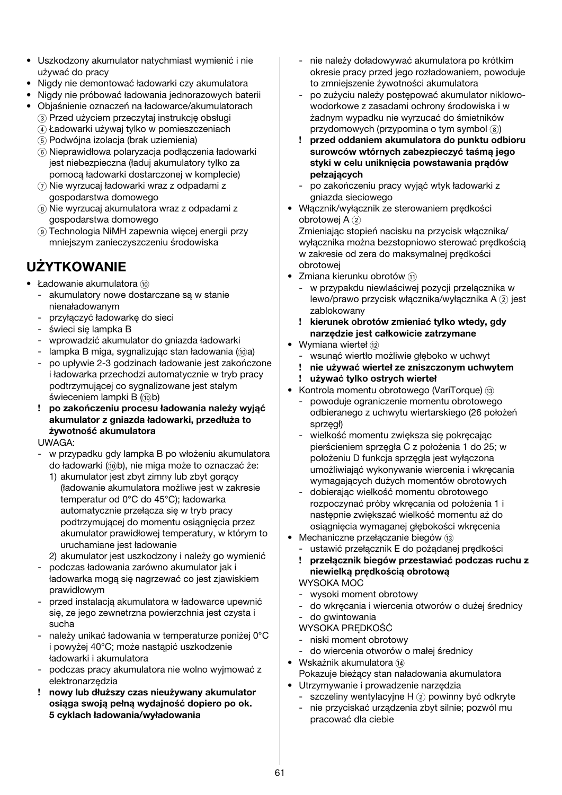- Uszkodzony akumulator natychmiast wymienić i nie używać do pracy
- Nigdy nie demontować ładowarki czy akumulatora
- Nigdy nie próbować ładowania jednorazowych baterii
- Objaśnienie oznaczeń na ładowarce/akumulatorach
	- 3 Przed użyciem przeczytaj instrukcję obsługi 4 Ładowarki używaj tylko w pomieszczeniach
	-
	- 5 Podwójna izolacja (brak uziemienia)
	- 6 Nieprawidłowa polaryzacja podłączenia ładowarki jest niebezpieczna (ładuj akumulatory tylko za pomocą ładowarki dostarczonej w komplecie)
	- 7 Nie wyrzucaj ładowarki wraz z odpadami z gospodarstwa domowego
	- 8 Nie wyrzucaj akumulatora wraz z odpadami z gospodarstwa domowego
	- 9 Technologia NiMH zapewnia więcej energii przy mniejszym zanieczyszczeniu środowiska

## **UŻYTKOWANIE**

- $\bullet$  Ładowanie akumulatora  $60$ 
	- akumulatory nowe dostarczane są w stanie nienaładowanym
	- przyłączyć ładowarkę do sieci
	- świeci się lampka B
	- wprowadzić akumulator do gniazda ładowarki
	- lampka B miga, sygnalizując stan ładowania (10a) - po upływie 2-3 godzinach ładowanie jest zakończone i ładowarka przechodzi automatycznie w tryb pracy
	- podtrzymującej co sygnalizowane jest stałym świeceniem lampki B (@b)
	- **! po zakończeniu procesu ładowania należy wyjąć akumulator z gniazda ładowarki, przedłuża to żywotność akumulatora**

UWAGA:

- w przypadku gdy lampka B po włożeniu akumulatora do ładowarki (@b), nie miga może to oznaczać że:
	- 1) akumulator jest zbyt zimny lub zbyt gorący (ładowanie akumulatora możliwe jest w zakresie temperatur od 0°C do 45°C); ładowarka automatycznie przełącza się w tryb pracy podtrzymującej do momentu osiągnięcia przez akumulator prawidłowej temperatury, w którym to uruchamiane jest ładowanie
	- 2) akumulator jest uszkodzony i należy go wymienić
- podczas ładowania zarówno akumulator jak i ładowarka mogą się nagrzewać co jest zjawiskiem prawidłowym
- przed instalacją akumulatora w ładowarce upewnić się, ze jego zewnetrzna powierzchnia jest czysta i sucha
- należy unikać ładowania w temperaturze poniżej 0°C i powyżej 40°C; może nastąpić uszkodzenie ładowarki i akumulatora
- podczas pracy akumulatora nie wolno wyjmować z elektronarzędzia
- **! nowy lub dłuższy czas nieużywany akumulator osiąga swoją pełną wydajność dopiero po ok. 5 cyklach ładowania/wyładowania**
- nie należy doładowywać akumulatora po krótkim okresie pracy przed jego rozładowaniem, powoduje to zmniejszenie żywotności akumulatora
- po zużyciu należy postępować akumulator niklowowodorkowe z zasadami ochrony środowiska i w żadnym wypadku nie wyrzucać do śmietników przydomowych (przypomina o tym symbol 8)
- **! przed oddaniem akumulatora do punktu odbioru surowców wtórnych zabezpieczyć taśmą jego styki w celu uniknięcia powstawania prądów pełzających**
- po zakończeniu pracy wyjąć wtyk ładowarki z gniazda sieciowego
- Włącznik/wyłącznik ze sterowaniem prędkości obrotowej A 2

 Zmieniając stopień nacisku na przycisk włącznika/ wyłącznika można bezstopniowo sterować prędkością w zakresie od zera do maksymalnej prędkości obrotowej

- $\bullet$  7 miana kierunku obrotów $\omega$ 
	- w przypakdu niewlaściwej pozycji przelącznika w lewo/prawo przycisk włącznika/wyłącznika A 2 jest zablokowany
	- **! kierunek obrotów zmieniać tylko wtedy, gdy narzędzie jest całkowicie zatrzymane**
- Wymiana wierteł @
	- wsunąć wiertło możliwie głęboko w uchwyt
	- **! nie używać wierteł ze zniszczonym uchwytem**
	- **! używać tylko ostrych wierteł**
- Kontrola momentu obrotowego (VariTorque) (i3)
	- powoduje ograniczenie momentu obrotowego odbieranego z uchwytu wiertarskiego (26 położeń sprzęgł)
	- wielkość momentu zwiększa się pokręcając pierścieniem sprzęgła C z położenia 1 do 25; w położeniu D funkcja sprzęgła jest wyłączona umożliwiająć wykonywanie wiercenia i wkręcania wymagających dużych momentów obrotowych
	- dobierając wielkość momentu obrotowego rozpoczynać próby wkręcania od położenia 1 i następnie zwiększać wielkość momentu aż do osiągnięcia wymaganej głębokości wkręcenia
- Mechaniczne przełączanie biegów (3)
	- ustawić przełącznik E do pożądanej prędkości
	- **! przełącznik biegów przestawiać podczas ruchu z niewielką prędkością obrotową**

WYSOKA MOC

- wysoki moment obrotowy
- do wkręcania i wiercenia otworów o dużej średnicy
- do gwintowania

WYSOKA PRĘDKOŚĆ

- niski moment obrotowy
- do wiercenia otworów o małej średnicy
- $\bullet$  Wskażnik akumulatora  $\tan$ Pokazuje bieżący stan naładowania akumulatora
- Utrzymywanie i prowadzenie narzędzia
	- szczeliny wentylacyjne  $H(2)$  powinny być odkryte
	- nie przyciskać urządzenia zbyt silnie; pozwól mu pracować dla ciebie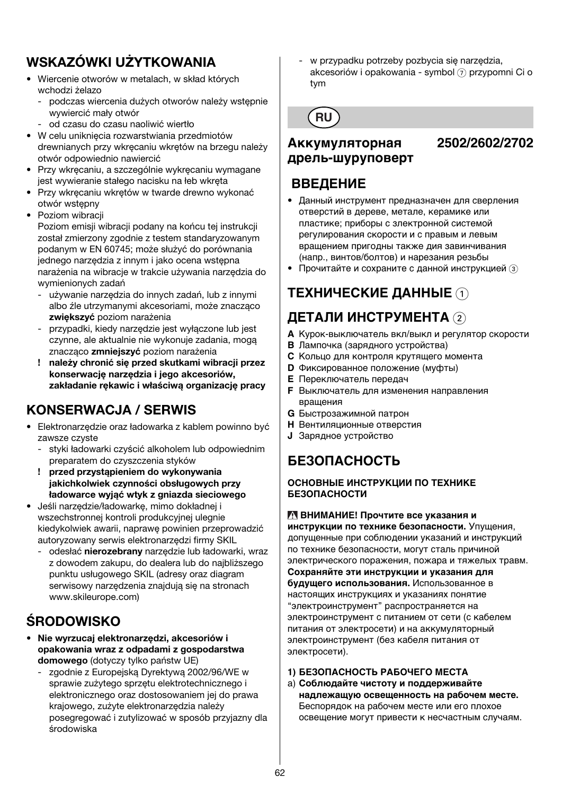# **WSKAZÓWKI UŻYTKOWANIA**

- Wiercenie otworów w metalach, w skład których wchodzi żelazo
	- podczas wiercenia dużych otworów należy wstępnie wywiercić mały otwór
	- od czasu do czasu naoliwić wiertło
- W celu uniknięcia rozwarstwiania przedmiotów drewnianych przy wkręcaniu wkrętów na brzegu należy otwór odpowiednio nawiercić
- Przy wkręcaniu, a szczególnie wykręcaniu wymagane jest wywieranie stałego nacisku na łeb wkręta
- Przy wkręcaniu wkrętów w twarde drewno wykonać otwór wstępny
- Poziom wibracii

Poziom emisii wibracii podany na końcu tej instrukcji został zmierzony zgodnie z testem standaryzowanym podanym w EN 60745; może służyć do porównania jednego narzędzia z innym i jako ocena wstępna narażenia na wibracje w trakcie używania narzędzia do wymienionych zadań

- używanie narzędzia do innych zadań, lub z innymi albo źle utrzymanymi akcesoriami, może znacząco **zwiększyć** poziom narażenia
- przypadki, kiedy narzędzie jest wyłączone lub jest czynne, ale aktualnie nie wykonuje zadania, mogą znacząco **zmniejszyć** poziom narażenia
- **! należy chronić się przed skutkami wibracji przez konserwację narzędzia i jego akcesoriów, zakładanie rękawic i właściwą organizację pracy**

# **KONSERWACJA / SERWIS**

- Elektronarzędzie oraz ładowarka z kablem powinno być zawsze czyste
	- styki ładowarki czyścić alkoholem lub odpowiednim preparatem do czyszczenia styków
	- **! przed przystąpieniem do wykonywania jakichkolwiek czynności obsługowych przy ładowarce wyjąć wtyk z gniazda sieciowego**
- Jeśli narzędzie/ładowarkę, mimo dokładnej i wszechstronnej kontroli produkcyjnej ulegnie kiedykolwiek awarii, naprawę powinien przeprowadzić autoryzowany serwis elektronarzędzi firmy SKIL
	- odesłać **nierozebrany** narzędzie lub ładowarki, wraz z dowodem zakupu, do dealera lub do najbliższego punktu usługowego SKIL (adresy oraz diagram serwisowy narzędzenia znajdują się na stronach www.skileurope.com)

# **ŚRODOWISKO**

- **Nie wyrzucaj elektronarzędzi, akcesoriów i opakowania wraz z odpadami z gospodarstwa domowego** (dotyczy tylko państw UE)
	- zgodnie z Europejską Dyrektywą 2002/96/WE w sprawie zużytego sprzętu elektrotechnicznego i elektronicznego oraz dostosowaniem jej do prawa krajowego, zużyte elektronarzędzia należy posegregować i zutylizować w sposób przyjazny dla środowiska

- w przypadku potrzeby pozbycia się narzędzia, akcesoriów i opakowania - symbol 7 przypomni Ci o tym

**RU**

### **Аккумуляторная 2502/2602/2702 дрель-шуруповерт**

### **BBEДЕНИЕ**

- Данный инструмент предназначен для сверления отверстий в дереве, метале, керамике или пластике; приборы с злектронной системой регулирования скоpости и с правым и левым вращением пригодны также дия завинчивания (напр., винтов/болтов) и нарезания резьбы
- Прочитайте и сохраните с данной инструкцией  $\circled3$

# **ТЕХНИЧЕСКИЕ ДАННЫЕ**

# **ДЕТАЛИ ИНСТРУМЕНТА** 2

- **A** Курок-выключатель вкл/выкл и регулятор скорости
- **B** Лампочка (зарядного устройства)
- **C** Кольцо для контроля крутящего момента
- **D** Фиксированное положение (муфты)
- **E** Переключатель передач
- **F** Выключатель для изменения напpавления вpащения
- **G** Быстрозажимной патрон
- **H** Вентиляционные отверстия
- **J** Зарядное устройство

### **БЕЗОПАСНОСТЬ**

#### **ОСНОВНЫЕ ИНСТРУКЦИИ ПО ТЕХНИКЕ БЕЗОПАСНОСТИ**

#### **ВНИМАНИЕ! Прочтите все указания и**

**инструкции по технике безопасности.** Упущения, допущенные при соблюдении указаний и инструкций по технике безопасности, могут сталь причиной электрического поражения, пожара и тяжелых травм. **Сохраняйте эти инструкции и указания для будущего использования.** Использованное в настоящих инструкциях и указаниях понятие "электроинструмент" распространяется на электроинструмент с питанием от сети (с кабелем питания от электросети) и на аккумуляторный электроинструмент (без кабеля питания от электросети).

- **1) БЕЗОПАСНОСТЬ РАБОЧЕГО МЕСТА**
- a) **Соблюдайте чистоту и поддерживайте надлежащую освещенность на рабочем месте.**  Беспорядок на рабочем месте или его плохое освещение могут привести к несчастным случаям.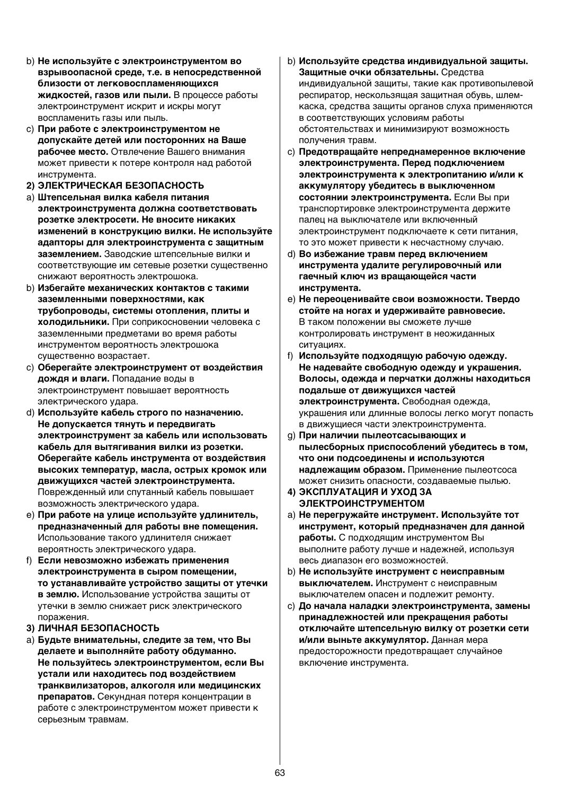- b) **Не используйте с электроинструментом во взрывоопасной среде, т.е. в непосредственной близости от легковоспламеняющихся жидкостей, газов или пыли.** В процессе работы электроинструмент искрит и искры могут воспламенить газы или пыль.
- c) **При работе с электроинструментом не допускайте детей или посторонних на Ваше рабочее место.** Отвлечение Вашего внимания может привести к потере контроля над работой инструмента.
- **2) ЭЛЕКТРИЧЕСКАЯ БЕЗОПАСНОСТЬ**
- a) **Штепсельная вилка кабеля питания электроинструмента должна соответствовать розетке электросети. Не вносите никаких изменений в конструкцию вилки. Не используйте адапторы для электроинструмента с защитным заземлением.** Заводские штепсельные вилки и соответствующие им сетевые розетки существенно снижают вероятность электрошока.
- b) **Избегайте механических контактов с такими заземленными поверхностями, как трубопроводы, системы отопления, плиты и холодильники.** При соприкосновении человека с заземленными предметами во время работы инструментом вероятность электрошока существенно возрастает.
- c) **Оберегайте электроинструмент от воздействия дождя и влаги.** Попадание воды в электроинструмент повышает вероятность электрического удара.
- d) **Используйте кабель строго по назначению. Не допускается тянуть и передвигать электроинструмент за кабель или использовать кабель для вытягивания вилки из розетки. Оберегайте кабель инструмента от воздействия высоких температур, масла, острых кромок или движущихся частей электроинструмента.**  Поврежденный или спутанный кабель повышает возможность электрического удара.
- e) **При работе на улице используйте удлинитель, предназначенный для работы вне помещения.**  Использование такого удлинителя снижает вероятность электрического удара.
- f) **Если невозможно избежать применения электроинструмента в сыром помещении, то устанавливайте устройство защиты от утечки в землю.** Использование устройства защиты от утечки в землю снижает риск электрического поражения.
- **3) ЛИЧНАЯ БЕЗОПАСНОСТЬ**
- a) **Будьте внимательны, следите за тем, что Вы делаете и выполняйте работу обдуманно. Не пользуйтесь электроинструментом, если Вы устали или находитесь под воздействием транквилизаторов, алкоголя или медицинских препаратов.** Секундная потеря концентрации в работе с электроинструментом может привести к серьезным травмам.
- b) **Используйте средства индивидуальной защиты. Защитные очки обязательны.** Средства индивидуальной защиты, такие как противопылевой респиратор, нескользящая защитная обувь, шлем-.<br>каска, средства защиты органов слуха применяются в соответствующих условиям работы обстоятельствах и минимизируют возможность получения травм.
- c) **Предотвращайте непреднамеренное включение электроинструмента. Перед подключением электроинструмента к электропитанию и/или к аккумулятору убедитесь в выключенном состоянии электроинструмента.** Если Вы при транспортировке электроинструмента держите палец на выключателе или включенный электроинструмент подключаете к сети питания, то это может привести к несчастному случаю.
- d) **Во избежание травм перед включением инструмента удалите регулировочный или гаечный ключ из вращающейся части инструмента.**
- e) **Не переоценивайте свои возможности. Твердо стойте на ногах и удерживайте равновесие.**  В таком положении вы сможете лучше контролировать инструмент в неожиданных ситуациях.
- f) **Используйте подходящую рабочую одежду. Не надевайте свободную одежду и украшения. Волосы, одежда и перчатки должны находиться подальше от движущихся частей электроинструмента.** Свободная одежда, украшения или длинные волосы легко могут попасть в движущиеся части электроинструмента.
- g) **При наличии пылеотсасывающих и пылесборных приспособлений убедитесь в том, что они подсоединены и используются надлежащим образом.** Применение пылеотсоса может снизить опасности, создаваемые пылью.
- **4) ЭКСПЛУАТАЦИЯ И УХОД ЗА ЭЛЕКТРОИНСТРУМЕНТОМ**
- a) **Не перегружайте инструмент. Используйте тот инструмент, который предназначен для данной работы.** С подходящим инструментом Вы выполните работу лучше и надежней, используя весь диапазон его возможностей.
- b) **Не используйте инструмент с неисправным выключателем.** Инструмент с неисправным выключателем опасен и подлежит ремонту.
- c) **До начала наладки электроинструмента, замены принадлежностей или прекращения работы отключайте штепсельную вилку от розетки сети и/или выньте аккумулятор.** Данная мера предосторожности предотвращает случайное включение инструмента.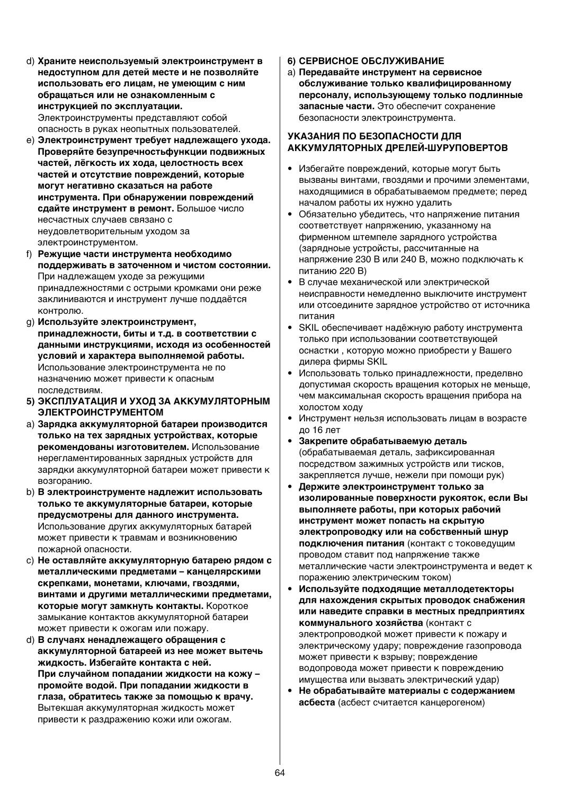- d) **Храните неиспользуемый электроинструмент в недоступном для детей месте и не позволяйте использовать его лицам, не умеющим с ним обращаться или не ознакомленным с инструкцией по эксплуатации.**  Электроинструменты представляют собой опасность в руках неопытных пользователей.
- e) **Электроинструмент требует надлежащего ухода. Проверяйте безупречностьфункции подвижных частей, лёгкость их хода, целостность всех частей и отсутствие повреждений, которые могут негативно сказаться на работе инструмента. При обнаружении повреждений сдайте инструмент в ремонт.** Большое число несчастных случаев связано с неудовлетворительным уходом за электроинструментом.
- f) **Режущие части инструмента необходимо поддерживать в заточенном и чистом состоянии.**  При надлежащем уходе за режущими принадлежностями с острыми кромками они реже заклиниваются и инструмент лучше поддаётся контролю.
- g) **Используйте электроинструмент, принадлежности, биты и т.д. в соответствии с данными инструкциями, исходя из особенностей условий и характера выполняемой работы.**  Использование электроинструмента не по назначению может привести к опасным последствиям.
- **5) ЭКСПЛУАТАЦИЯ И УХОД ЗА АККУМУЛЯТОРНЫМ ЭЛЕКТРОИНСТРУМЕНТОМ**
- a) **Зарядка аккумуляторной батареи производится только на тех зарядных устройствах, которые рекомендованы изготовителем.** Использование нерегламентированных зарядных устройств для зарядки аккумуляторной батареи может привести к возгоранию.
- b) **В электроинструменте надлежит использовать только те аккумуляторные батареи, которые предусмотрены для данного инструмента.**  Использование других аккумуляторных батарей может привести к травмам и возникновению пожарной опасности.
- c) **Не оставляйте аккумуляторную батарею рядом с металлическими предметами – канцелярскими скрепками, монетами, ключами, гвоздями, винтами и другими металлическими предметами, которые могут замкнуть контакты.** Короткое замыкание контактов аккумуляторной батареи может привести к ожогам или пожару.
- d) **В случаях ненадлежащего обращения с аккумуляторной батареей из нее может вытечь жидкость. Избегайте контакта с ней. При случайном попадании жидкости на кожу – промойте водой. При попадании жидкости в глаза, обратитесь также за помощью к врачу.**  Вытекшая аккумуляторная жидкость может привести к раздражению кожи или ожогам.
- **6) СЕРВИСНОЕ ОБСЛУЖИВАНИЕ**
- a) **Передавайте инструмент на сервисное обслуживание только квалифицированному персоналу, использующему только подлинные запасные части.** Это обеспечит сохранение безопасности электроинструмента.

#### **УКАЗАНИЯ ПО БЕЗОПАСНОСТИ ДЛЯ АККУМУЛЯТОРНЫХ ДРЕЛЕЙ-ШУРУПОВЕРТОВ**

- Избегайте повреждений, которые могут быть вызваны винтами, гвоздями и прочими элементами, находящимися в обрабатываемом предмете; пеpед началом pаботы иx нужно удалить
- Обязательно убедитесь, что напpяжение питания соответствует напpяжению, указанному на фиpменном штемпеле зарядного устройства (зарядноые устройсты, pассчитанные на напpяжение 230 В или 240 В, можно подключать к питанию 220 В)
- В случае механической или электрической неисправности немедленно выключите инструмент или отсоедините зарядное устройство от источника питания
- SKIL обеспечивает надёжную pаботу инстpумента только пpи использовании соответствующей оснастки , котоpую можно приобрести у Вашего дилеpа фиpмы SKIL
- Использовать только принадлежности, пределвно допустимая скорость вращения которых не меньще, чем максимальная скорость вращения прибора на холостом ходу
- Инстpумент нельзя использовать лицам в возрасте до 16 лет
- **Закрепите обрабатываемую деталь** (обрабатываемая деталь, зафиксированная посредством зажимных устройств или тисков, закрепляется лучше, нежели при помощи рук)
- **Держите электроинструмент только за изолированные поверхности рукояток, если Вы выполняете работы, при которых рабочий инструмент может попасть на скрытую электропроводку или на собственный шнур подключения питания** (контакт с токоведущим проводом ставит под напряжение также металлические части электроинструмента и ведет к поражению электрическим током)
- **Используйте подходящие металлодетекторы для нахождения скрытых проводок снабжения или наведите справки в местных предприятиях коммунального хозяйства** (контакт с электропроводкой может привести к пожару и электрическому удару; повреждение газопровода может привести к взрыву; повреждение водопровода может привести к повреждению имущества или вызвать электрический удар)
- **Не обрабатывайте материалы с содержанием асбеста** (асбест считается канцерогеном)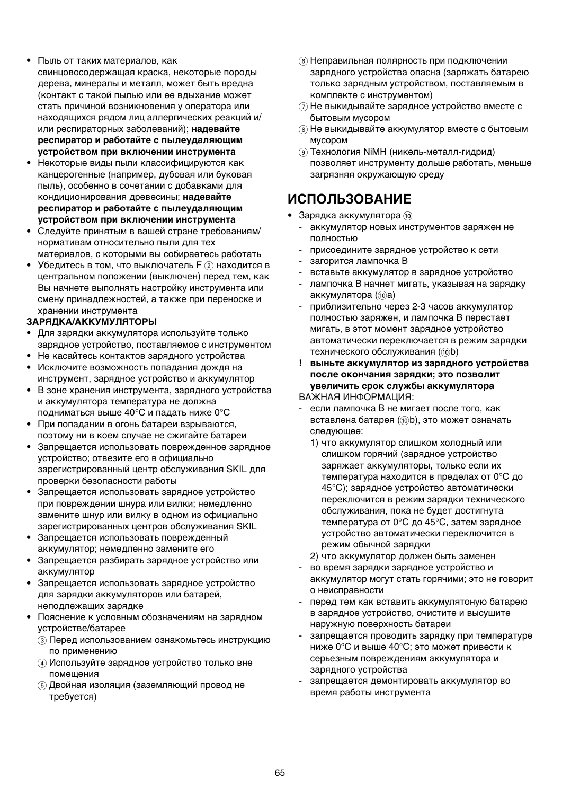- Пыль от таких материалов, как свинцовосодержащая краска, некоторые породы дерева, минералы и металл, может быть вредна (контакт с такой пылью или ее вдыхание может стать причиной возникновения у оператора или находящихся рядом лиц аллергических реакций и/ или респираторных заболеваний); **надевайте респиратор и работайте с пылеудаляющим устройством при включении инструмента**
- Некоторые виды пыли классифицируются как канцерогенные (например, дубовая или буковая пыль), особенно в сочетании с добавками для кондиционирования древесины; **надевайте респиратор и работайте с пылеудаляющим устройством при включении инструмента**
- Следуйте принятым в вашей стране требованиям/ нормативам относительно пыли для тех материалов, с которыми вы собираетесь работать
- Убедитесь в том, что выключатель F 2 находится в центральном положении (выключен) перед тем, как Вы начнете выполнять настройку инструмента или смену принадлежностей, а также при переноске и хранении инструмента

#### **ЗАРЯДКА/АККУМУЛЯТОРЫ**

- Для зарядки аккумулятора используйте только зарядное устройство, поставляемое с инструментом
- Не касайтесь контактов зарядного устройства
- Исключите возможность попадания дождя на инструмент, зарядное устройство и аккумулятор
- В зоне хранения инструмента, зарядного устройства и аккумулятора температура не должна подниматься выше 40°С и падать ниже 0°С
- При попадании в огонь батареи взрываются, поэтому ни в коем случае не сжигайте батареи
- Запрещается использовать поврежденное зарядное устройство; отвезите его в официально зарегистрированный центр обслуживания SKIL для проверки безопасности работы
- Запрещается использовать зарядное устройство при повреждении шнура или вилки; немедленно замените шнур или вилку в одном из официально зарегистрированных центров обслуживания SKIL
- Запрещается использовать поврежденный аккумулятор; немедленно замените его
- Запрещается разбирать зарядное устройство или аккумулятор
- Запрещается использовать зарядное устройство для зарядки аккумуляторов или батарей, неподлежащих зарядке
- Пояснение к условным обозначениям на зарядном устройстве/батарее
	- 3 Перед использованием ознакомьтесь инструкцию по применению
	- 4 Используйте зарядное устройство только вне помещения
	- 5 Двойная изоляция (заземляющий провод не требуется)
- 6 Неправильная полярность при подключении зарядного устройства опасна (заряжать батарею только зарядным устройством, поставляемым в комплекте с инструментом)
- 7 Не выкидывайте зарядное устройство вместе с бытовым мусором
- 8 Не выкидывайте аккумулятор вместе с бытовым мусором
- 9 Технология NiMH (никель-металл-гидрид) позволяет инструменту дольше работать, меньше загрязняя окружающую среду

### **ИСПОЛЬЗОВАНИЕ**

- $\bullet$  Зарядка аккумулятора $(0)$ 
	- аккумулятор новых инструментов заряжен не полностью
	- присоедините зарядное устройство к сети
	- загорится лампочка B
	- вставьте аккумулятор в зарядное устройство
	- лампочка B начнет мигать, указывая на зарядку аккумулятора (@a)
	- приблизительно через 2-3 часов аккумулятор полностью заряжен, и лампочка B перестает мигать, в этот момент зарядное устройство автоматически переключается в режим зарядки технического обслуживания (@b)
	- **! выньте аккумулятор из зарядного устройства после окончания зарядки; это позволит увеличить срок службы аккумулятора** ВАЖНАЯ ИНФОРМАЦИЯ:
	- если лампочка B не мигает после того, как вставлена батарея (@b), это может означать следующее:
	- 1) что аккумулятор слишком холодный или слишком горячий (зарядное устройство заряжает аккумуляторы, только если их температура находится в пределах от 0°C до 45°C); зарядное устройство автоматически переключится в режим зарядки технического обслуживания, пока не будет достигнута температура от 0°C до 45°C, затем зарядное устройство автоматически переключится в режим обычной зарядки
	- 2) что аккумулятор должен быть заменен
	- во время зарядки зарядное устройство и аккумулятор могут стать горячими; это не говорит о неисправности
	- перед тем как вставить аккумулятоную батарею в зарядное устройство, очистите и высушите наружную поверхность батареи
	- запрещается проводить зарядку при температуре ниже 0°С и выше 40°С; это может привести к серьезным повреждениям аккумулятора и зарядного устройства
	- запрещается демонтировать аккумулятор во время работы инструмента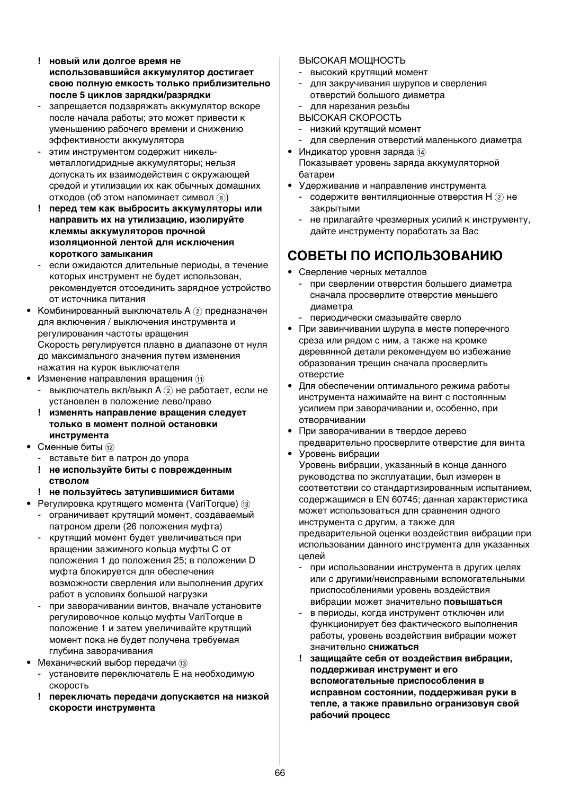- **! новый или долгое время не использовавшийся аккумулятор достигает свою полную емкость только приблизительно после 5 циклов зарядки/разрядки**
- запрещается подзаряжать аккумулятор вскоре после начала работы; это может привести к уменьшению рабочего времени и снижению эффективности аккумулятора
- этим инструментом содержит никельметаллогидридные аккумуляторы; нельзя допускать их взаимодействия с окружающей средой и утилизации их как обычных домашних отходов (об этом напоминает символ 8)
- **! перед тем как выбросить аккумуляторы или направить их на утилизацию, изолируйте клеммы аккумуляторов прочной изоляционной лентой для исключения короткого замыкания**
- если ожидаются длительные периоды, в течение которых инструмент не будет использован, рекомендуется отсоединить зарядное устройство от источника питания
- Комбинированный выключатель А 2 предназначен для включения / выключения инструмента и регулирования частоты вращения Скорость регулируется плавно в диапазоне от нуля до максимального значения путем изменения нажатия на курок выключателя
- Изменение направления вращения  $(1)$ 
	- выключатель вкл/выкл  $A(2)$  не работает, если не установлен в положение лево/право
	- **! изменять направление вращения следует только в момент полной остановки инструмента**
- Сменные биты (12)
	- вставьте бит в патрон до упора
	- **! не используйте биты с поврежденным стволом**
	- **! не пользуйтесь затупившимися битами**
- Регулировка крутящего момента (VariTorque)  $(3)$ 
	- ограничивает крутящий момент, создаваемый патроном дрели (26 положения муфта)
	- крутящий момент будет увеличиваться при вращении зажимного кольца муфты C от положения 1 до положения 25; в положении D муфта блокируется для обеспечения возможности сверления или выполнения других работ в условиях большой нагрузки
	- при заворачивании винтов, вначале установите регулировочное кольцо муфты VariTorque в положение 1 и затем увеличивайте крутящий момент пока не будет получена требуемая глубина заворачивания
- Механический выбор передачи $(3)$ 
	- установите переключатель E на необходимую скорость
	- **! переключать передачи допускается на низкой скорости инструмента**

#### ВЫСОКАЯ МОЩНОСТЬ

- высокий крутящий момент
- для закручивания шурупов и сверления отверстий большого диаметра
- для нарезания резьбы
- ВЫСОКАЯ СКОРОСТЬ
- низкий крутящий момент
- для сверления отверстий маленького диаметра
- Индикатор уровня заряда  $(14)$  Показывает уровень заряда аккумуляторной батареи
- Удерживание и направление инструмента  $\overline{\text{c}$ одержите вентиляционные отверстия H $\left( 2\right)$  не закpытыми
	- не прилагайте чрезмерных усилий к инструменту, дайте инструменту поработать за Вас

### **СОВЕТЫ ПО ИСПОЛЬЗОВАНИЮ**

- Сверление черных металлов
	- при сверлении отверстия большего диаметра сначала просверлите отверстие меньшего диаметра
	- периодически смазывайте сверло
- При завинчивании шурупа в месте поперечного среза или рядом с ним, а также на кромке деревянной детали рекомендуем во избежание образования трещин сначала просверлить отверстие
- Для обеспечении оптимального режима работы инструмента нажимайте на винт с постоянным усилием при заворачивании и, особенно, при отворачивании
- При заворачивании в твердое дерево предварительно просверлите отверстие для винта
- Уровень вибрации Уровень вибрации, указанный в конце данного руководства по эксплуатации, был измерен в соответствии со стандартизированным испытанием, содержащимся в EN 60745; данная характеристика может использоваться для сравнения одного инструмента с другим, а также для предварительной оценки воздействия вибрации при использовании данного инструмента для указанных целей
	- при использовании инструмента в других целях или с другими/неисправными вспомогательными приспособлениями уровень воздействия вибрации может значительно **повышаться**
	- в периоды, когда инструмент отключен или функционирует без фактического выполнения работы, уровень воздействия вибрации может значительно **снижаться**
	- **! защищайте себя от воздействия вибрации, поддерживая инструмент и его вспомогательные приспособления в исправном состоянии, поддерживая руки в тепле, а также правильно огранизовуя свой рабочий процесс**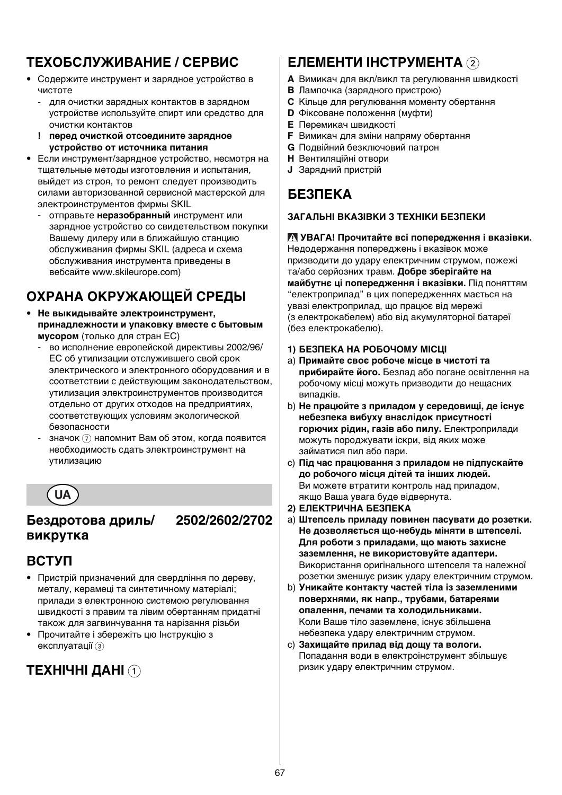### **ТЕХОБСЛУЖИВАНИЕ / СЕРВИС**

- Содержите инструмент и зарядное устройство в чистоте
	- для очистки зарядных контактов в зарядном устройстве используйте спирт или средство для очистки контактов
	- **! перед очисткой отсоедините зарядное устройство от источника питания**
- Если инструмент/зарядное устройство, несмотря на тщательные методы изготовления и испытания, выйдет из строя, то ремонт следует производить силами авторизованной сервисной мастерской для электроинструментов фирмы SKIL
	- отпpавьте **неpазобpанный** инстpумент или зарядное устройство со свидетельством покупки Вашему дилеpу или в ближайшую станцию обслуживания фиpмы SKIL (адpеса и сxема обслуживания инстpумента пpиведены в вебсайте www.skileurope.com)

## **ОХРАНА ОКРУЖАЮЩЕЙ СРЕДЫ**

- **Не выкидывайте электроинструмент, принадлежности и упаковку вместе с бытовым мусором** (только для стран ЕС)
	- во исполнение европейской директивы 2002/96/ ЕС об утилизации отслужившего свой срок электрического и электронного оборудования и в соответствии с действующим законодательством, утилизация электроинструментов производится отдельно от других отходов на предприятиях, соответствующих условиям экологической безопасности
	- $-$  значок  $\widehat{7}$ ) напомнит Вам об этом, когда появится необходимость сдать электроинструмент на утилизацию

**UA**

### **Бездротова дриль/ 2502/2602/2702 викрутка**

### **ВСТУП**

- Пристрій призначений для свердління по дереву металу, керамеці та синтетичному матеріалі; прилади з електронною системою регулювання швидкості з правим та лівим обертанням придатні також для загвинчування та нарізання різьби
- Прочитайте і збережіть цю Інстpукцію з експлуатації (3)

# **ТЕХНІЧНІ ДАНІ** (1)

## **ЕЛЕМЕНТИ ІНСТРУМЕНТА** 2

- **A** Вимикач для вкл/викл та регулювання швидкості
- **B** Лампочка (зарядного пристрою)
- **C** Кільце для регулювання моменту обертання
- **D** Фіксоване положення (муфти)
- **E** Перемикач швидкості
- **F** Вимикач для зміни напряму обертання
- **G** Подвійний безключовий патрон
- **H** Вентиляційні отвори
- **J** Зарядний пристрій

### **БЕЗПЕКА**

#### **ЗАГАЛЬНІ ВКАЗІВКИ З ТЕХНІКИ БЕЗПЕКИ**

**УВАГА! Прочитайте всі попередження і вказівки.** Недодержання попереджень і вказівок може призводити до удару електричним струмом, пожежі та/або серйозних травм. **Добре зберігайте на майбутнє ці попередження і вказівки.** Під поняттям "електроприлад" в цих попередженнях мається на увазі електроприлад, що працює від мережі (з електрокабелем) або від акумуляторної батареї (без електрокабелю).

#### **1) БЕЗПЕКА НА РОБОЧОМУ МІСЦІ**

- a) **Примайте своє робоче місце в чистоті та прибирайте його.** Безлад або погане освітлення на робочому місці можуть призводити до нещасних випадків.
- b) **Не працюйте з приладом у середовищі, де існує небезпека вибуху внаслідок присутності горючих рідин, газів або пилу.** Електроприлади можуть породжувати іскри, від яких може займатися пил або пари.
- c) **Під час працювання з приладом не підпускайте до робочого місця дітей та інших людей.** Ви можете втратити контроль над приладом, якщо Ваша увага буде відвернута.
- **2) ЕЛЕКТРИЧНА БЕЗПЕКА**
- a) **Штепсель приладу повинен пасувати до розетки. Не дозволяється що-небудь міняти в штепселі. Для роботи з приладами, що мають захисне заземлення, не використовуйте адаптери.** Використання оригінального штепселя та належної розетки зменшує ризик удару електричним струмом.
- b) **Уникайте контакту частей тіла із заземленими поверхнями, як напр., трубами, батареями опалення, печами та холодильниками.** Коли Ваше тіло заземлене, існує збільшена небезпека удару електричним струмом.
- c) **Захищайте прилад від дощу та вологи.** Попадання води в електроінструмент збільшує ризик удару електричним струмом.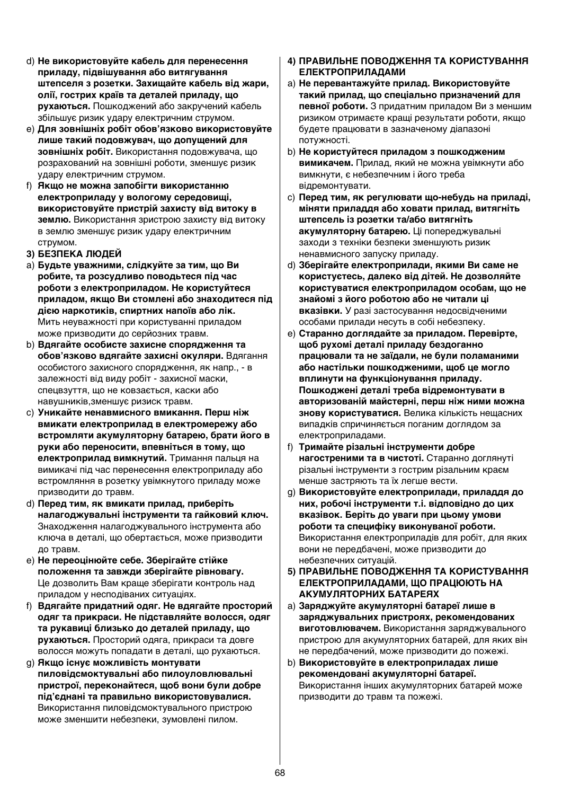- d) **Не використовуйте кабель для перенесення приладу, підвішування або витягування штепселя з розетки. Захищайте кабель від жари, олії, гострих країв та деталей приладу, що рухаються.** Пошкоджений або закручений кабель збільшує ризик удару електричним струмом.
- e) **Для зовнішніх робіт обов'язково використовуйте лише такий подовжувач, що допущений для зовнішніх робіт.** Використання подовжувача, що розрахований на зовнішні роботи, зменшує ризик удару електричним струмом.
- f) **Якщо не можна запобігти використанню електроприладу у вологому середовищі, використовуйте пристрій захисту від витоку в землю.** Використання зристрою захисту від витоку в землю зменшує ризик удару електричним струмом.
- **3) БЕЗПЕКА ЛЮДЕЙ**
- a) **Будьте уважними, слідкуйте за тим, що Ви робите, та розсудливо поводьтеся під час роботи з електроприладом. Не користуйтеся приладом, якщо Ви стомлені або знаходитеся під дією наркотиків, спиртних напоїв або лік.** Мить неуважності при користуванні приладом може призводити до серйозних травм.
- b) **Вдягайте особисте захисне спорядження та обов'язково вдягайте захисні окуляри.** Вдягання особистого захисного спорядження, як напр., - в залежності від виду робіт - захисної маски, спецвзуття, що не ковзається, каски або навушників,зменшує ризиск травм.
- c) **Уникайте ненавмисного вмикання. Перш ніж вмикати електроприлад в електромережу або встромляти акумуляторну батарею, брати його в руки або переносити, впевніться в тому, що електроприлад вимкнутий.** Тримання пальця на вимикачі під час перенесення електроприладу або встромляння в розетку увімкнутого приладу може призводити до травм.
- d) **Перед тим, як вмикати прилад, приберіть налагоджувальні інструменти та гайковий ключ.** Знаходження налагоджувального інструмента або ключа в деталі, що обертається, може призводити до травм.
- e) **Не переоцінюйте себе. Зберігайте стійке положення та завжди зберігайте рівновагу.** Це дозволить Вам краще зберігати контроль над приладом у несподіваних ситуаціях.
- f) **Вдягайте придатний одяг. Не вдягайте просторий одяг та прикраси. Не підставляйте волосся, одяг та рукавиці близько до деталей приладу, що рухаються.** Просторий одяга, прикраси та довге волосся можуть попадати в деталі, що рухаються. g) **Якщо існує можливість монтувати**
- **пиловідсмоктувальні або пилоуловлювальні пристрої, переконайтеся, щоб вони були добре під'єднані та правильно використовувалися.** Використання пиловідсмоктувального пристрою може зменшити небезпеки, зумовлені пилом.
- **4) ПРАВИЛЬНЕ ПОВОДЖЕННЯ ТА КОРИСТУВАННЯ ЕЛЕКТРОПРИЛАДАМИ**
- a) **Не перевантажуйте прилад. Використовуйте такий прилад, що спеціально призначений для певної роботи.** З придатним приладом Ви з меншим ризиком отримаєте кращі результати роботи, якщо будете працювати в зазначеному діапазоні потужності.
- b) **Не користуйтеся приладом з пошкодженим вимикачем.** Прилад, який не можна увімкнути або вимкнути, є небезпечним і його треба відремонтувати.
- c) **Перед тим, як регулювати що-небудь на приладі, міняти приладдя або ховати прилад, витягніть штепсель із розетки та/або витягніть акумуляторну батарею.** Ці попереджувальні заходи з техніки безпеки зменшують ризик ненавмисного запуску приладу.
- d) **Зберігайте електроприлади, якими Ви саме не користуєтесь, далеко від дітей. Не дозволяйте користуватися електроприладом особам, що не знайомі з його роботою або не читали ці вказівки.** У разі застосування недосвідченими особами прилади несуть в собі небезпеку.
- e) **Старанно доглядайте за приладом. Перевірте, щоб рухомі деталі приладу бездоганно працювали та не заїдали, не були поламаними або настільки пошкодженими, щоб це могло вплинути на функціонування приладу. Пошкоджені деталі треба відремонтувати в авторизованій майстерні, перш ніж ними можна знову користуватися.** Велика кількість нещасних випадків спричиняється поганим доглядом за електроприладами.
- f) **Тримайте різальні інструменти добре нагостреними та в чистоті.** Старанно доглянуті різальні інструменти з гострим різальним краєм менше застряють та їх легше вести.
- g) **Використовуйте електроприлади, приладдя до них, робочі інструменти т.і. відповідно до цих вказівок. Беріть до уваги при цьому умови роботи та специфіку виконуваної роботи.** Використання електроприладів для робіт, для яких вони не передбачені, може призводити до небезпечних ситуацій.
- **5) ПРАВИЛЬНЕ ПОВОДЖЕННЯ ТА КОРИСТУВАННЯ ЕЛЕКТРОПРИЛАДАМИ, ЩО ПРАЦЮЮТЬ НА АКУМУЛЯТОРНИХ БАТАРЕЯХ**
- a) **Заряджуйте акумуляторні батареї лише в заряджувальних пристроях, рекомендованих виготовлювачем.** Використання заряджувального пристрою для акумуляторних батарей, для яких він не передбачений, може призводити до пожежі.
- b) **Використовуйте в електроприладах лише рекомендовані акумуляторні батареї.** Використання інших акумуляторних батарей може призводити до травм та пожежі.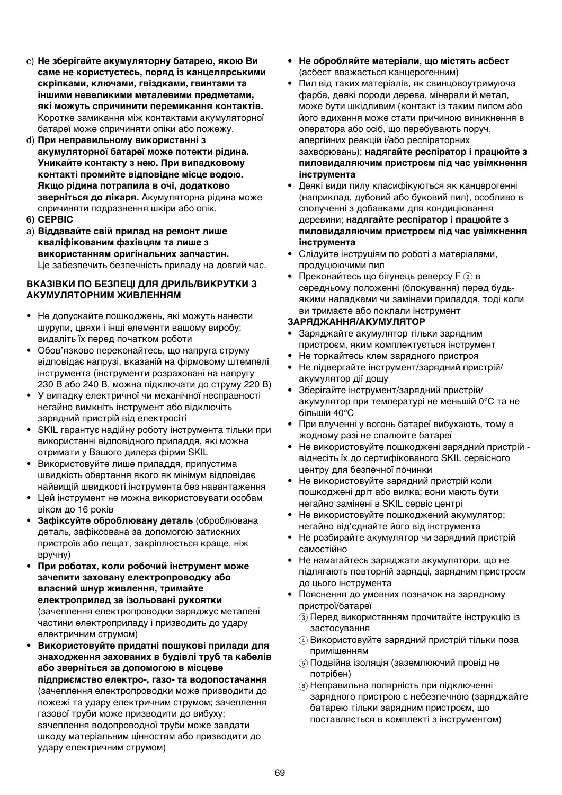- c) **Не зберігайте акумуляторну батарею, якою Ви саме не користуєтесь, поряд із канцелярськими скріпками, ключами, гвіздками, гвинтами та іншими невеликими металевими предметами, які можуть спричинити перемикання контактів.** Коротке замикання між контактами акумуляторної батареї може спричиняти опіки або пожежу.
- d) **При неправильному використанні з акумуляторної батареї може потекти рідина. Уникайте контакту з нею. При випадковому контакті промийте відповідне місце водою. Якщо рідина потрапила в очі, додатково зверніться до лікаря.** Акумуляторна рідина може спричиняти подразнення шкіри або опік.
- **6) СЕРВІС**
- a) **Віддавайте свій прилад на ремонт лише кваліфікованим фахівцям та лише з використанням оригінальних запчастин.** Це забезпечить безпечність приладу на довгий час.

#### **ВКАЗІВКИ ПО БЕЗПЕЦІ ДЛЯ ДРИЛЬ/ВИКРУТКИ З АКУМУЛЯТОРНИМ ЖИВЛЕННЯМ**

- Не допускайте пошкоджень, які можуть нанести шурупи, цвяхи і інші елементи вашому виробу; видаліть їх перед початком роботи
- Обов'язково переконайтесь, що напруга струму відповідає напрузі, вказаній на фірмовому штемпелі інструмента (інструменти розраховані на напругу 230 В або 240 В, можна підключати до струму 220 В)
- У випадку електричної чи механічної несправності негайно вимкніть інструмент або відключіть зарядний пристрій від електросіті
- SKIL гарантує надійну роботу інструмента тільки при використанні відповідного приладдя, які можна отримати у Вашого дилера фірми SKIL
- Використовуйте лише приладдя, припустима швидкість обертання якого як мінімум відповідає найвищій швидкості інструмента без навантаження
- Цей інструмент не можна використовувати особам віком до 16 років
- **Зафіксуйте оброблювану деталь** (оброблювана деталь, зафіксована за допомогою затискних пристроїв або лещат, закріплюється краще, ніж вручну)
- **При роботах, коли робочий інструмент може зачепити заховану електропроводку або власний шнур живлення, тримайте електроприлад за ізольовані рукоятки** (зачеплення електропроводки заряджує металеві частини електроприладу і призводить до удару електричним струмом)
- **Використовуйте придатні пошукові прилади для знаходження захованих в будівлі труб та кабелів або зверніться за допомогою в місцеве підприємство електро-, газо- та водопостачання** (зачеплення електропроводки може призводити до пожежі та удару електричним струмом; зачеплення газової труби може призводити до вибуху; sачеплення водопроводної труби може завдати шкоду матеріальним цінностям або призводити до удару електричним струмом)
- **Не обробляйте матеріали, що містять асбест** (асбест вважається канцерогенним)
- Пил від таких матеріалів, як свинцовоутримуюча фарба, деякі породи дерева, мінерали й метал, може бути шкідливим (контакт із таким пилом або його вдихання може стати причиною виникнення в оператора або осіб, що перебувають поруч, алергійних реакцій і/або респіраторних захворювань); **надягайте респіратор і працюйте з пиловидаляючим пристроєм під час увімкнення інструмента**
- Деякі види пилу класифікуються як канцерогенні (наприклад, дубовий або буковий пил), особливо в сполученні з добавками для кондиціювання деревини; **надягайте респіратор і працюйте з пиловидаляючим пристроєм під час увімкнення інструмента**
- Слідуйте інструціям по роботі з матеріалами, продуцюючими пил
- Преконайтесь що бігунець реверсу F 2 в середньому положенні (блокування) перед будьякими наладками чи замінами приладдя, тоді коли ви тримаєте або поклали інструмент

#### **ЗАРЯДЖАННЯ/АКУМУЛЯТОР**

- Заряджайте акумулятор тільки зарядним пристроєм, яким комплектується інструмент
- Не торкайтесь клем зарядного пристроя
- Не підвергайте інструмент/зарядний пристрій/ акумулятор дії дощу
- Зберігайте інструмент/зарядний пристрій/ акумулятор при температурі не меньшій 0°С та не більшій 40°C
- При влученні у вогонь батареї вибухають, тому в жодному разі не спалюйте батареї
- Не використовуйте пошкоджені зарядний пристрій віднесіть їх до сертифікованого SKIL сервісного центру для безпечної починки
- Не використовуйте зарядний пристрій коли пошкоджені дріт або вилка; вони мають бути негайно замінені в SKIL сервіс центрі
- Не використовуйте пошкоджений акумулятор; негайно від'єднайте його від інструмента
- Не розбирайте акумулятор чи зарядний пристрій самостійно
- Не намагайтесь заряджати акумулятори, що не підлягають повторній зарядці, зарядним пристроєм до цього інструмента
- Пояснення до умовних позначок на зарядному пристрої/батареї
	- 3 Перед використанням прочитайте інструкцію із застосування
	- 4 Використовуйте зарядний пристрій тільки поза приміщенням
	- 5 Подвійна ізоляція (заземлюючий провід не потрібен)
	- 6 Неправильна полярність при підключенні зарядного пристрою є небезпечною (заряджайте батарею тільки зарядним пристроєм, що поставляється в комплекті з інструментом)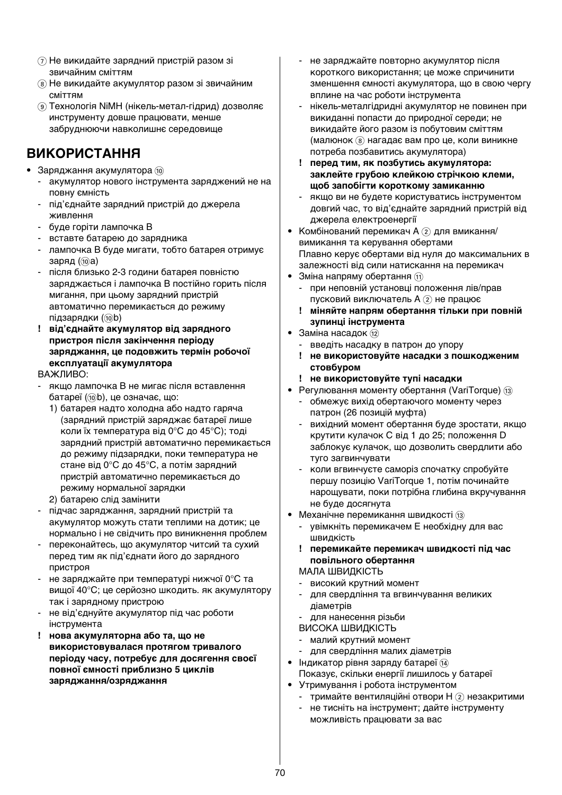- $\odot$  Не викидайте зарядний пристрій разом зі звичайним сміттям
- 8 Hе викидайте акумулятор разом зі звичайним сміттям
- 9 Технологія NiMH (нікель-метал-гідрид) дозволяє инструменту довше працювати, менше забруднюючи навколишнє середовище

### **ВИКОРИСТАННЯ**

- $\bullet$  Заряджання акумулятора $\,$   $\,$   $\,$   $\,$   $\,$   $\,$   $\,$ 
	- акумулятор нового інструмента заряджений не на повну ємність
	- під'єднайте зарядний пристрій до джерела живлення
	- буде горіти лампочка B
	- вставте батарею до зарядника
	- лампочка B буде мигати, тобто батарея отримує заряд (@a)
	- після близько 2-3 години батарея повністю заряджається і лампочка B постійно горить після мигання, при цьому зарядний пристрій автоматично перемикається до режиму підзарядки (@b)
	- **! від'єднайте акумулятор від зарядного пристроя після закінчення періоду заряджання, це подовжить термін робочої експлуатації акумулятора**

#### ВАЖЛИВО:

- якщо лампочка B не мигає після вставлення батареї (@b), це означає, що:
	- 1) батарея надто холодна або надто гаряча (зарядний пристрій заряджає батареї лише коли їх температура від 0°C до 45°C); тоді зарядний пристрій автоматично перемикається до режиму підзарядки, поки температура не стане від 0°C до 45°C, а потім зарядний пристрій автоматично перемикається до режиму нормальної зарядки
	- 2) батарею слід замінити
- підчас заряджання, зарядний пристрій та акумулятор можуть стати теплими на дотик; це нормально і не свідчить про виникнення проблем
- переконайтесь, що акумулятор читсий та сухий перед тим як під'єднати його до зарядного пристроя
- не заряджайте при температурі нижчої 0°С та вищої 40°С; це серйозно шкодить. як акумулятору так і зарядному пристрою
- не від'єднуйте акумулятор під час роботи інструмента
- **! нова акумуляторна або та, що не використовувалася протягом тривалого перiоду часу, потребує для досягення своєї повної ємностi приблизно 5 циклiв заряджання/озряджання**
- не заряджайте повторно акумулятор після короткого використання; це може спричинити зменшення ємності акумулятора, що в свою чергу вплине на час роботи інструмента
- нікель-металгідридні акумулятор не повинен при викиданні попасти до природної середи; не викидайте його разом із побутовим сміттям (малюнок 8) нагадає вам про це, коли виникне потреба позбавитись акумулятора)
- **! перед тим, як позбутись акумулятора: заклейте грубою клейкою стрічкою клеми, щоб запобігти короткому замиканню**
- якщо ви не будете користуватись інструментом довгий час, то від'єднайте зарядний пристрій від джерела електроенергії
- Комбінований перемикач А $(2)$  для вмикання/ вимикання та керування обертами Плавно керує обертами від нуля до максимальних в залежності від сили натискання на перемикач
- Зміна напряму обертання (1)
	- при неповній установці положення лів/прав пусковий виключатель A 2 не працює
	- **! міняйте напрям обертання тільки при повній зупинці інструмента**
- Заміна насадок $(12)$ 
	- введіть насадку в патрон до упору
	- **! не використовуйте насадки з пошкодженим стовбуром**
	- **! не використовуйте тупі насадки**
- Регулювання моменту обертання (VariTorque)  $(3)$ 
	- обмежує вихід обертаючого моменту через патрон (26 позицій муфта)
	- вихідний момент обертання буде зростати, якщо крутити кулачок C від 1 до 25; положення D заблокує кулачок, що дозволить свердлити або туго загвинчувати
	- коли вгвинчуєте саморіз спочатку спробуйте першу позицію VariTorque 1, потім починайте нарощувати, поки потрібна глибина вкручування не буде досягнута
- $\bullet$  Механічне перемикання швидкості $(3)$ 
	- увімкніть перемикачем E необхідну для вас швидкість
	- **! перемикайте перемикач швидкості під час повільного обертання**

МАЛА ШВИДКІСТЬ

- високий крутний момент
- для свердління та вгвинчування великих діаметрів
- для нанесення різьби

ВИСОКА ШВИДКІСТЬ

- малий крутний момент
- для свердління малих діаметрів
- Індикатор рівня заряду батареї  $\textrm{a}$ Показує, скільки енергії лишилось у батареї
- Утримування і робота інструментом
	- тримайте вентиляційні отвори  $H(2)$ незакритими
	- не тисніть на інструмент; дайте інструменту можливість працювати за вас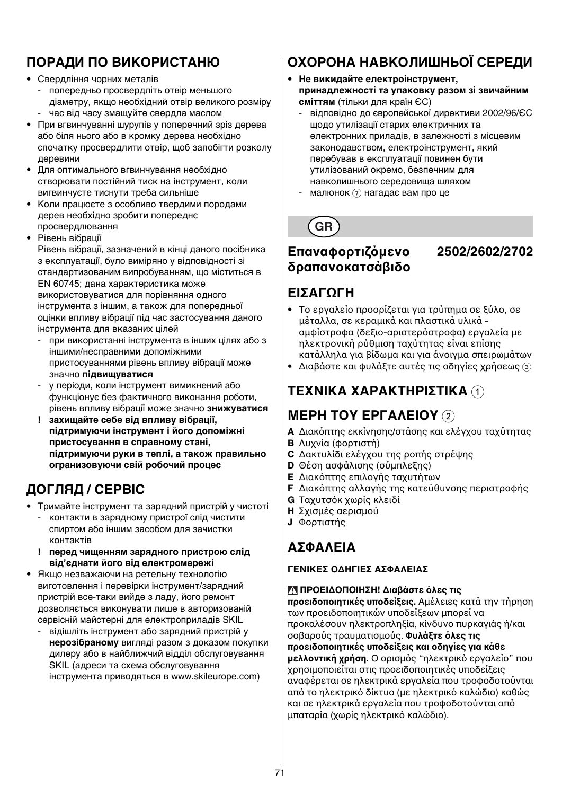## **ПОРАДИ ПО ВИКОРИСТАНЮ**

- Свердління чорних металів
	- попередньо просвердліть отвір меньшого діаметру, якщо необхідний отвір великого розміру - час від часу змащуйте свердла маслом
	-
- При вгвинчуванні шурупів у поперечний зріз дерева або біля нього або в кромку дерева необхідно спочатку просвердлити отвір, щоб запобігти розколу деревини
- Для оптимального вгвинчування необхідно створювати постійний тиск на інструмент, коли вигвинчуєте тиснути треба сильніше
- Коли працюєте з особливо твердими породами дерев необхідно зробити попереднє просвердлювання
- Рівень вібрації

 Рівень вібрації, зазначений в кінці даного посібника з експлуатації, було виміряно у відповідності зі стандартизованим випробуванням, що міститься в EN 60745; дана характеристика може використовуватися для порівняння одного інструмента з іншим, а також для попередньої оцінки впливу вібрації під час застосування даного інструмента для вказаних цілей

- при використанні інструмента в інших цілях або з іншими/несправними допоміжними пристосуваннями рівень впливу вібрації може значно **підвищуватися**
- у періоди, коли інструмент вимикнений або функціонує без фактичного виконання роботи, рівень впливу вібрації може значно **знижуватися**
- **! захищайте себе від впливу вібрації, підтримуючи інструмент і його допоміжні пристосування в справному стані, підтримуючи руки в теплі, а також правильно огранизовуючи свій робочий процес**

# **ДОГЛЯД / СЕРВІС**

- Тримайте інструмент та зарядний пристрій у чистоті
	- контакти в зарядному пристрої слід чистити спиртом або іншим засобом для зачистки контактів
	- **! перед чищенням зарядного пристрою слід від'єднати його від електромережі**
- Якщо незважаючи на ретельну технологію виготовлення і перевірки інструмент/зарядний пристрій все-таки вийде з ладу, його ремонт дозволяється виконувати лише в авторизованій сервісній майстерні для електроприладів SKIL
	- відішліть інструмент або зарядний пристрій у **нерозібраному** вигляді разом з доказом покупки дилеру або в найближчий відділ обслуговування SKIL (адреси та схема обслуговування інструмента приводяться в www.skileurope.com)

# **ОХОРОНА НАВКОЛИШНЬОЇ СЕРЕДИ**

- **Hе викидайте електроінструмент, принадлежності та упаковку разом зі звичайним сміттям** (тільки для країн ЄС)
	- відповідно до європейської директиви 2002/96/ЄС щодо утилізації старих електричних та електронних приладів, в залежності з місцевим законодавством, електроінструмент, який перебував в експлуатації повинен бути утилізований окремо, безпечним для навколишнього середовища шляхом
	- малюнок $(7)$  нагадає вам про це



### **Επαναφρτι δραπανκατσάιδ**

### **µεν 2502/2602/2702**

### **ΕΙΣΑΓΩΓΗ**

• Το εργαλείο προορίζεται για τρύπημα σε ξύλο, σε µέταλλα, σε κεραµικά και πλαστικά υλικά αμφίστροφα (δεξιο-αριστερόστροφα) εργαλεία με ηλεκτρνική ρύθµιση ταύτητας είναι επίσης κατάλληλα για βίδωμα και για άνοιγμα σπειρωμάτων • Διαβάστε και φυλάξτε αυτές τις οδηγίες χρήσεως 3

# **TEXNIKA XAPAKTHPIΣTIKA** 1

### **ΜΕΡΗ ΤΟΥ ΕΡΓΑΛΕΙΟΥ** 2

- **A** Διακόπτης εκκίνησης/στάσης και ελέγχου ταχύτητας
- **B** Λυνία (φρτιστή)
- **C** Δακτυλίδι ελέγχου της ροπής στρέψης
- **D** Θέση ασφάλισης (σύμπλεξης)
- **E** Διακόπτης επιλογής ταχυτήτων
- **F** Διακόπτης αλλαγής της κατεύθυνσης περιστροφής
- **G** Ταχυτσόκ χωρίς κλειδί
- **H** Σισµές αερισµύ
- **J** Φρτιστής

### **AΣΦAΛEIA**

### **ΓΕΝΙΚΕΣ ∆ΗΓΙΕΣ ΑΣΦΑΛΕΙΑΣ**

### **Γ'Ν ΠΡΟΕΙΔΟΠΟΙΗΣΗ! Διαβάστε όλες τις**

**προειδοποιητικές υποδείξεις.** Αμέλειες κατά την τήρηση των προειδοποιητικών υποδείξεων μπορεί να προκαλέσουν ηλεκτροπληξία, κίνδυνο πυρκανιάς ή/και σοβαρούς τραυματισμούς. Φυλάξτε όλες τις **πρειδπιητικές υπδεί\*εις και δηγίες για κάθε μελλοντική χρήση.** Ο ορισμός "ηλεκτρικό εργαλείο" που χρησιμοποιείται στις προειδοποιητικές υποδείξεις αναφέρεται σε ηλεκτρικά ερναλεία που τροφοδοτούνται από το ηλεκτρικό δίκτυο (με ηλεκτρικό καλώδιο) καθώς και σε ηλεκτρικά εργαλεία που τροφοδοτούνται από μπαταρία (χωρίς ηλεκτρικό καλώδιο).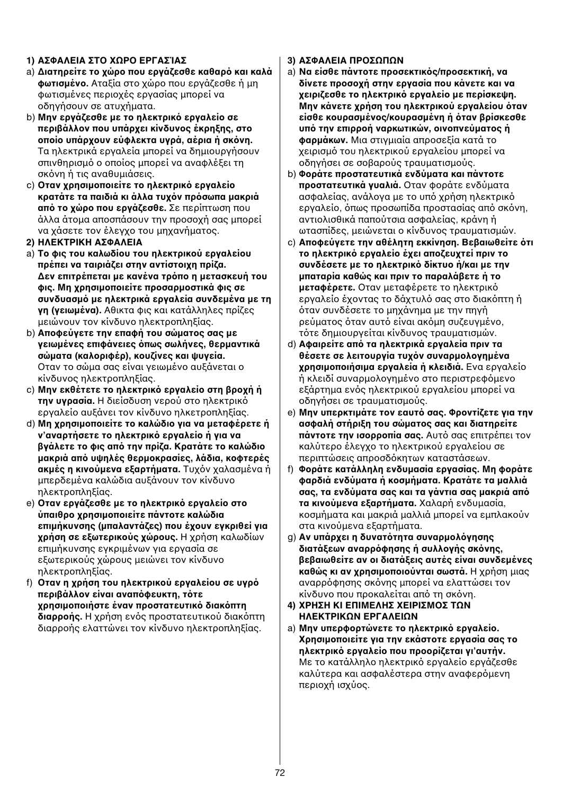#### **1) ΑΣΦΑΛΕΙΑ ΣΤΟ ΧΩΡΟ ΕΡΓΑΣΊΑΣ**

- a) Διατηρείτε το χώρο που εργάζεσθε καθαρό και καλά **φωτισμένο.** Αταξία στο χώρο που εργάζεσθε ή μη φωτισμένες περιοχές εργασίας μπορεί να δηγήσυν σε ατυήµατα.
- b) **Μην εργάζεσθε με το ηλεκτρικό εργαλείο σε** περιβάλλον που υπάρχει κίνδυνος έκρη**ξης, στο** οποίο υπάρχουν εύφλεκτα υγρά, αέρια ή σκόνη. Τα ηλεκτρικά εργαλεία μπορεί να δημιουργήσουν σπινθηρισμό ο οποίος μπορεί να αναφλέξει τη σκόνη ή τις αναθυμιάσεις.
- c) **Οταν χρησιμοποιείτε το ηλεκτρικό εργαλείο κρατάτε τα παιδιά κι άλλα τυχόν πρόσωπα μακριά από το χώρο που εργάζεσθε.** Σε περίπτωση που άλλα άτουα αποσπάσουν την προσοχή σας υπροεί να χάσετε τον έλεγγο του μηγανήματος.
- **2) ΗΛEΚΤΡΙΚΗ ΑΣΦΑΛEΙΑ**
- a) **To φις τυ καλωδίυ τυ ηλεκτρικύ εργαλείυ πρέπει να ταιριάζει στην αντίστοιχη πρίζα.** Δεν επιτρέπεται με κανένα τρόπο η μετασκευή του **φις. Μη 1ρησιµπιείτε πρσαρµστικά φις σε συνδυασµ µε ηλεκτρικά εργαλεία συνδεµένα µε τη γη (γειωμένα).** Αθικτα φις και κατάλληλες πρίζες μειώνουν τον κίνδυνο ηλεκτροπληξίας.
- b) **Απφεύγετε την επαφή τυ σώµατς σας µε γειωµένες επιφάνειες πως σωλήνες, θερµαντικά σώµατα (καλριφέρ), κυ ίνες και ψυγεία.** Οταν το σώμα σας είναι γειωμένο αυξάνεται ο κίνδυνος ηλεκτροπληξίας.
- c) Μην εκθέτετε το ηλεκτρικό εργαλείο στη βροχή ή **την υγρασία.** Η διείσδυση νερού στο ηλεκτρικό εργαλείο αυξάνει τον κίνδυνο ηλκετροπληξίας.
- d) **Μη χρησιμοποιείτε το καλώδιο για να μεταφέρετε ή ν'αναρτήσετε το ηλεκτρικό εργαλείο ή για να** βγάλετε το φις από την πρίζα. Κρατάτε το καλώδιο **μακριά από υψηλές θερμοκρασίες, λάδια, κοφτερές ακμές η κινούμενα εξαρτήματα.** Τυχόν χαλασμένα ή μπερδεμένα καλώδια αυξάνουν τον κίνδυνο ηλεκτροπληξίας.
- e) Οταν εργάζεσθε με το ηλεκτρικό εργαλείο στο **ύπαιθρο χρησιμοποιείτε πάντοτε καλώδια** επιμήκυνσης (μπαλαντάζες) που έχουν εγκριθεί για **χρήση σε εξωτερικούς χώρους.** Η χρήση καλωδίων επιµήκυνσης εγκριµένων για εργασία σε εξωτερικούς χώρους μειώνει τον κίνδυνο ηλεκτροπληξίας.
- f) **Οταν η χρήση του ηλεκτρικού εργαλείου σε υγρό περιάλλν είναι αναπφευκτη, ττε χρησιμοποιήστε έναν προστατευτικό διακόπτη διαρροής.** Η χρήση ενός προστατευτικού διακόπτη διαρροής ελαττώνει τον κίνδυνο ηλεκτροπληξίας.

#### **3) ΑΣΦΑΛEΙΑ ΠΡΣΩΠΩΝ**

- a) **Να είσθε πάντοτε προσεκτικός/προσεκτική, να** δίνετε προσοχή στην ερνασία που κάνετε και να χειριζεσθε το ηλεκτρικό εργαλείο με περίσκεψη. Μην κάνετε χρήση του ηλεκτρικού εργαλείου όταν **είσθε κυρασµένς/κυρασµένη ή ταν ρίσκεσθε**  υπό την επιρροή ναρκωτικών, οινοπνεύματος ή **φαρµάκων.** Μια στιγµιαία απρσεία κατά τ ειρισμό του ηλεκτρικού εργαλείου μπροεί να δηγήσει σε σαρύς τραυµατισµύς.
- b) **Φράτε πρστατευτικά ενδύµατα και πάνττε προστατευτικά γυαλιά.** Οταν φοράτε ενδύματα ασφαλείας, ανάλογα με το υπό χρήση ηλεκτρικό εργαλείο, όπως προσωπίδα προστασίας από σκόνη, αντιλισθικά παπύτσια ασφαλείας, κράνη ή ωτασπίδες, µειώνεται κίνδυνς τραυµατισµών.
- c) Αποφεύγετε την αθέλητη εκκίνηση. Βεβαιωθείτε ότι το ηλεκτρικό εργαλείο έχει αποζευχτεί πριν το συνδέσετε με το ηλεκτρικό δίκτυο ή/και με την **μπαταρία καθώς και πριν το παραλάβετε ή το μεταφέρετε.** Οταν μεταφέρετε το ηλεκτρικό εργαλείο έχοντας το δάχτυλό σας στο διακόπτη ή όταν συνδέσετε το μηχάνημα με την πηγή ρεύματος όταν αυτό είναι ακόμη συζευγμένο, τότε δημιουργείται κίνδυνος τραυματισμών.
- d) **Αφαιρείτε από τα ηλεκτρικά εργαλεία πριν τα θέσετε σε λειτυργία τυ1ν συναρµλγηµένα χρησιμοποιήσιμα εργαλεία ή κλειδιά.** Eνα εργαλείο ή κλειδί συναρμολογημένο στο περιστρεφόμενο εξάρτημα ενός ηλεκτρικού εργαλείου μπορεί να δηγήσει σε τραυµατισµύς.
- e) Μην υπερκτιμάτε τον εαυτό σας. Φροντίζετε για την ασφαλή στήριξη του σώματος σας και διατηρείτε **πάντοτε την ισορροπία σας.** Αυτό σας επιτρέπει τον καλύτερο έλεγχο το ηλεκτρικού εργαλείου σε περιπτώσεις απρσδκητων καταστάσεων.
- f) **Φράτε κατάλληλη ενδυµασία εργασίας. Μη φράτε φαρδιά ενδύµατα ή κσµήµατα. Κρατάτε τα µαλλιά σας, τα ενδύµατα σας και τα γάντια σας µακριά απ τα κινύµενα ε\*αρτήµατα.** Xαλαρή ενδυµασία, κοσμήματα και μακριά μαλλιά μπορεί να εμπλακούν στα κινύµενα εαρτήµατα.
- g) **Αν υπάρχει η δυνατότητα συναρμολόγησης** διατάξεων αναρρόφησης ή συλλογής σκόνης, **εαιωθείτε αν ι διατά\*εις αυτές είναι συνδεµένες καθώς κι αν χρησιμοποιούνται σωστά.** Η χρήση μιας αναρρόφησης σκόνης μπορεί να ελαττώσει τον κίνδυνο που προκαλείται από τη σκόνη.
- **4) XΡΗΣΗ ΚΙ EΠΙΜEΛΗΣ XEΙΡΙΣΜΣ ΤΩΝ ΗΛEΚΤΡΙΚΩΝ EΡΓΑΛEΙΩΝ**
- a) Μην υπερφορτώνετε το ηλεκτρικό εργαλείο. Χρησιμοποιείτε για την εκάστοτε εργασία σας το ηλεκτρικό εργαλείο που προορίζεται γι'αυτήν. Με το κατάλληλο ηλεκτρικό εργαλείο εργάζεσθε καλύτερα και ασφαλέστερα στην αναφερόμενη περιοχή ισχύος.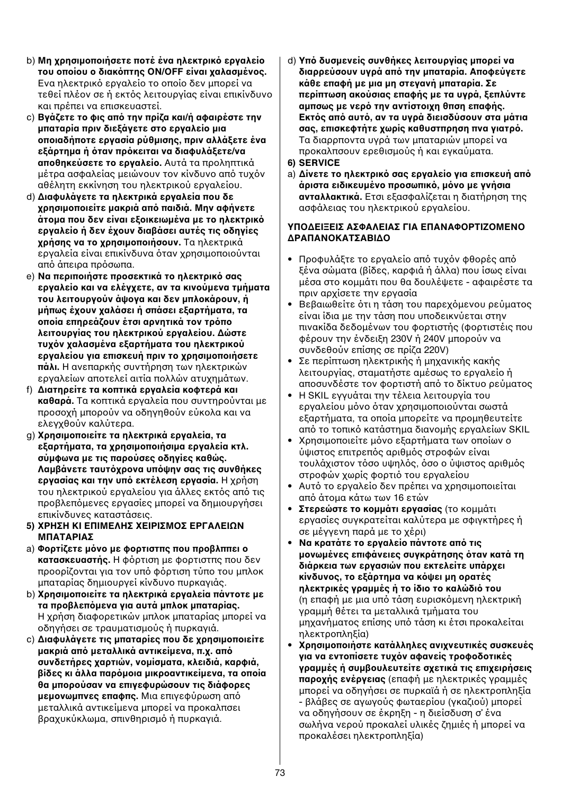- b) **Μη χρησιμοποιήσετε ποτέ ένα ηλεκτρικό ερναλείο** του οποίου ο διακόπτης **ON/OFF είναι χαλασμένος.** Ενα ηλεκτρικό εργαλείο το οποίο δεν μπορεί να τεθεί πλέον σε ή εκτός λειτουργίας είναι επικίνδυνο και πρέπει να επισκευαστεί.
- c) **Βγάζετε το φις από την πρίζα και/ή αφαιρέστε την μπαταρία πριν διεξάνετε στο εργαλείο μια πιαδήπτε εργασία ρύθµισης, πριν αλλά\*ετε ένα ε\*άρτηµα ή ταν πρκειται να διαφυλά\*ετε/να αποθηκεύσετε το εργαλείο.** Αυτά τα προληπτικά μέτρα ασφαλείας μειώνουν τον κίνδυνο από τυχόν αθέλητη εκκίνηση του ηλεκτρικού εργαλείου.
- d) **∆ιαφυλάγετε τα ηλεκτρικά εργαλεία πυ δε χρησιμοποιείτε μακριά από παιδιά. Μην αφήνετε** άτομα που δεν είναι εξοικειωμένα με το ηλεκτρικό **εργαλεί ή δεν έ1υν διαάσει αυτές τις δηγίες χρήσης να το χρησιμοποιήσουν.** Τα ηλεκτρικά εργαλεία είναι επικίνδυνα όταν χρησιμοποιούνται από άπειρα πρόσωπα.
- e) **Να περιπριήστε προσεκτικά το ηλεκτρικό σας** εργαλείο και να ελέγχετε, αν τα κινούμενα τμήματα **τυ λειτυργύν άψγα και δεν µπλκάρυν, ή µήπως έ1υν 1αλάσει ή σπάσει ε\*αρτήµατα, τα**  οποία επηρεάζουν έτσι αρνητικά τον τρόπο λειτουρνίας του ηλεκτρικού εργαλείου. Δώστε **τυ1ν 1αλασµένα ε\*αρτήµατα τυ ηλεκτρικύ**  ερναλείου νια επισκευή πριν το χρησιμοποιήσετε **πάλι.** Η ανεπαρκής συντήρηση των ηλεκτρικών εργαλείων αποτελεί αιτία πολλών ατυχημάτων.
- f) Διατηρείτε τα κοπτικά εργαλεία κοφτερά και **καθαρά.** Τα κοπτικά εργαλεία που συντηρούνται με προσοχή μπορούν να οδηγηθούν εύκολα και να ελεγθύν καλύτερα.
- g) **Xρησιµπιείτε τα ηλεκτρικά εργαλεία, τα**  εξαρτήματα, τα χρησιμοποιήσιμα εργαλεία κτλ. **σύµφωνα µε τις παρύσες δηγίες καθώς.**  Λαμβάνετε ταυτόχρονα υπόψην σας τις συνθήκες **εργασίας και την υπό εκτέλεση εργασία.** Η χρήση του ηλεκτρικού εργαλείου για άλλες εκτός από τις προβλεπόμενες εργασίες μπορεί να δημιουργήσει επικίνδυνες καταστάσεις.
- **5) XΡΗΣΗ ΚΙ ΕΠΙΜΕΛΗΣ XΕΙΡΙΣΜΣ ΕΡΓΑΛΕΙΩΝ ΜΠΑΤΑΡΙΑΣ**
- a) Φορτίζετε μόνο με φορτιστπς που προβλππει ο **κατασκευαστής.** Η φόρτιση με φορτιστης που δεν προρρίζονται για τον υπό φόρτιση τύπο του μπλοκ μπαταρίας δημιουργεί κίνδυνο πυρκαγιάς.
- b) **Xρησιµπιείτε τα ηλεκτρικά εργαλεία πάνττε µε**  τα προβλεπόμενα για αυτά μπλοκ μπαταρίας. Η χρήση διαφορετικών μπλοκ μπαταρίας μπορεί να δηγήσει σε τραυµατισµύς ή πυρκαγιά.
- c) Διαφυλάγετε τις μπαταρίες που δε χρησιμοποιείτε **μακριά από μεταλλικά αντικείμενα, π.χ. από συνδετήρες 1αρτιών, νµίσµατα, κλειδιά, καρφιά, βίδες κι άλλα παρόμοια μικροαντικείμενα, τα οποία θα µπρύσαν να επιγεφυρώσυν τις διάφρες μεμονωμπνες επαφπς.** Μια επιγεφύρωση από µεταλλικά αντικείµενα µπρεί να πρκαλπσει βραχυκύκλωμα, σπινθηρισμό ή πυρκαγιά.
- d) **Yπ δυσµενείς συνθήκες λειτυργίας µπρεί να**  διαρρεύσουν υγρά από την μπαταρία. Αποφεύγετε **κάθε επαφή µε µια µη στεγανή µπαταρία. Σε περίπτωση ακούσιας επαφής με τα υγρά, ξεπλύντε αυπσως με νερό την αντίστοιχη θπση επαφής.** Εκτός από αυτό, αν τα υνρά διεισδύσουν στα μάτια σας, επισκεφτήτε χωρίς καθυστπρηση πνα γιατρό. Τα διαρρποντα υγρά των μπαταριών μπορεί να πρκαλπσυν ερεθισµύς ή και εγκαύµατα.
- **6) SERVICE**
- a) Δίνετε το ηλεκτρικό σας ερναλείο για επισκευή από άριστα ειδικευμένο προσωπικό, μόνο με γνήσια **ανταλλακτικά.** Ετσι εξασφαλίζεται η διατήρηση της ασφάλειας του ηλεκτρικού εργαλείου.

#### ΥΠΟΔΕΙΞΕΙΣ ΑΣΦΑΛΕΙΑΣ ΓΙΑ ΕΠΑΝΑΦΟΡΤΙΖΟΜΕΝΟ **∆ΡΑΠΑΝΚΑΤΣΑΒΙ∆**

- Προφυλάξτε το εργαλείο από τυνόν φθορές από ένα σώµατα (ίδες, καρφιά ή άλλα) πυ ίσως είναι μέσα στο κομμάτι που θα δουλέψετε - αφαιρέστε τα πριν αρχίσετε την εργασία
- Βεβαιωθείτε ότι η τάση του παρεχόμενου ρεύματος είναι ίδια με την τάση που υποδεικνύεται στην πινακίδα δεδομένων του φορτιστής (φορτιστέις που φέρουν την ένδειξη 230V ή 240V μπορούν να συνδεθούν επίσης σε πρίζα 220V)
- Σε περίπτωση ηλεκτρικής ή μηχανικής κακής λειτουργίας, σταματήστε αμέσως το εργαλείο ή αποσυνδέστε τον φορτιστή από το δίκτυο ρεύματος
- Η SKIL εννυάται την τέλεια λειτουργία του εργαλείου μόνο όταν χρησιμοποιούνται σωστά εξαρτήματα, τα οποία μπορείτε να προμηθευτείτε από το τοπικό κατάστημα διανομής εργαλείων SKIL
- Χρησιμοποιείτε μόνο εξαρτήματα των οποίων ο ύψιστος επιτρεπός αριθμός στροφών είναι τουλάχιστον τόσο υψηλός, όσο ο ύψιστος αριθμός στροφών χωρίς φορτιό του εργαλείου
- Αυτό το εργαλείο δεν πρέπει να χρησιμοποιείται από άτομα κάτω των 16 ετών
- Στερεώστε το κομμάτι ερνασίας (το κομμάτι εργασίες συγκρατείται καλύτερα µε σφιγκτήρες ή σε μέγγενη παρά με το χέρι)
- **Να κρατάτε το εργαλείο πάντοτε από τις µνωµένες επιφάνειες συγκράτησης ταν κατά τη**  διάρκεια των εργασιών που εκτελείτε υπάρχει **κίνδυνος, το εξάρτημα να κόψει μη ορατές** ηλεκτρικές γραμμές ή το ίδιο το καλώδιό του (η επαφή με μια υπό τάση ευρισκόμενη ηλεκτρική γραμμή θέτει τα μεταλλικά τμήματα του μηχανήματος επίσης υπό τάση κι έτσι προκαλείται ηλεκτροπληξία)
- **Xρησιµπιήστε κατάλληλες ανι1νευτικές συσκευές**  για να εντοπίσετε τυχόν αφανείς τροφοδοτικές **γραμμές ή συμβουλευτείτε σχετικά τις επιχειρήσεις παροχής ενέργειας** (επαφή με ηλεκτρικές γραμμές μπορεί να οδηγήσει σε πυρκαϊά ή σε ηλεκτροπληξία - βλάβες σε αγωγούς φωταερίου (γκαζιού) μπορεί να οδηγήσουν σε έκρηξη - η διείσδυση σ' ένα σωλήνα νερού προκαλεί υλικές ζημιές ή μπορεί να προκαλέσει ηλεκτροπληξία)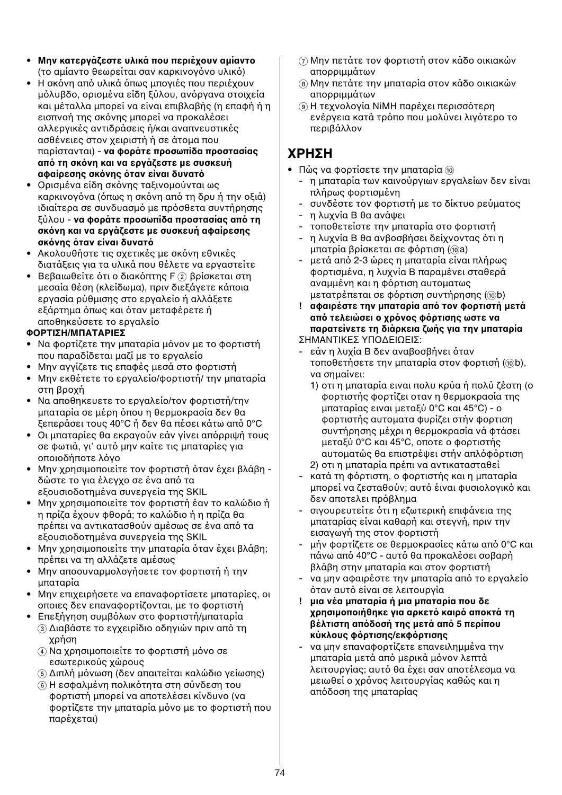- Μην κατεργάζεστε υλικά που περιέχουν αμίαντο (το αμίαντο θεωρείται σαν καρκινονόνο υλικό)
- Η σκόνη από υλικά όπως μπονιές που περιέχουν μόλυβδο, ορισμένα είδη εύλου, ανόρνανα στοιχεία και μέταλλα μπορεί να είναι επιβλαβής (η επαφή ή η εισπνοή της σκόνης μπορεί να προκαλέσει αλλεργικές αντιδράσεις ή/και αναπνευστικές ασθένειες στον χειριστή ή σε άτομα που παρίστανται) - **να φράτε πρσωπίδα πρστασίας απ τη σκνη και να εργά εστε µε συσκευή**  αφαίρεσης σκόνης όταν είναι δυνατό
- Ορισμένα είδη σκόνης ταξινομούνται ως καρκινογόνα (όπως η σκόνη από τη δρυ ή την οξιά) ιδιαίτερα σε συνδυασμό με πρόσθετα συντήρησης ύλυ - **να φράτε πρσωπίδα πρστασίας απ τη σκνη και να εργά εστε µε συσκευή αφαίρεσης σκόνης όταν είναι δυνατό**
- Ακολουθήστε τις σχετικές με σκόνη εθνικές διατάξεις για τα υλικά που θέλετε να εργαστείτε
- Βεβαιωθείτε ότι ο διακόπτης F 2 βρίσκεται στη μεσαία θέση (κλείδωμα), πριν διεξάνετε κάποια εργασία ρύθμισης στο εργαλείο ή αλλάξετε εξάρτημα όπως και όταν μεταφέρετε ή αποθηκεύσετε το εργαλείο

#### **ΦOΡTIΣH/MΠATAΡIEΣ**

- Να φορτίζετε την μπαταρία μόνον με το φορτιστή που παραδίδεται μαζί με το εργαλείο
- Μην αγγίζετε τις επαφές μεσά στο φορτιστή
- Μην εκθέτετε το εργαλείο/φορτιστή/ την μπαταρία στη βροχή
- Να αποθηκευετε το εργαλείο/τον φροτιστή/την μπαταρία σε μέρη όπου η θερμοκρασία δεν θα επεράσει τυς 40°C ή δεν θα πέσει κάτω απ 0°C
- Οι μπαταρίες θα εκραγούν εάν γίνει απόρριψή τους σε φωτιά, γι' αυτό μην καίτε τις μπαταρίες για οποιοδήποτε λόνο
- Μην χρησιμοποιείτε τον φορτιστή όταν έχει βλάβη δώστε το για έλεγχο σε ένα από τα εξουσιοδοτημένα συνεργεία της SKIL
- Μην χρησιμοποιείτε τον φορτιστή έαν το καλώδιο ή η πρίζα έχουν φθορά; το καλώδιο ή η πρίζα θα πρέπει να αντικατασθούν αμέσως σε ένα από τα εξουσιοδοτημένα συνεργεία της SKIL
- Μην χρησιμοποιείτε την μπαταρία όταν έχει βλάβη; πρέπει να τη αλλά ετε αµέσως
- Μην αποσυναρμολογήσετε τον φροτιστή ή την µπαταρία
- Μην επιχειρήσετε να επαναφορτίσετε μπαταρίες, οι οποιες δεν επαναφορτίζονται, με το φορτιστή
- Επεξήνηση συμβόλων στο φορτιστή/μπαταρία
	- 3) Διαβάστε το ενχειρίδιο οδηγιών πριν από τη χρήση
	- (4) Να χρησιμοποιείτε το φορτιστή μόνο σε εσωτερικούς χώρους
	- 6 Διπλή μόνωση (δεν απαιτείται καλώδιο νείωσης)
	- $\overline{6}$  Η εσφαλμένη πολικότητα στη σύνδεση του φορτιστή μπορεί να αποτελέσει κίνδυνο (να φορτίζετε την μπαταρία μόνο με το φορτιστή που παρέεται)
- $\sigma$  Μην πετάτε τον φορτιστή στον κάδο οικιακών απρριµµάτων
- 8 Μην πετάτε την μπαταρία στον κάδο οικιακών απρριµµάτων
- 9 Η τεχνολονία NiMH παρέχει περισσότερη ενέργεια κατά τρόπο που μολύνει λιγότερο το περιβάλλον

### **XΡHΣH**

- Πώς να φορτίσετε την μπαταρία <sub>10</sub>
	- η µπαταρία των καινύργιων εργαλείων δεν είναι πλήρως φρτισµένη
	- συνδέστε τον φορτιστή με το δίκτυο ρεύματος
	- η λuνία B θα ανάψει
	- τοποθετείστε την μπαταρία στο φορτιστή
	- η λυχνία Β θα ανβοσβήσει δείχνοντας ότι η μπατρία βρίσκεται σε φόρτιση (<sub>10a</sub>)
	- μετά από 2-3 ώρες η μπαταρία είναι πλήρως φρτισµένα, η λυνία B παραµένει σταθερά αναμμένη και η φόρτιση αυτοματως μετατρέπεται σε φόρτιση συντήρησης (@b)
	- <u>! αφαιρέστε την μπαταρία από τον φορτιστή μετά</u> από τελειώσει ο χρόνος φόρτισης ωστε να **παρατείνετε τη διάρκεια ωής για την µπαταρία**
	- ΣHMANTIKEΣ YΠO∆EIΩEIΣ:
	- εάν η λυχία B δεν αναβοσβήνει όταν τοποθετήσετε την μπαταρία στον φορτισή (@b), να σηµαίνει:
		- 1) οτι η μπαταρία ειναι πολυ κρύα ή πολύ ζέστη (ο φορτιστής φορτίζει οταν η θερμοκρασία της μπαταρίας ειναι μεταξύ 0°C και 45°C) - ο φορτιστής αυτοματα φυρίζει στήν φορτιση συντήρησης µέρι η θερµκρασία νά φτάσει μεταξύ 0°C και 45°C, οποτε ο φορτιστής αυτοματώς θα επιστρέψει στήν απλόφορτιση 2) τι η µπαταρία πρέπι να αντικατασταθεί
	- κατά τη φρτιστη, φρτιστής και η µπαταρία μπορεί να ζεσταθούν: αυτό έιναι φυσιολονικό και δεν αποτελει πρόβλημα
	- σιγουρευτείτε ότι η εζωτερική επιφάνεια της µπαταρίας είναι καθαρή και στεγνή, πριν την εισαγωγή της στον φορτιστή
	- μήν φροτίζετε σε θερμοκρασίες κάτω από 0°C και πάνω από 40°C - αυτό θα προκαλέσει σοβαρή βλάβη στην μπαταρία και στον φορτιστή
	- να μην αφαιρέστε την μπαταρία από το εργαλείο άταν αυτό είναι σε λειτουργία
	- **! µια νέα µπαταρία ή µια µπαταρία πυ δε χρησιμοποιήθηκε για αρκετό καιρό αποκτά τη έλτιστη απδσή της µετά απ 5 περίπυ κύκλυς φρτισης/εκφρτισης**
	- να μην επαναφορτίζετε επανειλημμένα την μπαταρία μετά από μερικά μόνον λεπτά λειτουργίας: αυτό θα έχει σαν αποτέλεσμα να μειωθεί ο χρόνος λειτουργίας καθώς και η απδση της µπαταρίας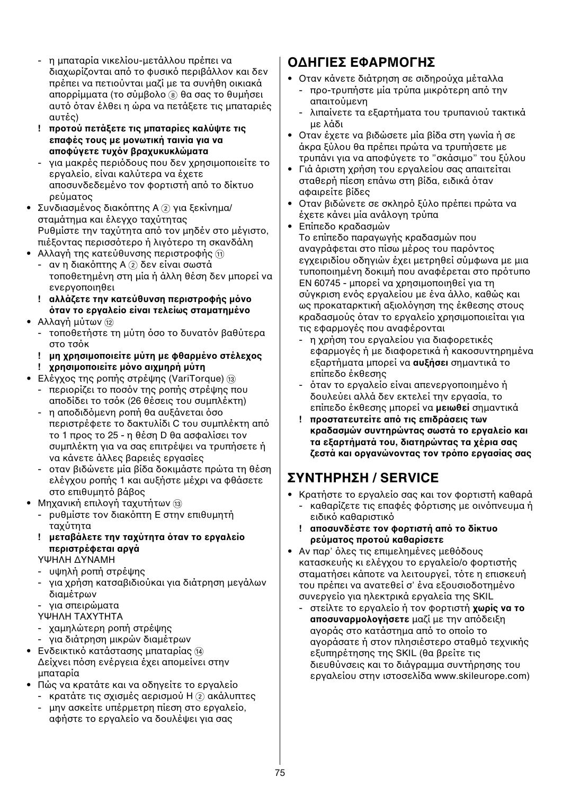- η µπαταρία νικελίυ-µετάλλυ πρέπει να διαχωρίζονται από το φυσικό περιβάλλον και δεν πρέπει να πετιούνται μαζί με τα συνήθη οικιακά απορρίμματα (το σύμβολο 8 θα σας το θυμήσει αυτό όταν έλθει η ώρα να πετάξετε τις μπαταριές αυτές)
- **! πρτύ πετά\*ετε τις µπαταρίες καλύψτε τις επαφές τυς µε µνωτική ταινία για να**  αποφύνετε τυχόν βραγυκυκλώματα
- για μακρές περιόδους που δεν χρησιμοποιείτε το εργαλείο, είναι καλύτερα να έχετε αποσυνδεδεμένο τον φορτιστή από το δίκτυο ρεύματος
- Συνδιασμένος διακόπτης Α (2) για ξεκίνημα/ σταµάτηµα και έλεγ ταύτητας Ρυθμίστε την ταχύτητα από τον μηδέν στο μέγιστο. πιέξοντας περισσότερο ή λιγότερο τη σκανδάλη
- Αλλαγή της κατεύθυνσης περιστροφής (1)
	- αν η διακόπτης Α 2 δεν είναι σωστά τοποθετημένη στη μία ή άλλη θέση δεν μπορεί να ενεργπιηθει
	- ! αλλάζετε την κατεύθυνση περιστροφής μόνο **ταν τ εργαλεί είναι τελείως σταµατηµέν**
- Αλλαγή μύτων (12)
	- τοποθετήστε τη μύτη όσο το δυνατόν βαθύτερα στο τσόκ
	- **! un χρησιμοποιείτε μύτη με φθαρμένο στέλεγος**
	- *! χρησιμοποιείτε μόνο αιχμηρή μύτη*
- Ελέγχος της ροπής στρέψης (VariTorque) (13) - περιορίζει το ποσόν της ροπής στρέψης που αποδίδει το τσόκ (26 θέσεις του συμπλέκτη)
	- η αποδιδόμενη ροπή θα αυξάνεται όσο περιστρέφετε το δακτυλίδι C του συμπλέκτη από το 1 προς το 25 - η θέση D θα ασφαλίσει τον συµπλέκτη για να σας επιτρέψει να τρυπήσετε ή να κάνετε άλλες βαρειές εργασίες
	- ταν ιδώνετε µία ίδα δκιµάστε πρώτα τη θέση ελέγχου ροπής 1 και αυξήστε μέχρι να φθάσετε στο επιθυμητό βάβος
- Μηχανική επιλονή ταχυτήτων @
	- pυθμίστε τον διακόπτη E στην επιθυμητή ταχύτητα
	- **! μεταβάλετε την ταχύτητα όταν το εργαλείο περιστρέφεται αργά**

YΨΗΛΗ ∆YNAMH

- υψηλή ροπή στρέψης
- για χρήση κατσαβιδιούκαι για διάτρηση μεγάλων διαµέτρων
- για σπειρώµατα

YΨΗΛΗ ΤΑXYΤΗΤΑ

- χαμηλώτερη ροπή στρέψης
- για διάτρηση µικρών διαµέτρων
- Ενδεικτικό κατάστασης μπαταρίας (14) Δείχνει πόση ενέρνεια έχει απομείνει στην µπαταρία
- Πώς να κρατάτε και να οδηνείτε το εργαλείο
	- κρατάτε τις σχισμές αερισμού H  $(2)$  ακάλυπτες
	- μην ασκείτε υπέρμετρη πίεση στο εργαλείο. αφήστε το εργαλείο να δουλέψει για σας

### **O∆HΓIEΣ EΦAΡMOΓHΣ**

- Oταν κάνετε διάτρηση σε σιδηρύα µέταλλα - προ-τρυπήστε μία τρύπα μικρότερη από την απαιτούμενη
	- λιπαίνετε τα εξαρτήματα του τρυπανιού τακτικά µε λάδι
- Οταν έχετε να βιδώσετε μία βίδα στη γωνία ή σε άκρα ύλυ θα πρέπει πρώτα να τρυπήσετε µε τρυπάνι για να αποφύγετε το "σκάσιμο" του ξύλου
- Γιά άριστη χρήση του εργαλείου σας απαιτείται σταθερή πίεση επάνω στη βίδα, ειδικά όταν αφαιρείτε βίδες
- Οταν βιδώνετε σε σκληρό ξύλο πρέπει πρώτα να έχετε κάνει μία ανάλογη τρύπα
- Επίπεδο κραδασμών Το επίπεδο παραγωγής κραδασμών που ανανράφεται στο πίσω μέρος του παρόντος εγειριδίυ δηγιών έει µετρηθεί σύµφωνα µε µια τυποποιημένη δοκιμή που αναφέρεται στο πρότυπο EN 60745 - μπορεί να χρησιμοποιηθεί για τη σύγκριση ενός εργαλείου με ένα άλλο, καθώς και ως προκαταρκτική αξιολόγηση της έκθεσης στους κραδασμούς όταν το εργαλείο χρησιμοποιείται για τις εφαρμονές που αναφέρονται
	- η χρήση του εργαλείου για διαφορετικές εφαρµγές ή µε διαφρετικά ή κακσυντηρηµένα εξαρτήματα μπορεί να **αυξήσει** σημαντικά το επίπεδο έκθεσης
	- όταν το εργαλείο είναι απενεργοποιημένο ή δυλεύει αλλά δεν εκτελεί την εργασία, τ επίπεδ έκθεσης µπρεί να **µειωθεί** σηµαντικά
	- **! πρστατευτείτε απ τις επιδράσεις των κραδασμών συντηρώντας σωστά το εργαλείο και τα ε\*αρτήµατά τυ, διατηρώντας τα 1έρια σας εστά και ργανώνντας τν τρπ εργασίας σας**

### **ΣΥΝΤΗΡΗΣΗ / SERVICE**

- Κρατήστε το εργαλείο σας και τον φορτιστή καθαρά - καθαρίζετε τις επαφές φόρτισης με οινόπνευμα ή
	- ειδικό καθαριστικό <u>! αποσυνδέστε τον φορτιστή από το δίκτυο</u>
	- **ρεύµατς πρτύ καθαρίσετε**
- Αν παρ' όλες τις επιμελημένες μεθόδους κατασκευής κι ελέγχου το εργαλείο/ο φορτιστής σταματήσει κάποτε να λειτουργεί, τότε η επισκευή του πρέπει να ανατεθεί σ' ένα εξουσιοδοτημένο συνεργείο για ηλεκτρικά εργαλεία της SKIL
	- στείλτε το εργαλείο ή τον φορτιστή **χωρίς να το αποσυναρμολογήσετε** μαζί με την απόδειξη ανοράς στο κατάστημα από το οποίο το αγοράσατε ή στον πλησιέστερο σταθμό τεχνικής ευπηρέτησης της SKIL (θα ρείτε τις διευθύνσεις και το διάγραμμα συντήρησης του εργαλείυ στην ιστσελίδα www.skileurope.com)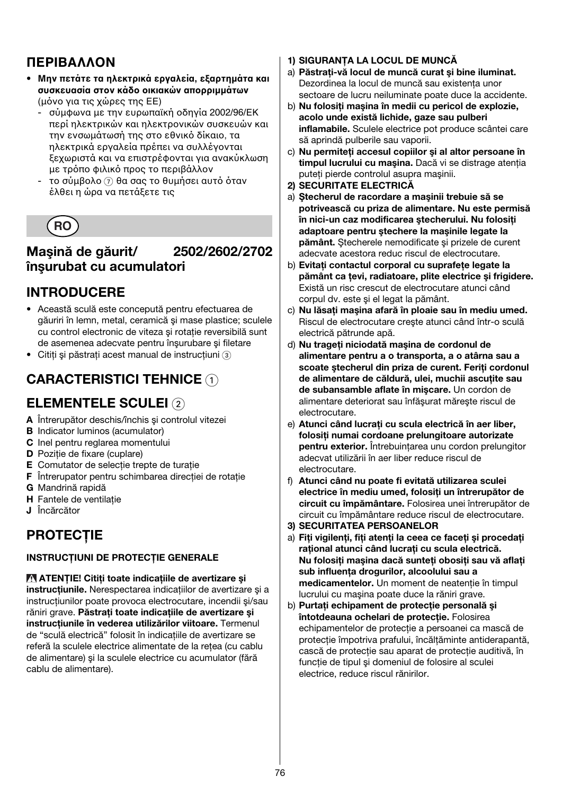### **ΠΕΡIBΑΛΛOΝ**

- **Μην πετάτε τα ηλεκτρικά εργαλεία, ε\*αρτηµάτα και συσκευασία στν κάδ ικιακών απρριµµάτων** (μόνο για τις χώρες της ΕΕ)
	-
	- σύµφωνα µε την ευρωπαϊκή δηγία 2002/96/ΕΚ περί ηλεκτρικών και ηλεκτρονικών συσκευών και την ενσωμάτωσή της στο εθνικό δίκαιο, τα ηλεκτρικά εργαλεία πρέπει να συλλέγονται εωριστά και να επιστρέφνται για ανακύκλωση με τρόπο φιλικό προς το περιβάλλον
	- το σύμβολο  $\widehat{\mathfrak{n}}$  θα σας το θυμήσει αυτό όταν έλθει η ώρα να πετάετε τις

**RO**

### **Maşină de găurit/ 2502/2602/2702 înşurubat cu acumulatori**

### **INTRODUCERE**

- Această sculă este concepută pentru efectuarea de găuriri în lemn, metal, ceramică şi mase plastice; sculele cu control electronic de viteza și rotație reversibilă sunt de asemenea adecvate pentru înşurubare şi filetare
- Cititi și păstrați acest manual de instrucțiuni 3

### **CARACTERISTICI TEHNICE 1**

### **ELEMENTELE SCULEI** 2

- **A** Întrerupător deschis/închis şi controlul vitezei
- **B** Indicator luminos (acumulator)
- **C** Inel pentru reglarea momentului
- **D** Pozitie de fixare (cuplare)
- **E** Comutator de selectie trepte de turatie
- **F** Întrerupator pentru schimbarea directiei de rotatie
- **G** Mandrină rapidă
- **H** Fantele de ventilatie
- **J** Încărcător

### **PROTECŢIE**

### **INSTRUCŢIUNI DE PROTECŢIE GENERALE**

**ATENTIE!** Cititi toate indicatiile de avertizare si **instrucţiunile.** Nerespectarea indicaţiilor de avertizare şi a instructiunilor poate provoca electrocutare, incendii si/sau răniri grave. Păstrati toate indicatiile de avertizare și **instrucţiunile în vederea utilizărilor viitoare.** Termenul de "sculă electrică" folosit în indicațiile de avertizare se referă la sculele electrice alimentate de la retea (cu cablu de alimentare) şi la sculele electrice cu acumulator (fără cablu de alimentare).

- **1) SIGURANŢA LA LOCUL DE MUNCĂ**
- a) **Păstraţi-vă locul de muncă curat şi bine iluminat.** Dezordinea la locul de muncă sau existenţa unor sectoare de lucru neiluminate poate duce la accidente.
- b) **Nu folositi masina în medii cu pericol de explozie. acolo unde există lichide, gaze sau pulberi inflamabile.** Sculele electrice pot produce scântei care să aprindă pulberile sau vaporii.
- c) **Nu permiteţi accesul copiilor şi al altor persoane în**  timpul lucrului cu mașina. Dacă vi se distrage atentia puteți pierde controlul asupra mașinii.
- **2) SECURITATE ELECTRICĂ**
- a) **Ştecherul de racordare a maşinii trebuie să se potrivească cu priza de alimentare. Nu este permisă în nici-un caz modificarea ştecherului. Nu folosiţi adaptoare pentru ştechere la maşinile legate la pământ.** Ştecherele nemodificate şi prizele de curent adecvate acestora reduc riscul de electrocutare.
- b) **Evitaţi contactul corporal cu suprafeţe legate la pământ ca ţevi, radiatoare, plite electrice şi frigidere.** Există un risc crescut de electrocutare atunci când corpul dv. este şi el legat la pământ.
- c) **Nu lăsaţi maşina afară în ploaie sau în mediu umed.** Riscul de electrocutare creşte atunci când într-o sculă electrică pătrunde apă.
- d) **Nu trageţi niciodată maşina de cordonul de alimentare pentru a o transporta, a o atârna sau a scoate ştecherul din priza de curent. Feriţi cordonul de alimentare de căldură, ulei, muchii ascuţite sau de subansamble aflate în mişcare.** Un cordon de alimentare deteriorat sau înfăşurat măreşte riscul de electrocutare.
- e) **Atunci când lucraţi cu scula electrică în aer liber, folosiţi numai cordoane prelungitoare autorizate**  pentru exterior. Întrebuintarea unu cordon prelungitor adecvat utilizării în aer liber reduce riscul de electrocutare.
- f) **Atunci când nu poate fi evitată utilizarea sculei electrice în mediu umed, folosiţi un întrerupător de circuit cu împământare.** Folosirea unei întrerupător de circuit cu împământare reduce riscul de electrocutare.
- **3) SECURITATEA PERSOANELOR**
- a) **Fiţi vigilenţi, fiţi atenţi la ceea ce faceţi şi procedaţi raţional atunci când lucraţi cu scula electrică. Nu folosiţi maşina dacă sunteţi obosiţi sau vă aflaţi sub influenţa drogurilor, alcoolului sau a**  medicamentelor. Un moment de neatentie în timpul lucrului cu maşina poate duce la răniri grave.
- b) **Purtaţi echipament de protecţie personală şi întotdeauna ochelari de protecţie.** Folosirea echipamentelor de protecție a persoanei ca mască de protectie împotriva prafului, încăltăminte antiderapantă, cască de protecție sau aparat de protecție auditivă, în functie de tipul și domeniul de folosire al sculei electrice, reduce riscul rănirilor.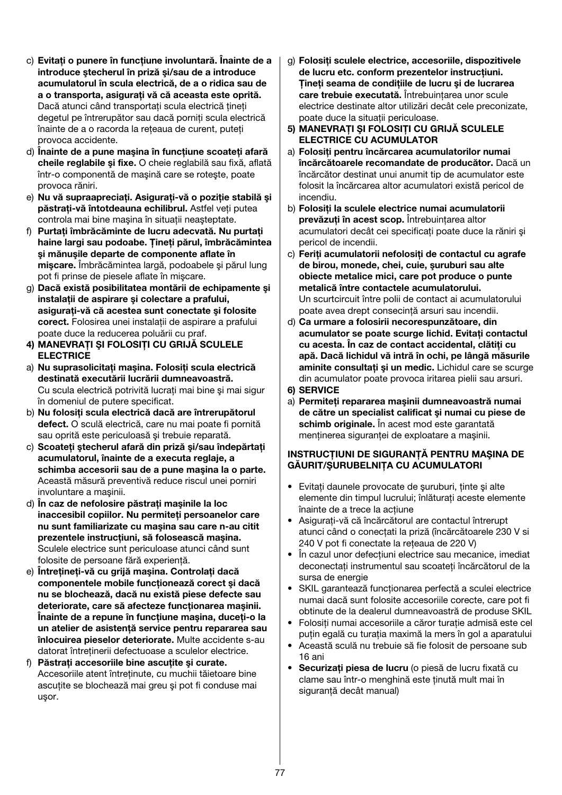- c) **Evitaţi o punere în funcţiune involuntară. Înainte de a introduce ştecherul în priză şi/sau de a introduce acumulatorul în scula electrică, de a o ridica sau de a o transporta, asiguraţi vă că aceasta este oprită.** Dacă atunci când transportați scula electrică țineți degetul pe întrerupător sau dacă porniți scula electrică înainte de a o racorda la reteaua de curent, puteți provoca accidente.
- d) **Înainte de a pune maşina în funcţiune scoateţi afară cheile reglabile şi fixe.** O cheie reglabilă sau fixă, aflată într-o componentă de maşină care se roteşte, poate provoca răniri.
- e) **Nu vă supraapreciaţi. Asiguraţi-vă o poziţie stabilă şi**  păstrati-vă întotdeauna echilibrul. Astfel veți putea controla mai bine masina în situații neasteptate.
- f) **Purtaţi îmbrăcăminte de lucru adecvată. Nu purtaţi haine largi sau podoabe. Ţineţi părul, îmbrăcămintea şi mănuşile departe de componente aflate în mişcare.** Îmbrăcămintea largă, podoabele şi părul lung pot fi prinse de piesele aflate în mişcare.
- g) **Dacă există posibilitatea montării de echipamente şi instalaţii de aspirare şi colectare a prafului, asiguraţi-vă că acestea sunt conectate şi folosite**  corect. Folosirea unei instalatii de aspirare a prafului poate duce la reducerea poluării cu praf.
- **4) MANEVRAŢI ŞI FOLOSIŢI CU GRIJĂ SCULELE ELECTRICE**
- a) **Nu suprasolicitaţi maşina. Folosiţi scula electrică destinată executării lucrării dumneavoastră.** Cu scula electrică potrivită lucrați mai bine și mai sigur în domeniul de putere specificat.
- b) **Nu folosiţi scula electrică dacă are întrerupătorul defect.** O sculă electrică, care nu mai poate fi pornită sau oprită este periculoasă şi trebuie reparată.
- c) **Scoateţi ştecherul afară din priză şi/sau îndepărtaţi acumulatorul, înainte de a executa reglaje, a schimba accesorii sau de a pune maşina la o parte.** Această măsură preventivă reduce riscul unei porniri involuntare a maşinii.
- d) **În caz de nefolosire păstraţi maşinile la loc inaccesibil copiilor. Nu permiteţi persoanelor care nu sunt familiarizate cu maşina sau care n-au citit prezentele instrucţiuni, să folosească maşina.** Sculele electrice sunt periculoase atunci când sunt folosite de persoane fără experientă.
- e) **Întreţineţi-vă cu grijă maşina. Controlaţi dacă componentele mobile funcţionează corect şi dacă nu se blochează, dacă nu există piese defecte sau deteriorate, care să afecteze funcţionarea maşinii. Înainte de a repune în funcţiune maşina, duceţi-o la un atelier de asistenţă service pentru repararea sau înlocuirea pieselor deteriorate.** Multe accidente s-au datorat întreţinerii defectuoase a sculelor electrice.
- Păstrați accesoriile bine ascuțite și curate. Accesoriile atent întreținute, cu muchii tăietoare bine ascuțite se blochează mai greu și pot fi conduse mai uşor.
- g) **Folosiţi sculele electrice, accesoriile, dispozitivele de lucru etc. conform prezentelor instrucţiuni. Ţineţi seama de condiţiile de lucru şi de lucrarea care trebuie executată.** Întrebuinţarea unor scule electrice destinate altor utilizări decât cele preconizate, poate duce la situatii periculoase.
- **5) MANEVRAŢI ŞI FOLOSIŢI CU GRIJĂ SCULELE ELECTRICE CU ACUMULATOR**
- a) **Folosiţi pentru încărcarea acumulatorilor numai încărcătoarele recomandate de producător.** Dacă un încărcător destinat unui anumit tip de acumulator este folosit la încărcarea altor acumulatori există pericol de incendiu.
- b) **Folosiţi la sculele electrice numai acumulatorii**  prevăzuti în acest scop. Întrebuintarea altor acumulatori decât cei specificați poate duce la răniri și pericol de incendii.
- c) **Feriţi acumulatorii nefolosiţi de contactul cu agrafe de birou, monede, chei, cuie, şuruburi sau alte obiecte metalice mici, care pot produce o punte metalică între contactele acumulatorului.** Un scurtcircuit între polii de contact ai acumulatorului poate avea drept consecintă arsuri sau incendii.
- d) **Ca urmare a folosirii necorespunzătoare, din acumulator se poate scurge lichid. Evitaţi contactul cu acesta. În caz de contact accidental, clătiţi cu apă. Dacă lichidul vă intră în ochi, pe lângă măsurile**  aminite consultati și un medic. Lichidul care se scurge din acumulator poate provoca iritarea pielii sau arsuri.
- **6) SERVICE**
- a) **Permiteţi repararea maşinii dumneavoastră numai de către un specialist calificat şi numai cu piese de schimb originale.** În acest mod este garantată mentinerea sigurantei de exploatare a masinii.

#### **INSTRUCŢIUNI DE SIGURANŢĂ PENTRU MAŞINA DE GĂURIT/ŞURUBELNIŢA CU ACUMULATORI**

- Evitaţi daunele provocate de şuruburi, ţinte şi alte elemente din timpul lucrului; înlăturați aceste elemente înainte de a trece la actiune
- Asigurati-vă că încărcătorul are contactul întrerupt atunci când o conectati la priză (încărcătoarele 230 V si 240 V pot fi conectate la reteaua de 220 V)
- În cazul unor defectiuni electrice sau mecanice, imediat deconectaţi instrumentul sau scoateţi încărcătorul de la sursa de energie
- SKIL garantează funcționarea perfectă a sculei electrice numai dacă sunt folosite accesoriile corecte, care pot fi obtinute de la dealerul dumneavoastră de produse SKIL
- Folositi numai accesoriile a căror turație admisă este cel puțin egală cu turația maximă la mers în gol a aparatului
- Această sculă nu trebuie să fie folosit de persoane sub 16 ani
- **Securizaţi piesa de lucru** (o piesă de lucru fixată cu clame sau într-o menghină este tinută mult mai în sigurantă decât manual)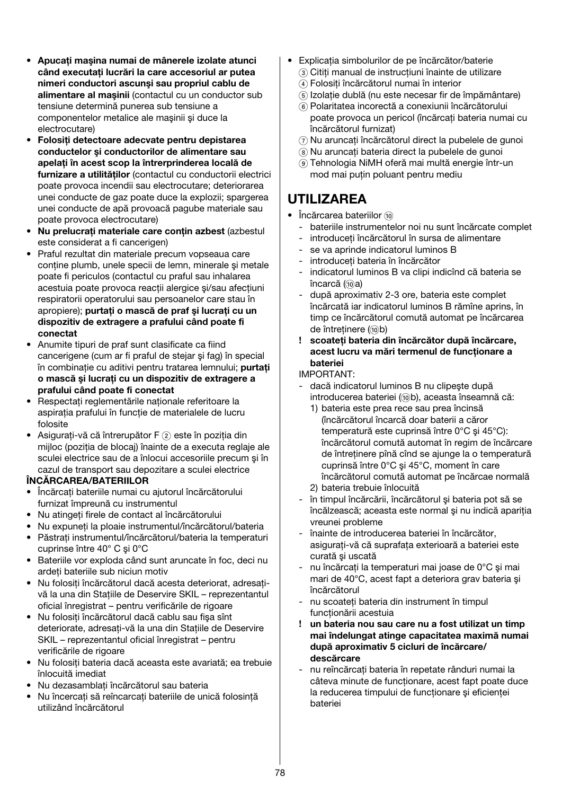- **Apucaţi maşina numai de mânerele izolate atunci când executaţi lucrări la care accesoriul ar putea nimeri conductori ascunşi sau propriul cablu de alimentare al maşinii** (contactul cu un conductor sub tensiune determină punerea sub tensiune a componentelor metalice ale maşinii şi duce la electrocutare)
- **Folosiţi detectoare adecvate pentru depistarea conductelor şi conductorilor de alimentare sau apelaţi în acest scop la întrerprinderea locală de**  furnizare a utilităților (contactul cu conductorii electrici poate provoca incendii sau electrocutare; deteriorarea unei conducte de gaz poate duce la explozii; spargerea unei conducte de apă provoacă pagube materiale sau poate provoca electrocutare)
- **Nu prelucraţi materiale care conţin azbest** (azbestul este considerat a fi cancerigen)
- Praful rezultat din materiale precum vopseaua care contine plumb, unele specii de lemn, minerale si metale poate fi periculos (contactul cu praful sau inhalarea acestuia poate provoca reactii alergice si/sau afectiuni respiratorii operatorului sau persoanelor care stau în apropiere); **purtaţi o mască de praf şi lucraţi cu un dispozitiv de extragere a prafului când poate fi conectat**
- Anumite tipuri de praf sunt clasificate ca fiind cancerigene (cum ar fi praful de stejar şi fag) în special în combinaţie cu aditivi pentru tratarea lemnului; **purtaţi o mască şi lucraţi cu un dispozitiv de extragere a prafului când poate fi conectat**
- Respectaţi reglementările naţionale referitoare la aspiratia prafului în functie de materialele de lucru folosite
- Asigurati-vă că întrerupător  $F(2)$  este în pozitia din mijloc (poziția de blocaj) înainte de a executa reglaje ale sculei electrice sau de a înlocui accesoriile precum şi în cazul de transport sau depozitare a sculei electrice

#### **ÎNCĂRCAREA/BATERIILOR**

- Încărcati bateriile numai cu ajutorul încărcătorului furnizat împreună cu instrumentul
- Nu atingeţi firele de contact al încărcătorului
- Nu expuneti la ploaie instrumentul/încărcătorul/bateria
- Păstraţi instrumentul/încărcătorul/bateria la temperaturi cuprinse între 40° C şi 0°C
- Bateriile vor exploda când sunt aruncate în foc, deci nu ardeti bateriile sub niciun motiv
- Nu folositi încărcătorul dacă acesta deteriorat, adresativă la una din Statiile de Deservire SKIL - reprezentantul oficial înregistrat – pentru verificările de rigoare
- Nu folositi încărcătorul dacă cablu sau fisa sînt deteriorate, adresati-vă la una din Statiile de Deservire SKIL – reprezentantul oficial înregistrat – pentru verificările de rigoare
- Nu folositi bateria dacă aceasta este avariată; ea trebuie înlocuită imediat
- Nu dezasamblaţi încărcătorul sau bateria
- Nu încercati să reîncarcati bateriile de unică folosintă utilizând încărcătorul
- Explicatia simbolurilor de pe încărcător/baterie
	- 3 Cititi manual de instructiuni înainte de utilizare
	- 4 Folosiţi încărcătorul numai în interior
	- $6$  Izolatie dublă (nu este necesar fir de împământare)
	- 6 Polaritatea incorectă a conexiunii încărcătorului poate provoca un pericol (încărcați bateria numai cu încărcătorul furnizat)
	- $(7)$  Nu aruncati încărcătorul direct la pubelele de gunoi
	- 8 Nu aruncaţi bateria direct la pubelele de gunoi
	- 9 Tehnologia NiMH oferă mai multă energie într-un mod mai putin poluant pentru mediu

### **UTILIZAREA**

- $\bullet$  Încărcarea bateriilor  $60$ 
	- bateriile instrumentelor noi nu sunt încărcate complet
	- introduceti încărcătorul în sursa de alimentare
	- se va aprinde indicatorul luminos B
	- introduceți bateria în încărcător
	- indicatorul luminos B va clipi indicînd că bateria se încarcă (<sub>0</sub>a)
	- după aproximativ 2-3 ore, bateria este complet încărcată iar indicatorul luminos B rămîne aprins, în timp ce încărcătorul comută automat pe încărcarea de întreținere (<sub>10</sub>b)
	- **! scoateţi bateria din încărcător după încărcare, acest lucru va mări termenul de funcţionare a bateriei**

#### IMPORTANT:

- dacă indicatorul luminos B nu clipește după introducerea bateriei (@b), aceasta înseamnă că:
	- 1) bateria este prea rece sau prea încinsă (încărcătorul încarcă doar baterii a căror temperatură este cuprinsă între 0°C şi 45°C): încărcătorul comută automat în regim de încărcare de întreţinere pînă cînd se ajunge la o temperatură cuprinsă între 0°C şi 45°C, moment în care încărcătorul comută automat pe încărcae normală
	- 2) bateria trebuie înlocuită
- în timpul încărcării, încărcătorul şi bateria pot să se încălzească; aceasta este normal și nu indică aparitia vreunei probleme
- înainte de introducerea bateriei în încărcător, asigurați-vă că suprafața exterioară a bateriei este curată şi uscată
- nu încărcati la temperaturi mai joase de 0°C și mai mari de 40°C, acest fapt a deteriora grav bateria şi încărcătorul
- nu scoateti bateria din instrument în timpul functionării acestuia
- **! un bateria nou sau care nu a fost utilizat un timp mai îndelungat atinge capacitatea maximă numai după aproximativ 5 cicluri de încărcare/ descărcare**
- nu reîncărcați bateria în repetate rânduri numai la câteva minute de functionare, acest fapt poate duce la reducerea timpului de funcţionare şi eficienţei bateriei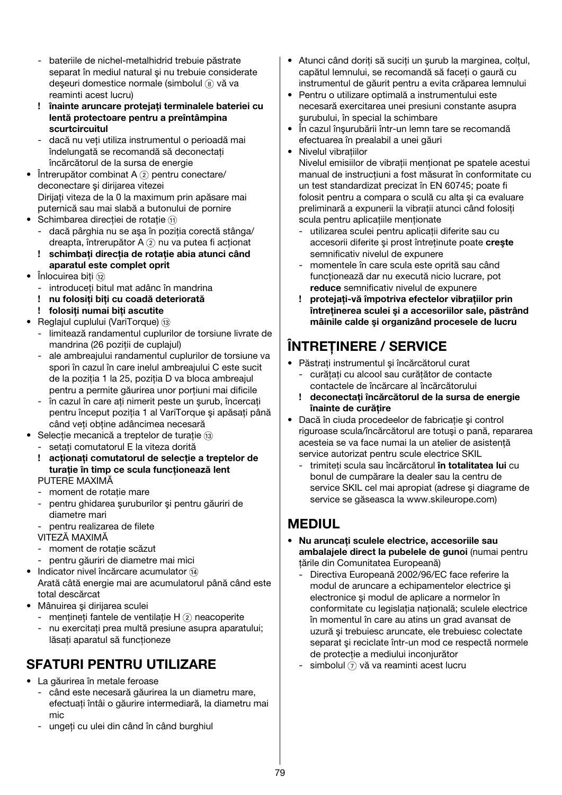- bateriile de nichel-metalhidrid trebuie păstrate separat în mediul natural și nu trebuie considerate deșeuri domestice normale (simbolul 8) vă va reaminti acest lucru)
- **! înainte aruncare protejaţi terminalele bateriei cu lentă protectoare pentru a preîntâmpina scurtcircuitul**
- dacă nu veți utiliza instrumentul o perioadă mai îndelungată se recomandă să deconectati încărcătorul de la sursa de energie
- Întrerupător combinat A  $(2)$  pentru conectare/ deconectare și dirijarea vitezei Dirijati viteza de la 0 la maximum prin apăsare mai puternică sau mai slabă a butonului de pornire
- $\bullet$  Schimbarea directiei de rotatie  $\textcircled{\tiny{n}}$ 
	- dacă pârghia nu se asa în poziția corectă stânga/ dreapta, întrerupător A 2 nu va putea fi actionat
	- **! schimbaţi direcţia de rotaţie abia atunci când aparatul este complet oprit**
- $\bullet$  Înlocuirea biti  $\odot$ 
	- introduceti bitul mat adânc în mandrina
	- **! nu folosiţi biţi cu coadă deteriorată**
	- **! folosiţi numai biţi ascutite**
- Reglajul cuplului (VariTorque) (i3)
	- limitează randamentul cuplurilor de torsiune livrate de mandrina (26 pozitii de cuplajul)
	- ale ambreajului randamentul cuplurilor de torsiune va spori în cazul în care inelul ambreajului C este sucit de la pozitia 1 la 25, pozitia D va bloca ambreajul pentru a permite găurirea unor portiuni mai dificile
	- în cazul în care aţi nimerit peste un şurub, încercaţi pentru început poziția 1 al VariTorque și apăsați până când veți obține adâncimea necesară
- Selectie mecanică a treptelor de turatie (3)
	- setati comutatorul E la viteza dorită
	- **! acţionaţi comutatorul de selecţie a treptelor de turaţie în timp ce scula funcţionează lent** PUTERE MAXIMĂ
	- moment de rotatie mare
	- pentru ghidarea şuruburilor şi pentru găuriri de diametre mari
	- pentru realizarea de filete
	- VITEZĂ MAXIMĂ
	- moment de rotație scăzut
- pentru găuriri de diametre mai mici
- $\bullet$  Indicator nivel încărcare acumulator  $\widehat{A}$  Arată câtă energie mai are acumulatorul până când este total descărcat
- Mânuirea şi dirijarea sculei
	- mentineti fantele de ventilatie H $(2)$  neacoperite
	- nu exercitati prea multă presiune asupra aparatului: lăsați aparatul să funcționeze

### **SFATURI PENTRU UTILIZARE**

- La găurirea în metale feroase
	- când este necesară găurirea la un diametru mare, efectuati întâi o găurire intermediară, la diametru mai mic
	- ungeti cu ulei din când în când burghiul
- Atunci când doriti să suciti un surub la marginea, coltul, capătul lemnului, se recomandă să faceți o gaură cu instrumentul de găurit pentru a evita crăparea lemnului
- Pentru o utilizare optimală a instrumentului este necesară exercitarea unei presiuni constante asupra surubului, în special la schimbare
- În cazul înşurubării într-un lemn tare se recomandă efectuarea în prealabil a unei găuri
- Nivelul vibratiilor

Nivelul emisiilor de vibratii mentionat pe spatele acestui manual de instructiuni a fost măsurat în conformitate cu un test standardizat precizat în EN 60745; poate fi folosit pentru a compara o sculă cu alta şi ca evaluare preliminară a expunerii la vibratii atunci când folositi scula pentru aplicatiile mentionate

- utilizarea sculei pentru aplicatii diferite sau cu accesorii diferite şi prost întreţinute poate **creşte** semnificativ nivelul de expunere
- momentele în care scula este oprită sau când functionează dar nu execută nicio lucrare, pot **reduce** semnificativ nivelul de expunere
- **! protejaţi-vă împotriva efectelor vibraţiilor prin întreţinerea sculei şi a accesoriilor sale, păstrând mâinile calde şi organizând procesele de lucru**

## **ÎNTREŢINERE / SERVICE**

- Păstrați instrumentul și încărcătorul curat - curătati cu alcool sau curătător de contacte contactele de încărcare al încărcătorului
	- **! deconectaţi încărcătorul de la sursa de energie**  înainte de curățire
- Dacă în ciuda procedeelor de fabricaţie şi control riguroase scula/încărcătorul are totuşi o pană, repararea acesteia se va face numai la un atelier de asistentă service autorizat pentru scule electrice SKIL
	- trimiteţi scula sau încărcătorul **în totalitatea lui** cu bonul de cumpărare la dealer sau la centru de service SKIL cel mai apropiat (adrese și diagrame de service se găseasca la www.skileurope.com)

### **MEDIUL**

- **Nu aruncaţi sculele electrice, accesoriile sau ambalajele direct la pubelele de gunoi** (numai pentru tările din Comunitatea Europeană)
	- Directiva Europeană 2002/96/EC face referire la modul de aruncare a echipamentelor electrice şi electronice şi modul de aplicare a normelor în conformitate cu legislatia natională; sculele electrice în momentul în care au atins un grad avansat de uzură şi trebuiesc aruncate, ele trebuiesc colectate separat şi reciclate într-un mod ce respectă normele de protectie a mediului inconjurător
	- simbolul  $\hat{I}$  vă va reaminti acest lucru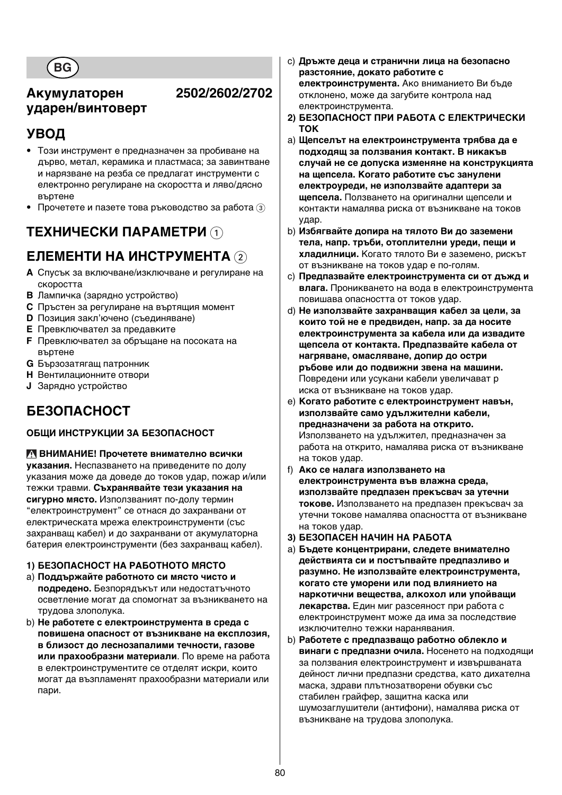**BG**

### **Акумулаторен 2502/2602/2702 ударен/винтоверт**

### **УВОД**

- Този инструмент е предназначен за пробиване на дърво, метал, керамика и пластмаса; за завинтване и наpязване на pезба се пpедлагат инстpументи с електpонно pегулиpане на скоpостта и ляво/дясно въpтене
- Прочетете и пазете това ръководство за работа 3

### **ТЕХНИЧЕСКИ ПАРАМЕТРИ** (1)

### **ЕЛЕМЕНТИ НА ИНСТРУМЕНТА** 2

- **A** Спусък за включване/изключване и pегулиpане на скоpостта
- **B** Лампичка (зарядно устройство)
- **C** Пръстен за регулиране на въртящия момент
- **D** Позиция закл'ючено (съединяване)
- **E** Превключвател за предавките
- **F** Пpевключвател за обpъщане на посоката на въpтене
- **G** Бързозатягащ патронник
- **H** Вентилационните отвоpи
- **J** Зарядно устройство

### **БЕЗОПАСНОСТ**

#### **ОБЩИ ИНСТРУКЦИИ ЗА БЕЗОПАСНОСТ**

#### *<b>ВНИМАНИЕ! Прочетете внимателно всички* **указания.** Неспазването на приведените по долу указания може да доведе до токов удар, пожар и/или тежки травми. **Съхранявайте тези указания на сигурно място.** Използваният по-долу термин "електроинструмент" се отнася до захранвани от електрическата мрежа електроинструменти (със захранващ кабел) и до захранвани от акумулаторна батерия електроинструменти (без захранващ кабел).

### **1) БЕЗОПАСНОСТ НА РАБОТНОТО МЯСТО**

- a) **Поддържайте работното си място чисто и подредено.** Безпорядъкът или недостатъчното осветление могат да спомогнат за възникването на трудова злополука.
- b) **Не работете с електроинструмента в среда с повишена опасност от възникване на експлозия, в близост до леснозапалими течности, газове или прахообразни материали**. По време на работа в електроинструментите се отделят искри, които могат да възпламенят прахообразни материали или пари.
- c) **Дръжте деца и странични лица на безопасно разстояние, докато работите с електроинструмента.** Ако вниманието Ви бъде отклонено, може да загубите контрола над електроинструмента.
- **2) БЕЗОПАСНОСТ ПРИ РАБОТА С ЕЛЕКТРИЧЕСКИ ТОК**
- a) **Щепселът на електроинструмента трябва да е подходящ за ползвания контакт. В никакъв случай не се допуска изменяне на конструкцията на щепсела. Когато работите със занулени електроуреди, не използвайте адаптери за щепсела.** Ползването на оригинални щепсели и контакти намалява риска от възникване на токов удар.
- b) **Избягвайте допира на тялото Ви до заземени тела, напр. тръби, отоплителни уреди, пещи и хладилници.** Когато тялото Ви е заземено, рискът от възникване на токов удар е по-голям.
- c) **Предпазвайте електроинструмента си от дъжд и влага.** Проникването на вода в електроинструмента повишава опасността от токов удар.
- d) **Не използвайте захранващия кабел за цели, за които той не е предвиден, напр. за да носите електроинструмента за кабела или да извадите щепсела от контакта. Предпазвайте кабела от нагряване, омасляване, допир до остри ръбове или до подвижни звена на машини.**  Повредени или усукани кабели увеличават р иска от възникване на токов удар.
- e) **Когато работите с електроинструмент навън, използвайте само удължителни кабели, предназначени за работа на открито.** Използването на удължител, предназначен за работа на открито, намалява риска от възникване на токов удар.
- f) **Ако се налага използването на електроинструмента във влажна среда, използвайте предпазен прекъсвач за утечни токове.** Използването на предпазен прекъсвач за утечни токове намалява опасността от възникване на токов удар.
- **3) БЕЗОПАСЕН НАЧИН НА РАБОТА**
- a) **Бъдете концентрирани, следете внимателно действията си и постъпвайте предпазливо и разумно. Не използвайте електроинструмента, когато сте уморени или под влиянието на наркотични вещества, алкохол или упойващи лекарства.** Един миг разсеяност при работа с електроинструмент може да има за последствие изключително тежки наранявания.
- b) **Работете с предпазващо работно облекло и винаги с предпазни очила.** Носенето на подходящи за ползвания електроинструмент и извършваната дейност лични предпазни средства, като дихателна маска, здрави плътнозатворени обувки със стабилен грайфер, защитна каска или шумозаглушители (антифони), намалява риска от възникване на трудова злополука.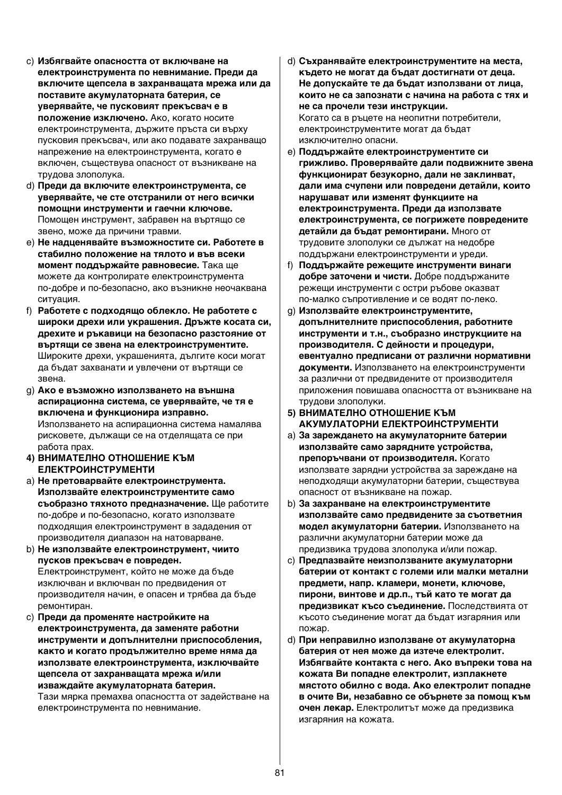- c) **Избягвайте опасността от включване на електроинструмента по невнимание. Преди да включите щепсела в захранващата мрежа или да поставите акумулаторната батерия, се уверявайте, че пусковият прекъсвач е в положение изключено.** Ако, когато носите електроинструмента, държите пръста си върху пусковия прекъсвач, или ако подавате захранващо напрежение на електроинструмента, когато е включен, съществува опасност от възникване на трудова злополука.
- d) **Преди да включите електроинструмента, се уверявайте, че сте отстранили от него всички помощни инструменти и гаечни ключове.** Помощен инструмент, забравен на въртящо се звено, може да причини травми.
- e) **Не надценявайте възможностите си. Работете в стабилно положение на тялото и във всеки момент поддържайте равновесие.** Така ще можете да контролирате електроинструмента по-добре и по-безопасно, ако възникне неочаквана ситуация.
- f) **Работете с подходящо облекло. Не работете с широки дрехи или украшения. Дръжте косата си, дрехите и ръкавици на безопасно разстояние от въртящи се звена на електроинструментите.** Широките дрехи, украшенията, дългите коси могат да бъдат захванати и увлечени от въртящи се звена.
- g) **Ако е възможно използването на външна аспирационна система, се уверявайте, че тя е включена и функционира изправно.** Използването на аспирационна система намалява рисковете, дължащи се на отделящата се при работа прах.
- **4) ВНИМАТЕЛНО ОТНОШЕНИЕ КЪМ ЕЛЕКТРОИНСТРУМЕНТИ**
- a) **Не претоварвайте електроинструмента. Използвайте електроинструментите само съобразно тяхното предназначение.** Ще работите по-добре и по-безопасно, когато използвате подходящия електроинструмент в зададения от производителя диапазон на натоварване.
- b) **Не използвайте електроинструмент, чиито пусков прекъсвач е повреден.** Електроинструмент, който не може да бъде изключван и включван по предвидения от производителя начин, е опасен и трябва да бъде ремонтиран.
- c) **Преди да променяте настройките на електроинструмента, да заменяте работни инструменти и допълнителни приспособления, както и когато продължително време няма да използвате електроинструмента, изключвайте щепсела от захранващата мрежа и/или изваждайте акумулаторната батерия.** Тази мярка премахва опасността от задействане на електроинструмента по невнимание.

d) **Съхранявайте електроинструментите на места, където не могат да бъдат достигнати от деца. Не допускайте те да бъдат използвани от лица, които не са запознати с начина на работа с тях и не са прочели тези инструкции.**

Когато са в ръцете на неопитни потребители, електроинструментите могат да бъдат изключително опасни.

- e) **Поддържайте електроинструментите си грижливо. Проверявайте дали подвижните звена функционират безукорно, дали не заклинват, дали има счупени или повредени детайли, които нарушават или изменят функциите на електроинструмента. Преди да използвате електроинструмента, се погрижете повредените детайли да бъдат ремонтирани.** Много от трудовите злополуки се дължат на недобре поддържани електроинструменти и уреди.
- f) **Поддържайте режещите инструменти винаги добре заточени и чисти.** Добре поддържаните режещи инструменти с остри ръбове оказват по-малко съпротивление и се водят по-леко.
- g) **Използвайте електроинструментите, допълнителните приспособления, работните инструменти и т.н., съобразно инструкциите на производителя. С дейности и процедури, евентуално предписани от различни нормативни документи.** Използването на електроинструменти за различни от предвидените от производителя приложения повишава опасността от възникване на трудови злополуки.
- **5) ВНИМАТЕЛНО ОТНОШЕНИЕ КЪМ АКУМУЛАТОРНИ ЕЛЕКТРОИНСТРУМЕНТИ**
- a) **За зареждането на акумулаторните батерии използвайте само зарядните устройства, препоръчвани от производителя.** Когато използвате зарядни устройства за зареждане на неподходящи акумулаторни батерии, съществува опасност от възникване на пожар.
- b) **За захранване на електроинструментите използвайте само предвидените за съответния модел акумулаторни батерии.** Използването на различни акумулаторни батерии може да предизвика трудова злополука и/или пожар.
- c) **Предпазвайте неизползваните акумулаторни батерии от контакт с големи или малки метални предмети, напр. кламери, монети, ключове, пирони, винтове и др.п., тъй като те могат да предизвикат късо съединение.** Последствията от късото съединение могат да бъдат изгаряния или пожар.
- d) **При неправилно използване от акумулаторна батерия от нея може да изтече електролит. Избягвайте контакта с него. Ако въпреки това на кожата Ви попадне електролит, изплакнете мястото обилно с вода. Ако електролит попадне в очите Ви, незабавно се обърнете за помощ към очен лекар.** Електролитът може да предизвика изгаряния на кожата.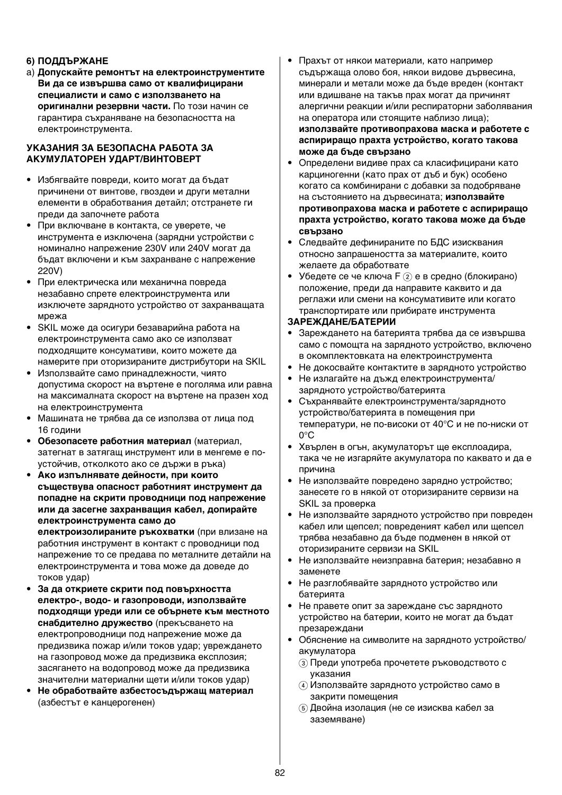#### **6) ПОДДЪРЖАНЕ**

a) **Допускайте ремонтът на електроинструментите Ви да се извършва само от квалифицирани специалисти и само с използването на оригинални резервни части.** По този начин се гарантира съхраняване на безопасността на електроинструмента.

#### **УКАЗАНИЯ ЗА БЕЗОПАСНА РАБОТА ЗА АКУМУЛАТОРЕН УДАРТ/ВИНТОВЕРТ**

- Избягвайте повреди, които могат да бъдат причинени от винтове, гвоздеи и други метални елементи в обработвания детайл; отстpанете ги пpеди да започнете pабота
- При включване в контакта, се уверете, че инстpумента е изключена (зарядни устройстви с номинално напpежение 230V или 240V могат да бъдат включени и към заxpанване с напpежение 220V)
- При електрическа или механична повреда незабавно спрете електроинструмента или изключете зарядното устройство от захранващата мрежа
- SKIL може да осигуpи безаваpийна pабота на електpоинстpумента само ако се използват пoдходящите консумативи, които можeтe да намерите при оторизираните дистрибутори на SKIL
- Използвайте само принадлежности, чиято допустима скорост на въртене е поголяма или равна на максималната скорост на въртене на празен ход на електроинструмента
- Машината не трябва да се използва от лица под 16 години
- **Обезопасете работния материал** (материал, затегнат в затягащ инструмент или в менгеме е поустойчив, отколкото ако се държи в ръка)
- **Ако изпълнявате дейности, при които съществува опасност работният инструмент да попадне на скрити проводници под напрежение или да засегне захранващия кабел, допирайте електроинструмента само до електроизолираните ръкохватки** (при влизане на

работния инструмент в контакт с проводници под напрежение то се предава по металните детайли на електроинструмента и това може да доведе до токов удар)

- **За да откриете скрити под повърхността електро-, водо- и газопроводи, използвайте подходящи уреди или се обърнете към местното снабдително дружество** (прекъсването на електропроводници под напрежение може да предизвика пожар и/или токов удар; увреждането на газопровод може да предизвика експлозия; засягането на водопровод може да предизвика значителни материални щети и/или токов удар)
- **Не обработвайте азбестосъдържащ материал** (азбестът е канцерогенен)
- Прахът от някои материали, като например съдържаща олово боя, някои видове дървесина, минерали и метали може да бъде вреден (контакт или вдишване на такъв прах могат да причинят алергични реакции и/или респираторни заболявания на оператора или стоящите наблизо лица); **използвайте противопрахова маска и работете с аспириращо прахта устройство, когато такова може да бъде свързано**
- Определени видиве прах са класифицирани като карциногенни (като прах от дъб и бук) особено когато са комбинирани с добавки за подобряване на състоянието на дървесината; **използвайте противопрахова маска и работете с аспириращо прахта устройство, когато такова може да бъде свързано**
- Следвайте дефинираните по БДС изисквания относно запрашеността за материалите, които желаете да обработвате
- Убедете се че ключа  $F(2)$  е в средно (блокирано) положение, преди да направите каквито и да реглажи или смени на консумативите или когато транспортирате или прибирате инструмента

#### **ЗAPEЖДАНE/БАTEPИИ**

- Зареждането на батерията трябва да се извършва само с помощта на зарядното устройство, включено в окомплектовката на електроинструмента
- Hе докосвайте контактите в зарядното устройство
- Не излагайте на дъжд електроинструмента/ зарядното устройство/батерията
- Съхранявайте електроинструмента/зарядното устройство/батерията в помещения при температури, не по-високи от 40°C и не по-ниски от  $0°C$
- Хвърлен в огън, акумулаторът ще експлоадира, така че не изгаряйте акумулатора по каквато и да е причина
- Не използвайте повредено зарядно устройство; занесете го в някой от оторизираните сервизи на SKIL за проверка
- Не използвайте зарядното устройство при повреден кабел или щепсел; повреденият кабел или щепсел трябва незабавно да бъде подменен в някой от оторизираните сервизи на SKIL
- Не използвайте неизправна батерия; незабавно я заменете
- Не разглобявайте зарядното устройство или батерията
- Не правете опит за зареждане със зарядното устройство на батерии, които не могат да бъдат презареждани
- Обяснение на символите на зарядното устройство/ акумулатора
	- 3 Преди употреба прочетете ръководството с указания
	- 4 Използвайте зарядното устройство само в закрити помещения
	- 5 Двойна изолация (не се изисква кабел за заземяване)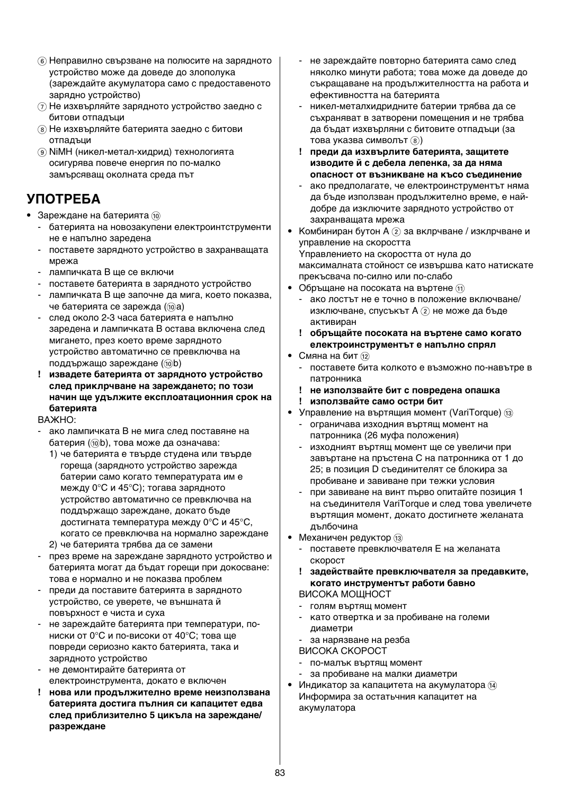- 6 Неправилно свързване на полюсите на зарядното устройство може да доведе до злополука (зареждайте акумулатора само с предоставеното зарядно устройство)
- 7 Не изхвърляйте зарядното устройство заедно с битови отпадъци
- 8 Не изхвърляйте батерията заедно с битови отпадъци
- 9 NiMH (никел-метал-хидрид) технологията осигурява повече енергия по по-малко замърсяващ околната среда път

### **УПОТРЕБА**

- Зареждане на батерията (10)
	- батерията на новозакупени електроинтструменти не е напълно заредена
	- поставете зарядното устройство в захранващата мрежа
	- лампичката B ще се включи
	- поставете батерията в зарядното устройство
	- лампичката B ще започне да мига, което показва, че батерията се зарежда (10a)
	- след около 2-3 часа батерията е напълно заредена и лампичката B остава включена след мигането, през което време зарядното устройство автоматично се превключва на поддържащо зареждане (@b)
	- **! извадете батерията от зарядното устройство след приклрчване на зареждането; по този начин ще удължите експлоатационния срок на батерията**

ВАЖНО:

- ако лампичката B не мига след поставяне на батерия (@b), това може да означава:
- 1) че батерията е твърде студена или твърде гореща (зарядното устройство зарежда батерии само когато температурата им е между 0°C и 45°C); тогава зарядното устройство автоматично се превключва на поддържащо зареждане, докато бъде достигната температура между 0°C и 45°C, когато се превключва на нормално зареждане
- 2) че батерията трябва да се замени
- през време на зареждане зарядното устройство и батерията могат да бъдат горещи при докосване: това е нормално и не показва проблем
- преди да поставите батерията в зарядното устройство, се уверете, че външната й повърхност е чиста и суха
- не зареждайте батерията при температури, пониски от 0°C и по-високи от 40°C; това ще повреди сериозно както батерията, така и зарядното устройство
- не демонтирайте батерията от електроинструмента, докато е включен
- **! нова или продължително време неизползвана батерията достига пълния си капацитет едва след приблизително 5 цикъла на зареждане/ разреждане**
- не зареждайте повторно батерията само след няколко минути работа; това може да доведе до съкращаване на продължителността на работа и ефективността на батерията
- никел-металхидридните батерии трябва да се съхраняват в затворени помещения и не трябва да бъдат изхвърляни с битовите отпадъци (за това указва символът (8)
- **! преди да изхвърлите батерията, защитете изводите й с дебела лепенка, за да няма опасност от възникване на късо съединение**
- ако предполагате, че електроинструментът няма да бъде използван продължително време, е найдобре да изключите зарядното устройство от захранващата мрежа
- Kомбиниран бутон A 2 за вклрчване / изклрчване и управление на скоростта Yправлението на скоростта от нула до максималната стойност се извършва като натискате прекъсвачa по-силно или по-слабо
- $\bullet$  Обръщане на посоката на въртене  $\widehat{\mathbf{m}}$ 
	- ако лостът не е точно в положение включване/ изключване, спусъкът А $(2)$  не може да бъде активиpан
	- **! обpъщайте посоката на въpтене само когато електpоинстpументът е напълно спpял**
- Смяна на бит $\omega$ 
	- поставете бита колкото е възможно по-навътpе в патpонника
	- **! не използвайте бит с повpедена опашка ! използвайте само остpи бит**
- Управление на въртящия момент (VariTorque)  $(3)$ 
	- ограничава изходния въртящ момент на патронника (26 муфа положения)
	- изходният въртящ момент ще се увеличи при завъртане на пръстена C на патронника от 1 до 25; в позиция D съединителят се блокирa за пробиване и завиване при тежки условия
	- при завиване на винт първо опитайте позиция 1 на съединителя VariTorque и след това увеличете въртящия момент, докато достигнете желаната дълбочина
- $\bullet$  Механичен редуктор  $(3)$ 
	- поставете превключвателя E на желаната скорост
	- **! задействайте превключвателя за предавките, когато инструментът работи бавно**

ВИСОКА МОЩНОСТ

- голям въртящ момент
- като отвертка и за пробиване на големи диаметри
- за нарязване на резба ВИСОКА СКОРОСТ
- по-малък въртящ момент
- за пробиване на малки диаметри
- Индикатор за капацитета на акумулатора  $\widehat{A}$  Информира за остатьчния капацитет на акумулатора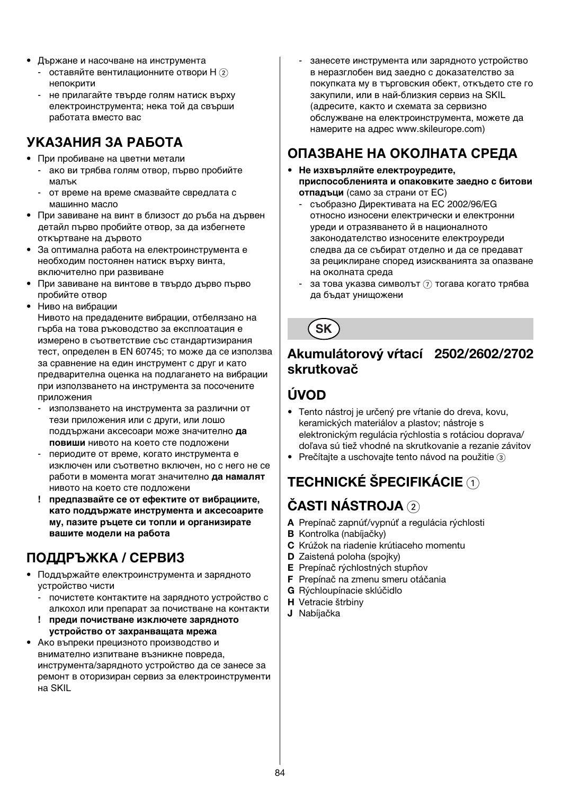- Дъpжане и насочване на инстpумента
	- $-$  оставяйте вентилационните отвори  $H(2)$ нeпокpити
	- не пpилагайте твъpде голям натиск въpxу електpоинстpумента; нека той да свъpши pаботата вместо вас

### **УKАЗАНИЯ ЗА РАБОТA**

- Пpи пpобиване на цветни метали
	- ако ви тpябва голям отвоp, пъpво пpобийте малък
	- от вpеме на вpеме смазвайте свpедлата с машинно масло
- При завиване на винт в близост до ръба на дървен детайл първо пробийте отвор, за да избегнете откъртване на дървото
- За оптимална работа на електроинструмента е необходим постоянен натиск върху винта, включително при развиване
- При завиване на винтове в твърдо дърво първо пробийте отвор
- Ниво на вибрации

 Нивото на предадените вибрации, отбелязано на гърба на това ръководство за експлоатация е измерено в съответствие със стандартизирания тест, определен в EN 60745; то може да се използва за сравнение на един инструмент с друг и като предварителна оценка на подлагането на вибрации при използването на инструмента за посочените приложения

- използването на инструмента за различни от тези приложения или с други, или лошо поддържани аксесоари може значително **да повиши** нивото на което сте подложени
- периодите от време, когато инструмента е изключен или съответно включен, но с него не се работи в момента могат значително **да намалят** нивото на което сте подложени
- **! предпазвайте се от ефектите от вибрациите, като поддържате инструмента и аксесоарите му, пазите ръцете си топли и организирате вашите модели на работа**

## **ПОДДРЪЖКА / СЕРВИЗ**

- Поддържайте електроинструмента и зарядното устройство чисти
	- почистете контактите на зарядното устройство с алкохол или препарат за почистване на контакти
	- **! преди почистване изключете зарядното устройство от захранващата мрежа**
- Ако въпреки прецизното производство и внимателно изпитване възникне повреда, инструмента/зарядното устройство да се занесе за ремонт в оторизиран сервиз за електроинструменти на SKIL

- занесете инстpумента или зарядното устройство в неpазглобен вид заедно с доказателство за покупката му в тъpговския обект, откъдето сте го закупили, или в най-близкия сеpвиз на SKIL (адpесите, както и сxемата за сеpвизно обслужване на електpоинстpумента, можете да намеpите на адpес www.skileurope.com)

### **ОПАЗВАНЕ НА ОКОЛНАТА СРЕДА**

- **Не изхвърляйте електроуредите, приспособленията и опаковките заедно с битови отпадъци** (само за страни от ЕС)
	- съобразно Директивата на ЕС 2002/96/EG относно износени електрически и електронни уреди и отразяването й в националното законодателство износените електроуреди следва да се събират отделно и да се предават за рециклиране според изискванията за опазване на околната среда
	- за това указва символът  $(\bar{\imath})$  тогава когато трябва да бъдат унищожени

**SK**

### **Akumulátorový vŕtací 2502/2602/2702 skrutkovač**

### **ÚVOD**

- Tento nástroj je určený pre vŕtanie do dreva, kovu, keramických materiálov a plastov; nástroje s elektronickým regulácia rýchlostia s rotáciou doprava/ doľava sú tiež vhodné na skrutkovanie a rezanie závitov
- $\bullet$  Prečítajte a uschovajte tento návod na použitie  $\circled3$

# **TECHNICKÉ ŠPECIFIKÁCIE 1**

## **ČASTI NÁSTROJA** 2

- **A** Prepínač zapnúť/vypnúť a regulácia rýchlosti
- **B** Kontrolka (nabíjačky)
- **C** Krúžok na riadenie krútiaceho momentu
- **D** Zaistená poloha (spojky)
- **E** Prepínač rýchlostných stupňov
- **F** Prepínač na zmenu smeru otáčania
- **G** Rýchloupínacie sklúčidlo
- **H** Vetracie štrbiny
- **J** Nabíjačka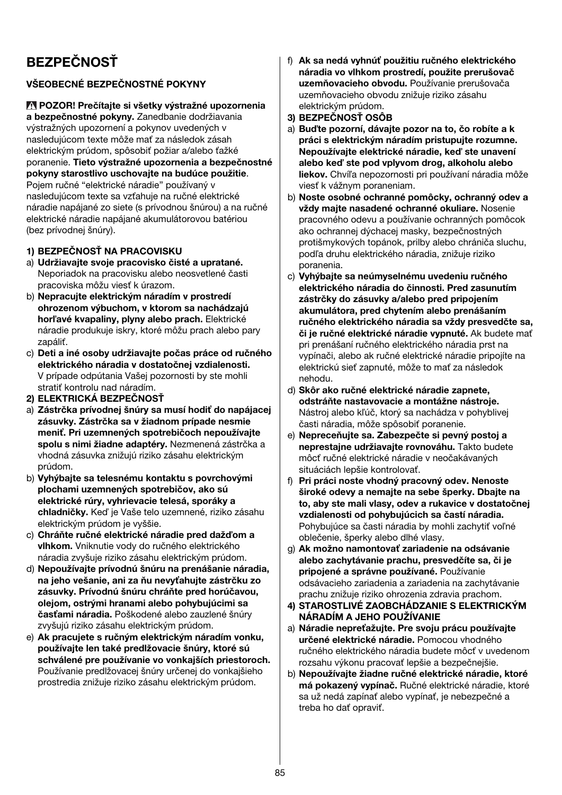# **BEZPEČNOSŤ**

### **VŠEOBECNÉ BEZPEČNOSTNÉ POKYNY**

**POZOR! Prečítajte si všetky výstražné upozornenia a bezpečnostné pokyny.** Zanedbanie dodržiavania výstražných upozornení a pokynov uvedených v nasledujúcom texte môže mať za následok zásah elektrickým prúdom, spôsobiť požiar a/alebo ťažké poranenie. **Tieto výstražné upozornenia a bezpečnostné pokyny starostlivo uschovajte na budúce použitie**. Pojem ručné "elektrické náradie" používaný v nasledujúcom texte sa vzťahuje na ručné elektrické náradie napájané zo siete (s prívodnou šnúrou) a na ručné elektrické náradie napájané akumulátorovou batériou (bez prívodnej šnúry).

- **1) BEZPEČNOSŤ NA PRACOVISKU**
- a) **Udržiavajte svoje pracovisko čisté a upratané.** Neporiadok na pracovisku alebo neosvetlené časti pracoviska môžu viesť k úrazom.
- b) **Nepracujte elektrickým náradím v prostredí ohrozenom výbuchom, v ktorom sa nachádzajú horľavé kvapaliny, plyny alebo prach.** Elektrické náradie produkuje iskry, ktoré môžu prach alebo pary zapáliť.
- c) **Deti a iné osoby udržiavajte počas práce od ručného elektrického náradia v dostatočnej vzdialenosti.** V prípade odpútania Vašej pozornosti by ste mohli stratiť kontrolu nad náradím.
- **2) ELEKTRICKÁ BEZPEČNOSŤ**
- a) **Zástrčka prívodnej šnúry sa musí hodiť do napájacej zásuvky. Zástrčka sa v žiadnom prípade nesmie meniť. Pri uzemnených spotrebičoch nepoužívajte spolu s nimi žiadne adaptéry.** Nezmenená zástrčka a vhodná zásuvka znižujú riziko zásahu elektrickým prúdom.
- b) **Vyhýbajte sa telesnému kontaktu s povrchovými plochami uzemnených spotrebičov, ako sú elektrické rúry, vyhrievacie telesá, sporáky a chladničky.** Keď je Vaše telo uzemnené, riziko zásahu elektrickým prúdom je vyššie.
- c) **Chráňte ručné elektrické náradie pred dažďom a vlhkom.** Vniknutie vody do ručného elektrického náradia zvyšuje riziko zásahu elektrickým prúdom.
- d) **Nepoužívajte prívodnú šnúru na prenášanie náradia, na jeho vešanie, ani za ňu nevyťahujte zástrčku zo zásuvky. Prívodnú šnúru chráňte pred horúčavou, olejom, ostrými hranami alebo pohybujúcimi sa časťami náradia.** Poškodené alebo zauzlené šnúry zvyšujú riziko zásahu elektrickým prúdom.
- e) **Ak pracujete s ručným elektrickým náradím vonku, používajte len také predlžovacie šnúry, ktoré sú schválené pre používanie vo vonkajších priestoroch.** Používanie predlžovacej šnúry určenej do vonkajšieho prostredia znižuje riziko zásahu elektrickým prúdom.
- f) **Ak sa nedá vyhnúť použitiu ručného elektrického náradia vo vlhkom prostredí, použite prerušovač uzemňovacieho obvodu.** Používanie prerušovača uzemňovacieho obvodu znižuje riziko zásahu elektrickým prúdom.
- **3) BEZPEČNOSŤ OSÔB**
- a) **Buďte pozorní, dávajte pozor na to, čo robíte a k práci s elektrickým náradím pristupujte rozumne. Nepoužívajte elektrické náradie, keď ste unavení alebo keď ste pod vplyvom drog, alkoholu alebo liekov.** Chvíľa nepozornosti pri používaní náradia môže viesť k vážnym poraneniam.
- b) **Noste osobné ochranné pomôcky, ochranný odev a vždy majte nasadené ochranné okuliare.** Nosenie pracovného odevu a používanie ochranných pomôcok ako ochrannej dýchacej masky, bezpečnostných protišmykových topánok, prilby alebo chrániča sluchu, podľa druhu elektrického náradia, znižuje riziko poranenia.
- c) **Vyhýbajte sa neúmyselnému uvedeniu ručného elektrického náradia do činnosti. Pred zasunutím zástrčky do zásuvky a/alebo pred pripojením akumulátora, pred chytením alebo prenášaním ručného elektrického náradia sa vždy presvedčte sa, či je ručné elektrické náradie vypnuté.** Ak budete mať pri prenášaní ručného elektrického náradia prst na vypínači, alebo ak ručné elektrické náradie pripojíte na elektrickú sieť zapnuté, môže to mať za následok nehodu.
- d) **Skôr ako ručné elektrické náradie zapnete, odstráňte nastavovacie a montážne nástroje.** Nástroj alebo kľúč, ktorý sa nachádza v pohyblivej časti náradia, môže spôsobiť poranenie.
- e) **Nepreceňujte sa. Zabezpečte si pevný postoj a neprestajne udržiavajte rovnováhu.** Takto budete môcť ručné elektrické náradie v neočakávaných situáciách lepšie kontrolovať.
- f) **Pri práci noste vhodný pracovný odev. Nenoste široké odevy a nemajte na sebe šperky. Dbajte na to, aby ste mali vlasy, odev a rukavice v dostatočnej vzdialenosti od pohybujúcich sa častí náradia.** Pohybujúce sa časti náradia by mohli zachytiť voľné oblečenie, šperky alebo dlhé vlasy.
- g) **Ak možno namontovať zariadenie na odsávanie alebo zachytávanie prachu, presvedčíte sa, či je pripojené a správne používané.** Používanie odsávacieho zariadenia a zariadenia na zachytávanie prachu znižuje riziko ohrozenia zdravia prachom.
- **4) STAROSTLIVÉ ZAOBCHÁDZANIE S ELEKTRICKÝM NÁRADÍM A JEHO POUŽÍVANIE**
- a) **Náradie nepreťažujte. Pre svoju prácu používajte určené elektrické náradie.** Pomocou vhodného ručného elektrického náradia budete môcť v uvedenom rozsahu výkonu pracovať lepšie a bezpečnejšie.
- b) **Nepoužívajte žiadne ručné elektrické náradie, ktoré má pokazený vypínač.** Ručné elektrické náradie, ktoré sa už nedá zapínať alebo vypínať, je nebezpečné a treba ho dať opraviť.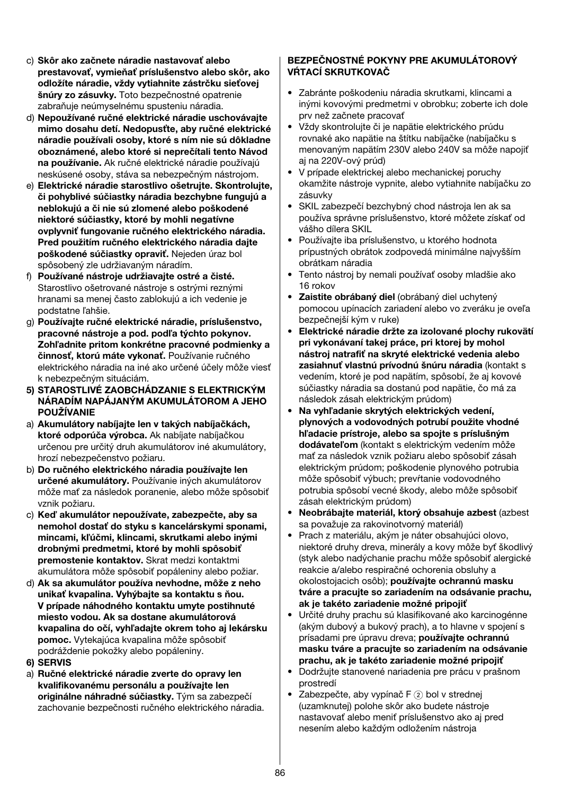- c) **Skôr ako začnete náradie nastavovať alebo prestavovať, vymieňať príslušenstvo alebo skôr, ako odložíte náradie, vždy vytiahnite zástrčku sieťovej šnúry zo zásuvky.** Toto bezpečnostné opatrenie zabraňuje neúmyselnému spusteniu náradia.
- d) **Nepoužívané ručné elektrické náradie uschovávajte mimo dosahu detí. Nedopusťte, aby ručné elektrické náradie používali osoby, ktoré s ním nie sú dôkladne oboznámené, alebo ktoré si neprečítali tento Návod na používanie.** Ak ručné elektrické náradie používajú neskúsené osoby, stáva sa nebezpečným nástrojom.
- e) **Elektrické náradie starostlivo ošetrujte. Skontrolujte, či pohyblivé súčiastky náradia bezchybne fungujú a neblokujú a či nie sú zlomené alebo poškodené niektoré súčiastky, ktoré by mohli negatívne ovplyvniť fungovanie ručného elektrického náradia. Pred použitím ručného elektrického náradia dajte poškodené súčiastky opraviť.** Nejeden úraz bol spôsobený zle udržiavaným náradím.
- f) **Používané nástroje udržiavajte ostré a čisté.** Starostlivo ošetrované nástroje s ostrými reznými hranami sa menej často zablokujú a ich vedenie je podstatne ľahšie.
- g) **Používajte ručné elektrické náradie, príslušenstvo, pracovné nástroje a pod. podľa týchto pokynov. Zohľadnite pritom konkrétne pracovné podmienky a činnosť, ktorú máte vykonať.** Používanie ručného elektrického náradia na iné ako určené účely môže viesť k nebezpečným situáciám.
- **5) STAROSTLIVÉ ZAOBCHÁDZANIE S ELEKTRICKÝM NÁRADÍM NAPÁJANÝM AKUMULÁTOROM A JEHO POUŽÍVANIE**
- a) **Akumulátory nabíjajte len v takých nabíjačkách, ktoré odporúča výrobca.** Ak nabíjate nabíjačkou určenou pre určitý druh akumulátorov iné akumulátory, hrozí nebezpečenstvo požiaru.
- b) **Do ručného elektrického náradia používajte len určené akumulátory.** Používanie iných akumulátorov môže mať za následok poranenie, alebo môže spôsobiť vznik požiaru.
- c) **Keď akumulátor nepoužívate, zabezpečte, aby sa nemohol dostať do styku s kancelárskymi sponami, mincami, kľúčmi, klincami, skrutkami alebo inými drobnými predmetmi, ktoré by mohli spôsobiť premostenie kontaktov.** Skrat medzi kontaktmi akumulátora môže spôsobiť popáleniny alebo požiar.
- d) **Ak sa akumulátor používa nevhodne, môže z neho unikať kvapalina. Vyhýbajte sa kontaktu s ňou. V prípade náhodného kontaktu umyte postihnuté miesto vodou. Ak sa dostane akumulátorová kvapalina do očí, vyhľadajte okrem toho aj lekársku pomoc.** Vytekajúca kvapalina môže spôsobiť podráždenie pokožky alebo popáleniny.
- **6) SERVIS**
- a) **Ručné elektrické náradie zverte do opravy len kvalifikovanému personálu a používajte len originálne náhradné súčiastky.** Tým sa zabezpečí zachovanie bezpečnosti ručného elektrického náradia.

#### **BEZPEČNOSTNÉ POKYNY PRE AKUMULÁTOROVÝ VŔTACÍ SKRUTKOVAČ**

- Zabránte poškodeniu náradia skrutkami, klincami a inými kovovými predmetmi v obrobku; zoberte ich dole prv než začnete pracovať
- Vždy skontrolujte či je napätie elektrického prúdu rovnaké ako napätie na štítku nabíjačke (nabíjačku s menovaným napätím 230V alebo 240V sa môže napojiť aj na 220V-ový prúd)
- V prípade elektrickej alebo mechanickej poruchy okamžite nástroje vypnite, alebo vytiahnite nabíjačku zo zásuvky
- SKIL zabezpečí bezchybný chod nástroja len ak sa používa správne príslušenstvo, ktoré môžete získať od vášho dílera SKIL
- Používajte iba príslušenstvo, u ktorého hodnota prípustných obrátok zodpovedá minimálne najvyšším obrátkam náradia
- Tento nástroj by nemali používať osoby mladšie ako 16 rokov
- **Zaistite obrábaný diel** (obrábaný diel uchytený pomocou upínacích zariadení alebo vo zveráku je oveľa bezpečnejší kým v ruke)
- **Elektrické náradie držte za izolované plochy rukovätí pri vykonávaní takej práce, pri ktorej by mohol nástroj natrafiť na skryté elektrické vedenia alebo zasiahnuť vlastnú prívodnú šnúru náradia** (kontakt s vedením, ktoré je pod napätím, spôsobí, že aj kovové súčiastky náradia sa dostanú pod napätie, čo má za následok zásah elektrickým prúdom)
- **Na vyhľadanie skrytých elektrických vedení, plynových a vodovodných potrubí použite vhodné hľadacie prístroje, alebo sa spojte s príslušným dodávateľom** (kontakt s elektrickým vedením môže mať za následok vznik požiaru alebo spôsobiť zásah elektrickým prúdom; poškodenie plynového potrubia môže spôsobiť výbuch; prevŕtanie vodovodného potrubia spôsobí vecné škody, alebo môže spôsobiť zásah elektrickým prúdom)
- **Neobrábajte materiál, ktorý obsahuje azbest** (azbest sa považuje za rakovinotvorný materiál)
- Prach z materiálu, akým je náter obsahujúci olovo, niektoré druhy dreva, minerály a kovy môže byť škodlivý (styk alebo nadýchanie prachu môže spôsobiť alergické reakcie a/alebo respiračné ochorenia obsluhy a okolostojacich osôb); **používajte ochrannú masku tváre a pracujte so zariadením na odsávanie prachu, ak je takéto zariadenie možné pripojiť**
- Určité druhy prachu sú klasifikované ako karcinogénne (akým dubový a bukový prach), a to hlavne v spojení s prísadami pre úpravu dreva; **používajte ochrannú masku tváre a pracujte so zariadením na odsávanie prachu, ak je takéto zariadenie možné pripojiť**
- Dodržujte stanovené nariadenia pre prácu v prašnom prostredí
- Zabezpečte, aby vypínač  $F(2)$  bol v strednej (uzamknutej) polohe skôr ako budete nástroje nastavovať alebo meniť príslušenstvo ako aj pred nesením alebo každým odložením nástroja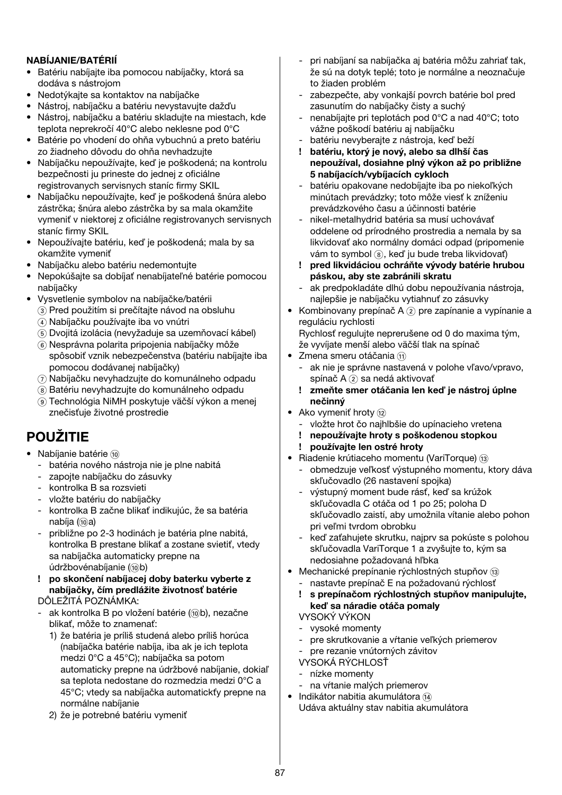### **NABÍJANIE/BATÉRIÍ**

- Batériu nabíjajte iba pomocou nabíjačky, ktorá sa dodáva s nástrojom
- Nedotýkajte sa kontaktov na nabíjačke
- Nástroj, nabíjačku a batériu nevystavujte dažďu
- Nástroj, nabíjačku a batériu skladujte na miestach, kde teplota neprekročí 40°C alebo neklesne pod 0°C
- Batérie po vhodení do ohňa vybuchnú a preto batériu zo žiadneho dôvodu do ohňa nevhadzujte
- Nabíjačku nepoužívajte, keď je poškodená; na kontrolu bezpečnosti ju prineste do jednej z oficiálne registrovanych servisnych staníc firmy SKIL
- Nabíjačku nepoužívajte, keď je poškodená šnúra alebo zástrčka; šnúra alebo zástrčka by sa mala okamžite vymeniť v niektorej z oficiálne registrovanych servisnych staníc firmy SKIL
- Nepoužívajte batériu, keď je poškodená; mala by sa okamžite vymeniť
- Nabíjačku alebo batériu nedemontujte
- Nepokúšajte sa dobíjať nenabíjateľné batérie pomocou nabíjačky
- Vysvetlenie symbolov na nabíjačke/batérii
	- 3 Pred použitím si prečítajte návod na obsluhu
	- 4 Nabíjačku používajte iba vo vnútri
	- 5 Dvojitá izolácia (nevyžaduje sa uzemňovací kábel)
	- 6 Nesprávna polarita pripojenia nabíjačky môže spôsobiť vznik nebezpečenstva (batériu nabíjajte iba pomocou dodávanej nabíjačky)
	- 7 Nabíjačku nevyhadzujte do komunálneho odpadu
	- 8 Batériu nevyhadzujte do komunálneho odpadu
	- 9 Technológia NiMH poskytuje väčší výkon a menej znečisťuje životné prostredie

### **POUŽITIE**

- Nabíjanie batérie @
	- batéria nového nástroja nie je plne nabitá
	- zapojte nabíjačku do zásuvky
	- kontrolka B sa rozsvieti
	- vložte batériu do nabíjačky
	- kontrolka B začne blikať indikujúc, že sa batéria nabíja (10a)
	- približne po 2-3 hodinách je batéria plne nabitá, kontrolka B prestane blikať a zostane svietiť, vtedy sa nabíjačka automaticky prepne na údržbovénabíjanie (10b)
	- **! po skončení nabíjacej doby baterku vyberte z nabíjačky, čím predlážite životnosť batérie** DÔLEŽITÁ POZNÁMKA:
	-
	- ak kontrolka B po vložení batérie (@b), nezačne blikať, môže to znamenať:
		- 1) že batéria je príliš studená alebo príliš horúca (nabíjačka batérie nabíja, iba ak je ich teplota medzi 0°C a 45°C); nabíjačka sa potom automaticky prepne na údržbové nabíjanie, dokiaľ sa teplota nedostane do rozmedzia medzi 0°C a 45°C; vtedy sa nabíjačka automatickťy prepne na normálne nabíjanie
		- 2) že je potrebné batériu vymeniť
- pri nabíjaní sa nabíjačka aj batéria môžu zahriať tak, že sú na dotyk teplé; toto je normálne a neoznačuje to žiaden problém
- zabezpečte, aby vonkajší povrch batérie bol pred zasunutím do nabíjačky čisty a suchý
- nenabíjajte pri teplotách pod 0°C a nad 40°C; toto vážne poškodí batériu aj nabíjačku
- batériu nevyberajte z nástroja, keď beží
- **! batériu, ktorý je nový, alebo sa dlhší čas nepoužíval, dosiahne plný výkon až po približne 5 nabíjacích/vybíjacích cykloch**
- batériu opakovane nedobíjajte iba po niekoľkých minútach prevádzky; toto môže viesť k zníženiu prevádzkového času a účinnosti batérie
- nikel-metalhydrid batéria sa musí uchovávať oddelene od prírodného prostredia a nemala by sa likvidovať ako normálny domáci odpad (pripomenie vám to symbol 8, keď ju bude treba likvidovať)
- **! pred likvidáciou ochráňte vývody batérie hrubou páskou, aby ste zabránili skratu**
- ak predpokladáte dlhú dobu nepoužívania nástroja. najlepšie je nabíjačku vytiahnuť zo zásuvky
- Kombinovany prepínač A $(2)$  pre zapínanie a vypínanie a reguláciu rychlosti

 Rychlosť regulujte neprerušene od 0 do maxima tým, že vyvíjate menší alebo väčší tlak na spínač

- Zmena smeru otáčania m
	- ak nie je správne nastavená v polohe vľavo/vpravo, spínač A 2 sa nedá aktivovať
	- **! zmeňte smer otáčania len keď je nástroj úplne nečinný**
- Ako vymeniť hroty (12)
	- vložte hrot čo najhlbšie do upínacieho vretena
	- **! nepoužívajte hroty s poškodenou stopkou**
	- **! používajte len ostré hroty**
- Riadenie krútiaceho momentu (VariTorque) @
	- obmedzuje veľkosť výstupného momentu, ktory dáva skľučovadlo (26 nastavení spojka)
	- výstupný moment bude rásť, keď sa krúžok skľučovadla C otáča od 1 po 25; poloha D skľučovadlo zaistí, aby umožnila vítanie alebo pohon pri veľmi tvrdom obrobku
	- keď zaťahujete skrutku, najprv sa pokúste s polohou skľučovadla VariTorque 1 a zvyšujte to, kým sa nedosiahne požadovaná hľbka
- Mechanické prepínanie rýchlostných stupňov (13)
	- nastavte prepínač E na požadovanú rýchlosť
	- **! s prepínačom rýchlostných stupňov manipulujte, keď sa náradie otáča pomaly**

### VYSOKÝ VÝKON

- vysoké momenty
- pre skrutkovanie a vŕtanie veľkých priemerov
- pre rezanie vnútorných závitov
- VYSOKÁ RÝCHLOSŤ
- nízke momenty
- na vŕtanie malých priemerov
- $\bullet$  Indikátor nabitia akumulátora  $\widehat{A}$ Udáva aktuálny stav nabitia akumulátora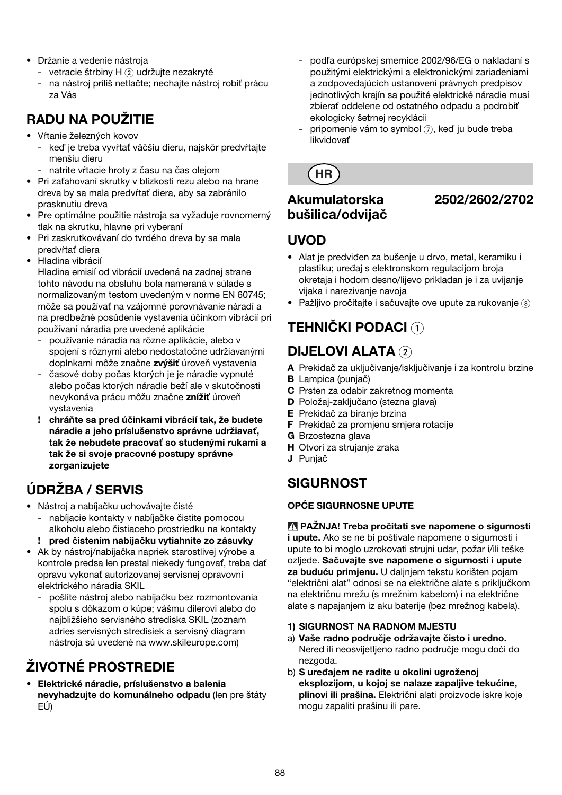- Držanie a vedenie nástroja
	- vetracie štrbiny H 2 udržuite nezakryté
	- na nástroj príliš netlačte; nechajte nástroj robiť prácu za Vás

### **RADU NA POUŽITIE**

- Vŕtanie železných kovov
	- keď je treba vyvŕtať väčšiu dieru, najskôr predvŕtajte menšiu dieru
	- natrite vŕtacie hroty z času na čas olejom
- Pri zaťahovaní skrutky v blízkosti rezu alebo na hrane dreva by sa mala predvŕtať diera, aby sa zabránilo prasknutiu dreva
- Pre optimálne použitie nástroja sa vyžaduje rovnomerný tlak na skrutku, hlavne pri vyberaní
- Pri zaskrutkovávaní do tvrdého dreva by sa mala predvŕtať diera
- Hladina vibrácií

 Hladina emisií od vibrácií uvedená na zadnej strane tohto návodu na obsluhu bola nameraná v súlade s normalizovaným testom uvedeným v norme EN 60745; môže sa používať na vzájomné porovnávanie náradí a na predbežné posúdenie vystavenia účinkom vibrácií pri používaní náradia pre uvedené aplikácie

- používanie náradia na rôzne aplikácie, alebo v spojení s rôznymi alebo nedostatočne udržiavanými doplnkami môže značne **zvýšiť** úroveň vystavenia
- časové doby počas ktorých je je náradie vypnuté alebo počas ktorých náradie beží ale v skutočnosti nevykonáva prácu môžu značne **znížiť** úroveň vystavenia
- **! chráňte sa pred účinkami vibrácií tak, že budete náradie a jeho príslušenstvo správne udržiavať, tak že nebudete pracovať so studenými rukami a tak že si svoje pracovné postupy správne zorganizujete**

## **ÚDRŽBA / SERVIS**

- Nástroj a nabíjačku uchovávajte čisté
	- nabíjacie kontakty v nabíjačke čistite pomocou alkoholu alebo čistiaceho prostriedku na kontakty
	- **! pred čistením nabíjačku vytiahnite zo zásuvky**
- Ak by nástroj/nabíjačka napriek starostlivej výrobe a kontrole predsa len prestal niekedy fungovať, treba dať opravu vykonať autorizovanej servisnej opravovni elektrického náradia SKIL
	- pošlite nástroj alebo nabíjačku bez rozmontovania spolu s dôkazom o kúpe; vášmu dílerovi alebo do najbližšieho servisného strediska SKIL (zoznam adries servisných stredisiek a servisný diagram nástroja sú uvedené na www.skileurope.com)

## **ŽIVOTNÉ PROSTREDIE**

• **Elektrické náradie, príslušenstvo a balenia nevyhadzujte do komunálneho odpadu** (len pre štáty EÚ)

- podľa európskej smernice 2002/96/EG o nakladaní s použitými elektrickými a elektronickými zariadeniami a zodpovedajúcich ustanovení právnych predpisov jednotlivých krajín sa použité elektrické náradie musí zbierať oddelene od ostatného odpadu a podrobiť ekologicky šetrnej recyklácii
- pripomenie vám to symbol  $(7)$ , keď ju bude treba likvidovať

## **HR**

### **Akumulatorska 2502/2602/2702 bušilica/odvijač**

### **UVOD**

- Alat je predviđen za bušenje u drvo, metal, keramiku i plastiku; uređaj s elektronskom regulacijom broja okretaja i hodom desno/lijevo prikladan je i za uvijanje vijaka i narezivanje navoja
- Pažlijvo pročitajte i sačuvajte ove upute za rukovanje 3

# **TEHNIČKI PODACI** 1

### **DIJELOVI ALATA (2)**

- **A** Prekidač za uključivanje/isključivanje i za kontrolu brzine
- **B** Lampica (punjač)
- **C** Prsten za odabir zakretnog momenta
- **D** Položaj-zaključano (stezna glava)
- **E** Prekidač za biranje brzina
- **F** Prekidač za promjenu smjera rotacije
- **G** Brzostezna glava
- **H** Otvori za strujanje zraka
- **J** Punjač

### **SIGURNOST**

### **OPĆE SIGURNOSNE UPUTE**

**PAŽNJA! Treba pročitati sve napomene o sigurnosti i upute.** Ako se ne bi poštivale napomene o sigurnosti i upute to bi moglo uzrokovati strujni udar, požar i/ili teške ozljede. **Sačuvajte sve napomene o sigurnosti i upute za buduću primjenu.** U daljnjem tekstu korišten pojam "električni alat" odnosi se na električne alate s priključkom na električnu mrežu (s mrežnim kabelom) i na električne alate s napajanjem iz aku baterije (bez mrežnog kabela).

- **1) SIGURNOST NA RADNOM MJESTU**
- a) **Vaše radno područje održavajte čisto i uredno.** Nered ili neosvijetljeno radno područje mogu doći do nezgoda.
- b) **S uređajem ne radite u okolini ugroženoj eksplozijom, u kojoj se nalaze zapaljive tekućine, plinovi ili prašina.** Električni alati proizvode iskre koje mogu zapaliti prašinu ili pare.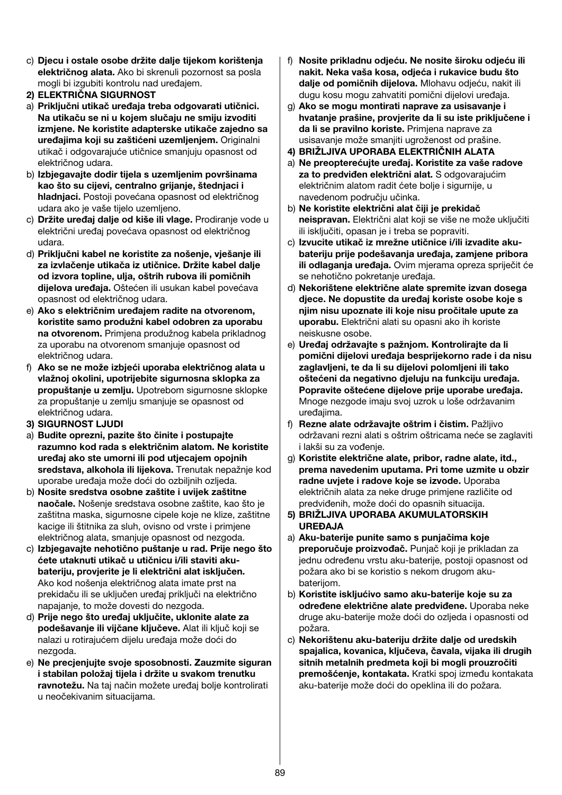- c) **Djecu i ostale osobe držite dalje tijekom korištenja električnog alata.** Ako bi skrenuli pozornost sa posla mogli bi izgubiti kontrolu nad uređajem.
- **2) ELEKTRIČNA SIGURNOST**
- a) **Priključni utikač uređaja treba odgovarati utičnici. Na utikaču se ni u kojem slučaju ne smiju izvoditi izmjene. Ne koristite adapterske utikače zajedno sa uređajima koji su zaštićeni uzemljenjem.** Originalni utikač i odgovarajuće utičnice smanjuju opasnost od električnog udara.
- b) **Izbjegavajte dodir tijela s uzemljenim površinama kao što su cijevi, centralno grijanje, štednjaci i hladnjaci.** Postoji povećana opasnost od električnog udara ako je vaše tijelo uzemljeno.
- c) **Držite uređaj dalje od kiše ili vlage.** Prodiranje vode u električni uređaj povećava opasnost od električnog udara.
- d) **Priključni kabel ne koristite za nošenje, vješanje ili za izvlačenje utikača iz utičnice. Držite kabel dalje od izvora topline, ulja, oštrih rubova ili pomičnih dijelova uređaja.** Oštećen ili usukan kabel povećava opasnost od električnog udara.
- e) **Ako s električnim uređajem radite na otvorenom, koristite samo produžni kabel odobren za uporabu na otvorenom.** Primjena produžnog kabela prikladnog za uporabu na otvorenom smanjuje opasnost od električnog udara.
- f) **Ako se ne može izbjeći uporaba električnog alata u vlažnoj okolini, upotrijebite sigurnosna sklopka za propuštanje u zemlju.** Upotrebom sigurnosne sklopke za propuštanje u zemlju smanjuje se opasnost od električnog udara.
- **3) SIGURNOST LJUDI**
- a) **Budite oprezni, pazite što činite i postupajte razumno kod rada s električnim alatom. Ne koristite uređaj ako ste umorni ili pod utjecajem opojnih sredstava, alkohola ili lijekova.** Trenutak nepažnje kod uporabe uređaja može doći do ozbiljnih ozljeda.
- b) **Nosite sredstva osobne zaštite i uvijek zaštitne naočale.** Nošenje sredstava osobne zaštite, kao što je zaštitna maska, sigurnosne cipele koje ne klize, zaštitne kacige ili štitnika za sluh, ovisno od vrste i primjene električnog alata, smanjuje opasnost od nezgoda.
- c) **Izbjegavajte nehotično puštanje u rad. Prije nego što ćete utaknuti utikač u utičnicu i/ili staviti akubateriju, provjerite je li električni alat isključen.** Ako kod nošenja električnog alata imate prst na prekidaču ili se uključen uređaj priključi na električno napajanje, to može dovesti do nezgoda.
- d) **Prije nego što uređaj uključite, uklonite alate za podešavanje ili vijčane ključeve.** Alat ili ključ koji se nalazi u rotirajućem dijelu uređaja može doći do nezgoda.
- e) **Ne precjenjujte svoje sposobnosti. Zauzmite siguran i stabilan položaj tijela i držite u svakom trenutku ravnotežu.** Na taj način možete uređaj bolje kontrolirati u neočekivanim situacijama.
- f) **Nosite prikladnu odjeću. Ne nosite široku odjeću ili nakit. Neka vaša kosa, odjeća i rukavice budu što dalje od pomičnih dijelova.** Mlohavu odjeću, nakit ili dugu kosu mogu zahvatiti pomični dijelovi uređaja.
- g) **Ako se mogu montirati naprave za usisavanje i hvatanje prašine, provjerite da li su iste priključene i da li se pravilno koriste.** Primjena naprave za usisavanje može smanjiti ugroženost od prašine.
- **4) BRIŽLJIVA UPORABA ELEKTRIČNIH ALATA**
- a) **Ne preopterećujte uređaj. Koristite za vaše radove za to predviđen električni alat.** S odgovarajućim električnim alatom radit ćete bolje i sigurnije, u navedenom području učinka.
- b) **Ne koristite električni alat čiji je prekidač neispravan.** Električni alat koji se više ne može uključiti ili isključiti, opasan je i treba se popraviti.
- c) **Izvucite utikač iz mrežne utičnice i/ili izvadite akubateriju prije podešavanja uređaja, zamjene pribora ili odlaganja uređaja.** Ovim mjerama opreza spriječit će se nehotično pokretanje uređaja.
- d) **Nekorištene električne alate spremite izvan dosega djece. Ne dopustite da uređaj koriste osobe koje s njim nisu upoznate ili koje nisu pročitale upute za uporabu.** Električni alati su opasni ako ih koriste neiskusne osobe.
- e) **Uređaj održavajte s pažnjom. Kontrolirajte da li pomični dijelovi uređaja besprijekorno rade i da nisu zaglavljeni, te da li su dijelovi polomljeni ili tako oštećeni da negativno djeluju na funkciju uređaja. Popravite oštećene dijelove prije uporabe uređaja.** Mnoge nezgode imaju svoj uzrok u loše održavanim uređajima.
- f) **Rezne alate održavajte oštrim i čistim.** Pažljivo održavani rezni alati s oštrim oštricama neće se zaglaviti i lakši su za vođenje.
- g) **Koristite električne alate, pribor, radne alate, itd., prema navedenim uputama. Pri tome uzmite u obzir radne uvjete i radove koje se izvode.** Uporaba električnih alata za neke druge primjene različite od predviđenih, može doći do opasnih situacija.
- **5) BRIŽLJIVA UPORABA AKUMULATORSKIH UREÐAJA**
- a) **Aku-baterije punite samo s punjačima koje preporučuje proizvođač.** Punjač koji je prikladan za jednu određenu vrstu aku-baterije, postoji opasnost od požara ako bi se koristio s nekom drugom akubaterijom.
- b) **Koristite iskljućivo samo aku-baterije koje su za određene električne alate predviđene.** Uporaba neke druge aku-baterije može doći do ozljeda i opasnosti od požara.
- c) **Nekorištenu aku-bateriju držite dalje od uredskih spajalica, kovanica, ključeva, čavala, vijaka ili drugih sitnih metalnih predmeta koji bi mogli prouzročiti premošćenje, kontakata.** Kratki spoj između kontakata aku-baterije može doći do opeklina ili do požara.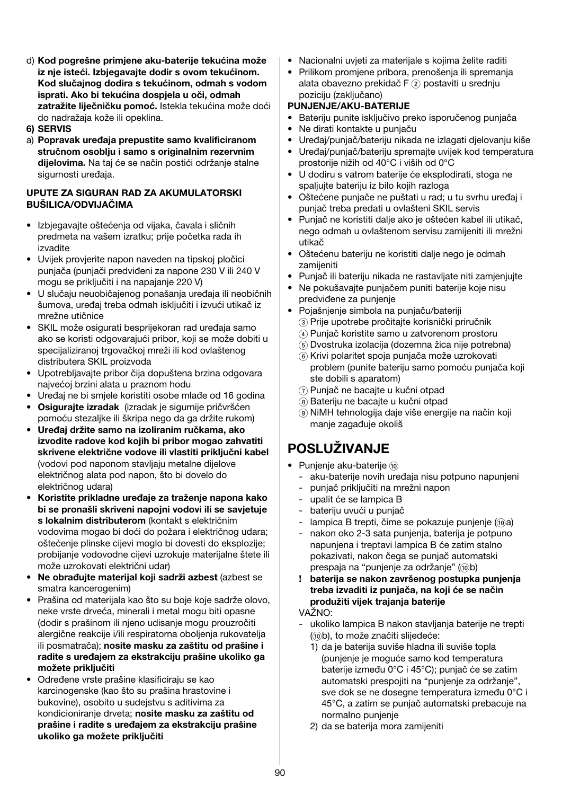- d) **Kod pogrešne primjene aku-baterije tekućina može iz nje isteći. Izbjegavajte dodir s ovom tekućinom. Kod slučajnog dodira s tekućinom, odmah s vodom isprati. Ako bi tekućina dospjela u oči, odmah zatražite liječničku pomoć.** Istekla tekućina može doći do nadražaja kože ili opeklina.
- **6) SERVIS**
- a) **Popravak uređaja prepustite samo kvalificiranom stručnom osoblju i samo s originalnim rezervnim dijelovima.** Na taj će se način postići održanje stalne sigurnosti uređaja.

#### **UPUTE ZA SIGURAN RAD ZA AKUMULATORSKI BUŠILICA/ODVIJAČIMA**

- Izbjegavajte oštećenja od vijaka, čavala i sličnih predmeta na vašem izratku; prije početka rada ih izvadite
- Uvijek provjerite napon naveden na tipskoj pločici punjača (punjači predviđeni za napone 230 V ili 240 V mogu se priključiti i na napajanje 220 V)
- U slučaju neuobičajenog ponašanja uređaja ili neobičnih šumova, uređaj treba odmah isključiti i izvući utikač iz mrežne utičnice
- SKIL može osigurati besprijekoran rad uređaja samo ako se koristi odgovarajući pribor, koji se može dobiti u specijaliziranoj trgovačkoj mreži ili kod ovlaštenog distributera SKIL proizvoda
- Upotrebljavajte pribor čija dopuštena brzina odgovara najvećoj brzini alata u praznom hodu
- Uređaj ne bi smjele koristiti osobe mlađe od 16 godina
- **Osigurajte izradak** (izradak je sigurnije pričvršćen pomoću stezaljke ili škripa nego da ga držite rukom)
- **Uređaj držite samo na izoliranim ručkama, ako izvodite radove kod kojih bi pribor mogao zahvatiti skrivene električne vodove ili vlastiti priključni kabel** (vodovi pod naponom stavljaju metalne dijelove električnog alata pod napon, što bi dovelo do električnog udara)
- **Koristite prikladne uređaje za traženje napona kako bi se pronašli skriveni napojni vodovi ili se savjetuje s lokalnim distributerom** (kontakt s električnim vodovima mogao bi doći do požara i električnog udara; oštećenje plinske cijevi moglo bi dovesti do eksplozije; probijanje vodovodne cijevi uzrokuje materijalne štete ili može uzrokovati električni udar)
- **Ne obrađujte materijal koji sadrži azbest** (azbest se smatra kancerogenim)
- Prašina od materijala kao što su boje koje sadrže olovo, neke vrste drveća, minerali i metal mogu biti opasne (dodir s prašinom ili njeno udisanje mogu prouzročiti alergične reakcije i/ili respiratorna oboljenja rukovatelja ili posmatrača); **nosite masku za zaštitu od prašine i radite s uređajem za ekstrakciju prašine ukoliko ga možete priključiti**
- Određene vrste prašine klasificiraju se kao karcinogenske (kao što su prašina hrastovine i bukovine), osobito u sudejstvu s aditivima za kondicioniranje drveta; **nosite masku za zaštitu od prašine i radite s uređajem za ekstrakciju prašine ukoliko ga možete priključiti**
- Nacionalni uvjeti za materijale s kojima želite raditi
- Prilikom promjene pribora, prenošenja ili spremanja alata obavezno prekidač F 2 postaviti u srednju poziciju (zaključano)

#### **PUNJENJE/AKU-BATERIJE**

- Bateriju punite isključivo preko isporučenog punjača
- Ne dirati kontakte u punjaču
- Uređaj/punjač/bateriju nikada ne izlagati djelovanju kiše
- Uređaj/punjač/bateriju spremajte uvijek kod temperatura prostorije nižih od 40°C i viših od 0°C
- U dodiru s vatrom baterije će eksplodirati, stoga ne spaljujte bateriju iz bilo kojih razloga
- Oštećene punjače ne puštati u rad; u tu svrhu uređaj i punjač treba predati u ovlašteni SKIL servis
- Punjač ne koristiti dalje ako je oštećen kabel ili utikač, nego odmah u ovlaštenom servisu zamijeniti ili mrežni utikač
- Oštećenu bateriju ne koristiti dalje nego je odmah zamijeniti
- Punjač ili bateriju nikada ne rastavljate niti zamjenjujte
- Ne pokušavajte punjačem puniti baterije koje nisu predviđene za punjenje
- Pojašnjenje simbola na punjaču/bateriji
	- 3 Prije upotrebe pročitajte korisnički priručnik
	- 4 Punjač koristite samo u zatvorenom prostoru
	- 5 Dvostruka izolacija (dozemna žica nije potrebna)
	- 6 Krivi polaritet spoja punjača može uzrokovati problem (punite bateriju samo pomoću punjača koji ste dobili s aparatom)
	- 7 Punjač ne bacajte u kučni otpad
	- 8 Bateriju ne bacajte u kučni otpad
	- 9 NiMH tehnologija daje više energije na način koji manje zagađuje okoliš

### **POSLUŽIVANJE**

- $\bullet$  Punjenje aku-baterije  $(10)$ 
	- aku-baterije novih uređaja nisu potpuno napunjeni
	- punjač priključiti na mrežni napon
	- upalit će se lampica B
	- bateriju uvući u punjač
	- lampica B trepti, čime se pokazuje punjenje (@a)
	- nakon oko 2-3 sata punjenja, baterija je potpuno napunjena i treptavi lampica B će zatim stalno pokazivati, nakon čega se punjač automatski prespaja na "punjenje za održanje" (10b)
	- **! baterija se nakon završenog postupka punjenja treba izvaditi iz punjača, na koji će se način produžiti vijek trajanja baterije**

#### VAŽNO:

- ukoliko lampica B nakon stavljanja baterije ne trepti (0b), to može značiti slijedeće:
	- 1) da je baterija suviše hladna ili suviše topla (punjenje je moguće samo kod temperatura baterije između 0°C i 45°C); punjač će se zatim automatski prespojiti na "punjenje za održanje", sve dok se ne dosegne temperatura između 0°C i 45°C, a zatim se punjač automatski prebacuje na normalno punjenje
	- 2) da se baterija mora zamijeniti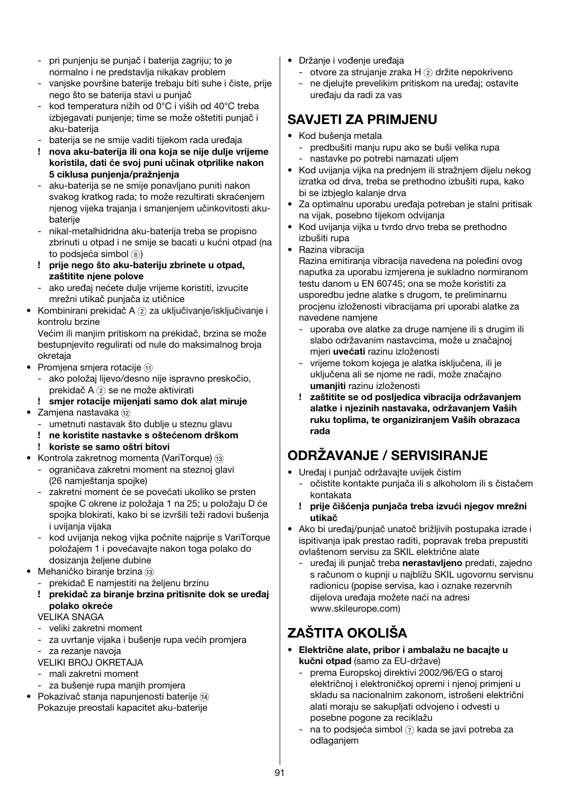- pri punjenju se punjač i baterija zagriju; to je normalno i ne predstavlja nikakav problem
- vanjske površine baterije trebaju biti suhe i čiste, prije nego što se baterija stavi u punjač
- kod temperatura nižih od 0°C i viših od 40°C treba izbjegavati punjenje; time se može oštetiti punjač i aku-baterija
- baterija se ne smije vaditi tijekom rada uređaja
- **! nova aku-baterija ili ona koja se nije dulje vrijeme koristila, dati će svoj puni učinak otprilike nakon 5 ciklusa punjenja/pražnjenja**
- aku-baterija se ne smije ponavljano puniti nakon svakog kratkog rada; to može rezultirati skraćenjem njenog vijeka trajanja i smanjenjem učinkovitosti akubaterije
- nikal-metalhidridna aku-baterija treba se propisno zbrinuti u otpad i ne smije se bacati u kućni otpad (na to podsjeća simbol (8)
- **! prije nego što aku-bateriju zbrinete u otpad, zaštitite njene polove**
- ako uređaj nećete dulje vrijeme koristiti, izvucite mrežni utikač punjača iz utičnice
- Kombinirani prekidač A 2 za uključivanje/isključivanje i kontrolu brzine

 Većim ili manjim pritiskom na prekidač, brzina se može bestupnjevito regulirati od nule do maksimalnog broja okretaja

- $\bullet$  Promjena smjera rotacije  $\textcircled{\tiny{1}}$ 
	- ako položaj lijevo/desno nije ispravno preskočio, prekidač A 2 se ne može aktivirati
	- **! smjer rotacije mijenjati samo dok alat miruje**
- Zamjena nastavaka @
	- umetnuti nastavak što dublje u steznu glavu
	- **! ne koristite nastavke s oštećenom drškom**
	- **! koriste se samo oštri bitovi**
- Kontrola zakretnog momenta (VariTorque) @
	- ograničava zakretni moment na steznoj glavi (26 namještanja spojke)
	- zakretni moment će se povećati ukoliko se prsten spojke C okrene iz položaja 1 na 25; u položaju D će spojka blokirati, kako bi se izvršili teži radovi bušenja i uvijanja vijaka
	- kod uvijanja nekog vijka počnite najprije s VariTorque položajem 1 i povećavajte nakon toga polako do dosizanja željene dubine
- Mehaničko biranje brzina @
	- prekidač E namjestiti na željenu brzinu
	- **! prekidač za biranje brzina pritisnite dok se uređaj polako okreće**

#### VELIKA SNAGA

- veliki zakretni moment
- za uvrtanje vijaka i bušenje rupa većih promjera
- za rezanie navoja
- VELIKI BROJ OKRETAJA
- mali zakretni moment
- za bušenje rupa manjih promjera
- Pokazivač stanja napunjenosti baterije (14) Pokazuje preostali kapacitet aku-baterije
- Držanje i vođenje uređaja
	- otvore za strujanje zraka H 2 držite nepokriveno
	- ne djelujte prevelikim pritiskom na uređaj; ostavite uređaju da radi za vas

### **SAVJETI ZA PRIMJENU**

- Kod bušenja metala
	- predbušiti manju rupu ako se buši velika rupa
	- nastavke po potrebi namazati uljem
- Kod uvijanja vijka na prednjem ili stražnjem dijelu nekog izratka od drva, treba se prethodno izbušiti rupa, kako bi se izbjeglo kalanje drva
- Za optimalnu uporabu uređaja potreban je stalni pritisak na vijak, posebno tijekom odvijanja
- Kod uvijanja vijka u tvrdo drvo treba se prethodno izbušiti rupa
- Razina vibracija

 Razina emitiranja vibracija navedena na poleđini ovog naputka za uporabu izmjerena je sukladno normiranom testu danom u EN 60745; ona se može koristiti za usporedbu jedne alatke s drugom, te preliminarnu procjenu izloženosti vibracijama pri uporabi alatke za navedene namjene

- uporaba ove alatke za druge namjene ili s drugim ili slabo održavanim nastavcima, može u značajnoj mjeri **uvećati** razinu izloženosti
- vrijeme tokom kojega je alatka isključena, ili je uključena ali se njome ne radi, može značajno **umanjiti** razinu izloženosti
- **! zaštitite se od posljedica vibracija održavanjem alatke i njezinih nastavaka, održavanjem Vaših ruku toplima, te organiziranjem Vaših obrazaca rada**

### **ODRŽAVANJE / SERVISIRANJE**

- Uređaj i punjač održavajte uvijek čistim
	- očistite kontakte punjača ili s alkoholom ili s čistačem kontakata
	- **! prije čišćenja punjača treba izvući njegov mrežni utikač**
- Ako bi uređaj/punjač unatoč brižljivih postupaka izrade i ispitivanja ipak prestao raditi, popravak treba prepustiti ovlaštenom servisu za SKIL električne alate
	- uređaj ili punjač treba **nerastavljeno** predati, zajedno s računom o kupnji u najbližu SKIL ugovornu servisnu radionicu (popise servisa, kao i oznake rezervnih dijelova uređaja možete naći na adresi www.skileurope.com)

### **ZAŠTITA OKOLIŠA**

- **Električne alate, pribor i ambalažu ne bacajte u kučni otpad** (samo za EU-države)
	- prema Europskoj direktivi 2002/96/EG o staroi električnoj i elektroničkoj opremi i njenoj primjeni u skladu sa nacionalnim zakonom, istrošeni električni alati moraju se sakupljati odvojeno i odvesti u posebne pogone za reciklažu
	- na to podsjeća simbol (7) kada se javi potreba za odlaganjem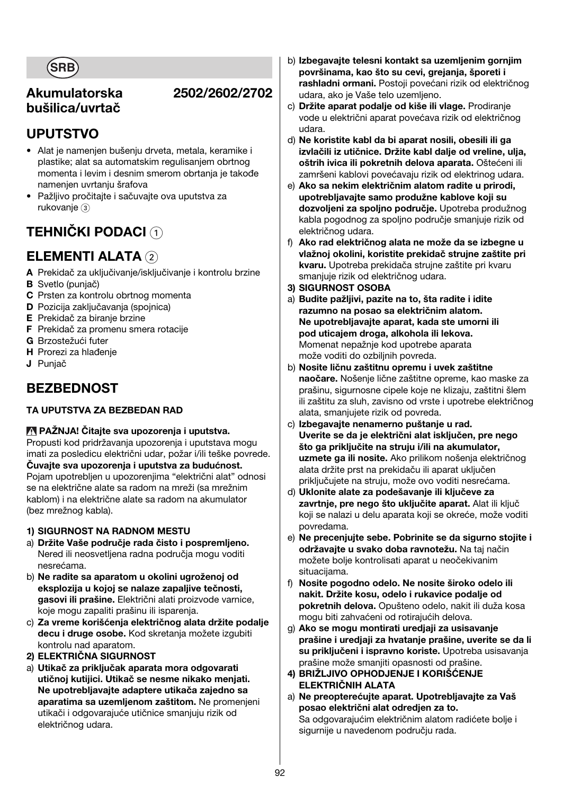

### **Akumulatorska 2502/2602/2702 bušilica/uvrtač**

### **UPUTSTVO**

- Alat je namenjen bušenju drveta, metala, keramike i plastike; alat sa automatskim regulisanjem obrtnog momenta i levim i desnim smerom obrtanja je takođe namenjen uvrtanju šrafova
- Pažljivo pročitajte i sačuvajte ova uputstva za rukovanje 3

## **TEHNIČKI PODACI** (1)

### **ELEMENTI ALATA** 2

- **A** Prekidač za uključivanje/isključivanje i kontrolu brzine
- **B** Svetlo (punjač)
- **C** Prsten za kontrolu obrtnog momenta
- **D** Pozicija zaključavanja (spojnica)
- **E** Prekidač za biranje brzine
- **F** Prekidač za promenu smera rotacije
- **G** Brzostežući futer
- **H** Prorezi za hlađenje
- **J** Punjač

### **BEZBEDNOST**

### **TA UPUTSTVA ZA BEZBEDAN RAD**

#### **PAŽNJA! Čitajte sva upozorenja i uputstva.**

Propusti kod pridržavanja upozorenja i uputstava mogu imati za posledicu električni udar, požar i/ili teške povrede. **Čuvajte sva upozorenja i uputstva za budućnost.** Pojam upotrebljen u upozorenjima "električni alat" odnosi se na električne alate sa radom na mreži (sa mrežnim kablom) i na električne alate sa radom na akumulator (bez mrežnog kabla).

### **1) SIGURNOST NA RADNOM MESTU**

- a) **Držite Vaše područje rada čisto i pospremljeno.** Nered ili neosvetljena radna područja mogu voditi nesrećama.
- b) **Ne radite sa aparatom u okolini ugroženoj od eksplozija u kojoj se nalaze zapaljive tečnosti, gasovi ili prašine.** Električni alati proizvode varnice, koje mogu zapaliti prašinu ili isparenja.
- c) **Za vreme korišćenja električnog alata držite podalje decu i druge osobe.** Kod skretanja možete izgubiti kontrolu nad aparatom.
- **2) ELEKTRIČNA SIGURNOST**
- a) **Utikač za priključak aparata mora odgovarati utičnoj kutijici. Utikač se nesme nikako menjati. Ne upotrebljavajte adaptere utikača zajedno sa aparatima sa uzemljenom zaštitom.** Ne promenjeni utikači i odgovarajuće utičnice smanjuju rizik od električnog udara.
- b) **Izbegavajte telesni kontakt sa uzemljenim gornjim površinama, kao što su cevi, grejanja, šporeti i rashladni ormani.** Postoji povećani rizik od električnog udara, ako je Vaše telo uzemljeno.
- c) **Držite aparat podalje od kiše ili vlage.** Prodiranje vode u električni aparat povećava rizik od električnog udara.
- d) **Ne koristite kabl da bi aparat nosili, obesili ili ga izvlačili iz utičnice. Držite kabl dalje od vreline, ulja, oštrih ivica ili pokretnih delova aparata.** Oštećeni ili zamršeni kablovi povećavaju rizik od elektrinog udara.
- e) **Ako sa nekim električnim alatom radite u prirodi, upotrebljavajte samo produžne kablove koji su dozvoljeni za spoljno područje.** Upotreba produžnog kabla pogodnog za spoljno područje smanjuje rizik od električnog udara.
- f) **Ako rad električnog alata ne može da se izbegne u vlažnoj okolini, koristite prekidač strujne zaštite pri kvaru.** Upotreba prekidača strujne zaštite pri kvaru smanjuje rizik od električnog udara.
- **3) SIGURNOST OSOBA**
- a) **Budite pažljivi, pazite na to, šta radite i idite razumno na posao sa električnim alatom. Ne upotrebljavajte aparat, kada ste umorni ili pod uticajem droga, alkohola ili lekova.** Momenat nepažnje kod upotrebe aparata može voditi do ozbiljnih povreda.
- b) **Nosite ličnu zaštitnu opremu i uvek zaštitne naočare.** Nošenje lične zaštitne opreme, kao maske za prašinu, sigurnosne cipele koje ne klizaju, zaštitni šlem ili zaštitu za sluh, zavisno od vrste i upotrebe električnog alata, smanjujete rizik od povreda.
- c) **Izbegavajte nenamerno puštanje u rad. Uverite se da je električni alat isključen, pre nego što ga priključite na struju i/ili na akumulator, uzmete ga ili nosite.** Ako prilikom nošenja električnog alata držite prst na prekidaču ili aparat uključen priključujete na struju, može ovo voditi nesrećama.
- d) **Uklonite alate za podešavanje ili ključeve za zavrtnje, pre nego što uključite aparat.** Alat ili ključ koji se nalazi u delu aparata koji se okreće, može voditi povredama.
- e) **Ne precenjujte sebe. Pobrinite se da sigurno stojite i održavajte u svako doba ravnotežu.** Na taj način možete bolje kontrolisati aparat u neočekivanim situacijama.
- f) **Nosite pogodno odelo. Ne nosite široko odelo ili nakit. Držite kosu, odelo i rukavice podalje od pokretnih delova.** Opušteno odelo, nakit ili duža kosa mogu biti zahvaćeni od rotirajućih delova.
- g) **Ako se mogu montirati uredjaji za usisavanje prašine i uredjaji za hvatanje prašine, uverite se da li su priključeni i ispravno koriste.** Upotreba usisavanja prašine može smanjiti opasnosti od prašine.
- **4) BRIŽLJIVO OPHODJENJE I KORIŠĆENJE ELEKTRIČNIH ALATA**

#### a) **Ne preopterećujte aparat. Upotrebljavajte za Vaš posao električni alat odredjen za to.** Sa odgovarajućim električnim alatom radićete bolje i sigurnije u navedenom području rada.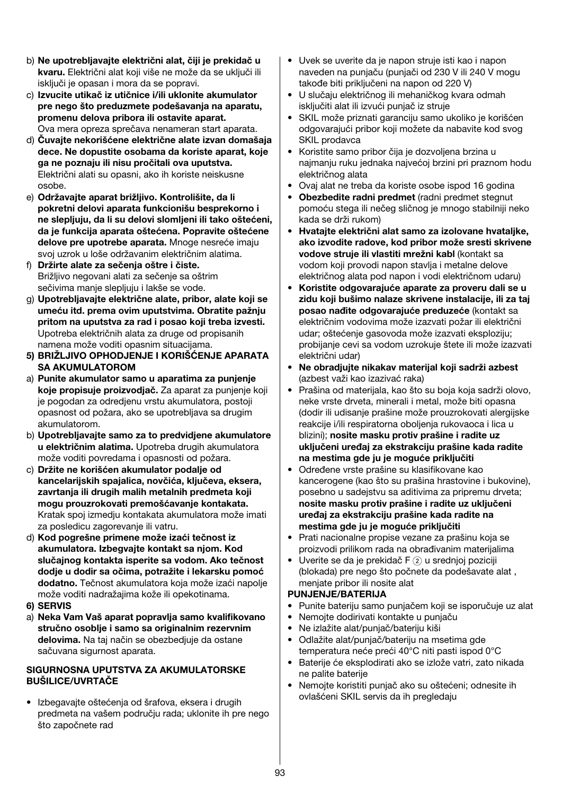- b) **Ne upotrebljavajte električni alat, čiji je prekidač u kvaru.** Električni alat koji više ne može da se uključi ili isključi je opasan i mora da se popravi.
- c) **Izvucite utikač iz utičnice i/ili uklonite akumulator pre nego što preduzmete podešavanja na aparatu, promenu delova pribora ili ostavite aparat.** Ova mera opreza sprečava nenameran start aparata.
- d) **Čuvajte nekorišćene električne alate izvan domašaja dece. Ne dopustite osobama da koriste aparat, koje ga ne poznaju ili nisu pročitali ova uputstva.** Električni alati su opasni, ako ih koriste neiskusne osobe.
- e) **Održavajte aparat brižljivo. Kontrolišite, da li pokretni delovi aparata funkcionišu besprekorno i ne slepljuju, da li su delovi slomljeni ili tako oštećeni, da je funkcija aparata oštećena. Popravite oštećene delove pre upotrebe aparata.** Mnoge nesreće imaju svoj uzrok u loše održavanim električnim alatima.
- f) **Držirte alate za sečenja oštre i čiste.** Brižljivo negovani alati za sečenje sa oštrim sečivima manje slepljuju i lakše se vode.
- g) **Upotrebljavajte električne alate, pribor, alate koji se umeću itd. prema ovim uputstvima. Obratite pažnju pritom na uputstva za rad i posao koji treba izvesti.** Upotreba električnih alata za druge od propisanih namena može voditi opasnim situacijama.
- **5) BRIŽLJIVO OPHODJENJE I KORIŠĆENJE APARATA SA AKUMULATOROM**
- a) **Punite akumulator samo u aparatima za punjenje koje propisuje proizvodjač.** Za aparat za punjenje koji je pogodan za odredjenu vrstu akumulatora, postoji opasnost od požara, ako se upotrebljava sa drugim akumulatorom.
- b) **Upotrebljavajte samo za to predvidjene akumulatore u električnim alatima.** Upotreba drugih akumulatora može voditi povredama i opasnosti od požara.
- c) **Držite ne korišćen akumulator podalje od kancelarijskih spajalica, novčića, ključeva, eksera, zavrtanja ili drugih malih metalnih predmeta koji mogu prouzrokovati premošćavanje kontakata.** Kratak spoj izmedju kontakata akumulatora može imati za posledicu zagorevanje ili vatru.
- d) **Kod pogrešne primene može izaći tečnost iz akumulatora. Izbegvajte kontakt sa njom. Kod slučajnog kontakta isperite sa vodom. Ako tečnost dodje u dodir sa očima, potražite i lekarsku pomoć dodatno.** Tečnost akumulatora koja može izaći napolje može voditi nadražajima kože ili opekotinama.
- **6) SERVIS**
- a) **Neka Vam Vaš aparat popravlja samo kvalifikovano stručno osoblje i samo sa originalnim rezervnim delovima.** Na taj način se obezbedjuje da ostane sačuvana sigurnost aparata.

#### **SIGURNOSNA UPUTSTVA ZA AKUMULATORSKE BUŠILICE/UVRTAČE**

• Izbegavajte oštećenja od šrafova, eksera i drugih predmeta na vašem području rada; uklonite ih pre nego što započnete rad

- Uvek se uverite da je napon struje isti kao i napon naveden na punjaču (punjači od 230 V ili 240 V mogu takođe biti priključeni na napon od 220 V)
- U slučaju električnog ili mehaničkog kvara odmah isključiti alat ili izvući punjač iz struje
- SKIL može priznati garanciju samo ukoliko je korišćen odgovarajući pribor koji možete da nabavite kod svog SKIL prodavca
- Koristite samo pribor čija je dozvoljena brzina u najmanju ruku jednaka najvećoj brzini pri praznom hodu električnog alata
- Ovaj alat ne treba da koriste osobe ispod 16 godina
- **Obezbedite radni predmet** (radni predmet stegnut pomoću stega ili nečeg sličnog je mnogo stabilniji neko kada se drži rukom)
- **Hvatajte električni alat samo za izolovane hvataljke, ako izvodite radove, kod pribor može sresti skrivene vodove struje ili vlastiti mrežni kabl** (kontakt sa vodom koji provodi napon stavlja i metalne delove električnog alata pod napon i vodi električnom udaru)
- **Koristite odgovarajuće aparate za proveru dali se u zidu koji bušimo nalaze skrivene instalacije, ili za taj posao nađite odgovarajuće preduzeće** (kontakt sa električnim vodovima može izazvati požar ili električni udar; oštećenje gasovoda može izazvati eksploziju; probijanje cevi sa vodom uzrokuje štete ili može izazvati električni udar)
- **Ne obradjujte nikakav materijal koji sadrži azbest** (azbest važi kao izazivać raka)
- Prašina od materijala, kao što su boja koja sadrži olovo, neke vrste drveta, minerali i metal, može biti opasna (dodir ili udisanje prašine može prouzrokovati alergijske reakcije i/ili respiratorna oboljenja rukovaoca i lica u blizini); **nosite masku protiv prašine i radite uz uključeni uređaj za ekstrakciju prašine kada radite na mestima gde ju je moguće priključiti**
- Određene vrste prašine su klasifikovane kao kancerogene (kao što su prašina hrastovine i bukovine), posebno u sadejstvu sa aditivima za pripremu drveta; **nosite masku protiv prašine i radite uz uključeni uređaj za ekstrakciju prašine kada radite na mestima gde ju je moguće priključiti**
- Prati nacionalne propise vezane za prašinu koja se proizvodi prilikom rada na obrađivanim materijalima
- Uverite se da je prekidač F 2 u srednjoj poziciji (blokada) pre nego što počnete da podešavate alat , menjate pribor ili nosite alat

### **PUNJENJE/BATERIJA**

- Punite bateriju samo punjačem koji se isporučuje uz alat
- Nemojte dodirivati kontakte u punjaču
- Ne izlažite alat/punjač/bateriju kiši
- Odlažite alat/punjač/bateriju na msetima gde temperatura neće preći 40°C niti pasti ispod 0°C
- Baterije će eksplodirati ako se izlože vatri, zato nikada ne palite baterije
- Nemojte koristiti punjač ako su oštećeni; odnesite ih ovlašćeni SKIL servis da ih pregledaju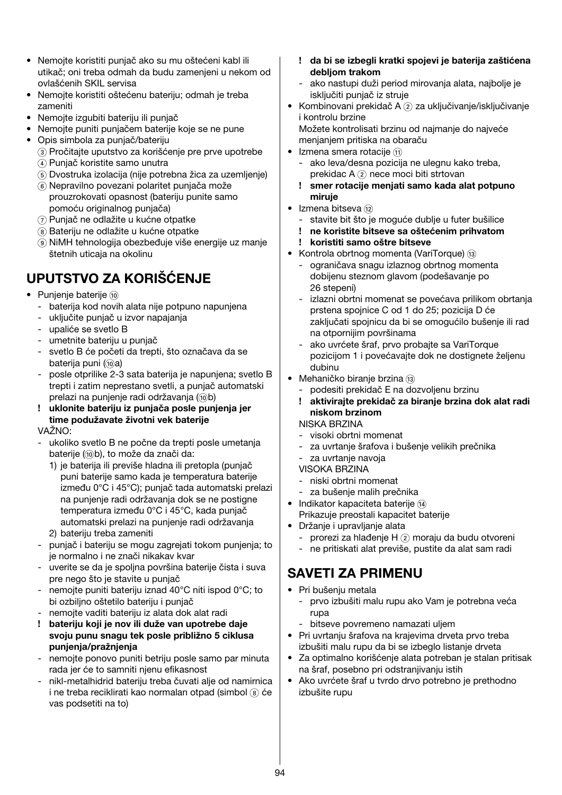- Nemojte koristiti punjač ako su mu oštećeni kabl ili utikač; oni treba odmah da budu zamenjeni u nekom od ovlašćenih SKIL servisa
- Nemojte koristiti oštećenu bateriju; odmah je treba zameniti
- Nemojte izgubiti bateriju ili punjač
- Nemojte puniti punjačem baterije koje se ne pune
- Opis simbola za punjač/bateriju
	- 3 Pročitajte uputstvo za korišćenje pre prve upotrebe
	- 4 Punjač koristite samo unutra
	- 5 Dvostruka izolacija (nije potrebna žica za uzemljenje)
	- 6 Nepravilno povezani polaritet punjača može prouzrokovati opasnost (bateriju punite samo pomoću originalnog punjača)
	- 7 Punjač ne odlažite u kućne otpatke
	- 8 Bateriju ne odlažite u kućne otpatke
	- 9 NiMH tehnologija obezbeđuje više energije uz manje štetnih uticaja na okolinu

### **UPUTSTVO ZA KORIŠĆENJE**

- $\bullet$  Punjenje baterije  $\omega$ 
	- baterija kod novih alata nije potpuno napunjena
	- uključite punjač u izvor napajanja
	- upaliće se svetlo B
	- umetnite bateriju u punjač
	- svetlo B će početi da trepti, što označava da se baterija puni (@a)
	- posle otprilike 2-3 sata baterija je napunjena; svetlo B trepti i zatim neprestano svetli, a punjač automatski prelazi na punjenje radi održavanja (10b)
	- **! uklonite bateriju iz punjača posle punjenja jer time podužavate životni vek baterije**

#### VAŽNO:

- ukoliko svetlo B ne počne da trepti posle umetanja baterije (@b), to može da znači da:
	- 1) je baterija ili previše hladna ili pretopla (punjač puni baterije samo kada je temperatura baterije između 0°C i 45°C); punjač tada automatski prelazi na punjenje radi održavanja dok se ne postigne temperatura između 0°C i 45°C, kada punjač automatski prelazi na punjenje radi održavanja 2) bateriju treba zameniti
- punjač i bateriju se mogu zagrejati tokom punjenja; to je normalno i ne znači nikakav kvar
- uverite se da je spoljna površina baterije čista i suva pre nego što je stavite u punjač
- nemojte puniti bateriju iznad 40°C niti ispod 0°C; to bi ozbiljno oštetilo bateriju i punjač
- nemojte vaditi bateriju iz alata dok alat radi
- **! bateriju koji je nov ili duže van upotrebe daje svoju punu snagu tek posle približno 5 ciklusa punjenja/pražnjenja**
- nemojte ponovo puniti betriju posle samo par minuta rada jer će to samniti njenu efikasnost
- nikl-metalhidrid bateriju treba čuvati alje od namirnica i ne treba reciklirati kao normalan otpad (simbol 8) će vas podsetiti na to)
- **! da bi se izbegli kratki spojevi je baterija zaštićena debljom trakom**
- ako nastupi duži period mirovanja alata, najbolje je isključiti punjač iz struje
- $\bullet$  Kombinovani prekidač A $\odot$  za uključivanje/isključivanje i kontrolu brzine

 Možete kontrolisati brzinu od najmanje do najveće menjanjem pritiska na obaraču

- $\bullet$  Izmena smera rotacije  $\omega$ 
	- ako leva/desna pozicija ne ulegnu kako treba, prekidac A 2 nece moci biti strtovan
	- **! smer rotacije menjati samo kada alat potpuno miruje**
- Izmena bitseva @
	- stavite bit što je moguće dublie u futer bušilice
	- **! ne koristite bitseve sa oštećenim prihvatom**
	- **! koristiti samo oštre bitseve**
- Kontrola obrtnog momenta (VariTorque) (i3)
	- ograničava snagu izlaznog obrtnog momenta dobijenu steznom glavom (podešavanje po 26 stepeni)
	- izlazni obrtni momenat se povećava prilikom obrtanja prstena spojnice C od 1 do 25; pozicija D će zaključati spojnicu da bi se omogućilo bušenje ili rad na otpornijim površinama
	- ako uvrćete šraf, prvo probajte sa VariTorque pozicijom 1 i povećavajte dok ne dostignete željenu dubinu
- Mehaničko biranje brzina @
	- podesiti prekidač E na dozvoljenu brzinu
	- **! aktivirajte prekidač za biranje brzina dok alat radi niskom brzinom**

#### NISKA BRZINA

- visoki obrtni momenat
- za uvrtanje šrafova i bušenje velikih prečnika
- za uvrtanje navoja

#### VISOKA BRZINA

- niski obrtni momenat
- za bušenje malih prečnika
- $\bullet$  Indikator kapaciteta baterije  $\tan$ Prikazuje preostali kapacitet baterije
- Držanje i upravljanje alata
	- prorezi za hlađenje H 2 moraju da budu otvoreni
	- ne pritiskati alat previše, pustite da alat sam radi

### **SAVETI ZA PRIMENU**

- Pri bušenju metala
	- prvo izbušiti malu rupu ako Vam je potrebna veća rupa
	- bitseve povremeno namazati uljem
- Pri uvrtanju šrafova na krajevima drveta prvo treba izbušiti malu rupu da bi se izbeglo listanje drveta
- Za optimalno korišćenje alata potreban je stalan pritisak na šraf, posebno pri odstranjivanju istih
- Ako uvrćete šraf u tvrdo drvo potrebno je prethodno izbušite rupu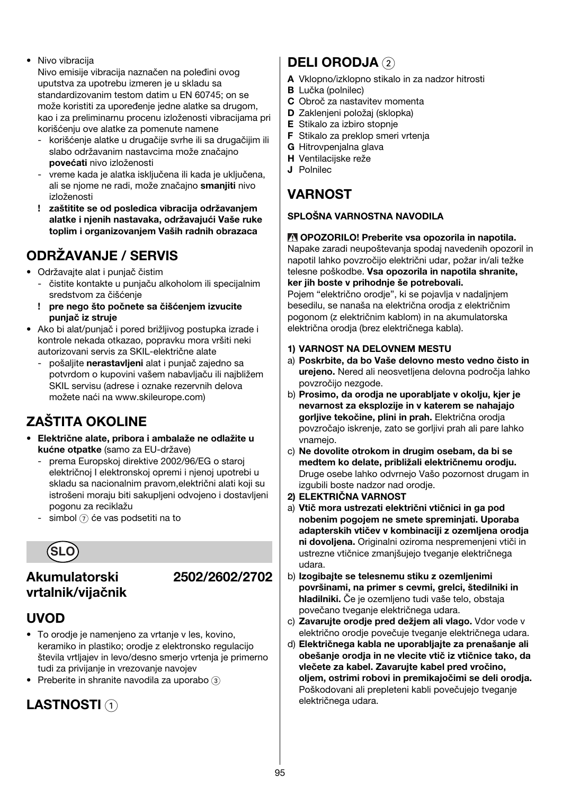• Nivo vibracija

 Nivo emisije vibracija naznačen na poleđini ovog uputstva za upotrebu izmeren je u skladu sa standardizovanim testom datim u EN 60745; on se može koristiti za upoređenje jedne alatke sa drugom, kao i za preliminarnu procenu izloženosti vibracijama pri korišćenju ove alatke za pomenute namene

- korišćenje alatke u drugačije svrhe ili sa drugačijim ili slabo održavanim nastavcima može značajno **povećati** nivo izloženosti
- vreme kada je alatka isključena ili kada je uključena, ali se njome ne radi, može značajno **smanjiti** nivo izloženosti
- **! zaštitite se od posledica vibracija održavanjem alatke i njenih nastavaka, održavajući Vaše ruke toplim i organizovanjem Vaših radnih obrazaca**

### **ODRŽAVANJE / SERVIS**

- Održavajte alat i punjač čistim
	- čistite kontakte u punjaču alkoholom ili specijalnim sredstvom za čišćenje
	- **! pre nego što počnete sa čišćenjem izvucite punjač iz struje**
- Ako bi alat/punjač i pored brižljivog postupka izrade i kontrole nekada otkazao, popravku mora vršiti neki autorizovani servis za SKIL-električne alate
	- pošaljite **nerastavljeni** alat i punjač zajedno sa potvrdom o kupovini vašem nabavljaču ili najbližem SKIL servisu (adrese i oznake rezervnih delova možete naći na www.skileurope.com)

### **ZAŠTITA OKOLINE**

- **Električne alate, pribora i ambalaže ne odlažite u kućne otpatke** (samo za EU-države)
	- prema Europskoj direktive 2002/96/EG o staroj električnoj I elektronskoj opremi i njenoj upotrebi u skladu sa nacionalnim pravom,električni alati koji su istrošeni moraju biti sakupljeni odvojeno i dostavljeni pogonu za reciklažu
	- simbol  $(\widehat{7})$  će vas podsetiti na to

# **SLO**

# **vrtalnik/vijačnik**

# **Akumulatorski 2502/2602/2702**

### **UVOD**

- To orodje je namenjeno za vrtanje v les, kovino, keramiko in plastiko; orodje z elektronsko regulacijo števila vrtljajev in levo/desno smerjo vrtenja je primerno tudi za privijanje in vrezovanje navojev
- Preberite in shranite navodila za uporabo  $(3)$

### **LASTNOSTI** 1

### **DELI ORODJA** 2

- **A** Vklopno/izklopno stikalo in za nadzor hitrosti
- **B** Lučka (polnilec)
- **C** Obroč za nastavitev momenta
- **D** Zaklenjeni položaj (sklopka)
- **E** Stikalo za izbiro stopnje
- **F** Stikalo za preklop smeri vrtenja
- **G** Hitrovpenialna glava
- **H** Ventilacijske reže
- **J** Polnilec

### **VARNOST**

#### **SPLOŠNA VARNOSTNA NAVODILA**

#### **OPOZORILO! Preberite vsa opozorila in napotila.**

Napake zaradi neupoštevanja spodaj navedenih opozoril in napotil lahko povzročijo električni udar, požar in/ali težke telesne poškodbe. **Vsa opozorila in napotila shranite, ker jih boste v prihodnje še potrebovali.**

Pojem "električno orodje", ki se pojavlja v nadaljnjem besedilu, se nanaša na električna orodja z električnim pogonom (z električnim kablom) in na akumulatorska električna orodja (brez električnega kabla).

#### **1) VARNOST NA DELOVNEM MESTU**

- a) **Poskrbite, da bo Vaše delovno mesto vedno čisto in urejeno.** Nered ali neosvetljena delovna področja lahko povzročijo nezgode.
- b) **Prosimo, da orodja ne uporabljate v okolju, kjer je nevarnost za eksplozije in v katerem se nahajajo gorljive tekočine, plini in prah.** Električna orodja povzročajo iskrenje, zato se gorljivi prah ali pare lahko vnamejo.
- c) **Ne dovolite otrokom in drugim osebam, da bi se medtem ko delate, približali električnemu orodju.** Druge osebe lahko odvrnejo Vašo pozornost drugam in izgubili boste nadzor nad orodje.
- **2) ELEKTRIČNA VARNOST**
- a) **Vtič mora ustrezati električni vtičnici in ga pod nobenim pogojem ne smete spreminjati. Uporaba adapterskih vtičev v kombinaciji z ozemljena orodja ni dovoljena.** Originalni oziroma nespremenjeni vtiči in ustrezne vtičnice zmanjšujejo tveganje električnega udara.
- b) **Izogibajte se telesnemu stiku z ozemljenimi površinami, na primer s cevmi, grelci, štedilniki in hladilniki.** Če je ozemljeno tudi vaše telo, obstaja povečano tveganje električnega udara.
- c) **Zavarujte orodje pred dežjem ali vlago.** Vdor vode v električno orodje povečuje tveganje električnega udara.
- d) **Električnega kabla ne uporabljajte za prenašanje ali obešanje orodja in ne vlecite vtič iz vtičnice tako, da vlečete za kabel. Zavarujte kabel pred vročino, oljem, ostrimi robovi in premikajočimi se deli orodja.** Poškodovani ali prepleteni kabli povečujejo tveganje električnega udara.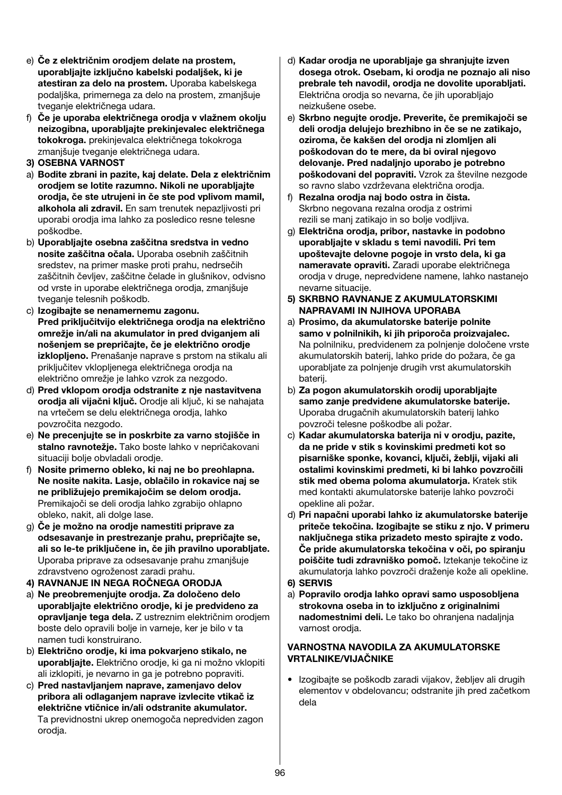- e) **Če z električnim orodjem delate na prostem, uporabljajte izključno kabelski podaljšek, ki je atestiran za delo na prostem.** Uporaba kabelskega podaljška, primernega za delo na prostem, zmanjšuje tveganje električnega udara.
- f) **Če je uporaba električnega orodja v vlažnem okolju neizogibna, uporabljajte prekinjevalec električnega tokokroga.** prekinjevalca električnega tokokroga zmanjšuje tveganje električnega udara.
- **3) OSEBNA VARNOST**
- a) **Bodite zbrani in pazite, kaj delate. Dela z električnim orodjem se lotite razumno. Nikoli ne uporabljajte orodja, če ste utrujeni in če ste pod vplivom mamil, alkohola ali zdravil.** En sam trenutek nepazljivosti pri uporabi orodja ima lahko za posledico resne telesne poškodbe.
- b) **Uporabljajte osebna zaščitna sredstva in vedno nosite zaščitna očala.** Uporaba osebnih zaščitnih sredstev, na primer maske proti prahu, nedrsečih zaščitnih čevljev, zaščitne čelade in glušnikov, odvisno od vrste in uporabe električnega orodja, zmanjšuje tveganje telesnih poškodb.
- c) **Izogibajte se nenamernemu zagonu. Pred priključitvijo električnega orodja na električno omrežje in/ali na akumulator in pred dviganjem ali nošenjem se prepričajte, če je električno orodje izklopljeno.** Prenašanje naprave s prstom na stikalu ali priključitev vklopljenega električnega orodja na električno omrežje je lahko vzrok za nezgodo.
- d) **Pred vklopom orodja odstranite z nje nastavitvena orodja ali vijačni ključ.** Orodje ali ključ, ki se nahajata na vrtečem se delu električnega orodja, lahko povzročita nezgodo.
- e) **Ne precenjujte se in poskrbite za varno stojišče in stalno ravnotežje.** Tako boste lahko v nepričakovani situaciji bolje obvladalj orodje.
- f) **Nosite primerno obleko, ki naj ne bo preohlapna. Ne nosite nakita. Lasje, oblačilo in rokavice naj se ne približujejo premikajočim se delom orodja.** Premikajoči se deli orodja lahko zgrabijo ohlapno obleko, nakit, ali dolge lase.
- g) **Če je možno na orodje namestiti priprave za odsesavanje in prestrezanje prahu, prepričajte se, ali so le-te priključene in, če jih pravilno uporabljate.** Uporaba priprave za odsesavanje prahu zmanjšuje zdravstveno ogroženost zaradi prahu.
- **4) RAVNANJE IN NEGA ROČNEGA ORODJA**
- a) **Ne preobremenjujte orodja. Za določeno delo uporabljajte električno orodje, ki je predvideno za opravljanje tega dela.** Z ustreznim električnim orodjem boste delo opravili bolje in varneje, ker je bilo v ta namen tudi konstruirano.
- b) **Električno orodje, ki ima pokvarjeno stikalo, ne uporabljajte.** Električno orodje, ki ga ni možno vklopiti ali izklopiti, je nevarno in ga je potrebno popraviti.
- c) **Pred nastavljanjem naprave, zamenjavo delov pribora ali odlaganjem naprave izvlecite vtikač iz električne vtičnice in/ali odstranite akumulator.** Ta previdnostni ukrep onemogoča nepredviden zagon orodja.
- d) **Kadar orodja ne uporabljaje ga shranjujte izven dosega otrok. Osebam, ki orodja ne poznajo ali niso prebrale teh navodil, orodja ne dovolite uporabljati.** Električna orodja so nevarna, če jih uporabljajo neizkušene osebe.
- e) **Skrbno negujte orodje. Preverite, če premikajoči se deli orodja delujejo brezhibno in če se ne zatikajo, oziroma, če kakšen del orodja ni zlomljen ali poškodovan do te mere, da bi oviral njegovo delovanje. Pred nadaljnjo uporabo je potrebno poškodovani del popraviti.** Vzrok za številne nezgode so ravno slabo vzdrževana električna orodja.
- f) **Rezalna orodja naj bodo ostra in čista.** Skrbno negovana rezalna orodja z ostrimi rezili se manj zatikajo in so bolje vodljiva.
- g) **Električna orodja, pribor, nastavke in podobno uporabljajte v skladu s temi navodili. Pri tem upoštevajte delovne pogoje in vrsto dela, ki ga nameravate opraviti.** Zaradi uporabe električnega orodja v druge, nepredvidene namene, lahko nastanejo nevarne situacije.
- **5) SKRBNO RAVNANJE Z AKUMULATORSKIMI NAPRAVAMI IN NJIHOVA UPORABA**
- a) **Prosimo, da akumulatorske baterije polnite samo v polnilnikih, ki jih priporoča proizvajalec.**  Na polnilniku, predvidenem za polnjenje določene vrste akumulatorskih baterij, lahko pride do požara, če ga uporabljate za polnjenje drugih vrst akumulatorskih baterij.
- b) **Za pogon akumulatorskih orodij uporabljajte samo zanje predvidene akumulatorske baterije.** Uporaba drugačnih akumulatorskih baterij lahko povzroči telesne poškodbe ali požar.
- c) **Kadar akumulatorska baterija ni v orodju, pazite, da ne pride v stik s kovinskimi predmeti kot so pisarniške sponke, kovanci, ključi, žeblji, vijaki ali ostalimi kovinskimi predmeti, ki bi lahko povzročili stik med obema poloma akumulatorja.** Kratek stik med kontakti akumulatorske baterije lahko povzroči opekline ali požar.
- d) **Pri napačni uporabi lahko iz akumulatorske baterije priteče tekočina. Izogibajte se stiku z njo. V primeru naključnega stika prizadeto mesto spirajte z vodo. Če pride akumulatorska tekočina v oči, po spiranju poiščite tudi zdravniško pomoč.** Iztekanje tekočine iz akumulatorja lahko povzroči draženje kože ali opekline.
- **6) SERVIS**
- a) **Popravilo orodja lahko opravi samo usposobljena strokovna oseba in to izključno z originalnimi nadomestnimi deli.** Le tako bo ohranjena nadaljnja varnost orodja.

#### **VARNOSTNA NAVODILA ZA AKUMULATORSKE VRTALNIKE/VIJAČNIKE**

• Izogibajte se poškodb zaradi vijakov, žebljev ali drugih elementov v obdelovancu; odstranite jih pred začetkom dela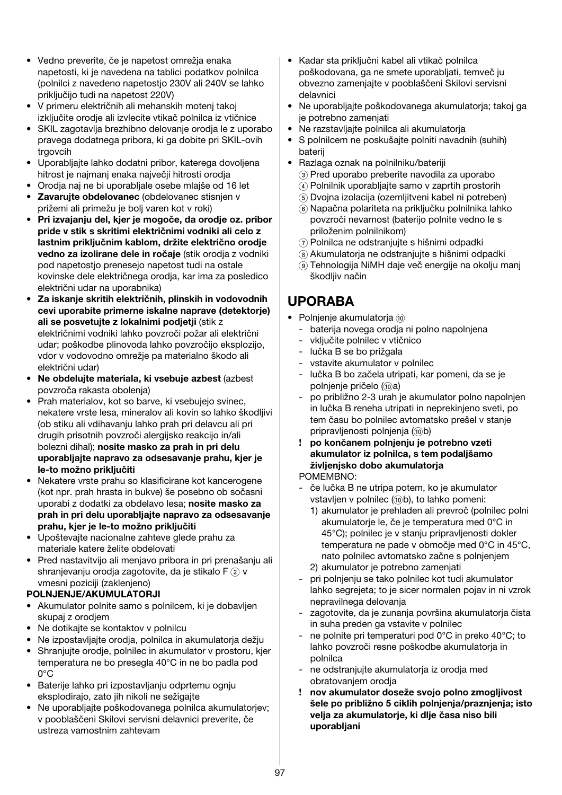- Vedno preverite, če je napetost omrežja enaka napetosti, ki je navedena na tablici podatkov polnilca (polnilci z navedeno napetostjo 230V ali 240V se lahko priključijo tudi na napetost 220V)
- V primeru električnih ali mehanskih motenj takoj izključite orodje ali izvlecite vtikač polnilca iz vtičnice
- SKIL zagotavlja brezhibno delovanje orodja le z uporabo pravega dodatnega pribora, ki ga dobite pri SKIL-ovih trgovcih
- Uporabljajte lahko dodatni pribor, katerega dovoljena hitrost je najmanj enaka največji hitrosti orodja
- Orodja naj ne bi uporabljale osebe mlajše od 16 let
- **Zavarujte obdelovanec** (obdelovanec stisnjen v prižemi ali primežu je bolj varen kot v roki)
- **Pri izvajanju del, kjer je mogoče, da orodje oz. pribor pride v stik s skritimi električnimi vodniki ali celo z lastnim priključnim kablom, držite električno orodje vedno za izolirane dele in ročaje** (stik orodja z vodniki pod napetostjo prenesejo napetost tudi na ostale kovinske dele električnega orodja, kar ima za posledico električni udar na uporabnika)
- **Za iskanje skritih električnih, plinskih in vodovodnih cevi uporabite primerne iskalne naprave (detektorje) ali se posvetujte z lokalnimi podjetji** (stik z električnimi vodniki lahko povzroči požar ali električni udar; poškodbe plinovoda lahko povzročijo eksplozijo, vdor v vodovodno omrežje pa materialno škodo ali električni udar)
- **Ne obdelujte materiala, ki vsebuje azbest** (azbest povzroča rakasta obolenja)
- Prah materialov, kot so barve, ki vsebujejo svinec, nekatere vrste lesa, mineralov ali kovin so lahko škodljivi (ob stiku ali vdihavanju lahko prah pri delavcu ali pri drugih prisotnih povzroči alergijsko reakcijo in/ali bolezni dihal); **nosite masko za prah in pri delu uporabljajte napravo za odsesavanje prahu, kjer je le-to možno priključiti**
- Nekatere vrste prahu so klasificirane kot kancerogene (kot npr. prah hrasta in bukve) še posebno ob sočasni uporabi z dodatki za obdelavo lesa; **nosite masko za prah in pri delu uporabljajte napravo za odsesavanje prahu, kjer je le-to možno priključiti**
- Upoštevajte nacionalne zahteve glede prahu za materiale katere želite obdelovati
- Pred nastavitvijo ali menjavo pribora in pri prenašanju ali shranjevanju orodja zagotovite, da je stikalo F 2 v vmesni poziciji (zaklenjeno)

#### **POLNJENJE/AKUMULATORJI**

- Akumulator polnite samo s polnilcem, ki je dobavljen skupaj z orodjem
- Ne dotikaite se kontaktov v polnilcu
- Ne izpostavliajte orodia, polnilca in akumulatoria dežiu
- Shranjujte orodje, polnilec in akumulator v prostoru, kjer temperatura ne bo presegla 40°C in ne bo padla pod 0°C
- Baterije lahko pri izpostavljanju odprtemu ognju eksplodirajo, zato jih nikoli ne sežigajte
- Ne uporabljajte poškodovanega polnilca akumulatorjev; v pooblaščeni Skilovi servisni delavnici preverite, če ustreza varnostnim zahtevam
- Kadar sta priključni kabel ali vtikač polnilca poškodovana, ga ne smete uporabljati, temveč ju obvezno zamenjajte v pooblaščeni Skilovi servisni delavnici
- Ne uporabljajte poškodovanega akumulatorja; takoj ga je potrebno zamenjati
- Ne razstavljajte polnilca ali akumulatorja
- S polnilcem ne poskušajte polniti navadnih (suhih) baterij
- Razlaga oznak na polnilniku/bateriji
	- 3 Pred uporabo preberite navodila za uporabo
	- 4 Polnilnik uporabljajte samo v zaprtih prostorih
	- 5 Dvojna izolacija (ozemljitveni kabel ni potreben)
	- 6 Napačna polariteta na priključku polnilnika lahko povzroči nevarnost (baterijo polnite vedno le s priloženim polnilnikom)
	- 7 Polnilca ne odstranjujte s hišnimi odpadki
	- 8 Akumulatorja ne odstranjujte s hišnimi odpadki
	- $\overline{9}$  Tehnologija NiMH daje več energije na okolju manj škodljiv način

### **UPORABA**

- $\bullet$  Polnjenje akumulatorja  $\omega$ 
	- baterija novega orodja ni polno napolnjena
	- vključite polnilec v vtičnico
	- lučka B se bo prižgala
	- vstavite akumulator v polnilec
	- lučka B bo začela utripati, kar pomeni, da se je polnjenje pričelo (@a)
	- po približno 2-3 urah je akumulator polno napolnjen in lučka B reneha utripati in neprekinjeno sveti, po tem času bo polnilec avtomatsko prešel v stanje pripravljenosti polnjenja (10b)
	- **! po končanem polnjenju je potrebno vzeti akumulator iz polnilca, s tem podaljšamo življenjsko dobo akumulatorja**

### POMEMBNO:

- če lučka B ne utripa potem, ko je akumulator vstavljen v polnilec (@b), to lahko pomeni:
	- 1) akumulator je prehladen ali prevroč (polnilec polni akumulatorje le, če je temperatura med 0°C in 45°C); polnilec je v stanju pripravljenosti dokler temperatura ne pade v območje med 0°C in 45°C, nato polnilec avtomatsko začne s polnjenjem 2) akumulator je potrebno zamenjati
- pri polnjenju se tako polnilec kot tudi akumulator lahko segrejeta; to je sicer normalen pojav in ni vzrok nepravilnega delovanja
- zagotovite, da je zunanja površina akumulatoria čista in suha preden ga vstavite v polnilec
- ne polnite pri temperaturi pod 0°C in preko 40°C; to lahko povzroči resne poškodbe akumulatorja in polnilca
- ne odstranjujte akumulatorja iz orodja med obratovanjem orodja
- **! nov akumulator doseže svojo polno zmogljivost šele po približno 5 ciklih polnjenja/praznjenja; isto velja za akumulatorje, ki dlje časa niso bili uporabljani**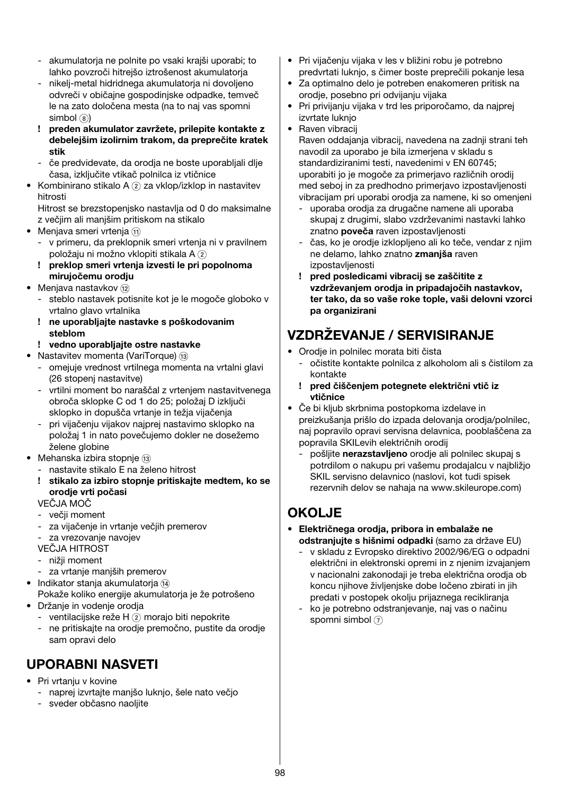- akumulatorja ne polnite po vsaki krajši uporabi; to lahko povzroči hitrejšo iztrošenost akumulatorja
- nikelj-metal hidridnega akumulatorja ni dovoljeno odvreči v običajne gospodinjske odpadke, temveč le na zato določena mesta (na to naj vas spomni simbol (8)
- **! preden akumulator zavržete, prilepite kontakte z debelejšim izolirnim trakom, da preprečite kratek stik**
- če predvidevate, da orodja ne boste uporabljali dlje časa, izključite vtikač polnilca iz vtičnice
- Kombinirano stikalo A $(2)$  za vklop/izklop in nastavitev hitrosti

 Hitrost se brezstopenjsko nastavlja od 0 do maksimalne z večjim ali manjšim pritiskom na stikalo

- Menjava smeri vrtenja (1)
	- v primeru, da preklopnik smeri vrtenja ni v pravilnem položaju ni možno vklopiti stikala A 2
	- **! preklop smeri vrtenja izvesti le pri popolnoma mirujočemu orodju**
- Menjava nastavkov @
	- steblo nastavek potisnite kot je le mogoče globoko v vrtalno glavo vrtalnika
	- **! ne uporabljajte nastavke s poškodovanim steblom**

#### **! vedno uporabljajte ostre nastavke**

- Nastavitev momenta (VariTorque) (i3)
	- omejuje vrednost vrtilnega momenta na vrtalni glavi (26 stopenj nastavitve)
	- vrtilni moment bo naraščal z vrtenjem nastavitvenega obroča sklopke C od 1 do 25; položaj D izključi sklopko in dopušča vrtanie in težia vijačenja
	- pri vijačenju vijakov najprej nastavimo sklopko na položaj 1 in nato povečujemo dokler ne dosežemo želene globine
- Mehanska izbira stopnje @
	- nastavite stikalo E na želeno hitrost
	- **! stikalo za izbiro stopnje pritiskajte medtem, ko se orodje vrti počasi**

VEČJA MOČ

- večji moment
- za vijačenje in vrtanje večjih premerov
- za vrezovanje navojev
- VEČJA HITROST
- nižji moment
- za vrtanje manjših premerov
- $\bullet$  Indikator stanja akumulatorja  $\widehat{A}$
- Pokaže koliko energije akumulatorja je že potrošeno
- Držanje in vodenje orodja
	- ventilacijske reže H 2 morajo biti nepokrite
	- ne pritiskajte na orodje premočno, pustite da orodje sam opravi delo

### **UPORABNI NASVETI**

- Pri vrtaniu v kovine
	- naprej izvrtajte manjšo luknjo, šele nato večjo
	- sveder občasno naoljite
- Pri vijačenju vijaka v les v bližini robu je potrebno predvrtati luknjo, s čimer boste preprečili pokanje lesa
- Za optimalno delo je potreben enakomeren pritisk na orodje, posebno pri odvijanju vijaka
- Pri privijanju vijaka v trd les priporočamo, da najprej izvrtate luknjo
- Raven vibracij

 Raven oddajanja vibracij, navedena na zadnji strani teh navodil za uporabo je bila izmerjena v skladu s standardiziranimi testi, navedenimi v EN 60745; uporabiti jo je mogoče za primerjavo različnih orodij med seboj in za predhodno primerjavo izpostavljenosti vibracijam pri uporabi orodja za namene, ki so omenjeni

- uporaba orodja za drugačne namene ali uporaba skupaj z drugimi, slabo vzdrževanimi nastavki lahko znatno **poveča** raven izpostavljenosti
- čas, ko je orodje izklopljeno ali ko teče, vendar z njim ne delamo, lahko znatno **zmanjša** raven izpostavljenosti
- **! pred posledicami vibracij se zaščitite z vzdrževanjem orodja in pripadajočih nastavkov, ter tako, da so vaše roke tople, vaši delovni vzorci pa organizirani**

### **VZDRŽEVANJE / SERVISIRANJE**

- Orodje in polnilec morata biti čista
	- očistite kontakte polnilca z alkoholom ali s čistilom za kontakte
	- **! pred čiščenjem potegnete električni vtič iz vtičnice**
- Če bi kljub skrbnima postopkoma izdelave in preizkušanja prišlo do izpada delovanja orodja/polnilec, naj popravilo opravi servisna delavnica, pooblaščena za popravila SKILevih električnih orodij
	- pošljite **nerazstavljeno** orodje ali polnilec skupaj s potrdilom o nakupu pri vašemu prodajalcu v najbližjo SKIL servisno delavnico (naslovi, kot tudi spisek rezervnih delov se nahaja na www.skileurope.com)

### **OKOLJE**

- **Električnega orodja, pribora in embalaže ne odstranjujte s hišnimi odpadki** (samo za države EU)
	- v skladu z Evropsko direktivo 2002/96/EG o odpadni električni in elektronski opremi in z njenim izvajanjem v nacionalni zakonodaji je treba električna orodja ob koncu njihove življenjske dobe ločeno zbirati in jih predati v postopek okolju prijaznega recikliranja
	- ko je potrebno odstranjevanje, naj vas o načinu spomni simbol  $(7)$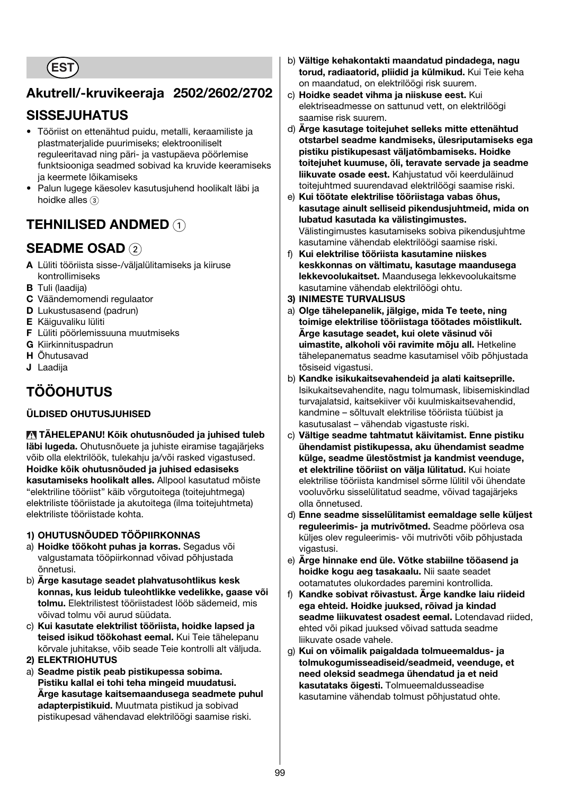

### **Akutrell/-kruvikeeraja 2502/2602/2702**

### **SISSEJUHATUS**

- Tööriist on ettenähtud puidu, metalli, keraamiliste ja plastmaterjalide puurimiseks; elektrooniliselt reguleeritavad ning päri- ja vastupäeva pöörlemise funktsiooniga seadmed sobivad ka kruvide keeramiseks ja keermete lõikamiseks
- Palun lugege käesolev kasutusjuhend hoolikalt läbi ja hoidke alles 3

### **TEHNILISED ANDMED (1)**

### **SEADME OSAD 2**

- **A** Lüliti tööriista sisse-/väljalülitamiseks ja kiiruse kontrollimiseks
- **B** Tuli (laadija)
- **C** Väändemomendi regulaator
- **D** Lukustusasend (padrun)
- **E** Käiguvaliku lüliti
- **F** Lüliti pöörlemissuuna muutmiseks
- **G** Kiirkinnituspadrun
- **H** Õhutusavad
- **J** Laadija

### **TÖÖOHUTUS**

### **ÜLDISED OHUTUSJUHISED**

**TÄHELEPANU! Kõik ohutusnõuded ja juhised tuleb läbi lugeda.** Ohutusnõuete ja juhiste eiramise tagajärjeks võib olla elektrilöök, tulekahju ja/või rasked vigastused. **Hoidke kõik ohutusnõuded ja juhised edasiseks kasutamiseks hoolikalt alles.** Allpool kasutatud mõiste "elektriline tööriist" käib võrgutoitega (toitejuhtmega) elektriliste tööriistade ja akutoitega (ilma toitejuhtmeta) elektriliste tööriistade kohta.

#### **1) OHUTUSNÕUDED TÖÖPIIRKONNAS**

- a) **Hoidke töökoht puhas ja korras.** Segadus või valgustamata tööpiirkonnad võivad põhjustada õnnetusi.
- b) **Ärge kasutage seadet plahvatusohtlikus kesk konnas, kus leidub tuleohtlikke vedelikke, gaase või tolmu.** Elektrilistest tööriistadest lööb sädemeid, mis võivad tolmu või aurud süüdata.
- c) **Kui kasutate elektrilist tööriista, hoidke lapsed ja teised isikud töökohast eemal.** Kui Teie tähelepanu kõrvale juhitakse, võib seade Teie kontrolli alt väljuda.
- **2) ELEKTRIOHUTUS**
- a) **Seadme pistik peab pistikupessa sobima. Pistiku kallal ei tohi teha mingeid muudatusi. Ärge kasutage kaitsemaandusega seadmete puhul adapterpistikuid.** Muutmata pistikud ja sobivad pistikupesad vähendavad elektrilöögi saamise riski.
- b) **Vältige kehakontakti maandatud pindadega, nagu torud, radiaatorid, pliidid ja külmikud.** Kui Teie keha on maandatud, on elektrilöögi risk suurem.
- c) **Hoidke seadet vihma ja niiskuse eest.** Kui elektriseadmesse on sattunud vett, on elektrilöögi saamise risk suurem.
- d) **Ärge kasutage toitejuhet selleks mitte ettenähtud otstarbel seadme kandmiseks, ülesriputamiseks ega pistiku pistikupesast väljatõmbamiseks. Hoidke toitejuhet kuumuse, õli, teravate servade ja seadme liikuvate osade eest.** Kahjustatud või keerduläinud toitejuhtmed suurendavad elektrilöögi saamise riski.
- e) **Kui töötate elektrilise tööriistaga vabas õhus, kasutage ainult selliseid pikendusjuhtmeid, mida on lubatud kasutada ka välistingimustes.** Välistingimustes kasutamiseks sobiva pikendusjuhtme kasutamine vähendab elektrilöögi saamise riski.
- f) **Kui elektrilise tööriista kasutamine niiskes keskkonnas on vältimatu, kasutage maandusega lekkevoolukaitset.** Maandusega lekkevoolukaitsme kasutamine vähendab elektrilöögi ohtu.
- **3) INIMESTE TURVALISUS**
- a) **Olge tähelepanelik, jälgige, mida Te teete, ning toimige elektrilise tööriistaga töötades mõistlikult. Ärge kasutage seadet, kui olete väsinud või uimastite, alkoholi või ravimite mõju all.** Hetkeline tähelepanematus seadme kasutamisel võib põhjustada tõsiseid vigastusi.
- b) **Kandke isikukaitsevahendeid ja alati kaitseprille.** Isikukaitsevahendite, nagu tolmumask, libisemiskindlad turvajalatsid, kaitsekiiver või kuulmiskaitsevahendid, kandmine – sõltuvalt elektrilise tööriista tüübist ja kasutusalast – vähendab vigastuste riski.
- c) **Vältige seadme tahtmatut käivitamist. Enne pistiku ühendamist pistikupessa, aku ühendamist seadme külge, seadme ülestõstmist ja kandmist veenduge, et elektriline tööriist on välja lülitatud.** Kui hoiate elektrilise tööriista kandmisel sõrme lülitil või ühendate vooluvõrku sisselülitatud seadme, võivad tagajärjeks olla õnnetused.
- d) **Enne seadme sisselülitamist eemaldage selle küljest reguleerimis- ja mutrivõtmed.** Seadme pöörleva osa küljes olev reguleerimis- või mutrivõti võib põhjustada vigastusi.
- e) **Ärge hinnake end üle. Võtke stabiilne tööasend ja hoidke kogu aeg tasakaalu.** Nii saate seadet ootamatutes olukordades paremini kontrollida.
- f) **Kandke sobivat rõivastust. Ärge kandke laiu riideid ega ehteid. Hoidke juuksed, rõivad ja kindad seadme liikuvatest osadest eemal.** Lotendavad riided, ehted või pikad juuksed võivad sattuda seadme liikuvate osade vahele.
- g) **Kui on võimalik paigaldada tolmueemaldus- ja tolmukogumisseadiseid/seadmeid, veenduge, et need oleksid seadmega ühendatud ja et neid kasutataks õigesti.** Tolmueemaldusseadise kasutamine vähendab tolmust põhjustatud ohte.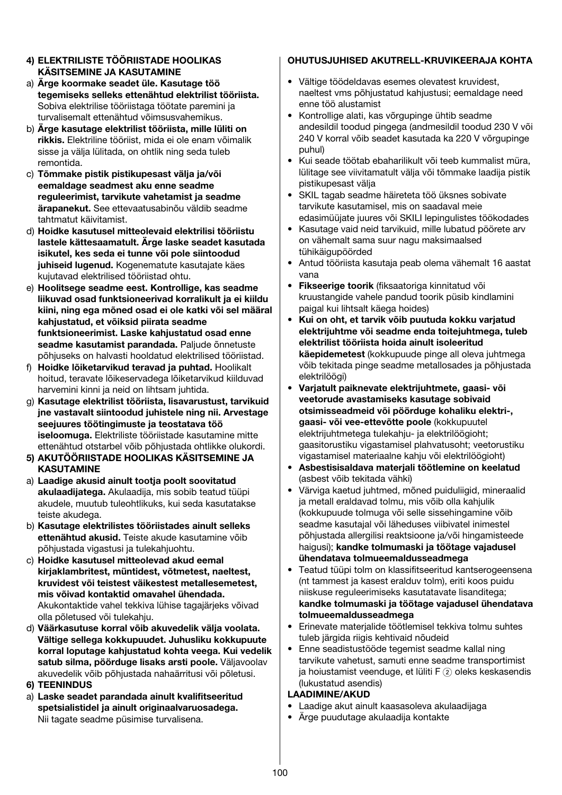#### **4) ELEKTRILISTE TÖÖRIISTADE HOOLIKAS KÄSITSEMINE JA KASUTAMINE**

- a) **Ärge koormake seadet üle. Kasutage töö tegemiseks selleks ettenähtud elektrilist tööriista.** Sobiva elektrilise tööriistaga töötate paremini ja turvalisemalt ettenähtud võimsusvahemikus.
- b) **Ärge kasutage elektrilist tööriista, mille lüliti on rikkis.** Elektriline tööriist, mida ei ole enam võimalik sisse ja välja lülitada, on ohtlik ning seda tuleb remontida.
- c) **Tõmmake pistik pistikupesast välja ja/või eemaldage seadmest aku enne seadme reguleerimist, tarvikute vahetamist ja seadme ärapanekut.** See ettevaatusabinõu väldib seadme tahtmatut käivitamist.
- d) **Hoidke kasutusel mitteolevaid elektrilisi tööriistu lastele kättesaamatult. Ärge laske seadet kasutada isikutel, kes seda ei tunne või pole siintoodud juhiseid lugenud.** Kogenematute kasutajate käes kujutavad elektrilised tööriistad ohtu.
- e) **Hoolitsege seadme eest. Kontrollige, kas seadme liikuvad osad funktsioneerivad korralikult ja ei kiildu kiini, ning ega mõned osad ei ole katki või sel määral kahjustatud, et võiksid piirata seadme funktsioneerimist. Laske kahjustatud osad enne seadme kasutamist parandada.** Paljude õnnetuste põhjuseks on halvasti hooldatud elektrilised tööriistad.
- f) **Hoidke lõiketarvikud teravad ja puhtad.** Hoolikalt hoitud, teravate lõikeservadega lõiketarvikud kiilduvad harvemini kinni ja neid on lihtsam juhtida.
- g) **Kasutage elektrilist tööriista, lisavarustust, tarvikuid jne vastavalt siintoodud juhistele ning nii. Arvestage seejuures töötingimuste ja teostatava töö iseloomuga.** Elektriliste tööriistade kasutamine mitte ettenähtud otstarbel võib põhjustada ohtlikke olukordi.
- **5) AKUTÖÖRIISTADE HOOLIKAS KÄSITSEMINE JA KASUTAMINE**
- a) **Laadige akusid ainult tootja poolt soovitatud akulaadijatega.** Akulaadija, mis sobib teatud tüüpi akudele, muutub tuleohtlikuks, kui seda kasutatakse teiste akudega.
- b) **Kasutage elektrilistes tööriistades ainult selleks ettenähtud akusid.** Teiste akude kasutamine võib põhjustada vigastusi ja tulekahjuohtu.
- c) **Hoidke kasutusel mitteolevad akud eemal kirjaklambritest, müntidest, võtmetest, naeltest, kruvidest või teistest väikestest metallesemetest, mis võivad kontaktid omavahel ühendada.** Akukontaktide vahel tekkiva lühise tagajärjeks võivad olla põletused või tulekahju.
- d) **Väärkasutuse korral võib akuvedelik välja voolata. Vältige sellega kokkupuudet. Juhusliku kokkupuute korral loputage kahjustatud kohta veega. Kui vedelik satub silma, pöörduge lisaks arsti poole.** Väljavoolav akuvedelik võib põhjustada nahaärritusi või põletusi.
- **6) TEENINDUS**
- a) **Laske seadet parandada ainult kvalifitseeritud spetsialistidel ja ainult originaalvaruosadega.** Nii tagate seadme püsimise turvalisena.

#### **OHUTUSJUHISED AKUTRELL-KRUVIKEERAJA KOHTA**

- Vältige töödeldavas esemes olevatest kruvidest, naeltest vms põhjustatud kahjustusi; eemaldage need enne töö alustamist
- Kontrollige alati, kas võrgupinge ühtib seadme andesildil toodud pingega (andmesildil toodud 230 V või 240 V korral võib seadet kasutada ka 220 V võrgupinge puhul)
- Kui seade töötab ebaharilikult või teeb kummalist müra, lülitage see viivitamatult välja või tõmmake laadija pistik pistikupesast välja
- SKIL tagab seadme häireteta töö üksnes sobivate tarvikute kasutamisel, mis on saadaval meie edasimüüjate juures või SKILI lepingulistes töökodades
- Kasutage vaid neid tarvikuid, mille lubatud pöörete arv on vähemalt sama suur nagu maksimaalsed tühikäigupöörded
- Antud tööriista kasutaja peab olema vähemalt 16 aastat vana
- **Fikseerige toorik** (fiksaatoriga kinnitatud või kruustangide vahele pandud toorik püsib kindlamini paigal kui lihtsalt käega hoides)
- **Kui on oht, et tarvik võib puutuda kokku varjatud elektrijuhtme või seadme enda toitejuhtmega, tuleb elektrilist tööriista hoida ainult isoleeritud käepidemetest** (kokkupuude pinge all oleva juhtmega võib tekitada pinge seadme metallosades ja põhjustada elektrilöögi)
- **Varjatult paiknevate elektrijuhtmete, gaasi- või veetorude avastamiseks kasutage sobivaid otsimisseadmeid või pöörduge kohaliku elektri-, gaasi- või vee-ettevõtte poole** (kokkupuutel elektrijuhtmetega tulekahju- ja elektrilöögioht; gaasitorustiku vigastamisel plahvatusoht; veetorustiku vigastamisel materiaalne kahju või elektrilöögioht)
- **Asbestisisaldava materjali töötlemine on keelatud** (asbest võib tekitada vähki)
- Värviga kaetud juhtmed, mõned puiduliigid, mineraalid ja metall eraldavad tolmu, mis võib olla kahjulik (kokkupuude tolmuga või selle sissehingamine võib seadme kasutajal või läheduses viibivatel inimestel põhjustada allergilisi reaktsioone ja/või hingamisteede haigusi); **kandke tolmumaski ja töötage vajadusel ühendatava tolmueemaldusseadmega**
- Teatud tüüpi tolm on klassifitseeritud kantserogeensena (nt tammest ja kasest eralduv tolm), eriti koos puidu niiskuse reguleerimiseks kasutatavate lisanditega; **kandke tolmumaski ja töötage vajadusel ühendatava tolmueemaldusseadmega**
- Erinevate materjalide töötlemisel tekkiva tolmu suhtes tuleb järgida riigis kehtivaid nõudeid
- Enne seadistustööde tegemist seadme kallal ning tarvikute vahetust, samuti enne seadme transportimist ia hoiustamist veenduge, et lüliti  $F(2)$  oleks keskasendis (lukustatud asendis)

#### **LAADIMINE/AKUD**

- Laadige akut ainult kaasasoleva akulaadijaga
- Ärge puudutage akulaadija kontakte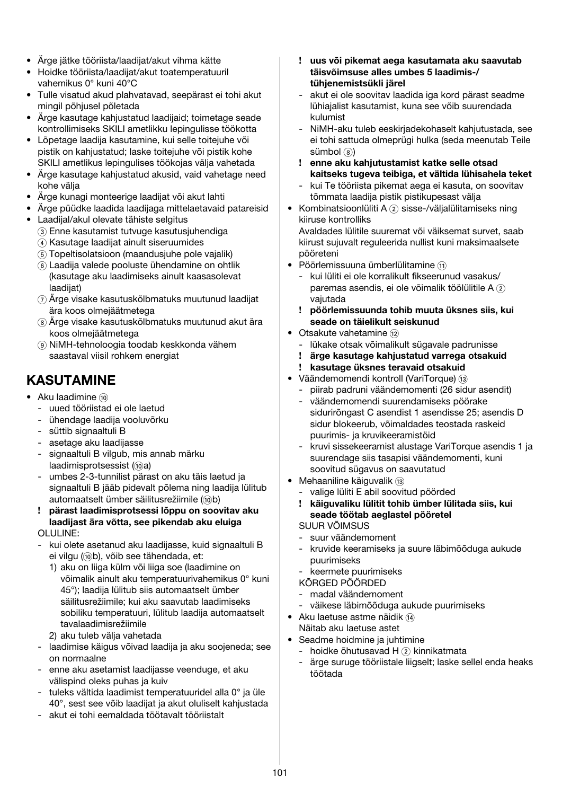- Ärge jätke tööriista/laadijat/akut vihma kätte
- Hoidke tööriista/laadijat/akut toatemperatuuril vahemikus 0° kuni 40°C
- Tulle visatud akud plahvatavad, seepärast ei tohi akut mingil põhjusel põletada
- Ärge kasutage kahjustatud laadijaid; toimetage seade kontrollimiseks SKILI ametlikku lepingulisse töökotta
- Lõpetage laadija kasutamine, kui selle toitejuhe või pistik on kahjustatud; laske toitejuhe või pistik kohe SKILI ametlikus lepingulises töökojas välja vahetada
- Ärge kasutage kahjustatud akusid, vaid vahetage need kohe välja
- Ärge kunagi monteerige laadijat või akut lahti
- Ärge püüdke laadida laadijaga mittelaetavaid patareisid
- Laadijal/akul olevate tähiste selgitus
	- 3 Enne kasutamist tutvuge kasutusjuhendiga
	- 4 Kasutage laadijat ainult siseruumides
	- 5 Topeltisolatsioon (maandusjuhe pole vajalik)
	- 6 Laadija valede pooluste ühendamine on ohtlik (kasutage aku laadimiseks ainult kaasasolevat laadijat)
	- $(7)$  Ärge visake kasutuskõlbmatuks muutunud laadijat ära koos olmejäätmetega
	- 8 Ärge visake kasutuskõlbmatuks muutunud akut ära koos olmejäätmetega
	- 9 NiMH-tehnoloogia toodab keskkonda vähem saastaval viisil rohkem energiat

### **KASUTAMINE**

- $\bullet$  Aku laadimine  $\omega$ 
	- uued tööriistad ei ole laetud
	- ühendage laadija vooluvõrku
	- süttib signaaltuli B
	- asetage aku laadijasse
	- signaaltuli B vilgub, mis annab märku laadimisprotsessist (10a)
	- umbes 2-3-tunnilist pärast on aku täis laetud ja signaaltuli B jääb pidevalt põlema ning laadija lülitub automaatselt ümber säilitusrežiimile (@b)
	- **! pärast laadimisprotsessi lõppu on soovitav aku laadijast ära võtta, see pikendab aku eluiga** OLULINE:
	- kui olete asetanud aku laadijasse, kuid signaaltuli B ei vilgu (10b), võib see tähendada, et:
		- 1) aku on liiga külm või liiga soe (laadimine on võimalik ainult aku temperatuurivahemikus 0° kuni 45°); laadija lülitub siis automaatselt ümber säilitusrežiimile; kui aku saavutab laadimiseks sobiliku temperatuuri, lülitub laadija automaatselt tavalaadimisrežiimile
		- 2) aku tuleb välja vahetada
	- laadimise käigus võivad laadija ja aku soojeneda; see on normaalne
	- enne aku asetamist laadijasse veenduge, et aku välispind oleks puhas ja kuiv
	- tuleks vältida laadimist temperatuuridel alla 0° ja üle 40°, sest see võib laadijat ja akut oluliselt kahjustada
	- akut ei tohi eemaldada töötavalt tööriistalt
- **! uus või pikemat aega kasutamata aku saavutab täisvõimsuse alles umbes 5 laadimis-/ tühjenemistsükli järel**
- akut ei ole soovitav laadida iga kord pärast seadme lühiajalist kasutamist, kuna see võib suurendada kulumist
- NiMH-aku tuleb eeskirjadekohaselt kahjutustada, see ei tohi sattuda olmeprügi hulka (seda meenutab Teile sümbol (8)
- **! enne aku kahjutustamist katke selle otsad kaitseks tugeva teibiga, et vältida lühisahela teket**
- kui Te tööriista pikemat aega ei kasuta, on soovitav tõmmata laadija pistik pistikupesast välja
- Kombinatsioonlüliti  $A(2)$  sisse-/väljalülitamiseks ning kiiruse kontrolliks

 Avaldades lülitile suuremat või väiksemat survet, saab kiirust sujuvalt reguleerida nullist kuni maksimaalsete pööreteni

- Pöörlemissuuna ümberlülitamine (i)
	- kui lüliti ei ole korralikult fikseerunud vasakus/ paremas asendis, ei ole võimalik töölülitile  $A(2)$ vajutada
	- **! pöörlemissuunda tohib muuta üksnes siis, kui seade on täielikult seiskunud**
- Otsakute vahetamine @
	- lükake otsak võimalikult sügavale padrunisse
	- **! ärge kasutage kahjustatud varrega otsakuid**
	- **! kasutage üksnes teravaid otsakuid**
- Väändemomendi kontroll (VariTorque) (i3)
	- piirab padruni väändemomenti (26 sidur asendit)
	- väändemomendi suurendamiseks pöörake sidurirõngast C asendist 1 asendisse 25; asendis D sidur blokeerub, võimaldades teostada raskeid puurimis- ja kruvikeeramistöid
	- kruvi sissekeeramist alustage VariTorque asendis 1 ja suurendage siis tasapisi väändemomenti, kuni soovitud sügavus on saavutatud
- Mehaaniline käiguvalik @
	- valige lüliti E abil soovitud pöörded
	- **! käiguvaliku lülitit tohib ümber lülitada siis, kui seade töötab aeglastel pööretel**
	- SUUR VÕIMSUS
	- suur väändemoment
	- kruvide keeramiseks ja suure läbimõõduga aukude puurimiseks
	- keermete puurimiseks

### KÕRGED PÖÖRDED

- madal väändemoment
- väikese läbimõõduga aukude puurimiseks
- $\bullet$  Aku laetuse astme näidik  $\widehat{a}$
- Näitab aku laetuse astet
- Seadme hoidmine ja juhtimine
	- hoidke õhutusavad H 2 kinnikatmata
	- ärge suruge tööriistale liigselt; laske sellel enda heaks töötada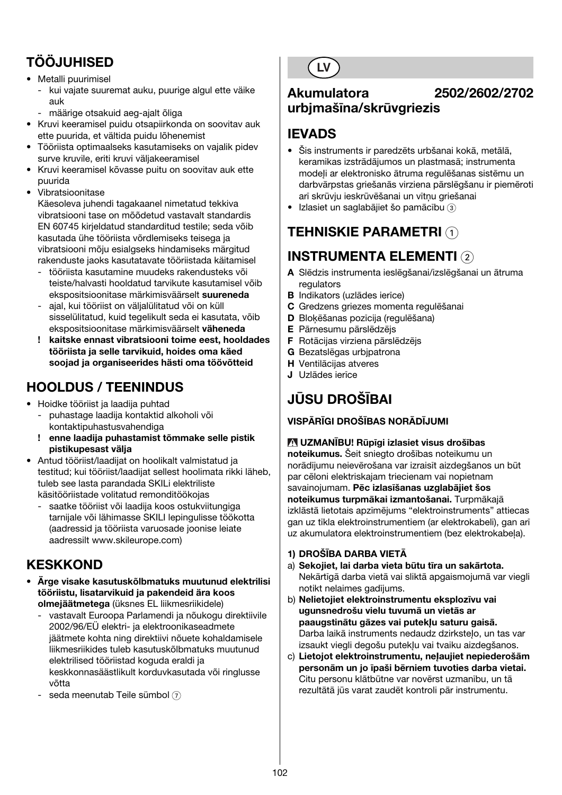# **TÖÖJUHISED**

- Metalli puurimisel
	- kui vajate suuremat auku, puurige algul ette väike auk
	- määrige otsakuid aeg-ajalt õliga
- Kruvi keeramisel puidu otsapiirkonda on soovitav auk ette puurida, et vältida puidu lõhenemist
- Tööriista optimaalseks kasutamiseks on vajalik pidev surve kruvile, eriti kruvi väljakeeramisel
- Kruvi keeramisel kõvasse puitu on soovitav auk ette puurida
- Vibratsioonitase

 Käesoleva juhendi tagakaanel nimetatud tekkiva vibratsiooni tase on mõõdetud vastavalt standardis EN 60745 kirjeldatud standarditud testile; seda võib kasutada ühe tööriista võrdlemiseks teisega ja vibratsiooni mõju esialgseks hindamiseks märgitud rakenduste jaoks kasutatavate tööriistada käitamisel

- tööriista kasutamine muudeks rakendusteks või teiste/halvasti hooldatud tarvikute kasutamisel võib ekspositsioonitase märkimisväärselt **suureneda**
- ajal, kui tööriist on väljalülitatud või on küll sisselülitatud, kuid tegelikult seda ei kasutata, võib ekspositsioonitase märkimisväärselt **väheneda**
- **! kaitske ennast vibratsiooni toime eest, hooldades tööriista ja selle tarvikuid, hoides oma käed soojad ja organiseerides hästi oma töövõtteid**

### **HOOLDUS / TEENINDUS**

- Hoidke tööriist ja laadija puhtad
	- puhastage laadija kontaktid alkoholi või kontaktipuhastusvahendiga
	- **! enne laadija puhastamist tõmmake selle pistik pistikupesast välja**
- Antud tööriist/laadijat on hoolikalt valmistatud ja testitud; kui tööriist/laadijat sellest hoolimata rikki läheb, tuleb see lasta parandada SKILi elektriliste käsitööriistade volitatud remonditöökojas
	- saatke tööriist või laadija koos ostukviitungiga tarnijale või lähimasse SKILI lepingulisse töökotta (aadressid ja tööriista varuosade joonise leiate aadressilt www.skileurope.com)

### **KESKKOND**

- **Ärge visake kasutuskõlbmatuks muutunud elektrilisi tööriistu, lisatarvikuid ja pakendeid ära koos olmejäätmetega** (üksnes EL liikmesriikidele)
	- vastavalt Euroopa Parlamendi ja nõukogu direktiivile 2002/96/EÜ elektri- ja elektroonikaseadmete jäätmete kohta ning direktiivi nõuete kohaldamisele liikmesriikides tuleb kasutuskõlbmatuks muutunud elektrilised tööriistad koguda eraldi ja keskkonnasäästlikult korduvkasutada või ringlusse võtta
	- seda meenutab Teile sümbol  $\widehat{\tau}$

**LV**

### **Akumulatora 2502/2602/2702 urbjmašīna/skrūvgriezis**

### **IEVADS**

- Šis instruments ir paredzēts urbšanai kokā, metālā, keramikas izstrādājumos un plastmasā; instrumenta modeļi ar elektronisko ātruma regulēšanas sistēmu un darbvārpstas griešanās virziena pārslēgšanu ir piemēroti arī skrūviu ieskrūvēšanai un vītņu griešanai
- Izlasiet un saglabājiet šo pamācību 3

# **TEHNISKIE PARAMETRI 1**

### **INSTRUMENTA ELEMENTI** 2

- **A** Slēdzis instrumenta ieslēgšanai/izslēgšanai un ātruma regulators
- **B** Indikators (uzlādes ierīce)
- **C** Gredzens griezes momenta regulēšanai
- **D** Bloķēšanas pozīcija (regulēšana)
- **E** Pārnesumu pārslēdzējs
- **F** Rotācijas virziena pārslēdzējs
- **G** Bezatslēgas urbjpatrona
- **H** Ventilācijas atveres
- **J** Uzlādes ierīce

## **JŪSU DROŠĪBAI**

### **VISPĀRĪGI DROŠĪBAS NORĀDĪJUMI**

#### **UZMANĪBU! Rūpīgi izlasiet visus drošības**

**noteikumus.** Šeit sniegto drošības noteikumu un norādījumu neievērošana var izraisīt aizdegšanos un būt par cēloni elektriskajam triecienam vai nopietnam savainojumam. **Pēc izlasīšanas uzglabājiet šos noteikumus turpmākai izmantošanai.** Turpmākajā izklāstā lietotais apzīmējums "elektroinstruments" attiecas gan uz tīkla elektroinstrumentiem (ar elektrokabeli), gan arī uz akumulatora elektroinstrumentiem (bez elektrokabeļa).

#### **1) DROŠĪBA DARBA VIETĀ**

- a) **Sekojiet, lai darba vieta būtu tīra un sakārtota.**  Nekārtīgā darba vietā vai sliktā apgaismojumā var viegli notikt nelaimes gadījums.
- b) **Nelietojiet elektroinstrumentu eksplozīvu vai ugunsnedrošu vielu tuvumā un vietās ar paaugstinātu gāzes vai putekĮu saturu gaisā.** Darba laikā instruments nedaudz dzirksteļo, un tas var izsaukt viegli degošu putekļu vai tvaiku aizdegšanos.
- c) **Lietojot elektroinstrumentu, neĮaujiet nepiederošām personām un jo īpaši bērniem tuvoties darba vietai.** Citu personu klātbūtne var novērst uzmanību, un tā rezultātā jūs varat zaudēt kontroli pār instrumentu.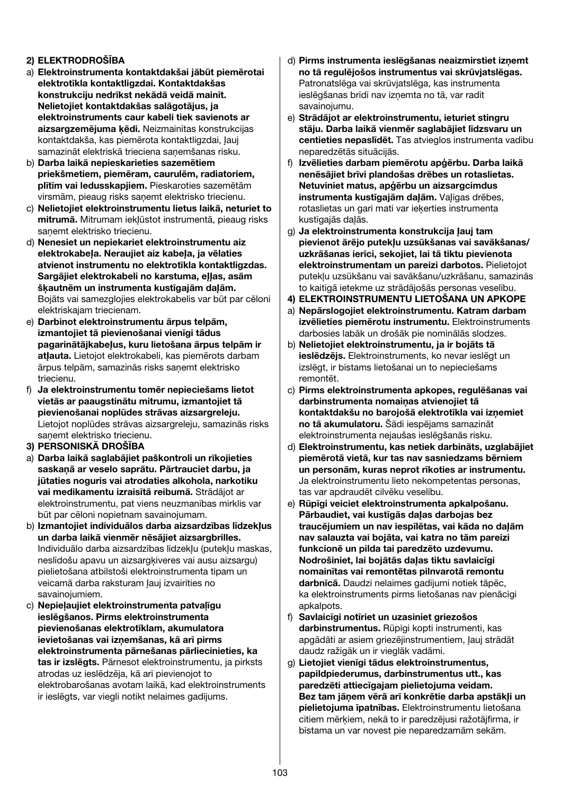#### **2) ELEKTRODROŠĪBA**

- a) **Elektroinstrumenta kontaktdakšai jābūt piemērotai elektrotīkla kontaktligzdai. Kontaktdakšas konstrukciju nedrīkst nekādā veidā mainīt. Nelietojiet kontaktdakšas salāgotājus, ja elektroinstruments caur kabeli tiek savienots ar aizsargzemējuma ķēdi.** Neizmainītas konstrukcijas kontaktdakša, kas piemērota kontaktligzdai, ļauj samazināt elektriskā trieciena saņemšanas risku.
- b) **Darba laikā nepieskarieties sazemētiem priekšmetiem, piemēram, caurulēm, radiatoriem, plītīm vai ledusskapjiem.** Pieskaroties sazemētām virsmām, pieaug risks saņemt elektrisko triecienu.
- c) **Nelietojiet elektroinstrumentu lietus laikā, neturiet to**  mitrumā. Mitrumam iekļūstot instrumentā, pieaug risks saņemt elektrisko triecienu.
- d) **Nenesiet un nepiekariet elektroinstrumentu aiz elektrokabeĮa. Neraujiet aiz kabeĮa, ja vēlaties atvienot instrumentu no elektrotīkla kontaktligzdas.**  Sargājiet elektrokabeli no karstuma, ellas, asām **šķautnēm un instrumenta kustīgajām daĮām.** Bojāts vai samezglojies elektrokabelis var būt par cēloni elektriskajam triecienam.
- e) **Darbinot elektroinstrumentu ārpus telpām, izmantojiet tā pievienošanai vienīgi tādus pagarinātājkabeĮus, kuru lietošana ārpus telpām ir**  atlauta. Lietojot elektrokabeli, kas piemērots darbam ārpus telpām, samazinās risks saņemt elektrisko triecienu.
- f) **Ja elektroinstrumentu tomēr nepieciešams lietot vietās ar paaugstinātu mitrumu, izmantojiet tā pievienošanai noplūdes strāvas aizsargreleju.** Lietojot noplūdes strāvas aizsargreleju, samazinās risks saņemt elektrisko triecienu.
- **3) PERSONISKĀ DROŠĪBA**
- a) **Darba laikā saglabājiet paškontroli un rīkojieties saskaņā ar veselo saprātu. Pārtrauciet darbu, ja jūtaties noguris vai atrodaties alkohola, narkotiku vai medikamentu izraisītā reibumā.** Strādājot ar elektroinstrumentu, pat viens neuzmanības mirklis var būt par cēloni nopietnam savainojumam.
- b) **Izmantojiet individuālos darba aizsardzības līdzekļus un darba laikā vienmēr nēsājiet aizsargbrilles.** Individuālo darba aizsardzības līdzekļu (putekļu maskas, neslīdošu apavu un aizsargķiveres vai ausu aizsargu) pielietošana atbilstoši elektroinstrumenta tipam un veicamā darba raksturam Įauj izvairīties no savainoiumiem.
- c) **Nepieļaujiet elektroinstrumenta patvaļīgu ieslēgšanos. Pirms elektroinstrumenta pievienošanas elektrotīklam, akumulatora ievietošanas vai izņemšanas, kā arī pirms elektroinstrumenta pārnešanas pārliecinieties, ka tas ir izslēgts.** Pārnesot elektroinstrumentu, ja pirksts atrodas uz ieslēdzēja, kā arī pievienojot to elektrobarošanas avotam laikā, kad elektroinstruments ir ieslēgts, var viegli notikt nelaimes gadījums.
- d) **Pirms instrumenta ieslēgšanas neaizmirstiet izņemt no tā regulējošos instrumentus vai skrūvjatslēgas.** Patronatslēga vai skrūvjatslēga, kas instrumenta ieslēgšanas brīdī nav izņemta no tā, var radīt savainojumu.
- e) **Strādājot ar elektroinstrumentu, ieturiet stingru stāju. Darba laikā vienmēr saglabājiet līdzsvaru un centieties nepaslīdēt.** Tas atvieglos instrumenta vadību neparedzētās situācijās.
- f) **Izvēlieties darbam piemērotu apģērbu. Darba laikā nenēsājiet brīvi plandošas drēbes un rotaslietas. Netuviniet matus, apģērbu un aizsargcimdus instrumenta kustīgajām daĮām.** VaĮīgas drēbes, rotaslietas un gari mati var ieķerties instrumenta kustīgajās daļās.
- g) **Ja elektroinstrumenta konstrukcija Įauj tam pievienot ārējo putekĮu uzsūkšanas vai savākšanas/ uzkrāšanas ierīci, sekojiet, lai tā tiktu pievienota elektroinstrumentam un pareizi darbotos.** Pielietojot putekļu uzsūkšanu vai savākšanu/uzkrāšanu, samazinās to kaitīgā ietekme uz strādājošās personas veselību.
- **4) ELEKTROINSTRUMENTU LIETOŠANA UN APKOPE**
- a) **Nepārslogojiet elektroinstrumentu. Katram darbam izvēlieties piemērotu instrumentu.** Elektroinstruments darbosies labāk un drošāk pie nominālās slodzes.
- b) **Nelietojiet elektroinstrumentu, ja ir bojāts tā ieslēdzējs.** Elektroinstruments, ko nevar ieslēgt un izslēgt, ir bīstams lietošanai un to nepieciešams remontēt.
- c) **Pirms elektroinstrumenta apkopes, regulēšanas vai darbinstrumenta nomaiņas atvienojiet tā kontaktdakšu no barojošā elektrotīkla vai izņemiet no tā akumulatoru.** Šādi iespējams samazināt elektroinstrumenta nejaušas ieslēgšanās risku.
- d) **Elektroinstrumentu, kas netiek darbināts, uzglabājiet piemērotā vietā, kur tas nav sasniedzams bērniem un personām, kuras neprot rīkoties ar instrumentu.** Ja elektroinstrumentu lieto nekompetentas personas, tas var apdraudēt cilvēku veselību.
- e) **Rūpīgi veiciet elektroinstrumenta apkalpošanu. Pārbaudiet, vai kustīgās daĮas darbojas bez traucējumiem un nav iespīlētas, vai kāda no daĮām nav salauzta vai bojāta, vai katra no tām pareizi funkcionē un pilda tai paredzēto uzdevumu. Nodrošiniet, lai bojātās daĮas tiktu savlaicīgi nomainītas vai remontētas pilnvarotā remontu darbnīcā.** Daudzi nelaimes gadījumi notiek tāpēc, ka elektroinstruments pirms lietošanas nav pienācīgi apkalpots.
- f) **Savlaicīgi notīriet un uzasiniet griezošos darbinstrumentus.** Rūpīgi kopti instrumenti, kas apgādāti ar asiem griezējinstrumentiem, ļauj strādāt daudz ražīgāk un ir vieglāk vadāmi.
- g) **Lietojiet vienīgi tādus elektroinstrumentus, papildpiederumus, darbinstrumentus utt., kas paredzēti attiecīgajam pielietojuma veidam. Bez tam jāņem vērā arī konkrētie darba apstākĮi un pielietojuma īpatnības.** Elektroinstrumentu lietošana citiem mērķiem, nekā to ir paredzējusi ražotājfirma, ir bīstama un var novest pie neparedzamām sekām.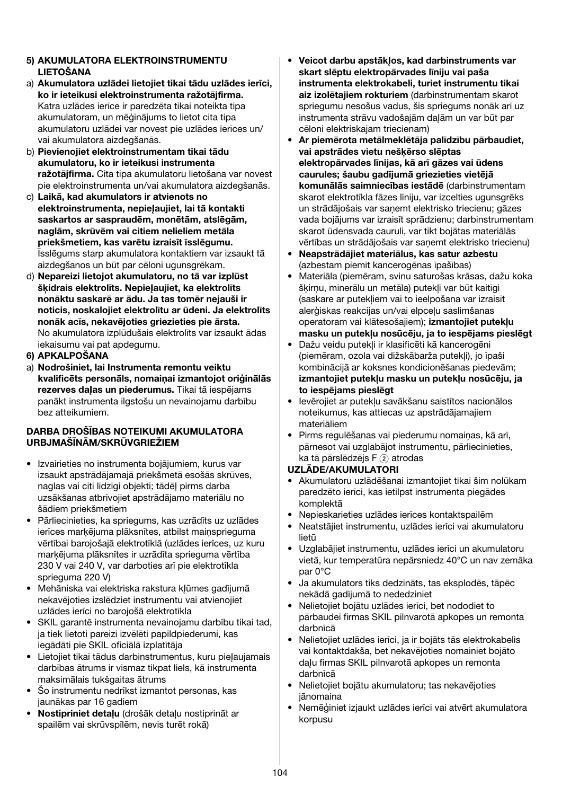- **5) AKUMULATORA ELEKTROINSTRUMENTU LIETOŠANA**
- a) **Akumulatora uzlādei lietojiet tikai tādu uzlādes ierīci, ko ir ieteikusi elektroinstrumenta ražotājfirma.** Katra uzlādes ierīce ir paredzēta tikai noteikta tipa akumulatoram, un mēģinājums to lietot cita tipa akumulatoru uzlādei var novest pie uzlādes ierīces un/ vai akumulatora aizdegšanās.
- b) **Pievienojiet elektroinstrumentam tikai tādu akumulatoru, ko ir ieteikusi instrumenta ražotājfirma.** Cita tipa akumulatoru lietošana var novest pie elektroinstrumenta un/vai akumulatora aizdegšanās.
- c) **Laikā, kad akumulators ir atvienots no elektroinstrumenta, nepieĮaujiet, lai tā kontakti saskartos ar saspraudēm, monētām, atslēgām, naglām, skrūvēm vai citiem nelieliem metāla priekšmetiem, kas varētu izraisīt īsslēgumu.** Īsslēgums starp akumulatora kontaktiem var izsaukt tā aizdegšanos un būt par cēloni ugunsgrēkam.
- d) **Nepareizi lietojot akumulatoru, no tā var izplūst šķidrais elektrolīts. NepieĮaujiet, ka elektrolīts nonāktu saskarē ar ādu. Ja tas tomēr nejauši ir noticis, noskalojiet elektrolītu ar ūdeni. Ja elektrolīts nonāk acīs, nekavējoties griezieties pie ārsta.** No akumulatora izplūdušais elektrolīts var izsaukt ādas iekaisumu vai pat apdegumu.

#### **6) APKALPOŠANA**

a) **Nodrošiniet, lai Instrumenta remontu veiktu kvalificēts personāls, nomaiņai izmantojot oriģinālās rezerves daĮas un piederumus.** Tikai tā iespējams panākt instrumenta ilgstošu un nevainojamu darbību bez atteikumiem.

#### **DARBA DROŠĪBAS NOTEIKUMI AKUMULATORA URBJMAŠĪNĀM/SKRŪVGRIEŽIEM**

- Izvairieties no instrumenta bojājumiem, kurus var izsaukt apstrādājamajā priekšmetā esošās skrūves, naglas vai citi līdzīgi objekti; tādēĮ pirms darba uzsākšanas atbrīvojiet apstrādājamo materiālu no šādiem priekšmetiem
- Pārliecinieties, ka spriegums, kas uzrādīts uz uzlādes ierīces marķējuma plāksnītes, atbilst maiņsprieguma vērtībai barojošajā elektrotīklā (uzlādes ierīces, uz kuru marķējuma plāksnītes ir uzrādīta sprieguma vērtība 230 V vai 240 V, var darboties arī pie elektrotīkla sprieguma 220 V)
- Mehāniska vai elektriska rakstura kļūmes gadījumā nekavējoties izslēdziet instrumentu vai atvienojiet uzlādes ierīci no barojošā elektrotīkla
- SKIL garantē instrumenta nevainojamu darbību tikai tad, ja tiek lietoti pareizi izvēlēti papildpiederumi, kas iegādāti pie SKIL oficiālā izplatītāja
- Lietojiet tikai tādus darbinstrumentus, kuru pieļaujamais darbības ātrums ir vismaz tikpat liels, kā instrumenta maksimālais tukšgaitas ātrums
- Šo instrumentu nedrīkst izmantot personas, kas jaunākas par 16 gadiem
- **Nostipriniet detaļu** (drošāk detaļu nostiprināt ar spailēm vai skrūvspīlēm, nevis turēt rokā)
- **Veicot darbu apstākĮos, kad darbinstruments var skart slēptu elektropārvades līniju vai paša instrumenta elektrokabeli, turiet instrumentu tikai aiz izolētajiem rokturiem** (darbinstrumentam skarot spriegumu nesošus vadus, šis spriegums nonāk arī uz instrumenta strāvu vadošajām daļām un var būt par cēloni elektriskajam triecienam)
- **Ar piemērota metālmeklētāja palīdzību pārbaudiet, vai apstrādes vietu nešķērso slēptas elektropārvades līnijas, kā arī gāzes vai ūdens caurules; šaubu gadījumā griezieties vietējā komunālās saimniecības iestādē** (darbinstrumentam skarot elektrotīkla fāzes līniju, var izcelties ugunsgrēks un strādājošais var saņemt elektrisko triecienu; gāzes vada bojājums var izraisīt sprādzienu; darbinstrumentam skarot ūdensvada cauruli, var tikt bojātas materiālās vērtības un strādājošais var saņemt elektrisko triecienu)
- **Neapstrādājiet materiālus, kas satur azbestu** (azbestam piemīt kancerogēnas īpašības)
- Materiāla (piemēram, svinu saturošas krāsas, dažu koka škirnu, minerālu un metāla) putekļi var būt kaitīgi (saskare ar putekļiem vai to ieelpošana var izraisīt alerģiskas reakcijas un/vai elpceļu saslimšanas operatoram vai klātesošajiem); **izmantojiet putekļu masku un putekļu nosūcēju, ja to iespējams pieslēgt**
- Dažu veidu putekļi ir klasificēti kā kancerogēni (piemēram, ozola vai dižskābarža putekļi), jo īpaši kombinācijā ar koksnes kondicionēšanas piedevām; **izmantojiet putekļu masku un putekļu nosūcēju, ja to iespējams pieslēgt**
- Ievērojiet ar putekļu savākšanu saistītos nacionālos noteikumus, kas attiecas uz apstrādājamajiem materiāliem
- Pirms regulēšanas vai piederumu nomaiņas, kā arī, pārnesot vai uzglabājot instrumentu, pārliecinieties, ka tā pārslēdzējs F 2 atrodas

#### **UZLĀDE/AKUMULATORI**

- Akumulatoru uzlādēšanai izmantojiet tikai šim nolūkam paredzēto ierīci, kas ietilpst instrumenta piegādes komplektā
- Nepieskarieties uzlādes ierīces kontaktspailēm
- Neatstājiet instrumentu, uzlādes ierīci vai akumulatoru lietū
- Uzglabājiet instrumentu, uzlādes ierīci un akumulatoru vietā, kur temperatūra nepārsniedz 40°C un nav zemāka par 0°C
- Ja akumulators tiks dedzināts, tas eksplodēs, tāpēc nekādā gadījumā to nededziniet
- Nelietojiet bojātu uzlādes ierīci, bet nododiet to pārbaudei firmas SKIL pilnvarotā apkopes un remonta darbnīcā
- Nelietojiet uzlādes ierīci, ja ir bojāts tās elektrokabelis vai kontaktdakša, bet nekavējoties nomainiet bojāto daļu firmas SKIL pilnvarotā apkopes un remonta darbnīcā
- Nelietojiet bojātu akumulatoru; tas nekavējoties jānomaina
- Nemēģiniet izjaukt uzlādes ierīci vai atvērt akumulatora korpusu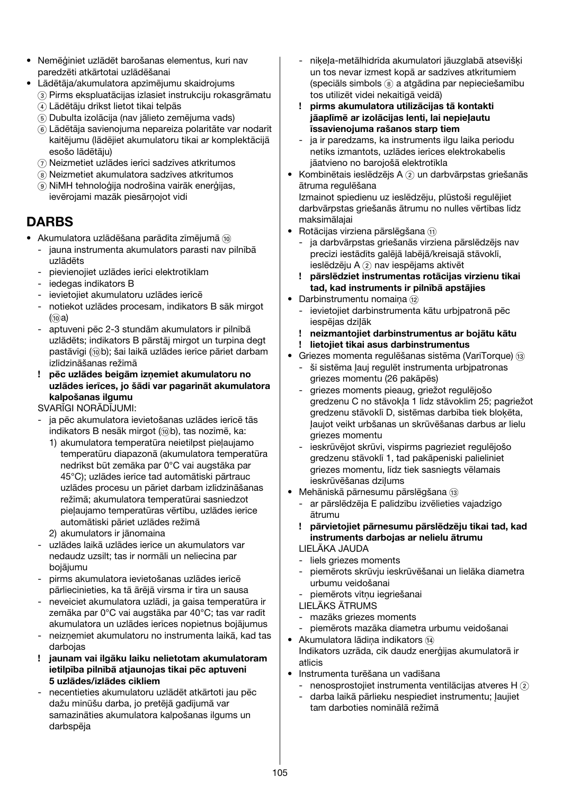- Nemēģiniet uzlādēt barošanas elementus, kuri nav paredzēti atkārtotai uzlādēšanai
- Lādētāja/akumulatora apzīmējumu skaidrojums
	- 3 Pirms ekspluatācijas izlasiet instrukciju rokasgrāmatu
	- $\widehat{4}$  Lādētāju drīkst lietot tikai telnās
	- 5 Dubulta izolācija (nav jālieto zemējuma vads)
	- 6 Lādētāja savienojuma nepareiza polaritāte var nodarīt kaitējumu (lādējiet akumulatoru tikai ar komplektācijā esošo lādētāju)
	- 7 Neizmetiet uzlādes ierīci sadzīves atkritumos
	- $\bar{8}$  Neizmetiet akumulatora sadzīves atkritumos
	- 9 NiMH tehnoloģija nodrošina vairāk enerģijas, ievērojami mazāk piesārņojot vidi

### **DARBS**

- Akumulatora uzlādēšana parādīta zīmējumā 0
	- jauna instrumenta akumulators parasti nav pilnībā uzlādēts
	- pievienojiet uzlādes ierīci elektrotīklam
	- iedegas indikators B
	- ievietojiet akumulatoru uzlādes ierīcē
	- notiekot uzlādes procesam, indikators B sāk mirgot  $(0)$ a)
	- aptuveni pēc 2-3 stundām akumulators ir pilnībā uzlādēts; indikators B pārstāj mirgot un turpina degt pastāvīgi (0b); šai laikā uzlādes ierīce pāriet darbam izlīdzināšanas režīmā
	- **! pēc uzlādes beigām izņemiet akumulatoru no uzlādes ierīces, jo šādi var pagarināt akumulatora kalpošanas ilgumu**

#### SVARĪGI NORĀDĪJUMI:

- ja pēc akumulatora ievietošanas uzlādes ierīcē tās indikators B nesāk mirgot (@b), tas nozīmē, ka:
	- 1) akumulatora temperatūra neietilpst pieļaujamo temperatūru diapazonā (akumulatora temperatūra nedrīkst būt zemāka par 0°C vai augstāka par 45°C); uzlādes ierīce tad automātiski pārtrauc uzlādes procesu un pāriet darbam izlīdzināšanas režīmā; akumulatora temperatūrai sasniedzot pieļaujamo temperatūras vērtību, uzlādes ierīce automātiski pāriet uzlādes režīmā
- 2) akumulators ir jānomaina
- uzlādes laikā uzlādes ierīce un akumulators var nedaudz uzsilt; tas ir normāli un neliecina par bojājumu
- pirms akumulatora ievietošanas uzlādes ierīcē pārliecinieties, ka tā ārējā virsma ir tīra un sausa
- neveiciet akumulatora uzlādi, ja gaisa temperatūra ir zemāka par 0°C vai augstāka par 40°C; tas var radīt akumulatora un uzlādes ierīces nopietnus bojājumus
- neiznemiet akumulatoru no instrumenta laikā, kad tas darbojas
- **! jaunam vai ilgāku laiku nelietotam akumulatoram ietilpība pilnībā atjaunojas tikai pēc aptuveni 5 uzlādes/izlādes cikliem**
- necentieties akumulatoru uzlādēt atkārtoti jau pēc dažu minūšu darba, jo pretējā gadījumā var samazināties akumulatora kalpošanas ilgums un darbspēja
- nikeļa-metālhidrīda akumulatori jāuzglabā atsevišķi un tos nevar izmest kopā ar sadzīves atkritumiem (speciāls simbols 8) a atgādina par nepieciešamību tos utilizēt videi nekaitīgā veidā)
- **! pirms akumulatora utilizācijas tā kontakti jāaplīmē ar izolācijas lenti, lai nepieĮautu īssavienojuma rašanos starp tiem**
- ia ir paredzams, ka instruments ilgu laika periodu netiks izmantots, uzlādes ierīces elektrokabelis jāatvieno no barojošā elektrotīkla
- Kombinētais ieslēdzējs A (2) un darbvārpstas griešanās ātruma regulēšana Izmainot spiedienu uz ieslēdzēju, plūstoši regulējiet darbvārpstas griešanās ātrumu no nulles vērtības līdz
- maksimālajai Rotācijas virziena pārslēgšana (1)
	- ja darbvārpstas griešanās virziena pārslēdzējs nav precīzi iestādīts galējā labējā/kreisajā stāvoklī, ieslēdzēju A 2 nav iespējams aktivēt
- **! pārslēdziet instrumentas rotācijas virzienu tikai tad, kad instruments ir pilnībā apstājies**
- Darbinstrumentu nomaina (12)
	- ievietojiet darbinstrumenta kātu urbjpatronā pēc iespējas dzilāk
	- **! neizmantojiet darbinstrumentus ar bojātu kātu**
	- **! lietojiet tikai asus darbinstrumentus**
- Griezes momenta regulēšanas sistēma (VariTorque) #
	- šī sistēma ļauj regulēt instrumenta urbipatronas griezes momentu (26 pakāpēs)
	- griezes moments pieaug, griežot regulējošo gredzenu C no stāvokĮa 1 līdz stāvoklim 25; pagriežot gredzenu stāvoklī D, sistēmas darbība tiek bloķēta, Įaujot veikt urbšanas un skrūvēšanas darbus ar lielu griezes momentu
	- ieskrūvējot skrūvi, vispirms pagrieziet regulējošo gredzenu stāvoklī 1, tad pakāpeniski palieliniet griezes momentu, līdz tiek sasniegts vēlamais ieskrūvēšanas dziĮums
- Mehāniskā pārnesumu pārslēgšana @
	- ar pārslēdzēja E palīdzību izvēlieties vajadzīgo ātrumu
	- **! pārvietojiet pārnesumu pārslēdzēju tikai tad, kad instruments darbojas ar nelielu ātrumu**
	- LIELĀKA JAUDA
	- liels griezes moments
	- piemērots skrūvju ieskrūvēšanai un lielāka diametra urbumu veidošanai
	- piemērots vītnu iegriešanai
	- LIELĀKS ĀTRUMS
	- mazāks griezes moments
	- piemērots mazāka diametra urbumu veidošanai
- $\bullet$  Akumulatora lādiņa indikators  $\tan$  Indikators uzrāda, cik daudz enerģijas akumulatorā ir atlicis
- Instrumenta turēšana un vadīšana
	- nenosprostojiet instrumenta ventilācijas atveres  $H(2)$
	- darba laikā pārlieku nespiediet instrumentu; Jaujiet tam darboties nominālā režīmā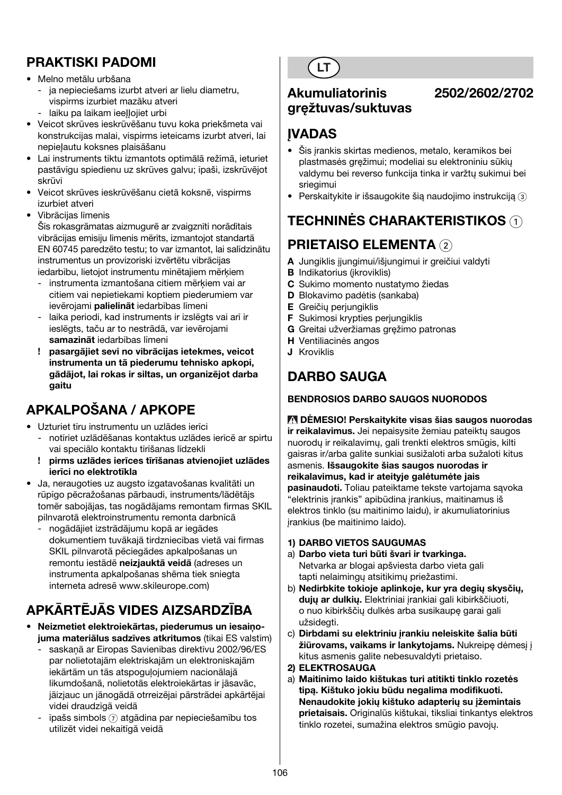### **PRAKTISKI PADOMI**

- Melno metālu urbšana
	- ja nepieciešams izurbt atveri ar lielu diametru, vispirms izurbiet mazāku atveri
	- laiku pa laikam ieeļļojiet urbi
- Veicot skrūves ieskrūvēšanu tuvu koka priekšmeta vai konstrukcijas malai, vispirms ieteicams izurbt atveri, lai nepielautu koksnes plaisāšanu
- Lai instruments tiktu izmantots optimālā režīmā, ieturiet pastāvīgu spiedienu uz skrūves galvu; īpaši, izskrūvējot skrūvi
- Veicot skrūves ieskrūvēšanu cietā koksnē, vispirms izurbiet atveri
- Vibrācijas līmenis

 Šīs rokasgrāmatas aizmugurē ar zvaigznīti norādītais vibrācijas emisiju līmenis mērīts, izmantojot standartā EN 60745 paredzēto testu; to var izmantot, lai salīdzinātu instrumentus un provizoriski izvērtētu vibrācijas iedarbību, lietojot instrumentu minētajiem mērķiem

- instrumenta izmantošana citiem mērķiem vai ar citiem vai nepietiekami koptiem piederumiem var ievērojami **palielināt** iedarbības līmeni
- laika periodi, kad instruments ir izslēgts vai arī ir ieslēgts, taču ar to nestrādā, var ievērojami **samazināt** iedarbības līmeni
- **! pasargājiet sevi no vibrācijas ietekmes, veicot instrumenta un tā piederumu tehnisko apkopi, gādājot, lai rokas ir siltas, un organizējot darba gaitu**

### **APKALPOŠANA / APKOPE**

- Uzturiet tīru instrumentu un uzlādes ierīci
	- notīriet uzlādēšanas kontaktus uzlādes ierīcē ar spirtu vai speciālo kontaktu tīrīšanas līdzekli
	- **! pirms uzlādes ierīces tīrīšanas atvienojiet uzlādes ierīci no elektrotīkla**
- Ja, neraugoties uz augsto izgatavošanas kvalitāti un rūpīgo pēcražošanas pārbaudi, instruments/lādētājs tomēr sabojājas, tas nogādājams remontam firmas SKIL pilnvarotā elektroinstrumentu remonta darbnīcā
	- nogādājiet izstrādājumu kopā ar iegādes dokumentiem tuvākajā tirdzniecības vietā vai firmas SKIL pilnvarotā pēciegādes apkalpošanas un remontu iestādē **neizjauktā veidā** (adreses un instrumenta apkalpošanas shēma tiek sniegta interneta adresē www.skileurope.com)

# **APKĀRTĒJĀS VIDES AIZSARDZĪBA**

- **Neizmetiet elektroiekārtas, piederumus un iesaiņojuma materiālus sadzīves atkritumos** (tikai ES valstīm)
	- saskaņā ar Eiropas Savienības direktīvu 2002/96/ES par nolietotajām elektriskajām un elektroniskajām iekārtām un tās atspoguļojumiem nacionālajā likumdošanā, nolietotās elektroiekārtas ir jāsavāc, jāizjauc un jānogādā otrreizējai pārstrādei apkārtējai videi draudzīgā veidā
	- $ipa$ šs simbols  $(i)$  atgādina par nepieciešamību tos utilizēt videi nekaitīgā veidā

**LT**

### **Akumuliatorinis 2502/2602/2702 gręžtuvas/suktuvas**

### **ĮVADAS**

- Šis įrankis skirtas medienos, metalo, keramikos bei plastmasės gręžimui; modeliai su elektroniniu sūkių valdymu bei reverso funkcija tinka ir varžtų sukimui bei sriegimui
- Perskaitykite ir išsaugokite šią naudojimo instrukciją 3

### **TECHNINĖS CHARAKTERISTIKOS** (1)

### **PRIETAISO ELEMENTA** 2

- **A** Jungiklis įjungimui/išjungimui ir greičiui valdyti
- **B** Indikatorius (*ikroviklis*)
- **C** Sukimo momento nustatymo žiedas
- **D** Blokavimo padėtis (sankaba)
- **E** Greičių perjungiklis
- **F** Sukimosi krypties perjungiklis
- **G** Greitai užveržiamas gręžimo patronas
- **H** Ventiliacinės angos
- **J** Kroviklis

### **DARBO SAUGA**

#### **BENDROSIOS DARBO SAUGOS NUORODOS**

**DĖMESIO! Perskaitykite visas šias saugos nuorodas ir reikalavimus.** Jei nepaisysite žemiau pateiktų saugos nuorodų ir reikalavimų, gali trenkti elektros smūgis, kilti gaisras ir/arba galite sunkiai susižaloti arba sužaloti kitus asmenis. **Išsaugokite šias saugos nuorodas ir reikalavimus, kad ir ateityje galėtumėte jais pasinaudoti.** Toliau pateiktame tekste vartojama savoka "elektrinis įrankis" apibūdina įrankius, maitinamus iš elektros tinklo (su maitinimo laidu), ir akumuliatorinius įrankius (be maitinimo laido).

#### **1) DARBO VIETOS SAUGUMAS**

- a) **Darbo vieta turi būti švari ir tvarkinga.** Netvarka ar blogai apšviesta darbo vieta gali tapti nelaimingų atsitikimų priežastimi.
- b) **Nedirbkite tokioje aplinkoje, kur yra degių skysčių, dujų ar dulkių.** Elektriniai įrankiai gali kibirkščiuoti, o nuo kibirkščių dulkės arba susikaupę garai gali užsidegti.
- c) **Dirbdami su elektriniu įrankiu neleiskite šalia būti žiūrovams, vaikams ir lankytojams.** Nukreipę dėmesį į kitus asmenis galite nebesuvaldyti prietaiso.
- **2) ELEKTROSAUGA**
- a) **Maitinimo laido kištukas turi atitikti tinklo rozetės tipą. Kištuko jokiu būdu negalima modifikuoti. Nenaudokite jokių kištuko adapterių su įžemintais prietaisais.** Originalūs kištukai, tiksliai tinkantys elektros tinklo rozetei, sumažina elektros smūgio pavojų.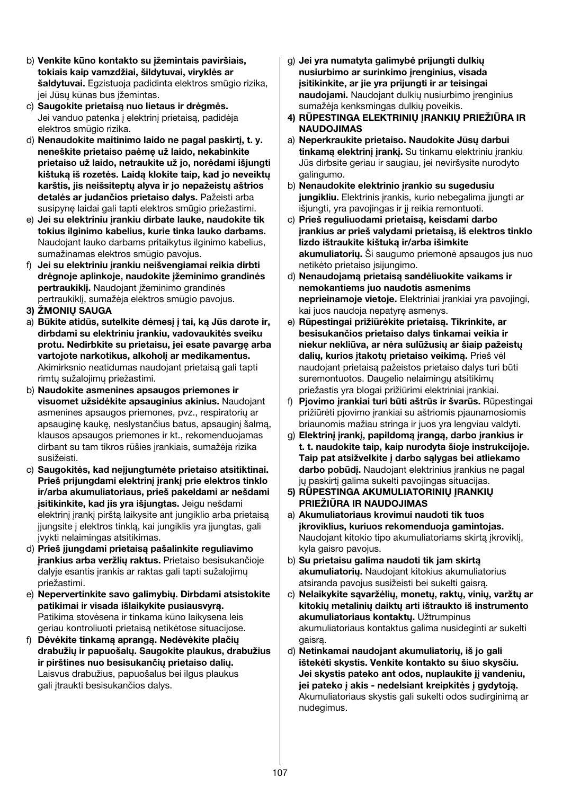- b) **Venkite kūno kontakto su įžemintais paviršiais, tokiais kaip vamzdžiai, šildytuvai, viryklės ar šaldytuvai.** Egzistuoja padidinta elektros smūgio rizika, jei Jūsų kūnas bus įžemintas.
- c) **Saugokite prietaisą nuo lietaus ir drėgmės.** Jei vanduo patenka į elektrinį prietaisą, padidėja elektros smūgio rizika.
- d) **Nenaudokite maitinimo laido ne pagal paskirtį, t. y. neneškite prietaiso paėmę už laido, nekabinkite prietaiso už laido, netraukite už jo, norėdami išjungti kištuką iš rozetės. Laidą klokite taip, kad jo neveiktų karštis, jis neišsiteptų alyva ir jo nepažeistų aštrios detalės ar judančios prietaiso dalys.** Pažeisti arba susipynę laidai gali tapti elektros smūgio priežastimi.
- e) **Jei su elektriniu įrankiu dirbate lauke, naudokite tik tokius ilginimo kabelius, kurie tinka lauko darbams.** Naudojant lauko darbams pritaikytus ilginimo kabelius, sumažinamas elektros smūgio pavojus.
- f) **Jei su elektriniu įrankiu neišvengiamai reikia dirbti drėgnoje aplinkoje, naudokite įžeminimo grandinės pertraukiklį.** Naudojant įžeminimo grandinės pertraukiklį, sumažėja elektros smūgio pavojus.
- **3) ŽMONIŲ SAUGA**
- a) **Būkite atidūs, sutelkite dėmesį į tai, ką Jūs darote ir, dirbdami su elektriniu įrankiu, vadovaukitės sveiku protu. Nedirbkite su prietaisu, jei esate pavargę arba vartojote narkotikus, alkoholį ar medikamentus.** Akimirksnio neatidumas naudojant prietaisą gali tapti rimtų sužalojimų priežastimi.
- b) **Naudokite asmenines apsaugos priemones ir visuomet užsidėkite apsauginius akinius.** Naudojant asmenines apsaugos priemones, pvz., respiratorių ar apsauginę kaukę, neslystančius batus, apsauginį šalmą, klausos apsaugos priemones ir kt., rekomenduojamas dirbant su tam tikros rūšies įrankiais, sumažėja rizika susižeisti.
- c) **Saugokitės, kad neįjungtumėte prietaiso atsitiktinai. Prieš prijungdami elektrinį įrankį prie elektros tinklo ir/arba akumuliatoriaus, prieš pakeldami ar nešdami įsitikinkite, kad jis yra išjungtas.** Jeigu nešdami elektrinį įrankį pirštą laikysite ant jungiklio arba prietaisą įjungsite į elektros tinklą, kai jungiklis yra įjungtas, gali įvykti nelaimingas atsitikimas.
- d) **Prieš įjungdami prietaisą pašalinkite reguliavimo įrankius arba veržlių raktus.** Prietaiso besisukančioje dalyje esantis įrankis ar raktas gali tapti sužalojimų priežastimi.
- e) **Nepervertinkite savo galimybių. Dirbdami atsistokite patikimai ir visada išlaikykite pusiausvyrą.** Patikima stovėsena ir tinkama kūno laikysena leis geriau kontroliuoti prietaisą netikėtose situacijose.
- f) **Dėvėkite tinkamą aprangą. Nedėvėkite plačių drabužių ir papuošalų. Saugokite plaukus, drabužius ir pirštines nuo besisukančių prietaiso dalių.** Laisvus drabužius, papuošalus bei ilgus plaukus gali įtraukti besisukančios dalys.
- g) **Jei yra numatyta galimybė prijungti dulkių nusiurbimo ar surinkimo įrenginius, visada įsitikinkite, ar jie yra prijungti ir ar teisingai naudojami.** Naudojant dulkių nusiurbimo įrenginius sumažėja kenksmingas dulkių poveikis.
- **4) RŪPESTINGA ELEKTRINIŲ ĮRANKIŲ PRIEŽIŪRA IR NAUDOJIMAS**
- a) **Neperkraukite prietaiso. Naudokite Jūsų darbui tinkamą elektrinį įrankį.** Su tinkamu elektriniu įrankiu Jūs dirbsite geriau ir saugiau, jei neviršysite nurodyto galingumo.
- b) **Nenaudokite elektrinio įrankio su sugedusiu jungikliu.** Elektrinis įrankis, kurio nebegalima įjungti ar išjungti, yra pavojingas ir jį reikia remontuoti.
- c) **Prieš reguliuodami prietaisą, keisdami darbo įrankius ar prieš valydami prietaisą, iš elektros tinklo lizdo ištraukite kištuką ir/arba išimkite akumuliatorių.** Ši saugumo priemonė apsaugos jus nuo netikėto prietaiso įsijungimo.
- d) **Nenaudojamą prietaisą sandėliuokite vaikams ir nemokantiems juo naudotis asmenims neprieinamoje vietoje.** Elektriniai įrankiai yra pavojingi, kai juos naudoja nepatyrę asmenys.
- e) **Rūpestingai prižiūrėkite prietaisą. Tikrinkite, ar besisukančios prietaiso dalys tinkamai veikia ir niekur nekliūva, ar nėra sulūžusių ar šiaip pažeistų dalių, kurios įtakotų prietaiso veikimą.** Prieš vėl naudojant prietaisą pažeistos prietaiso dalys turi būti suremontuotos. Daugelio nelaimingų atsitikimų priežastis yra blogai prižiūrimi elektriniai įrankiai.
- f) **Pjovimo įrankiai turi būti aštrūs ir švarūs.** Rūpestingai prižiūrėti pjovimo įrankiai su aštriomis pjaunamosiomis briaunomis mažiau stringa ir juos yra lengviau valdyti.
- g) **Elektrinį įrankį, papildomą įrangą, darbo įrankius ir t. t. naudokite taip, kaip nurodyta šioje instrukcijoje. Taip pat atsižvelkite į darbo sąlygas bei atliekamo darbo pobūdį.** Naudojant elektrinius įrankius ne pagal jų paskirtį galima sukelti pavojingas situacijas.
- **5) RŪPESTINGA AKUMULIATORINIŲ ĮRANKIŲ PRIEŽIŪRA IR NAUDOJIMAS**
- a) **Akumuliatoriaus krovimui naudoti tik tuos įkroviklius, kuriuos rekomenduoja gamintojas.** Naudojant kitokio tipo akumuliatoriams skirtą įkroviklį, kyla gaisro pavojus.
- b) **Su prietaisu galima naudoti tik jam skirtą akumuliatorių.** Naudojant kitokius akumuliatorius atsiranda pavojus susižeisti bei sukelti gaisrą.
- c) **Nelaikykite sąvaržėlių, monetų, raktų, vinių, varžtų ar kitokių metalinių daiktų arti ištraukto iš instrumento akumuliatoriaus kontaktų.** Užtrumpinus akumuliatoriaus kontaktus galima nusideginti ar sukelti gaisra.
- d) **Netinkamai naudojant akumuliatorių, iš jo gali ištekėti skystis. Venkite kontakto su šiuo skysčiu. Jei skystis pateko ant odos, nuplaukite jį vandeniu, jei pateko į akis - nedelsiant kreipkitės į gydytoją.** Akumuliatoriaus skystis gali sukelti odos sudirginimą ar nudegimus.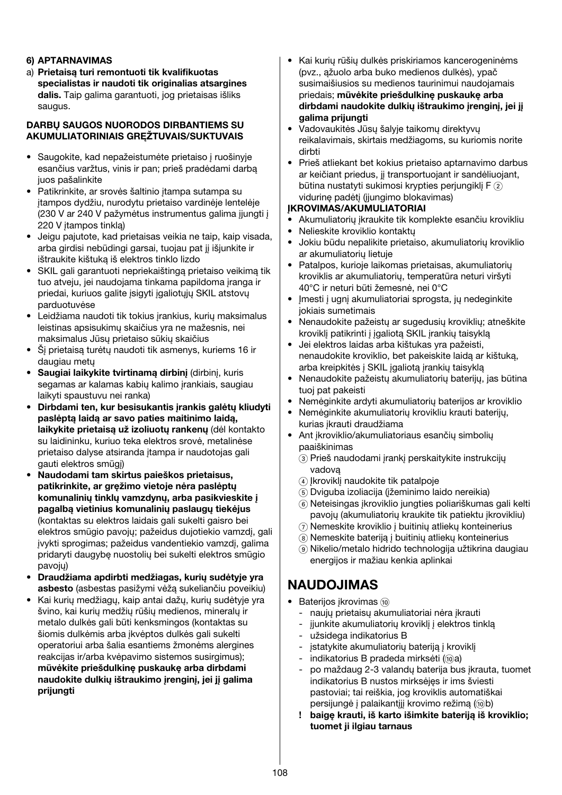#### **6) APTARNAVIMAS**

a) **Prietaisą turi remontuoti tik kvalifikuotas specialistas ir naudoti tik originalias atsargines dalis.** Taip galima garantuoti, jog prietaisas išliks saugus.

#### **DARBŲ SAUGOS NUORODOS DIRBANTIEMS SU AKUMULIATORINIAIS GRĘŽTUVAIS/SUKTUVAIS**

- Saugokite, kad nepažeistumėte prietaiso į ruošinyje esančius varžtus, vinis ir pan; prieš pradėdami darbą juos pašalinkite
- Patikrinkite, ar srovės šaltinio įtampa sutampa su įtampos dydžiu, nurodytu prietaiso vardinėje lentelėje (230 V ar 240 V pažymėtus instrumentus galima įjungti į 220 V įtampos tinklą)
- Jeigu pajutote, kad prietaisas veikia ne taip, kaip visada, arba girdisi nebūdingi garsai, tuojau pat jį išjunkite ir ištraukite kištuką iš elektros tinklo lizdo
- SKIL gali garantuoti nepriekaištingą prietaiso veikimą tik tuo atveju, jei naudojama tinkama papildoma įranga ir priedai, kuriuos galite įsigyti įgaliotųjų SKIL atstovų parduotuvėse
- Leidžiama naudoti tik tokius įrankius, kurių maksimalus leistinas apsisukimų skaičius yra ne mažesnis, nei maksimalus Jūsų prietaiso sūkių skaičius
- Šį prietaisa turėtu naudoti tik asmenys, kuriems 16 ir daugiau metų
- **Saugiai laikykite tvirtinamą dirbinį** (dirbinį, kuris segamas ar kalamas kabių kalimo įrankiais, saugiau laikyti spaustuvu nei ranka)
- **Dirbdami ten, kur besisukantis įrankis galėtų kliudyti paslėptą laidą ar savo paties maitinimo laidą, laikykite prietaisą už izoliuotų rankenų** (dėl kontakto su laidininku, kuriuo teka elektros srovė, metalinėse prietaiso dalyse atsiranda įtampa ir naudotojas gali gauti elektros smūgį)
- **Naudodami tam skirtus paieškos prietaisus, patikrinkite, ar gręžimo vietoje nėra paslėptų komunalinių tinklų vamzdynų, arba pasikvieskite į pagalbą vietinius komunalinių paslaugų tiekėjus** (kontaktas su elektros laidais gali sukelti gaisro bei elektros smūgio pavojų; pažeidus dujotiekio vamzdį, gali įvykti sprogimas; pažeidus vandentiekio vamzdį, galima pridaryti daugybę nuostolių bei sukelti elektros smūgio pavojų)
- **Draudžiama apdirbti medžiagas, kurių sudėtyje yra asbesto** (asbestas pasižymi vėžą sukeliančiu poveikiu)
- Kai kurių medžiagų, kaip antai dažų, kurių sudėtyje yra švino, kai kurių medžių rūšių medienos, mineralų ir metalo dulkės gali būti kenksmingos (kontaktas su šiomis dulkėmis arba įkvėptos dulkės gali sukelti operatoriui arba šalia esantiems žmonėms alergines reakcijas ir/arba kvėpavimo sistemos susirgimus); **mūvėkite priešdulkinę puskaukę arba dirbdami naudokite dulkių ištraukimo įrenginį, jei jį galima prijungti**
- Kai kurių rūšių dulkės priskiriamos kancerogeninėms (pvz., ąžuolo arba buko medienos dulkės), ypač susimaišiusios su medienos taurinimui naudojamais priedais; **mūvėkite priešdulkinę puskaukę arba dirbdami naudokite dulkių ištraukimo įrenginį, jei jį galima prijungti**
- Vadovaukitės Jūsų šalyje taikomų direktyvų reikalavimais, skirtais medžiagoms, su kuriomis norite dirbti
- Prieš atliekant bet kokius prietaiso aptarnavimo darbus ar keičiant priedus, jį transportuojant ir sandėliuojant, būtina nustatyti sukimosi krypties periungikli  $F(2)$ vidurinę padėtį (įjungimo blokavimas)

#### **ĮKROVIMAS/AKUMULIATORIAI**

- Akumuliatorių įkraukite tik komplekte esančiu krovikliu
- Nelieskite kroviklio kontaktų
- Jokiu būdu nepalikite prietaiso, akumuliatorių kroviklio ar akumuliatorių lietuje
- Patalpos, kurioje laikomas prietaisas, akumuliatorių kroviklis ar akumuliatorių, temperatūra neturi viršyti 40°C ir neturi būti žemesnė, nei 0°C
- Imesti į ugnį akumuliatoriai sprogsta, jų nedeginkite jokiais sumetimais
- Nenaudokite pažeistų ar sugedusių kroviklių; atneškite kroviklį patikrinti į įgaliotą SKIL įrankių taisyklą
- Jei elektros laidas arba kištukas yra pažeisti, nenaudokite kroviklio, bet pakeiskite laidą ar kištuką, arba kreipkitės į SKIL įgaliotą įrankių taisyklą
- Nenaudokite pažeistų akumuliatorių baterijų, jas būtina tuoj pat pakeisti
- Nemėginkite ardyti akumuliatorių baterijos ar kroviklio
- Nemėginkite akumuliatorių krovikliu krauti baterijų, kurias įkrauti draudžiama
- Ant įkroviklio/akumuliatoriaus esančių simbolių paaiškinimas
	- 3 Prieš naudodami įrankį perskaitykite instrukcijų vadovą
	- 4 Įkroviklį naudokite tik patalpoje
	- 5 Dviguba izoliacija (įžeminimo laido nereikia)
	- 6 Neteisingas įkroviklio jungties poliariškumas gali kelti pavojų (akumuliatorių kraukite tik patiektu įkrovikliu)
	- $(7)$  Nemeskite kroviklio į buitinių atliekų konteinerius
	- 8 Nemeskite bateriją į buitinių atliekų konteinerius
	- 9 Nikelio/metalo hidrido technologija užtikrina daugiau energijos ir mažiau kenkia aplinkai

### **NAUDOJIMAS**

- $\bullet$  Baterijos įkrovimas  $60$ 
	- naujų prietaisų akumuliatoriai nėra įkrauti
	- ijunkite akumuliatorių kroviklį į elektros tinkla
	- užsidega indikatorius B
	- istatykite akumuliatorių bateriją į krovikli
	- indikatorius B pradeda mirksėti (@a)
	- po maždaug 2-3 valandų baterija bus įkrauta, tuomet indikatorius B nustos mirksėjęs ir ims šviesti pastoviai; tai reiškia, jog kroviklis automatiškai persijungė į palaikantijį krovimo režimą (10b)
	- **! baigę krauti, iš karto išimkite bateriją iš kroviklio; tuomet ji ilgiau tarnaus**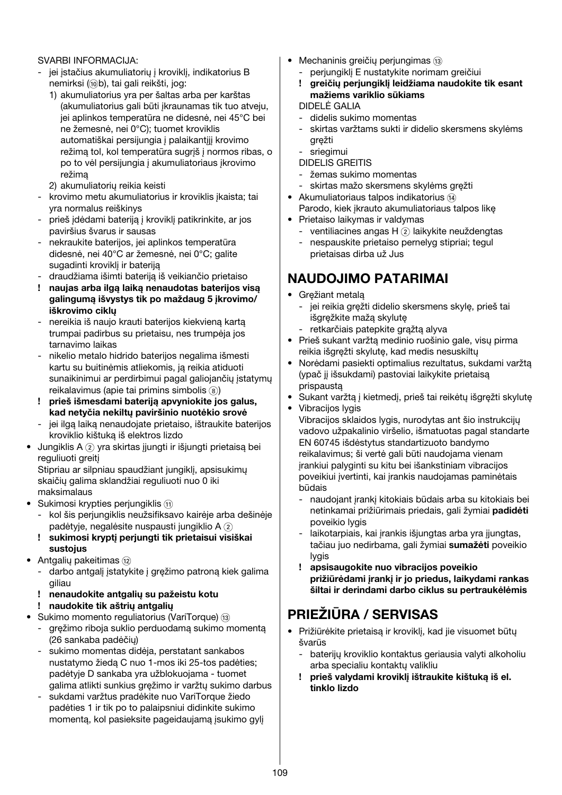#### SVARBI INFORMACIJA:

- jei įstačius akumuliatorių į kroviklį, indikatorius B nemirksi (@b), tai gali reikšti, jog:
	- 1) akumuliatorius yra per šaltas arba per karštas (akumuliatorius gali būti įkraunamas tik tuo atveju, jei aplinkos temperatūra ne didesnė, nei 45°C bei ne žemesnė, nei 0°C); tuomet kroviklis automatiškai persijungia į palaikantijį krovimo režimą tol, kol temperatūra sugrįš į normos ribas, o po to vėl persijungia į akumuliatoriaus įkrovimo režimą
	- 2) akumuliatorių reikia keisti
- krovimo metu akumuliatorius ir kroviklis įkaista; tai yra normalus reiškinys
- prieš įdėdami bateriją į kroviklį patikrinkite, ar jos paviršius švarus ir sausas
- nekraukite baterijos, jei aplinkos temperatūra didesnė, nei 40°C ar žemesnė, nei 0°C; galite sugadinti kroviklį ir bateriją
- draudžiama išimti bateriją iš veikiančio prietaiso
- **! naujas arba ilgą laiką nenaudotas baterijos visą galingumą išvystys tik po maždaug 5 įkrovimo/ iškrovimo ciklų**
- nereikia iš naujo krauti baterijos kiekvieną kartą trumpai padirbus su prietaisu, nes trumpėja jos tarnavimo laikas
- nikelio metalo hidrido baterijos negalima išmesti kartu su buitinėmis atliekomis, ją reikia atiduoti sunaikinimui ar perdirbimui pagal galiojančių įstatymų  $reikalavimus (aoie tai primins simbolis  $(8)$ )$
- **! prieš išmesdami bateriją apvyniokite jos galus, kad netyčia nekiltų paviršinio nuotėkio srovė**
- jei ilgą laiką nenaudojate prietaiso, ištraukite baterijos kroviklio kištuką iš elektros lizdo
- $\bullet$  Jungiklis A $(2)$  yra skirtas jjungti ir išjungti prietaisą bei reguliuoti greitį

 Stipriau ar silpniau spaudžiant jungiklį, apsisukimų skaičių galima sklandžiai reguliuoti nuo 0 iki maksimalaus

- Sukimosi krypties periungiklis (1)
	- kol šis perjungiklis neužsifiksavo kairėje arba dešinėje padėtyje, negalėsite nuspausti jungiklio A 2
	- **! sukimosi kryptį perjungti tik prietaisui visiškai sustojus**
- Antgalių pakeitimas @
	- darbo antgalį įstatykite į gręžimo patroną kiek galima giliau
	- **! nenaudokite antgalių su pažeistu kotu**
	- **! naudokite tik aštrių antgalių**
- Sukimo momento reguliatorius (VariTorque) (3)
	- gręžimo riboja suklio perduodamą sukimo momentą (26 sankaba padėčių)
	- sukimo momentas didėja, perstatant sankabos nustatymo žiedą C nuo 1-mos iki 25-tos padėties; padėtyje D sankaba yra užblokuojama - tuomet galima atlikti sunkius gręžimo ir varžtų sukimo darbus
	- sukdami varžtus pradėkite nuo VariTorque žiedo padėties 1 ir tik po to palaipsniui didinkite sukimo momentą, kol pasieksite pageidaujamą įsukimo gylį
- Mechaninis greičių periungimas (3)
	- perjungiklį E nustatykite norimam greičiui
	- **! greičių perjungiklį leidžiama naudokite tik esant mažiems variklio sūkiams**

#### DIDELĖ GALIA

- didelis sukimo momentas
- skirtas varžtams sukti ir didelio skersmens skylėms gręžti
- sriegimui
- DIDELIS GREITIS
- žemas sukimo momentas
- skirtas mažo skersmens skylėms grežti
- $\bullet$  Akumuliatoriaus talpos indikatorius  $\widehat{A}$ Parodo, kiek įkrauto akumuliatoriaus talpos likę
- Prietaiso laikymas ir valdymas
	- ventiliacines angas H $(2)$  laikykite neuždengtas
	- nespauskite prietaiso pernelyg stipriai; tegul prietaisas dirba už Jus

### **NAUDOJIMO PATARIMAI**

- Grežiant metala
	- jei reikia gręžti didelio skersmens skylę, prieš tai išgręžkite mažą skylutę
	- retkarčiais patepkite gražta alyva
- Prieš sukant varžtą medinio ruošinio gale, visų pirma reikia išgręžti skylutę, kad medis nesuskiltų
- Norėdami pasiekti optimalius rezultatus, sukdami varžtą (ypač jį išsukdami) pastoviai laikykite prietaisą prispaustą
- Sukant varžtą į kietmedį, prieš tai reikėtų išgręžti skylutę • Vibracijos Ivais
- Vibracijos sklaidos lygis, nurodytas ant šio instrukcijų vadovo užpakalinio viršelio, išmatuotas pagal standarte EN 60745 išdėstytus standartizuoto bandymo reikalavimus; ši vertė gali būti naudojama vienam įrankiui palyginti su kitu bei išankstiniam vibracijos poveikiui įvertinti, kai įrankis naudojamas paminėtais būdais
	- naudojant įrankį kitokiais būdais arba su kitokiais bei netinkamai prižiūrimais priedais, gali žymiai **padidėti** poveikio lygis
	- laikotarpiais, kai įrankis išjungtas arba yra įjungtas, tačiau juo nedirbama, gali žymiai **sumažėti** poveikio lygis
- **! apsisaugokite nuo vibracijos poveikio prižiūrėdami įrankį ir jo priedus, laikydami rankas šiltai ir derindami darbo ciklus su pertraukėlėmis**

# **PRIEŽIŪRA / SERVISAS**

- Prižiūrėkite prietaisą ir kroviklį, kad jie visuomet būtų švarūs
	- baterijų kroviklio kontaktus geriausia valyti alkoholiu arba specialiu kontaktų valikliu
	- **! prieš valydami kroviklį ištraukite kištuką iš el. tinklo lizdo**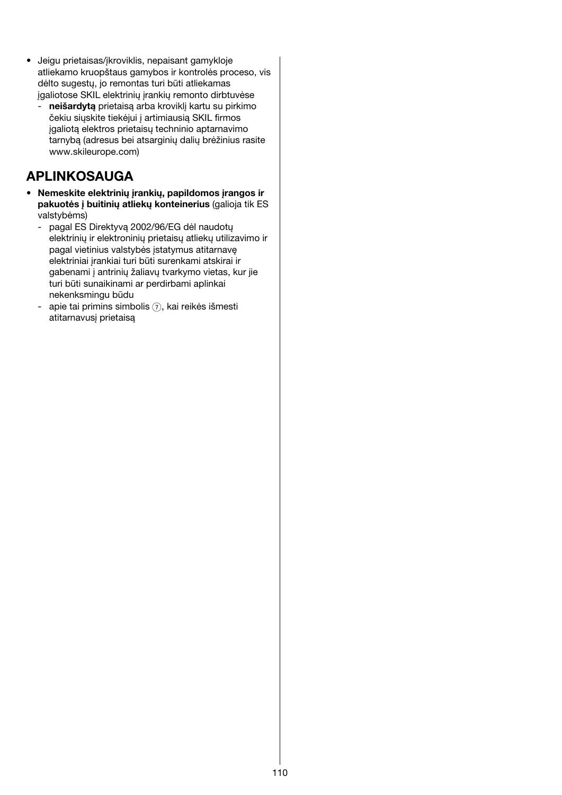- Jeigu prietaisas/ikroviklis, nepaisant gamykloje atliekamo kruopštaus gamybos ir kontrolės proceso, vis dėlto sugestų, jo remontas turi būti atliekamas įgaliotose SKIL elektrinių įrankių remonto dirbtuvėse
	- **neišardytą** prietaisą arba kroviklį kartu su pirkimo čekiu siųskite tiekėjui į artimiausią SKIL firmos įgaliotą elektros prietaisų techninio aptarnavimo tarnybą (adresus bei atsarginių dalių brėžinius rasite www.skileurope.com)

## **APLINKOSAUGA**

- **Nemeskite elektrinių įrankių, papildomos įrangos ir pakuotės į buitinių atliekų konteinerius** (galioja tik ES valstybėms)
	- pagal ES Direktyvą 2002/96/EG dėl naudotų elektrinių ir elektroninių prietaisų atliekų utilizavimo ir pagal vietinius valstybės įstatymus atitarnavę elektriniai įrankiai turi būti surenkami atskirai ir gabenami į antrinių žaliavų tvarkymo vietas, kur jie turi būti sunaikinami ar perdirbami aplinkai nekenksmingu būdu
	- apie tai primins simbolis  $(7)$ , kai reikės išmesti atitarnavusį prietaisą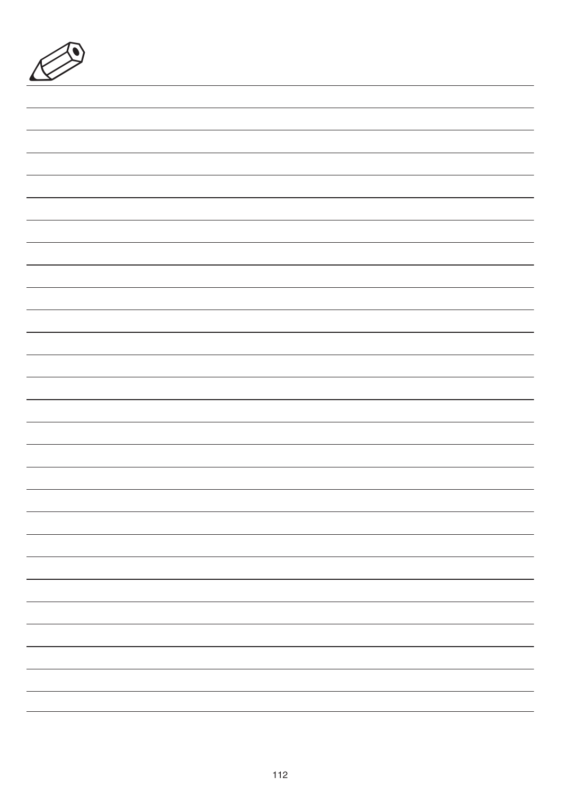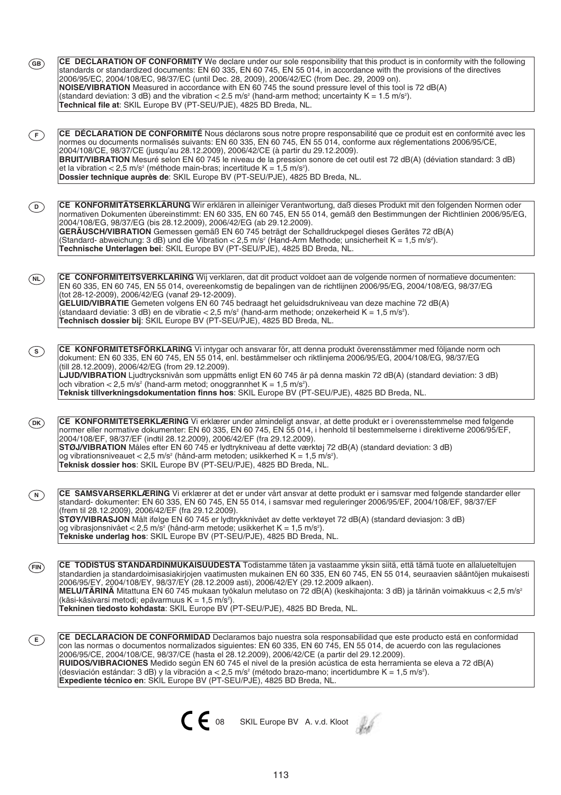| (GB)           | CE DECLARATION OF CONFORMITY We declare under our sole responsibility that this product is in conformity with the following<br>standards or standardized documents: EN 60 335, EN 60 745, EN 55 014, in accordance with the provisions of the directives<br>2006/95/EC, 2004/108/EC, 98/37/EC (until Dec. 28, 2009), 2006/42/EC (from Dec. 29, 2009 on).<br>NOISE/VIBRATION Measured in accordance with EN 60 745 the sound pressure level of this tool is 72 dB(A)<br>(standard deviation: 3 dB) and the vibration < 2.5 m/s <sup>2</sup> (hand-arm method: uncertainty $K = 1.5$ m/s <sup>2</sup> ).<br>Technical file at: SKIL Europe BV (PT-SEU/PJE), 4825 BD Breda, NL.    |
|----------------|---------------------------------------------------------------------------------------------------------------------------------------------------------------------------------------------------------------------------------------------------------------------------------------------------------------------------------------------------------------------------------------------------------------------------------------------------------------------------------------------------------------------------------------------------------------------------------------------------------------------------------------------------------------------------------|
|                |                                                                                                                                                                                                                                                                                                                                                                                                                                                                                                                                                                                                                                                                                 |
| (F)            | CE DÉCLARATION DE CONFORMITÉ Nous déclarons sous notre propre responsabilité que ce produit est en conformité avec les<br>normes ou documents normalisés suivants: EN 60 335, EN 60 745, EN 55 014, conforme aux réglementations 2006/95/CE,<br>2004/108/CE, 98/37/CE (jusqu'au 28.12.2009), 2006/42/CE (à partir du 29.12.2009).<br>BRUIT/VIBRATION Mesuré selon EN 60 745 le niveau de la pression sonore de cet outil est 72 dB(A) (déviation standard: 3 dB)<br>et la vibration < 2,5 m/s <sup>2</sup> (méthode main-bras; incertitude $K = 1.5$ m/s <sup>2</sup> ).<br>Dossier technique auprès de: SKIL Europe BV (PT-SEU/PJE), 4825 BD Breda, NL.                        |
|                |                                                                                                                                                                                                                                                                                                                                                                                                                                                                                                                                                                                                                                                                                 |
| $(\mathsf{D})$ | CE KONFORMITÄTSERKLÄRUNG Wir erklären in alleiniger Verantwortung, daß dieses Produkt mit den folgenden Normen oder<br>normativen Dokumenten übereinstimmt: EN 60 335, EN 60 745, EN 55 014, gemäß den Bestimmungen der Richtlinien 2006/95/EG,<br>2004/108/EG, 98/37/EG (bis 28.12.2009), 2006/42/EG (ab 29.12.2009).<br>GERÄUSCH/VIBRATION Gemessen gemäß EN 60 745 beträgt der Schalldruckpegel dieses Gerätes 72 dB(A)<br>(Standard- abweichung: 3 dB) und die Vibration < 2,5 m/s <sup>2</sup> (Hand-Arm Methode; unsicherheit K = 1,5 m/s <sup>2</sup> ).<br>Technische Unterlagen bei: SKIL Europe BV (PT-SEU/PJE), 4825 BD Breda, NL.                                   |
|                |                                                                                                                                                                                                                                                                                                                                                                                                                                                                                                                                                                                                                                                                                 |
| (NL)           | CE CONFORMITEITSVERKLARING Wij verklaren, dat dit product voldoet aan de volgende normen of normatieve documenten:<br>EN 60 335, EN 60 745, EN 55 014, overeenkomstig de bepalingen van de richtlijnen 2006/95/EG, 2004/108/EG, 98/37/EG<br>(tot 28-12-2009), 2006/42/EG (vanaf 29-12-2009).<br>GELUID/VIBRATIE Gemeten volgens EN 60 745 bedraagt het geluidsdrukniveau van deze machine 72 dB(A)<br>(standaard deviatie: 3 dB) en de vibratie < 2,5 m/s <sup>2</sup> (hand-arm methode; onzekerheid $K = 1.5$ m/s <sup>2</sup> ).                                                                                                                                             |
|                | Technisch dossier bij: SKIL Europe BV (PT-SEU/PJE), 4825 BD Breda, NL.                                                                                                                                                                                                                                                                                                                                                                                                                                                                                                                                                                                                          |
|                |                                                                                                                                                                                                                                                                                                                                                                                                                                                                                                                                                                                                                                                                                 |
| $(\mathsf{s})$ | CE KONFORMITETSFÖRKLARING Vi intygar och ansvarar för, att denna produkt överensstämmer med följande norm och<br>dokument: EN 60 335, EN 60 745, EN 55 014, enl. bestämmelser och riktlinjema 2006/95/EG, 2004/108/EG, 98/37/EG<br>(till 28.12.2009), 2006/42/EG (from 29.12.2009).<br>LJUD/VIBRATION Ljudtrycksnivån som uppmätts enligt EN 60 745 är på denna maskin 72 dB(A) (standard deviation: 3 dB)<br>och vibration < 2,5 m/s <sup>2</sup> (hand-arm metod; onoggrannhet $K = 1.5$ m/s <sup>2</sup> ).<br>Teknisk tillverkningsdokumentation finns hos: SKIL Europe BV (PT-SEU/PJE), 4825 BD Breda, NL.                                                                 |
|                |                                                                                                                                                                                                                                                                                                                                                                                                                                                                                                                                                                                                                                                                                 |
| (DK)           | CE KONFORMITETSERKLÆRING Vi erklærer under almindeligt ansvar, at dette produkt er i overensstemmelse med følgende<br>normer eller normative dokumenter: EN 60 335, EN 60 745, EN 55 014, i henhold til bestemmelserne i direktiverne 2006/95/EF,<br>2004/108/EF, 98/37/EF (indtil 28.12.2009), 2006/42/EF (fra 29.12.2009).<br>STØJ/VIBRATION Måles efter EN 60 745 er lydtrykniveau af dette værktøj 72 dB(A) (standard deviation: 3 dB)<br>og vibrationsniveauet < 2,5 m/s <sup>2</sup> (hånd-arm metoden; usikkerhed K = 1,5 m/s <sup>2</sup> ).<br>Teknisk dossier hos: SKIL Europe BV (PT-SEU/PJE), 4825 BD Breda, NL.                                                    |
|                |                                                                                                                                                                                                                                                                                                                                                                                                                                                                                                                                                                                                                                                                                 |
| (N)            | CE SAMSVARSERKLÆRING Vi erklærer at det er under vårt ansvar at dette produkt er i samsvar med følgende standarder eller<br>standard- dokumenter: EN 60 335, EN 60 745, EN 55 014, i samsvar med requleringer 2006/95/EF, 2004/108/EF, 98/37/EF<br>(frem til 28.12.2009), 2006/42/EF (fra 29.12.2009).                                                                                                                                                                                                                                                                                                                                                                          |
|                | STØY/VIBRASJON Målt ifølge EN 60 745 er lydtrykknivået av dette verktøyet 72 dB(A) (standard deviasjon: 3 dB)<br>og vibrasjonsnivået < 2,5 m/s <sup>2</sup> (hånd-arm metode; usikkerhet $K = 1.5$ m/s <sup>2</sup> ).<br>Tekniske underlag hos: SKIL Europe BV (PT-SEU/PJE), 4825 BD Breda, NL.                                                                                                                                                                                                                                                                                                                                                                                |
|                |                                                                                                                                                                                                                                                                                                                                                                                                                                                                                                                                                                                                                                                                                 |
| (FIN)          | CE TODISTUS STANDARDINMUKAISUUDESTA Todistamme täten ja vastaamme yksin siitä, että tämä tuote en allalueteltujen<br>standardien ja standardoimisasiakirjojen vaatimusten mukainen EN 60 335, EN 60 745, EN 55 014, seuraavien sääntöjen mukaisesti<br>2006/95/EY, 2004/108/EY, 98/37/EY (28.12.2009 asti), 2006/42/EY (29.12.2009 alkaen).<br>MELU/TÄRINÄ Mitattuna EN 60 745 mukaan työkalun melutaso on 72 dB(A) (keskihajonta: 3 dB) ja tärinän voimakkuus < 2,5 m/s <sup>2</sup><br>(käsi-käsivarsi metodi; epävarmuus K = 1,5 m/s <sup>2</sup> ).<br>Tekninen tiedosto kohdasta: SKIL Europe BV (PT-SEU/PJE), 4825 BD Breda, NL.                                          |
|                |                                                                                                                                                                                                                                                                                                                                                                                                                                                                                                                                                                                                                                                                                 |
| (E)            | CE DECLARACION DE CONFORMIDAD Declaramos bajo nuestra sola responsabilidad que este producto está en conformidad<br>con las normas o documentos normalizados siguientes: EN 60 335, EN 60 745, EN 55 014, de acuerdo con las regulaciones<br>2006/95/CE, 2004/108/CE, 98/37/CE (hasta el 28.12.2009), 2006/42/CE (a partir del 29.12.2009).<br>RUIDOS/VIBRACIONES Medido según EN 60 745 el nivel de la presión acústica de esta herramienta se eleva a 72 dB(A)<br>(desviación estándar: 3 dB) y la vibración a < 2,5 m/s <sup>2</sup> (método brazo-mano; incertidumbre K = 1,5 m/s <sup>2</sup> ).<br>Expediente técnico en: SKIL Europe BV (PT-SEU/PJE), 4825 BD Breda, NL. |
|                |                                                                                                                                                                                                                                                                                                                                                                                                                                                                                                                                                                                                                                                                                 |

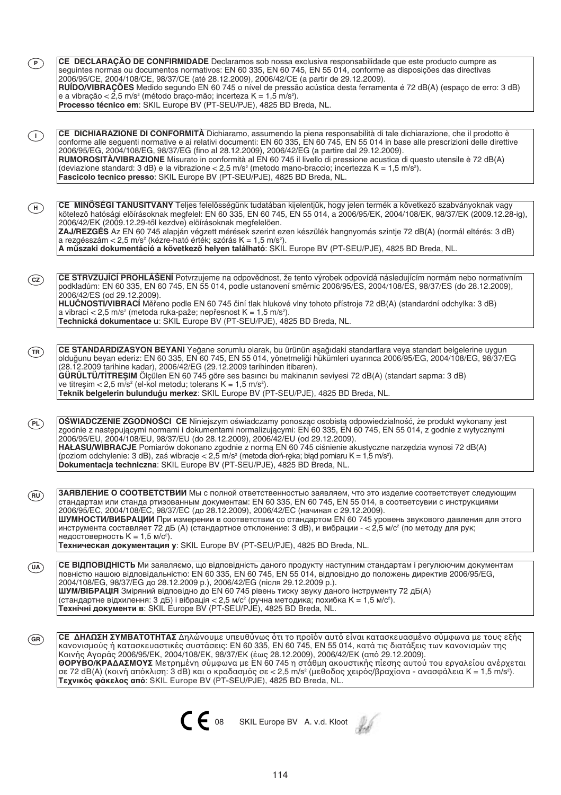| (P)                                                      | CE DECLARAÇÃO DE CONFIRMIDADE Declaramos sob nossa exclusiva responsabilidade que este producto cumpre as<br>seguintes normas ou documentos normativos: EN 60 335, EN 60 745, EN 55 014, conforme as disposições das directivas<br>2006/95/CE, 2004/108/CE, 98/37/CE (até 28.12.2009), 2006/42/CE (a partir de 29.12.2009).<br>RUÍDO/VIBRAÇÕES Medido segundo EN 60 745 o nível de pressão acústica desta ferramenta é 72 dB(A) (espaço de erro: 3 dB)<br>e a vibração < 2,5 m/s <sup>2</sup> (método braço-mão; incerteza K = 1,5 m/s <sup>2</sup> ).<br>Processo técnico em: SKIL Europe BV (PT-SEU/PJE), 4825 BD Breda, NL.                                                                             |
|----------------------------------------------------------|------------------------------------------------------------------------------------------------------------------------------------------------------------------------------------------------------------------------------------------------------------------------------------------------------------------------------------------------------------------------------------------------------------------------------------------------------------------------------------------------------------------------------------------------------------------------------------------------------------------------------------------------------------------------------------------------------------|
|                                                          |                                                                                                                                                                                                                                                                                                                                                                                                                                                                                                                                                                                                                                                                                                            |
| $\left( \begin{smallmatrix} 1 \end{smallmatrix} \right)$ | CE DICHIARAZIONE DI CONFORMITÀ Dichiaramo, assumendo la piena responsabilità di tale dichiarazione, che il prodotto è<br>conforme alle seguenti normative e ai relativi documenti: EN 60 335, EN 60 745, EN 55 014 in base alle prescrizioni delle direttive<br>2006/95/EG, 2004/108/EG, 98/37/EG (fino al 28.12.2009), 2006/42/EG (a partire dal 29.12.2009).<br>RUMOROSITÀ/VIBRAZIONE Misurato in conformità al EN 60 745 il livello di pressione acustica di questo utensile è 72 dB(A)<br>(deviazione standard: 3 dB) e la vibrazione < 2,5 m/s <sup>2</sup> (metodo mano-braccio; incertezza K = 1,5 m/s <sup>2</sup> ).<br>Fascicolo tecnico presso: SKIL Europe BV (PT-SEU/PJE), 4825 BD Breda, NL. |
|                                                          |                                                                                                                                                                                                                                                                                                                                                                                                                                                                                                                                                                                                                                                                                                            |
| (H)                                                      | CE MINÖSÉGI TANUSITVANY Teljes felelösségünk tudatában kijelentjük, hogy jelen termék a következő szabványoknak vagy<br>kötelező hatósági előírásoknak megfelel: EN 60 335, EN 60 745, EN 55 014, a 2006/95/EK, 2004/108/EK, 98/37/EK (2009.12.28-ig),<br>2006/42/EK (2009.12.29-től kezdve) elöírásoknak megfelelően.<br>ZAJ/REZGÉS Az EN 60 745 alapján végzett mérések szerint ezen készülék hangnyomás szintje 72 dB(A) (normál eltérés: 3 dB)<br>a rezgésszám < 2,5 m/s <sup>2</sup> (kézre-ható érték; szórás K = 1,5 m/s <sup>2</sup> ).<br>A műszaki dokumentáció a következő helyen található: SKIL Europe BV (PT-SEU/PJE), 4825 BD Breda, NL.                                                    |
|                                                          |                                                                                                                                                                                                                                                                                                                                                                                                                                                                                                                                                                                                                                                                                                            |
| (cz)                                                     | CE STRVZUJÍCÍ PROHLÁŠENÍ Potvrzujeme na odpovědnost, že tento výrobek odpovídá následujícím normám nebo normativním<br>podkladům: EN 60 335, EN 60 745, EN 55 014, podle ustanovení směrnic 2006/95/ES, 2004/108/ES, 98/37/ES (do 28.12.2009),<br>2006/42/ES (od 29.12.2009).                                                                                                                                                                                                                                                                                                                                                                                                                              |
|                                                          | HLUČNOSTI/VIBRACI Měřeno podle EN 60 745 činí tlak hlukové vlny tohoto přístroje 72 dB(A) (standardní odchylka: 3 dB)<br>a vibrací < 2,5 m/s <sup>2</sup> (metoda ruka-paže; nepřesnost $K = 1.5$ m/s <sup>2</sup> ).<br>Technická dokumentace u: SKIL Europe BV (PT-SEU/PJE), 4825 BD Breda, NL.                                                                                                                                                                                                                                                                                                                                                                                                          |
|                                                          |                                                                                                                                                                                                                                                                                                                                                                                                                                                                                                                                                                                                                                                                                                            |
| $(\mathsf{TR})$                                          | CE STANDARDIZASYON BEYANI Yeğane sorumlu olarak, bu ürünün aşağıdaki standartlara veya standart belgelerine uygun<br>olduğunu beyan ederiz: EN 60 335, EN 60 745, EN 55 014, yönetmeliği hükümleri uyarınca 2006/95/EG, 2004/108/EG, 98/37/EG<br>(28.12.2009 tarihine kadar), 2006/42/EG (29.12.2009 tarihinden itibaren).<br>GÜRÜLTÜ/TİTRESIM Ölcülen EN 60 745 göre ses basıncı bu makinanın seviyesi 72 dB(A) (standart sapma: 3 dB)<br>ve titresim < 2,5 m/s <sup>2</sup> (el-kol metodu; tolerans $K = 1.5$ m/s <sup>2</sup> ).<br>Teknik belgelerin bulunduğu merkez: SKIL Europe BV (PT-SEU/PJE), 4825 BD Breda, NL.                                                                                |
|                                                          |                                                                                                                                                                                                                                                                                                                                                                                                                                                                                                                                                                                                                                                                                                            |
| (PL)                                                     | OŚWIADCZENIE ZGODNOŚCI CE Niniejszym oświadczamy ponosząc osobistą odpowiedzialność, że produkt wykonany jest<br>zgodnie z następującymi normami i dokumentami normalizującymi: EN 60 335, EN 60 745, EN 55 014, z godnie z wytycznymi<br>2006/95/EU, 2004/108/EU, 98/37/EU (do 28.12.2009), 2006/42/EU (od 29.12.2009).<br>HAŁASU/WIBRACJE Pomiarów dokonano zgodnie z normą EN 60 745 ciśnienie akustyczne narzędzia wynosi 72 dB(A)<br>(poziom odchylenie: 3 dB), zaś wibracje < 2,5 m/s <sup>2</sup> (metoda dłoń-reka; bład pomiaru K = 1,5 m/s <sup>2</sup> ).<br>Dokumentacja techniczna: SKIL Europe BV (PT-SEU/PJE), 4825 BD Breda, NL.                                                           |
|                                                          |                                                                                                                                                                                                                                                                                                                                                                                                                                                                                                                                                                                                                                                                                                            |
| (RU)                                                     | ЗАЯВЛЕНИЕ О СООТВЕТСТВИИ Мы с полной ответственностью заявляем, что это изделие соответствует следующим<br>стандартам или станда ртизованным документам: EN 60 335, EN 60 745, EN 55 014, в соответсувии с инструкциями<br>2006/95/ЕС, 2004/108/ЕС, 98/37/ЕС (до 28.12.2009), 2006/42/ЕС (начиная с 29.12.2009).<br>ШУМНОСТИ/ВИБРАЦИИ При измерении в соответствии со стандартом EN 60 745 уровень звукового давления для этого<br>инструмента составляет 72 дБ (A) (стандартное отклонение: 3 dB), и вибрации - < 2,5 м/с <sup>2</sup> (по методу для рук;<br>недостоверность К = 1,5 м/с <sup>2</sup> ).<br>Техническая документация у: SKIL Europe BV (PT-SEU/PJE), 4825 BD Breda, NL.                  |
| (UA)                                                     | СЕ ВІДПОВІДНІСТЬ Ми заявляємо, що відповідність даного продукту наступним стандартам і регулюючим документам                                                                                                                                                                                                                                                                                                                                                                                                                                                                                                                                                                                               |
|                                                          | повністю нашою відповідальністю: EN 60 335, EN 60 745, EN 55 014, відповідно до положень директив 2006/95/EG,<br>2004/108/EG, 98/37/EG до 28.12.2009 р.), 2006/42/EG (після 29.12.2009 р.).<br>ШУМ/ВІБРАЦІЯ Зміряний відповідно до EN 60 745 рівень тиску звуку даного інструменту 72 дБ(A)<br>(стандартне відхилення: 3 дБ) і вібрація < 2,5 м/с <sup>2</sup> (ручна методика; похибка К = 1,5 м/с <sup>2</sup> ).<br>Технічні документи в: SKIL Europe BV (PT-SEU/PJE), 4825 BD Breda, NL.                                                                                                                                                                                                               |
|                                                          |                                                                                                                                                                                                                                                                                                                                                                                                                                                                                                                                                                                                                                                                                                            |
| (GR)                                                     | <b>CE ΔΗΛΩΣΗ ΣΥΜΒΑΤΟΤΗΤΑΣ</b> Δηλώνουμε υπευθύνως ότι το προϊόν αυτό είναι κατασκευασμένο σύμφωνα με τους εξής<br>κανονισμούς ή κατασκευαστικές συστάσεις: EN 60 335, EN 60 745, EN 55 014, κατά τις διατάξεις των κανονισμών της<br>Κοινής Αγοράς 2006/95/ΕΚ, 2004/108/ΕΚ, 98/37/ΕΚ (έως 28.12.2009), 2006/42/ΕΚ (από 29.12.2009).<br>ΘΟΡΥΒΟ/ΚΡΑΔΑΣΜΟΥΣ Μετρημένη σύμφωνα με EN 60 745 η στάθμη ακουστικής πίεσης αυτού του εργαλείου ανέρχεται<br>σε 72 dB(A) (κοινή απόκλιση: 3 dB) και ο κραδασμός σε < 2,5 m/s <sup>2</sup> (μεθοδος χειρός/βραχίονα - ανασφάλεια K = 1,5 m/s <sup>2</sup> ).<br>Τεχνικός φάκελος από: SKIL Europe BV (PT-SEU/PJE), 4825 BD Breda, NL.                                |
|                                                          |                                                                                                                                                                                                                                                                                                                                                                                                                                                                                                                                                                                                                                                                                                            |

 $C \in \mathbb{R}$  O8 SKIL Europe BV A. v.d. Kloot